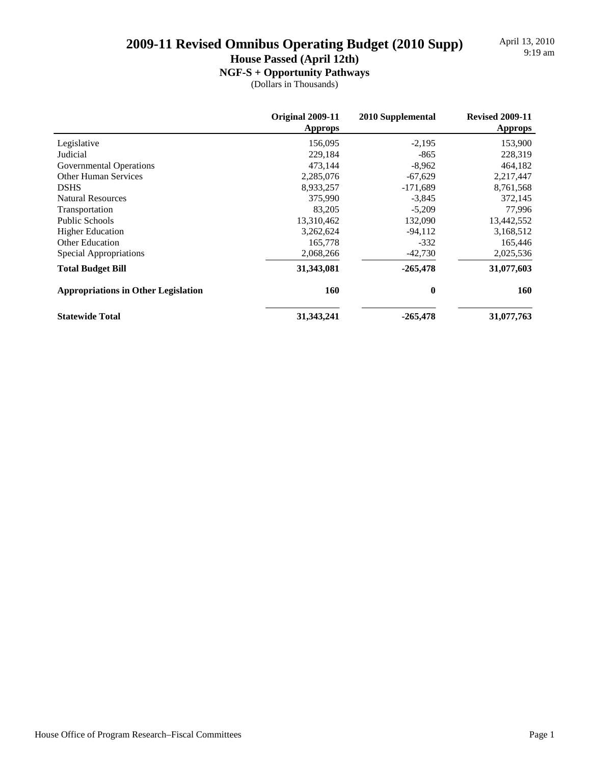April 13, 2010<br>9:19 am

**House Passed (April 12th)**

### **NGF-S + Opportunity Pathways**

|                                            | Original 2009-11<br><b>Approps</b> | 2010 Supplemental | <b>Revised 2009-11</b><br><b>Approps</b> |
|--------------------------------------------|------------------------------------|-------------------|------------------------------------------|
| Legislative                                | 156,095                            | $-2,195$          | 153,900                                  |
| Judicial                                   | 229.184                            | $-865$            | 228,319                                  |
| Governmental Operations                    | 473,144                            | $-8,962$          | 464,182                                  |
| <b>Other Human Services</b>                | 2,285,076                          | $-67,629$         | 2,217,447                                |
| <b>DSHS</b>                                | 8,933,257                          | $-171,689$        | 8,761,568                                |
| <b>Natural Resources</b>                   | 375,990                            | $-3,845$          | 372,145                                  |
| Transportation                             | 83,205                             | $-5,209$          | 77,996                                   |
| Public Schools                             | 13,310,462                         | 132,090           | 13,442,552                               |
| <b>Higher Education</b>                    | 3,262,624                          | $-94,112$         | 3,168,512                                |
| <b>Other Education</b>                     | 165,778                            | $-332$            | 165,446                                  |
| Special Appropriations                     | 2,068,266                          | $-42,730$         | 2,025,536                                |
| <b>Total Budget Bill</b>                   | 31,343,081                         | $-265,478$        | 31,077,603                               |
| <b>Appropriations in Other Legislation</b> | 160                                | $\bf{0}$          | 160                                      |
| <b>Statewide Total</b>                     | 31, 343, 241                       | $-265,478$        | 31,077,763                               |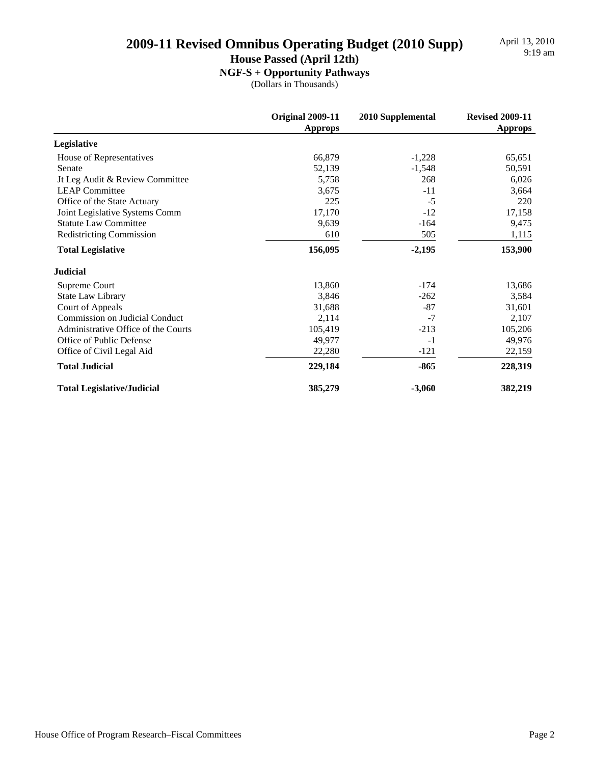April 13, 2010<br>9:19 am

### **House Passed (April 12th)**

**NGF-S + Opportunity Pathways**

|                                       | <b>Original 2009-11</b><br><b>Approps</b> | 2010 Supplemental | <b>Revised 2009-11</b><br><b>Approps</b> |
|---------------------------------------|-------------------------------------------|-------------------|------------------------------------------|
| Legislative                           |                                           |                   |                                          |
| House of Representatives              | 66,879                                    | $-1,228$          | 65,651                                   |
| Senate                                | 52,139                                    | $-1,548$          | 50,591                                   |
| Jt Leg Audit & Review Committee       | 5,758                                     | 268               | 6,026                                    |
| <b>LEAP Committee</b>                 | 3,675                                     | $-11$             | 3,664                                    |
| Office of the State Actuary           | 225                                       | $-5$              | 220                                      |
| Joint Legislative Systems Comm        | 17,170                                    | $-12$             | 17,158                                   |
| <b>Statute Law Committee</b>          | 9,639                                     | $-164$            | 9,475                                    |
| <b>Redistricting Commission</b>       | 610                                       | 505               | 1,115                                    |
| <b>Total Legislative</b>              | 156,095                                   | $-2,195$          | 153,900                                  |
| <b>Judicial</b>                       |                                           |                   |                                          |
| Supreme Court                         | 13,860                                    | $-174$            | 13,686                                   |
| State Law Library                     | 3,846                                     | $-262$            | 3,584                                    |
| Court of Appeals                      | 31,688                                    | $-87$             | 31,601                                   |
| <b>Commission on Judicial Conduct</b> | 2,114                                     | $-7$              | 2,107                                    |
| Administrative Office of the Courts   | 105,419                                   | $-213$            | 105,206                                  |
| Office of Public Defense              | 49,977                                    | $-1$              | 49,976                                   |
| Office of Civil Legal Aid             | 22,280                                    | $-121$            | 22,159                                   |
| <b>Total Judicial</b>                 | 229,184                                   | $-865$            | 228,319                                  |
| <b>Total Legislative/Judicial</b>     | 385,279                                   | $-3,060$          | 382,219                                  |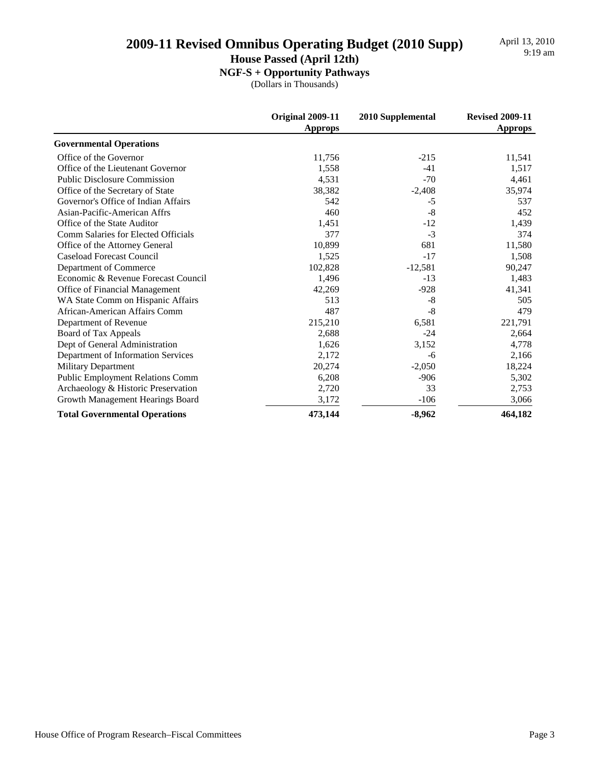**House Passed (April 12th)**

**NGF-S + Opportunity Pathways**

|                                         | Original 2009-11<br><b>Approps</b> | 2010 Supplemental | <b>Revised 2009-11</b><br><b>Approps</b> |
|-----------------------------------------|------------------------------------|-------------------|------------------------------------------|
| <b>Governmental Operations</b>          |                                    |                   |                                          |
| Office of the Governor                  | 11,756                             | $-215$            | 11,541                                   |
| Office of the Lieutenant Governor       | 1,558                              | $-41$             | 1,517                                    |
| <b>Public Disclosure Commission</b>     | 4,531                              | $-70$             | 4,461                                    |
| Office of the Secretary of State        | 38,382                             | $-2,408$          | 35,974                                   |
| Governor's Office of Indian Affairs     | 542                                | $-5$              | 537                                      |
| Asian-Pacific-American Affrs            | 460                                | $-8$              | 452                                      |
| Office of the State Auditor             | 1,451                              | $-12$             | 1,439                                    |
| Comm Salaries for Elected Officials     | 377                                | $-3$              | 374                                      |
| Office of the Attorney General          | 10,899                             | 681               | 11,580                                   |
| Caseload Forecast Council               | 1,525                              | $-17$             | 1,508                                    |
| Department of Commerce                  | 102,828                            | $-12,581$         | 90,247                                   |
| Economic & Revenue Forecast Council     | 1,496                              | $-13$             | 1,483                                    |
| Office of Financial Management          | 42,269                             | $-928$            | 41,341                                   |
| WA State Comm on Hispanic Affairs       | 513                                | $-8$              | 505                                      |
| African-American Affairs Comm           | 487                                | $-8$              | 479                                      |
| Department of Revenue                   | 215,210                            | 6,581             | 221,791                                  |
| Board of Tax Appeals                    | 2,688                              | $-24$             | 2,664                                    |
| Dept of General Administration          | 1,626                              | 3,152             | 4,778                                    |
| Department of Information Services      | 2,172                              | -6                | 2,166                                    |
| <b>Military Department</b>              | 20,274                             | $-2,050$          | 18,224                                   |
| <b>Public Employment Relations Comm</b> | 6,208                              | $-906$            | 5,302                                    |
| Archaeology & Historic Preservation     | 2,720                              | 33                | 2,753                                    |
| Growth Management Hearings Board        | 3,172                              | $-106$            | 3,066                                    |
| <b>Total Governmental Operations</b>    | 473,144                            | $-8,962$          | 464,182                                  |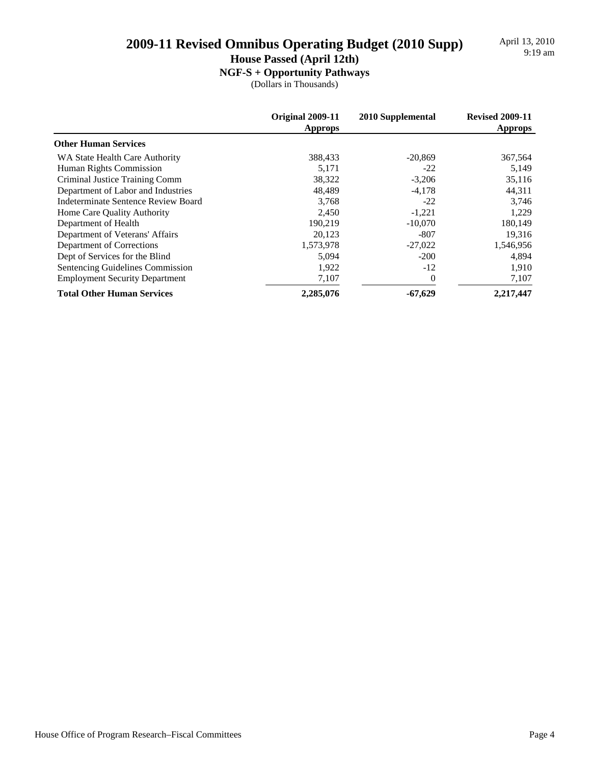April 13, 2010<br>9:19 am

**House Passed (April 12th)**

**NGF-S + Opportunity Pathways**

|                                       | Original 2009-11<br><b>Approps</b> | 2010 Supplemental | <b>Revised 2009-11</b><br><b>Approps</b> |
|---------------------------------------|------------------------------------|-------------------|------------------------------------------|
| <b>Other Human Services</b>           |                                    |                   |                                          |
| WA State Health Care Authority        | 388,433                            | $-20,869$         | 367,564                                  |
| Human Rights Commission               | 5,171                              | $-22$             | 5,149                                    |
| Criminal Justice Training Comm        | 38,322                             | $-3,206$          | 35,116                                   |
| Department of Labor and Industries    | 48,489                             | $-4,178$          | 44,311                                   |
| Indeterminate Sentence Review Board   | 3,768                              | $-22$             | 3,746                                    |
| Home Care Quality Authority           | 2.450                              | $-1,221$          | 1,229                                    |
| Department of Health                  | 190,219                            | $-10.070$         | 180,149                                  |
| Department of Veterans' Affairs       | 20,123                             | $-807$            | 19,316                                   |
| Department of Corrections             | 1,573,978                          | $-27,022$         | 1,546,956                                |
| Dept of Services for the Blind        | 5,094                              | $-200$            | 4,894                                    |
| Sentencing Guidelines Commission      | 1,922                              | $-12$             | 1,910                                    |
| <b>Employment Security Department</b> | 7,107                              | $\overline{0}$    | 7,107                                    |
| <b>Total Other Human Services</b>     | 2,285,076                          | $-67,629$         | 2,217,447                                |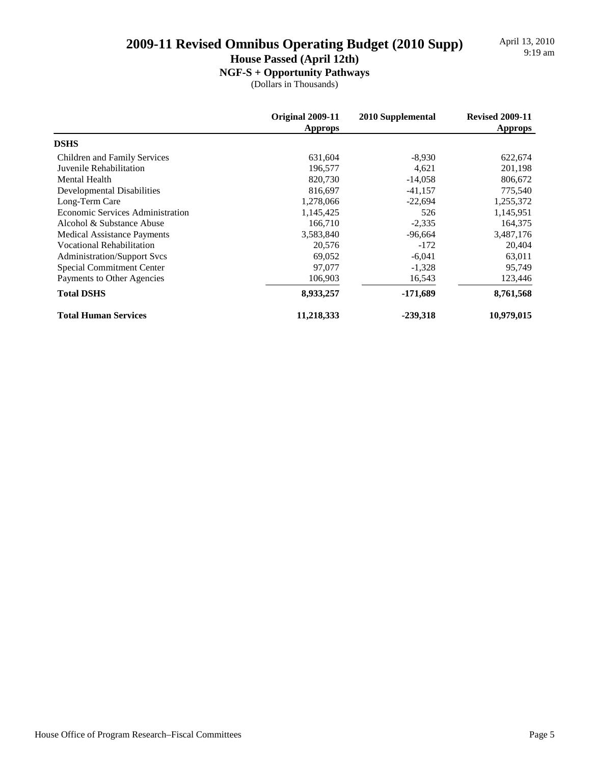April 13, 2010<br>9:19 am

### **House Passed (April 12th)**

**NGF-S + Opportunity Pathways**

|                                    | Original 2009-11<br><b>Approps</b> | 2010 Supplemental | <b>Revised 2009-11</b><br><b>Approps</b> |
|------------------------------------|------------------------------------|-------------------|------------------------------------------|
| <b>DSHS</b>                        |                                    |                   |                                          |
| Children and Family Services       | 631,604                            | $-8,930$          | 622,674                                  |
| Juvenile Rehabilitation            | 196,577                            | 4,621             | 201,198                                  |
| <b>Mental Health</b>               | 820,730                            | $-14,058$         | 806,672                                  |
| Developmental Disabilities         | 816,697                            | $-41,157$         | 775,540                                  |
| Long-Term Care                     | 1,278,066                          | $-22,694$         | 1,255,372                                |
| Economic Services Administration   | 1,145,425                          | 526               | 1,145,951                                |
| Alcohol & Substance Abuse          | 166,710                            | $-2,335$          | 164,375                                  |
| <b>Medical Assistance Payments</b> | 3,583,840                          | $-96,664$         | 3,487,176                                |
| <b>Vocational Rehabilitation</b>   | 20,576                             | $-172$            | 20,404                                   |
| <b>Administration/Support Svcs</b> | 69,052                             | $-6,041$          | 63,011                                   |
| Special Commitment Center          | 97,077                             | $-1,328$          | 95,749                                   |
| Payments to Other Agencies         | 106,903                            | 16,543            | 123,446                                  |
| <b>Total DSHS</b>                  | 8,933,257                          | $-171,689$        | 8,761,568                                |
| <b>Total Human Services</b>        | 11,218,333                         | -239,318          | 10,979,015                               |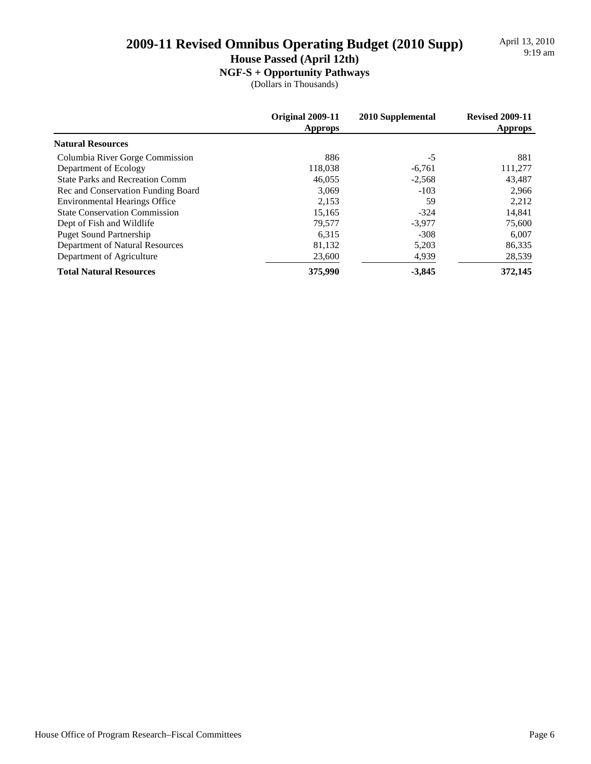April 13, 2010<br>9:19 am

**House Passed (April 12th)**

### **NGF-S + Opportunity Pathways**

|                                        | Original 2009-11<br><b>Approps</b> | 2010 Supplemental | <b>Revised 2009-11</b><br><b>Approps</b> |
|----------------------------------------|------------------------------------|-------------------|------------------------------------------|
| <b>Natural Resources</b>               |                                    |                   |                                          |
| Columbia River Gorge Commission        | 886                                | -5                | 881                                      |
| Department of Ecology                  | 118,038                            | $-6,761$          | 111,277                                  |
| <b>State Parks and Recreation Comm</b> | 46,055                             | $-2,568$          | 43.487                                   |
| Rec and Conservation Funding Board     | 3.069                              | $-103$            | 2,966                                    |
| <b>Environmental Hearings Office</b>   | 2,153                              | 59                | 2,212                                    |
| <b>State Conservation Commission</b>   | 15,165                             | $-324$            | 14,841                                   |
| Dept of Fish and Wildlife              | 79.577                             | $-3.977$          | 75,600                                   |
| <b>Puget Sound Partnership</b>         | 6,315                              | $-308$            | 6,007                                    |
| Department of Natural Resources        | 81,132                             | 5,203             | 86,335                                   |
| Department of Agriculture              | 23,600                             | 4,939             | 28,539                                   |
| <b>Total Natural Resources</b>         | 375,990                            | $-3,845$          | 372,145                                  |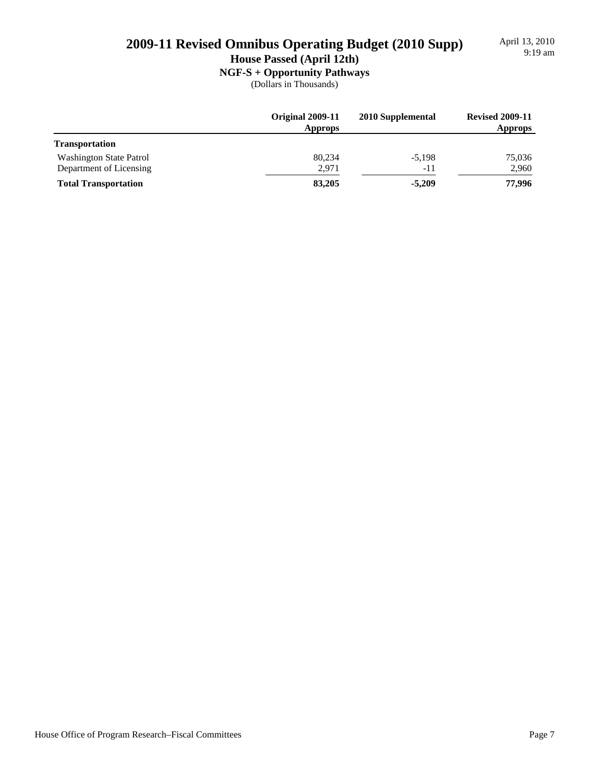# April 13, 2010<br>9:19 am

# 9:19 am **2009-11 Revised Omnibus Operating Budget (2010 Supp)**

**House Passed (April 12th)**

**NGF-S + Opportunity Pathways**

|                             | Original 2009-11<br><b>Approps</b> | 2010 Supplemental | <b>Revised 2009-11</b><br><b>Approps</b> |
|-----------------------------|------------------------------------|-------------------|------------------------------------------|
| <b>Transportation</b>       |                                    |                   |                                          |
| Washington State Patrol     | 80,234                             | $-5,198$          | 75,036                                   |
| Department of Licensing     | 2,971                              | -11               | 2,960                                    |
| <b>Total Transportation</b> | 83,205                             | $-5.209$          | 77,996                                   |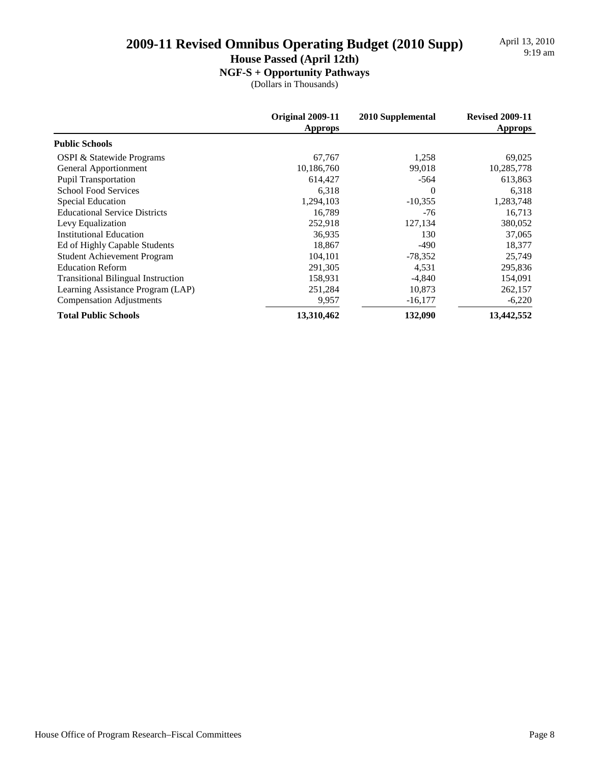April 13, 2010<br>9:19 am

### **House Passed (April 12th)**

**NGF-S + Opportunity Pathways**

|                                           | Original 2009-11<br><b>Approps</b> | 2010 Supplemental | <b>Revised 2009-11</b><br><b>Approps</b> |
|-------------------------------------------|------------------------------------|-------------------|------------------------------------------|
| <b>Public Schools</b>                     |                                    |                   |                                          |
| <b>OSPI &amp; Statewide Programs</b>      | 67,767                             | 1,258             | 69,025                                   |
| General Apportionment                     | 10,186,760                         | 99,018            | 10,285,778                               |
| <b>Pupil Transportation</b>               | 614,427                            | -564              | 613,863                                  |
| <b>School Food Services</b>               | 6,318                              | $\Omega$          | 6,318                                    |
| Special Education                         | 1,294,103                          | $-10,355$         | 1,283,748                                |
| <b>Educational Service Districts</b>      | 16.789                             | -76               | 16,713                                   |
| Levy Equalization                         | 252,918                            | 127,134           | 380,052                                  |
| <b>Institutional Education</b>            | 36,935                             | 130               | 37,065                                   |
| Ed of Highly Capable Students             | 18,867                             | $-490$            | 18,377                                   |
| <b>Student Achievement Program</b>        | 104,101                            | $-78,352$         | 25,749                                   |
| <b>Education Reform</b>                   | 291,305                            | 4,531             | 295,836                                  |
| <b>Transitional Bilingual Instruction</b> | 158,931                            | $-4,840$          | 154,091                                  |
| Learning Assistance Program (LAP)         | 251,284                            | 10,873            | 262,157                                  |
| <b>Compensation Adjustments</b>           | 9,957                              | $-16,177$         | $-6,220$                                 |
| <b>Total Public Schools</b>               | 13,310,462                         | 132,090           | 13,442,552                               |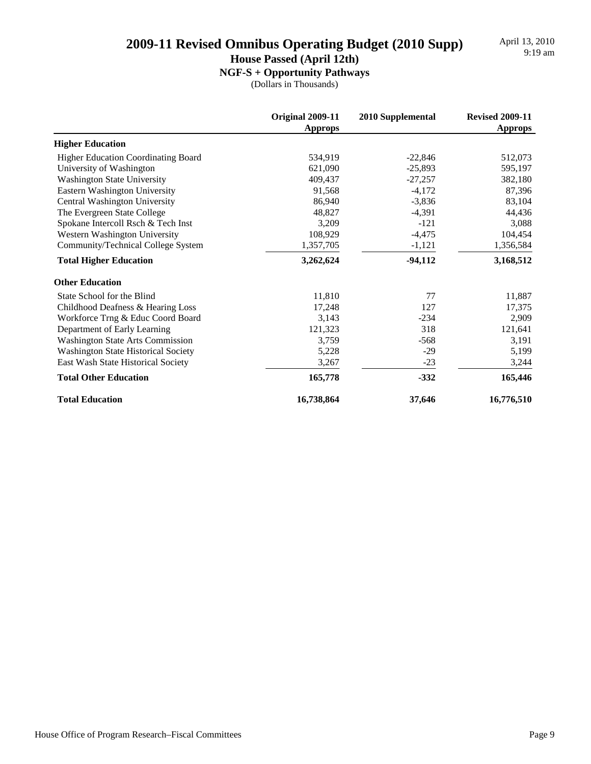### **House Passed (April 12th)**

**NGF-S + Opportunity Pathways**

|                                            | <b>Original 2009-11</b><br><b>Approps</b> | 2010 Supplemental | <b>Revised 2009-11</b><br><b>Approps</b> |
|--------------------------------------------|-------------------------------------------|-------------------|------------------------------------------|
| <b>Higher Education</b>                    |                                           |                   |                                          |
| Higher Education Coordinating Board        | 534,919                                   | $-22,846$         | 512,073                                  |
| University of Washington                   | 621,090                                   | $-25,893$         | 595,197                                  |
| <b>Washington State University</b>         | 409,437                                   | $-27,257$         | 382,180                                  |
| Eastern Washington University              | 91,568                                    | $-4,172$          | 87,396                                   |
| Central Washington University              | 86,940                                    | $-3,836$          | 83,104                                   |
| The Evergreen State College                | 48,827                                    | $-4,391$          | 44,436                                   |
| Spokane Intercoll Rsch & Tech Inst         | 3,209                                     | $-121$            | 3,088                                    |
| Western Washington University              | 108,929                                   | $-4,475$          | 104,454                                  |
| Community/Technical College System         | 1,357,705                                 | $-1,121$          | 1,356,584                                |
| <b>Total Higher Education</b>              | 3,262,624                                 | $-94,112$         | 3,168,512                                |
| <b>Other Education</b>                     |                                           |                   |                                          |
| State School for the Blind                 | 11,810                                    | 77                | 11,887                                   |
| Childhood Deafness & Hearing Loss          | 17,248                                    | 127               | 17,375                                   |
| Workforce Trng & Educ Coord Board          | 3,143                                     | $-234$            | 2,909                                    |
| Department of Early Learning               | 121,323                                   | 318               | 121,641                                  |
| <b>Washington State Arts Commission</b>    | 3,759                                     | $-568$            | 3,191                                    |
| <b>Washington State Historical Society</b> | 5,228                                     | $-29$             | 5,199                                    |
| East Wash State Historical Society         | 3,267                                     | $-23$             | 3,244                                    |
| <b>Total Other Education</b>               | 165,778                                   | $-332$            | 165,446                                  |
| <b>Total Education</b>                     | 16,738,864                                | 37,646            | 16,776,510                               |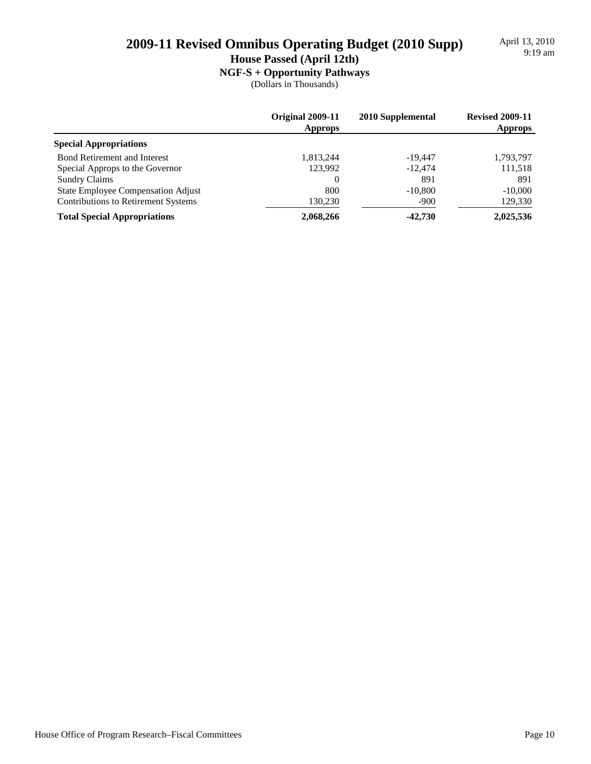April 13, 2010<br>9:19 am

**House Passed (April 12th)**

### **NGF-S + Opportunity Pathways**

|                                            | Original 2009-11<br><b>Approps</b> | 2010 Supplemental | <b>Revised 2009-11</b><br><b>Approps</b> |
|--------------------------------------------|------------------------------------|-------------------|------------------------------------------|
| <b>Special Appropriations</b>              |                                    |                   |                                          |
| <b>Bond Retirement and Interest</b>        | 1,813,244                          | $-19.447$         | 1,793,797                                |
| Special Approps to the Governor            | 123,992                            | $-12.474$         | 111,518                                  |
| <b>Sundry Claims</b>                       | 0                                  | 891               | 891                                      |
| State Employee Compensation Adjust         | 800                                | $-10.800$         | $-10,000$                                |
| <b>Contributions to Retirement Systems</b> | 130,230                            | $-900$            | 129,330                                  |
| <b>Total Special Appropriations</b>        | 2,068,266                          | $-42,730$         | 2,025,536                                |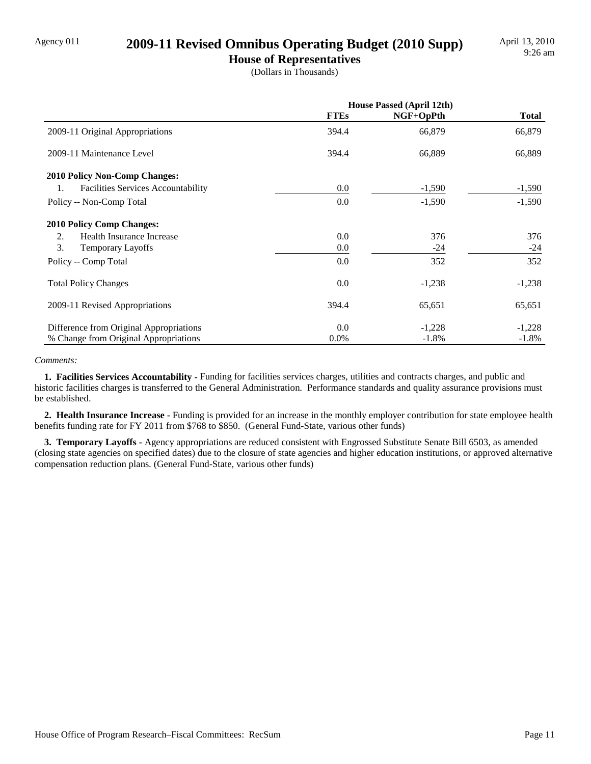# Agency 011 **2009-11 Revised Omnibus Operating Budget (2010 Supp)**

**House of Representatives** (Dollars in Thousands)

|                                                 | <b>House Passed (April 12th)</b> |           |              |
|-------------------------------------------------|----------------------------------|-----------|--------------|
|                                                 | <b>FTEs</b>                      | NGF+OpPth | <b>Total</b> |
| 2009-11 Original Appropriations                 | 394.4                            | 66,879    | 66,879       |
| 2009-11 Maintenance Level                       | 394.4                            | 66,889    | 66,889       |
| <b>2010 Policy Non-Comp Changes:</b>            |                                  |           |              |
| <b>Facilities Services Accountability</b><br>1. | 0.0                              | $-1,590$  | $-1,590$     |
| Policy -- Non-Comp Total                        | 0.0                              | $-1,590$  | $-1,590$     |
| <b>2010 Policy Comp Changes:</b>                |                                  |           |              |
| Health Insurance Increase<br>2.                 | 0.0                              | 376       | 376          |
| 3.<br><b>Temporary Layoffs</b>                  | 0.0                              | $-24$     | $-24$        |
| Policy -- Comp Total                            | 0.0                              | 352       | 352          |
| <b>Total Policy Changes</b>                     | 0.0                              | $-1,238$  | $-1,238$     |
| 2009-11 Revised Appropriations                  | 394.4                            | 65,651    | 65,651       |
| Difference from Original Appropriations         | 0.0                              | $-1,228$  | $-1,228$     |
| % Change from Original Appropriations           | $0.0\%$                          | $-1.8%$   | $-1.8%$      |

#### *Comments:*

 **1. Facilities Services Accountability -** Funding for facilities services charges, utilities and contracts charges, and public and historic facilities charges is transferred to the General Administration. Performance standards and quality assurance provisions must be established.

 **2. Health Insurance Increase -** Funding is provided for an increase in the monthly employer contribution for state employee health benefits funding rate for FY 2011 from \$768 to \$850. (General Fund-State, various other funds)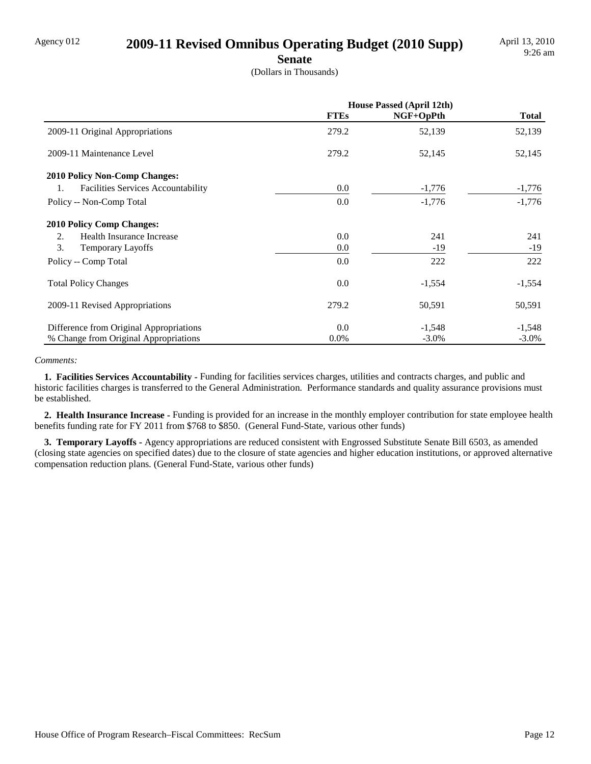# Agency 012 **2009-11 Revised Omnibus Operating Budget (2010 Supp)**

**Senate**

(Dollars in Thousands)

|                                                 | <b>House Passed (April 12th)</b> |           |              |
|-------------------------------------------------|----------------------------------|-----------|--------------|
|                                                 | <b>FTEs</b>                      | NGF+OpPth | <b>Total</b> |
| 2009-11 Original Appropriations                 | 279.2                            | 52,139    | 52,139       |
| 2009-11 Maintenance Level                       | 279.2                            | 52,145    | 52,145       |
| 2010 Policy Non-Comp Changes:                   |                                  |           |              |
| <b>Facilities Services Accountability</b><br>1. | 0.0                              | $-1,776$  | $-1,776$     |
| Policy -- Non-Comp Total                        | 0.0                              | $-1,776$  | $-1,776$     |
| <b>2010 Policy Comp Changes:</b>                |                                  |           |              |
| Health Insurance Increase<br>2.                 | 0.0                              | 241       | 241          |
| 3.<br><b>Temporary Layoffs</b>                  | 0.0                              | $-19$     | $-19$        |
| Policy -- Comp Total                            | 0.0                              | 222       | 222          |
| <b>Total Policy Changes</b>                     | 0.0                              | $-1,554$  | $-1,554$     |
| 2009-11 Revised Appropriations                  | 279.2                            | 50,591    | 50,591       |
| Difference from Original Appropriations         | 0.0                              | $-1,548$  | $-1,548$     |
| % Change from Original Appropriations           | $0.0\%$                          | $-3.0\%$  | $-3.0\%$     |

#### *Comments:*

 **1. Facilities Services Accountability -** Funding for facilities services charges, utilities and contracts charges, and public and historic facilities charges is transferred to the General Administration. Performance standards and quality assurance provisions must be established.

 **2. Health Insurance Increase -** Funding is provided for an increase in the monthly employer contribution for state employee health benefits funding rate for FY 2011 from \$768 to \$850. (General Fund-State, various other funds)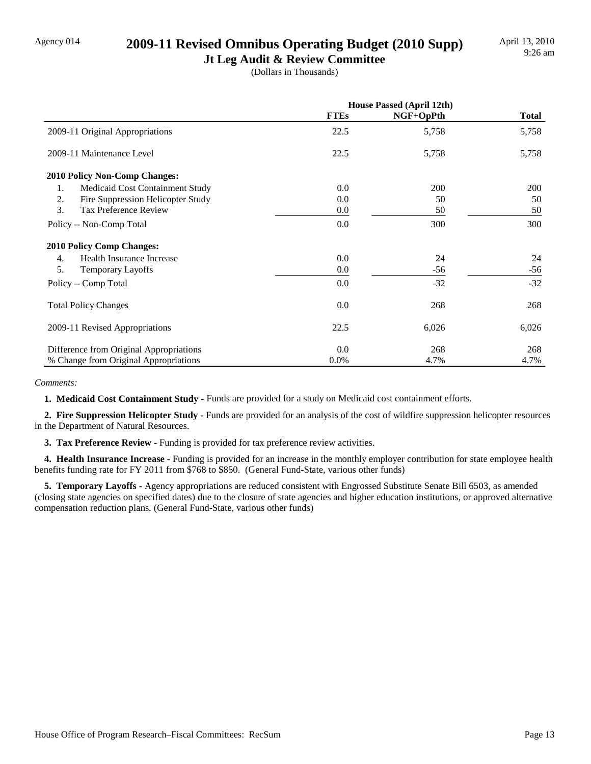# Agency 014 **2009-11 Revised Omnibus Operating Budget (2010 Supp)**

**Jt Leg Audit & Review Committee** (Dollars in Thousands)

|                                         | <b>House Passed (April 12th)</b> |           |              |
|-----------------------------------------|----------------------------------|-----------|--------------|
|                                         | <b>FTEs</b>                      | NGF+OpPth | <b>Total</b> |
| 2009-11 Original Appropriations         | 22.5                             | 5,758     | 5,758        |
| 2009-11 Maintenance Level               | 22.5                             | 5,758     | 5,758        |
| <b>2010 Policy Non-Comp Changes:</b>    |                                  |           |              |
| Medicaid Cost Containment Study<br>1.   | 0.0                              | 200       | 200          |
| Fire Suppression Helicopter Study<br>2. | 0.0                              | 50        | 50           |
| 3.<br><b>Tax Preference Review</b>      | 0.0                              | 50        | 50           |
| Policy -- Non-Comp Total                | 0.0                              | 300       | 300          |
| <b>2010 Policy Comp Changes:</b>        |                                  |           |              |
| Health Insurance Increase<br>4.         | 0.0                              | 24        | 24           |
| 5.<br><b>Temporary Layoffs</b>          | 0.0                              | $-56$     | -56          |
| Policy -- Comp Total                    | 0.0                              | $-32$     | $-32$        |
| <b>Total Policy Changes</b>             | 0.0                              | 268       | 268          |
| 2009-11 Revised Appropriations          | 22.5                             | 6,026     | 6,026        |
| Difference from Original Appropriations | 0.0                              | 268       | 268          |
| % Change from Original Appropriations   | 0.0%                             | 4.7%      | 4.7%         |

*Comments:*

 **1. Medicaid Cost Containment Study -** Funds are provided for a study on Medicaid cost containment efforts.

 **2. Fire Suppression Helicopter Study -** Funds are provided for an analysis of the cost of wildfire suppression helicopter resources in the Department of Natural Resources.

**3. Tax Preference Review - Funding is provided for tax preference review activities.** 

 **4. Health Insurance Increase -** Funding is provided for an increase in the monthly employer contribution for state employee health benefits funding rate for FY 2011 from \$768 to \$850. (General Fund-State, various other funds)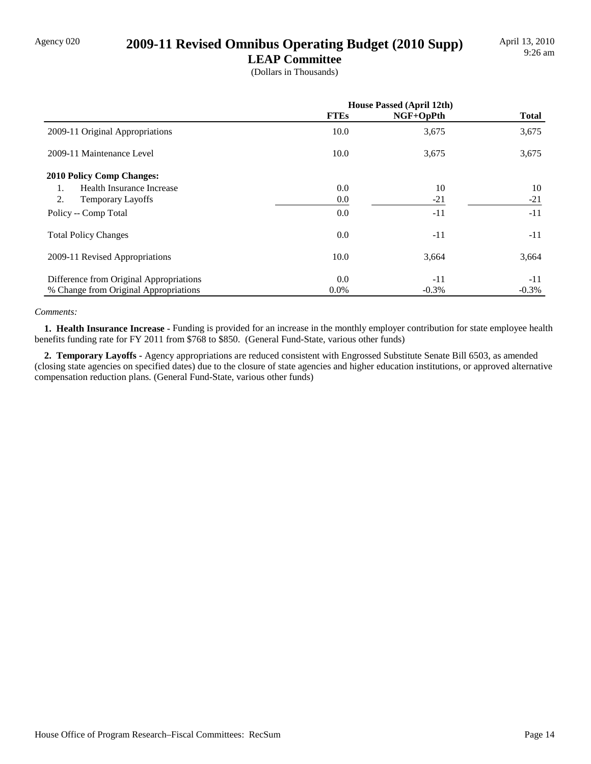# Agency 020 **2009-11 Revised Omnibus Operating Budget (2010 Supp)**

**LEAP Committee** (Dollars in Thousands)

|                                         | <b>House Passed (April 12th)</b> |           |              |
|-----------------------------------------|----------------------------------|-----------|--------------|
|                                         | <b>FTEs</b>                      | NGF+OpPth | <b>Total</b> |
| 2009-11 Original Appropriations         | 10.0                             | 3,675     | 3,675        |
| 2009-11 Maintenance Level               | 10.0                             | 3,675     | 3,675        |
| <b>2010 Policy Comp Changes:</b>        |                                  |           |              |
| Health Insurance Increase<br>1.         | 0.0                              | 10        | 10           |
| 2.<br><b>Temporary Layoffs</b>          | 0.0                              | $-21$     | $-21$        |
| Policy -- Comp Total                    | 0.0                              | $-11$     | $-11$        |
| <b>Total Policy Changes</b>             | 0.0                              | $-11$     | $-11$        |
| 2009-11 Revised Appropriations          | 10.0                             | 3,664     | 3,664        |
| Difference from Original Appropriations | 0.0                              | $-11$     | $-11$        |
| % Change from Original Appropriations   | $0.0\%$                          | $-0.3%$   | $-0.3\%$     |

#### *Comments:*

 **1. Health Insurance Increase -** Funding is provided for an increase in the monthly employer contribution for state employee health benefits funding rate for FY 2011 from \$768 to \$850. (General Fund-State, various other funds)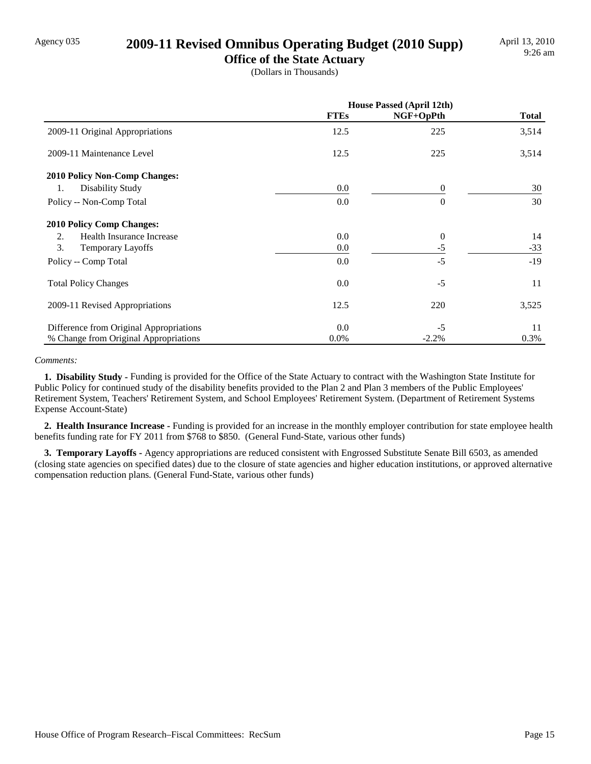# Agency 035 **2009-11 Revised Omnibus Operating Budget (2010 Supp)**

**Office of the State Actuary** (Dollars in Thousands)

|                                         | <b>House Passed (April 12th)</b> |                |              |
|-----------------------------------------|----------------------------------|----------------|--------------|
|                                         | <b>FTEs</b>                      | NGF+OpPth      | <b>Total</b> |
| 2009-11 Original Appropriations         | 12.5                             | 225            | 3,514        |
| 2009-11 Maintenance Level               | 12.5                             | 225            | 3,514        |
| <b>2010 Policy Non-Comp Changes:</b>    |                                  |                |              |
| Disability Study<br>1.                  | 0.0                              | $\Omega$       | 30           |
| Policy -- Non-Comp Total                | 0.0                              | $\Omega$       | 30           |
| <b>2010 Policy Comp Changes:</b>        |                                  |                |              |
| 2.<br>Health Insurance Increase         | 0.0                              | $\overline{0}$ | 14           |
| 3.<br>Temporary Layoffs                 | 0.0                              | $-5$           | $-33$        |
| Policy -- Comp Total                    | 0.0                              | $-5$           | $-19$        |
| <b>Total Policy Changes</b>             | 0.0                              | $-5$           | 11           |
| 2009-11 Revised Appropriations          | 12.5                             | 220            | 3,525        |
| Difference from Original Appropriations | 0.0                              | $-5$           | 11           |
| % Change from Original Appropriations   | $0.0\%$                          | $-2.2%$        | 0.3%         |

#### *Comments:*

 **1. Disability Study -** Funding is provided for the Office of the State Actuary to contract with the Washington State Institute for Public Policy for continued study of the disability benefits provided to the Plan 2 and Plan 3 members of the Public Employees' Retirement System, Teachers' Retirement System, and School Employees' Retirement System. (Department of Retirement Systems Expense Account-State)

 **2. Health Insurance Increase -** Funding is provided for an increase in the monthly employer contribution for state employee health benefits funding rate for FY 2011 from \$768 to \$850. (General Fund-State, various other funds)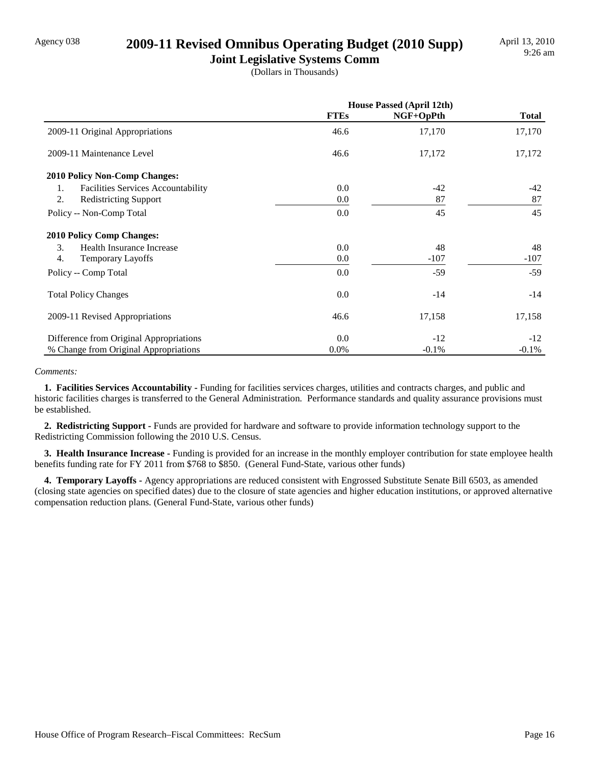# Agency 038 **2009-11 Revised Omnibus Operating Budget (2010 Supp)**

**Joint Legislative Systems Comm** (Dollars in Thousands)

|                                                 | <b>House Passed (April 12th)</b> |           |              |
|-------------------------------------------------|----------------------------------|-----------|--------------|
|                                                 | <b>FTEs</b>                      | NGF+OpPth | <b>Total</b> |
| 2009-11 Original Appropriations                 | 46.6                             | 17,170    | 17,170       |
| 2009-11 Maintenance Level                       | 46.6                             | 17,172    | 17,172       |
| 2010 Policy Non-Comp Changes:                   |                                  |           |              |
| <b>Facilities Services Accountability</b><br>1. | 0.0                              | -42       | $-42$        |
| 2.<br><b>Redistricting Support</b>              | 0.0                              | 87        | 87           |
| Policy -- Non-Comp Total                        | 0.0                              | 45        | 45           |
| <b>2010 Policy Comp Changes:</b>                |                                  |           |              |
| 3.<br>Health Insurance Increase                 | 0.0                              | 48        | 48           |
| $\overline{4}$ .<br><b>Temporary Layoffs</b>    | 0.0                              | $-107$    | $-107$       |
| Policy -- Comp Total                            | 0.0                              | $-59$     | $-59$        |
| <b>Total Policy Changes</b>                     | 0.0                              | $-14$     | $-14$        |
| 2009-11 Revised Appropriations                  | 46.6                             | 17,158    | 17,158       |
| Difference from Original Appropriations         | 0.0                              | $-12$     | $-12$        |
| % Change from Original Appropriations           | 0.0%                             | $-0.1%$   | $-0.1%$      |

#### *Comments:*

 **1. Facilities Services Accountability -** Funding for facilities services charges, utilities and contracts charges, and public and historic facilities charges is transferred to the General Administration. Performance standards and quality assurance provisions must be established.

 **2. Redistricting Support -** Funds are provided for hardware and software to provide information technology support to the Redistricting Commission following the 2010 U.S. Census.

 **3. Health Insurance Increase -** Funding is provided for an increase in the monthly employer contribution for state employee health benefits funding rate for FY 2011 from \$768 to \$850. (General Fund-State, various other funds)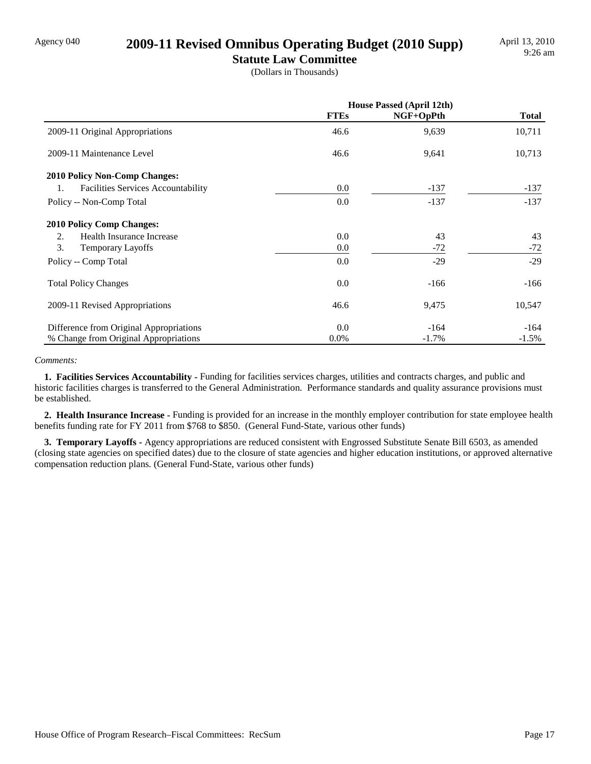# Agency 040 **2009-11 Revised Omnibus Operating Budget (2010 Supp)**

**Statute Law Committee** (Dollars in Thousands)

|                                                 | <b>House Passed (April 12th)</b> |           |              |
|-------------------------------------------------|----------------------------------|-----------|--------------|
|                                                 | <b>FTEs</b>                      | NGF+OpPth | <b>Total</b> |
| 2009-11 Original Appropriations                 | 46.6                             | 9,639     | 10,711       |
| 2009-11 Maintenance Level                       | 46.6                             | 9,641     | 10,713       |
| <b>2010 Policy Non-Comp Changes:</b>            |                                  |           |              |
| <b>Facilities Services Accountability</b><br>1. | 0.0                              | $-137$    | $-137$       |
| Policy -- Non-Comp Total                        | 0.0                              | $-137$    | $-137$       |
| <b>2010 Policy Comp Changes:</b>                |                                  |           |              |
| Health Insurance Increase<br>2.                 | 0.0                              | 43        | 43           |
| 3.<br><b>Temporary Layoffs</b>                  | 0.0                              | $-72$     | $-72$        |
| Policy -- Comp Total                            | 0.0                              | $-29$     | $-29$        |
| <b>Total Policy Changes</b>                     | 0.0                              | $-166$    | $-166$       |
| 2009-11 Revised Appropriations                  | 46.6                             | 9,475     | 10,547       |
| Difference from Original Appropriations         | 0.0                              | $-164$    | $-164$       |
| % Change from Original Appropriations           | $0.0\%$                          | $-1.7\%$  | $-1.5%$      |

#### *Comments:*

 **1. Facilities Services Accountability -** Funding for facilities services charges, utilities and contracts charges, and public and historic facilities charges is transferred to the General Administration. Performance standards and quality assurance provisions must be established.

 **2. Health Insurance Increase -** Funding is provided for an increase in the monthly employer contribution for state employee health benefits funding rate for FY 2011 from \$768 to \$850. (General Fund-State, various other funds)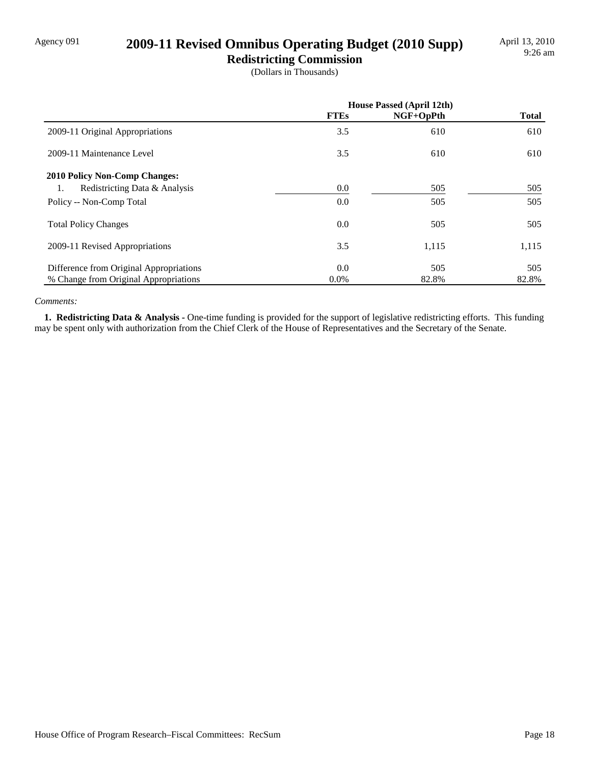# Agency 091 **2009-11 Revised Omnibus Operating Budget (2010 Supp)**

**Redistricting Commission** (Dollars in Thousands)

|                                         | <b>House Passed (April 12th)</b> |           |              |
|-----------------------------------------|----------------------------------|-----------|--------------|
|                                         | <b>FTEs</b>                      | NGF+OpPth | <b>Total</b> |
| 2009-11 Original Appropriations         | 3.5                              | 610       | 610          |
| 2009-11 Maintenance Level               | 3.5                              | 610       | 610          |
| <b>2010 Policy Non-Comp Changes:</b>    |                                  |           |              |
| Redistricting Data & Analysis<br>1.     | $0.0\,$                          | 505       | 505          |
| Policy -- Non-Comp Total                | 0.0                              | 505       | 505          |
| <b>Total Policy Changes</b>             | 0.0                              | 505       | 505          |
| 2009-11 Revised Appropriations          | 3.5                              | 1,115     | 1,115        |
| Difference from Original Appropriations | 0.0                              | 505       | 505          |
| % Change from Original Appropriations   | $0.0\%$                          | 82.8%     | 82.8%        |

#### *Comments:*

 **1. Redistricting Data & Analysis -** One-time funding is provided for the support of legislative redistricting efforts. This funding may be spent only with authorization from the Chief Clerk of the House of Representatives and the Secretary of the Senate.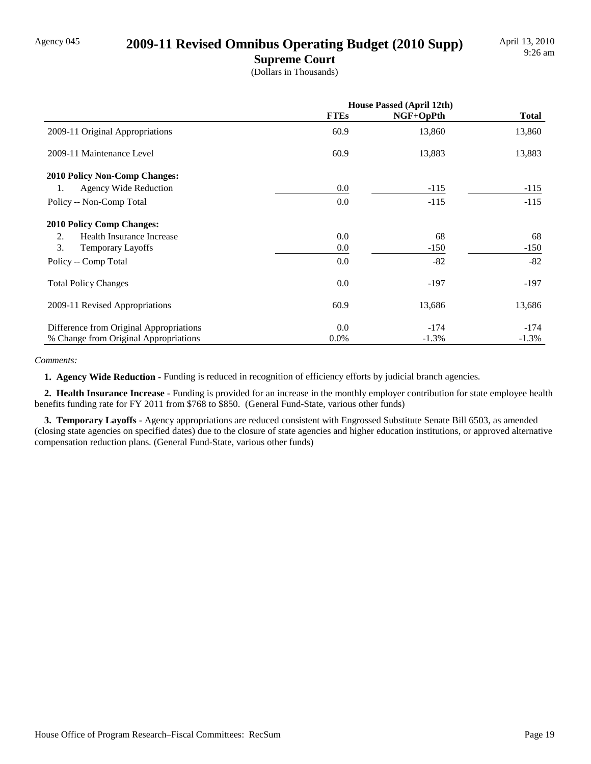# Agency 045 **2009-11 Revised Omnibus Operating Budget (2010 Supp)**

**Supreme Court** (Dollars in Thousands)

|                                         | <b>House Passed (April 12th)</b> |             |              |
|-----------------------------------------|----------------------------------|-------------|--------------|
|                                         | <b>FTEs</b>                      | $NGF+OpPth$ | <b>Total</b> |
| 2009-11 Original Appropriations         | 60.9                             | 13,860      | 13,860       |
| 2009-11 Maintenance Level               | 60.9                             | 13,883      | 13,883       |
| <b>2010 Policy Non-Comp Changes:</b>    |                                  |             |              |
| <b>Agency Wide Reduction</b><br>1.      | 0.0                              | $-115$      | $-115$       |
| Policy -- Non-Comp Total                | 0.0                              | $-115$      | $-115$       |
| <b>2010 Policy Comp Changes:</b>        |                                  |             |              |
| Health Insurance Increase<br>2.         | 0.0                              | 68          | 68           |
| 3.<br><b>Temporary Layoffs</b>          | 0.0                              | $-150$      | $-150$       |
| Policy -- Comp Total                    | 0.0                              | $-82$       | $-82$        |
| <b>Total Policy Changes</b>             | 0.0                              | $-197$      | $-197$       |
| 2009-11 Revised Appropriations          | 60.9                             | 13,686      | 13,686       |
| Difference from Original Appropriations | 0.0                              | $-174$      | $-174$       |
| % Change from Original Appropriations   | $0.0\%$                          | $-1.3%$     | $-1.3%$      |

#### *Comments:*

**1. Agency Wide Reduction - Funding is reduced in recognition of efficiency efforts by judicial branch agencies.** 

 **2. Health Insurance Increase -** Funding is provided for an increase in the monthly employer contribution for state employee health benefits funding rate for FY 2011 from \$768 to \$850. (General Fund-State, various other funds)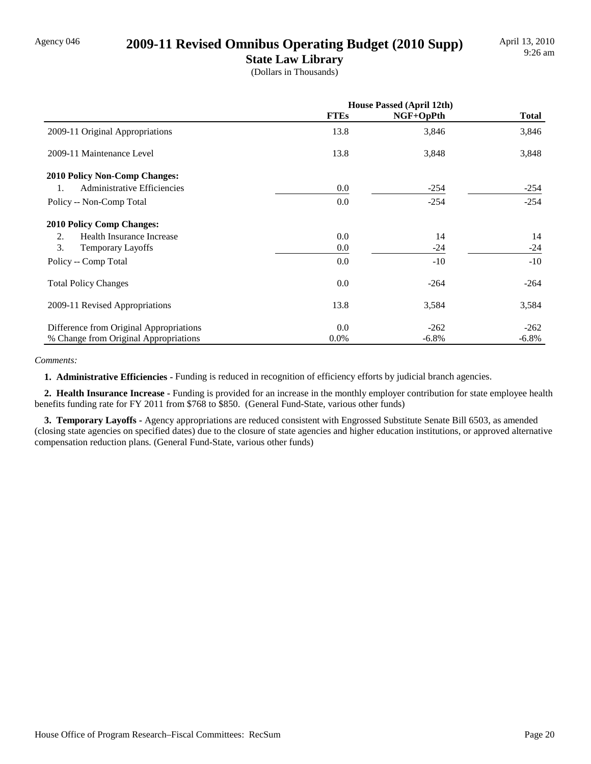# Agency 046 **2009-11 Revised Omnibus Operating Budget (2010 Supp)**

**State Law Library** (Dollars in Thousands)

|                                         | <b>House Passed (April 12th)</b> |             |              |
|-----------------------------------------|----------------------------------|-------------|--------------|
|                                         | <b>FTEs</b>                      | $NGF+OpPth$ | <b>Total</b> |
| 2009-11 Original Appropriations         | 13.8                             | 3,846       | 3,846        |
| 2009-11 Maintenance Level               | 13.8                             | 3,848       | 3,848        |
| 2010 Policy Non-Comp Changes:           |                                  |             |              |
| Administrative Efficiencies<br>1.       | 0.0                              | $-254$      | $-254$       |
| Policy -- Non-Comp Total                | 0.0                              | $-254$      | $-254$       |
| <b>2010 Policy Comp Changes:</b>        |                                  |             |              |
| Health Insurance Increase<br>2.         | 0.0                              | 14          | 14           |
| 3.<br><b>Temporary Layoffs</b>          | 0.0                              | $-24$       | $-24$        |
| Policy -- Comp Total                    | 0.0                              | $-10$       | $-10$        |
| <b>Total Policy Changes</b>             | 0.0                              | $-264$      | $-264$       |
| 2009-11 Revised Appropriations          | 13.8                             | 3,584       | 3,584        |
| Difference from Original Appropriations | 0.0                              | $-262$      | $-262$       |
| % Change from Original Appropriations   | $0.0\%$                          | $-6.8\%$    | $-6.8\%$     |

#### *Comments:*

 **1. Administrative Efficiencies -** Funding is reduced in recognition of efficiency efforts by judicial branch agencies.

 **2. Health Insurance Increase -** Funding is provided for an increase in the monthly employer contribution for state employee health benefits funding rate for FY 2011 from \$768 to \$850. (General Fund-State, various other funds)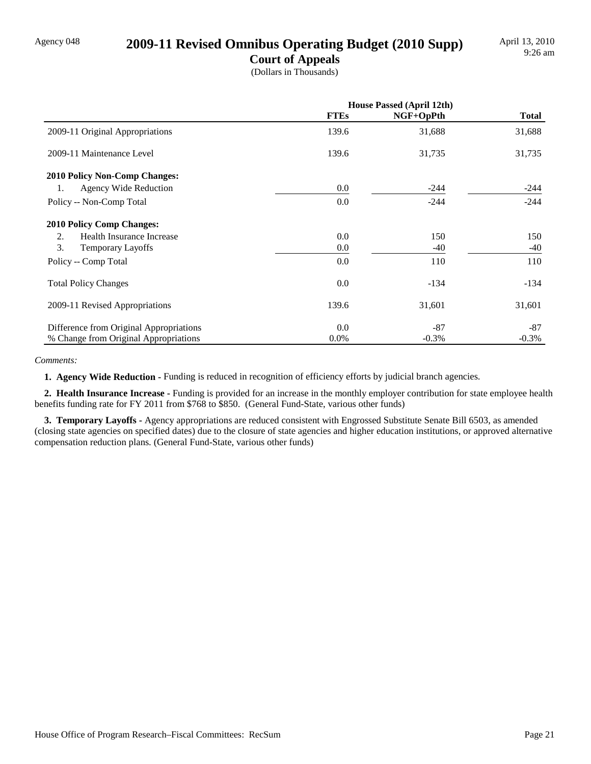# Agency 048 **2009-11 Revised Omnibus Operating Budget (2010 Supp)**

**Court of Appeals** (Dollars in Thousands)

|                                         | <b>House Passed (April 12th)</b> |           |              |
|-----------------------------------------|----------------------------------|-----------|--------------|
|                                         | <b>FTEs</b>                      | NGF+OpPth | <b>Total</b> |
| 2009-11 Original Appropriations         | 139.6                            | 31,688    | 31,688       |
| 2009-11 Maintenance Level               | 139.6                            | 31,735    | 31,735       |
| <b>2010 Policy Non-Comp Changes:</b>    |                                  |           |              |
| 1.<br>Agency Wide Reduction             | 0.0                              | $-244$    | $-244$       |
| Policy -- Non-Comp Total                | 0.0                              | $-244$    | $-244$       |
| <b>2010 Policy Comp Changes:</b>        |                                  |           |              |
| Health Insurance Increase<br>2.         | 0.0                              | 150       | 150          |
| 3.<br><b>Temporary Layoffs</b>          | 0.0                              | -40       | -40          |
| Policy -- Comp Total                    | 0.0                              | 110       | 110          |
| <b>Total Policy Changes</b>             | 0.0                              | $-134$    | $-134$       |
| 2009-11 Revised Appropriations          | 139.6                            | 31,601    | 31,601       |
| Difference from Original Appropriations | 0.0                              | $-87$     | $-87$        |
| % Change from Original Appropriations   | $0.0\%$                          | $-0.3\%$  | $-0.3\%$     |

#### *Comments:*

 **1. Agency Wide Reduction -** Funding is reduced in recognition of efficiency efforts by judicial branch agencies.

 **2. Health Insurance Increase -** Funding is provided for an increase in the monthly employer contribution for state employee health benefits funding rate for FY 2011 from \$768 to \$850. (General Fund-State, various other funds)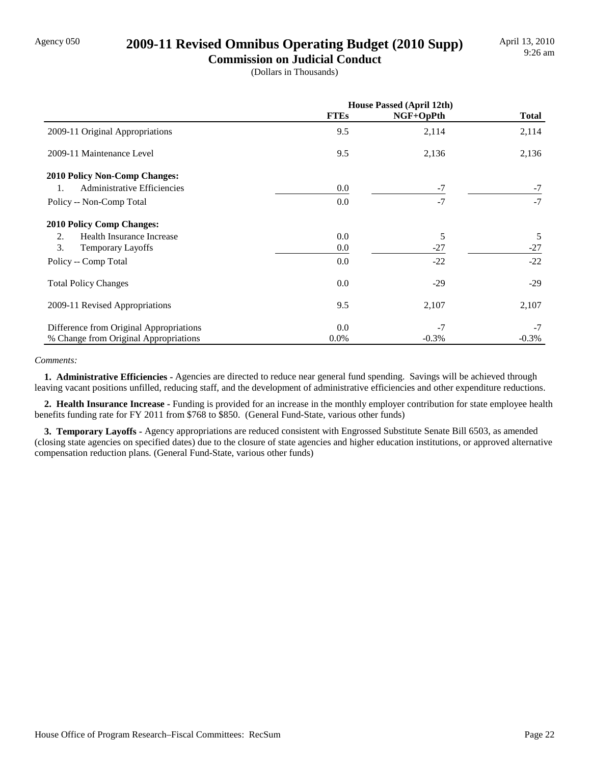# Agency 050 **2009-11 Revised Omnibus Operating Budget (2010 Supp)**

**Commission on Judicial Conduct** (Dollars in Thousands)

|                                         | <b>House Passed (April 12th)</b> |           |              |
|-----------------------------------------|----------------------------------|-----------|--------------|
|                                         | <b>FTEs</b>                      | NGF+OpPth | <b>Total</b> |
| 2009-11 Original Appropriations         | 9.5                              | 2,114     | 2,114        |
| 2009-11 Maintenance Level               | 9.5                              | 2,136     | 2,136        |
| 2010 Policy Non-Comp Changes:           |                                  |           |              |
| Administrative Efficiencies<br>1.       | 0.0                              | $-7$      | $-7$         |
| Policy -- Non-Comp Total                | 0.0                              | $-7$      | $-7$         |
| <b>2010 Policy Comp Changes:</b>        |                                  |           |              |
| Health Insurance Increase<br>2.         | 0.0                              | 5         | 5            |
| 3.<br><b>Temporary Layoffs</b>          | 0.0                              | $-27$     | $-27$        |
| Policy -- Comp Total                    | 0.0                              | $-22$     | $-22$        |
| <b>Total Policy Changes</b>             | 0.0                              | $-29$     | $-29$        |
| 2009-11 Revised Appropriations          | 9.5                              | 2,107     | 2,107        |
| Difference from Original Appropriations | 0.0                              | $-7$      | $-7$         |
| % Change from Original Appropriations   | 0.0%                             | $-0.3%$   | $-0.3%$      |

#### *Comments:*

 **1. Administrative Efficiencies -** Agencies are directed to reduce near general fund spending. Savings will be achieved through leaving vacant positions unfilled, reducing staff, and the development of administrative efficiencies and other expenditure reductions.

 **2. Health Insurance Increase -** Funding is provided for an increase in the monthly employer contribution for state employee health benefits funding rate for FY 2011 from \$768 to \$850. (General Fund-State, various other funds)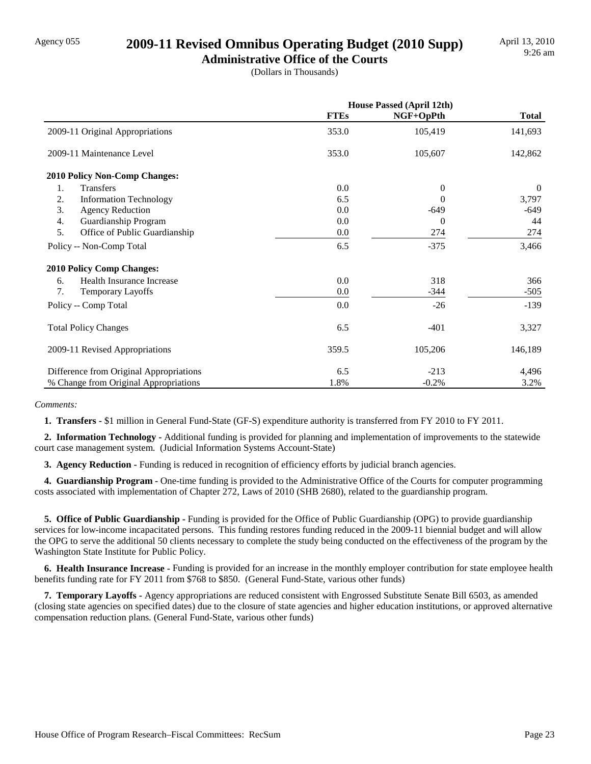# Agency 055 **2009-11 Revised Omnibus Operating Budget (2010 Supp)**

**Administrative Office of the Courts** (Dollars in Thousands)

|                                         | <b>House Passed (April 12th)</b> |                |              |
|-----------------------------------------|----------------------------------|----------------|--------------|
|                                         | <b>FTEs</b>                      | NGF+OpPth      | <b>Total</b> |
| 2009-11 Original Appropriations         | 353.0                            | 105,419        | 141,693      |
| 2009-11 Maintenance Level               | 353.0                            | 105,607        | 142,862      |
| <b>2010 Policy Non-Comp Changes:</b>    |                                  |                |              |
| 1.<br><b>Transfers</b>                  | 0.0                              | $\theta$       | $\Omega$     |
| 2.<br><b>Information Technology</b>     | 6.5                              | $\Omega$       | 3,797        |
| 3.<br><b>Agency Reduction</b>           | 0.0                              | $-649$         | -649         |
| Guardianship Program<br>4.              | 0.0                              | $\overline{0}$ | 44           |
| 5.<br>Office of Public Guardianship     | 0.0                              | 274            | 274          |
| Policy -- Non-Comp Total                | 6.5                              | $-375$         | 3,466        |
| <b>2010 Policy Comp Changes:</b>        |                                  |                |              |
| Health Insurance Increase<br>6.         | 0.0                              | 318            | 366          |
| 7.<br>Temporary Layoffs                 | 0.0                              | $-344$         | $-505$       |
| Policy -- Comp Total                    | 0.0                              | $-26$          | $-139$       |
| <b>Total Policy Changes</b>             | 6.5                              | $-401$         | 3,327        |
| 2009-11 Revised Appropriations          | 359.5                            | 105,206        | 146,189      |
| Difference from Original Appropriations | 6.5                              | $-213$         | 4,496        |
| % Change from Original Appropriations   | 1.8%                             | $-0.2%$        | 3.2%         |

*Comments:*

 **1. Transfers -** \$1 million in General Fund-State (GF-S) expenditure authority is transferred from FY 2010 to FY 2011.

 **2. Information Technology -** Additional funding is provided for planning and implementation of improvements to the statewide court case management system. (Judicial Information Systems Account-State)

**3. Agency Reduction -** Funding is reduced in recognition of efficiency efforts by judicial branch agencies.

 **4. Guardianship Program -** One-time funding is provided to the Administrative Office of the Courts for computer programming costs associated with implementation of Chapter 272, Laws of 2010 (SHB 2680), related to the guardianship program.

 **5. Office of Public Guardianship -** Funding is provided for the Office of Public Guardianship (OPG) to provide guardianship services for low-income incapacitated persons. This funding restores funding reduced in the 2009-11 biennial budget and will allow the OPG to serve the additional 50 clients necessary to complete the study being conducted on the effectiveness of the program by the Washington State Institute for Public Policy.

 **6. Health Insurance Increase -** Funding is provided for an increase in the monthly employer contribution for state employee health benefits funding rate for FY 2011 from \$768 to \$850. (General Fund-State, various other funds)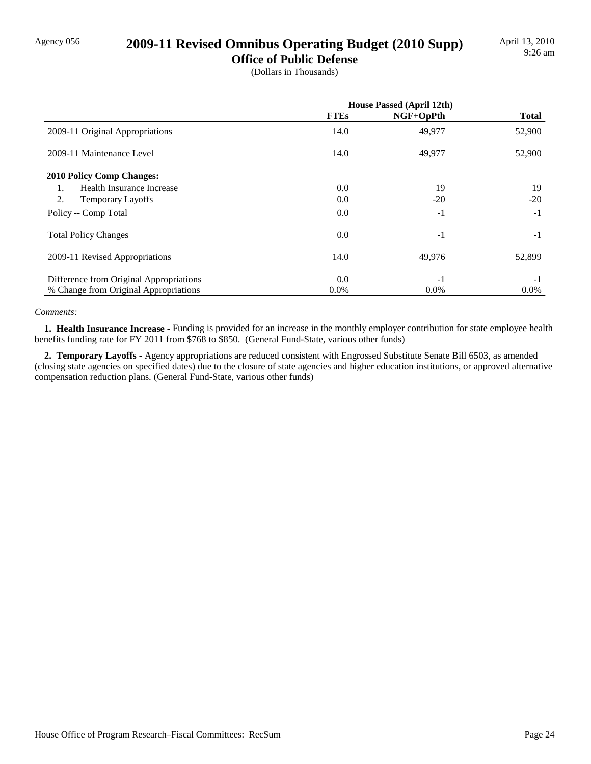# Agency 056 **2009-11 Revised Omnibus Operating Budget (2010 Supp)**

**Office of Public Defense**

(Dollars in Thousands)

|                                         | <b>House Passed (April 12th)</b> |           |              |
|-----------------------------------------|----------------------------------|-----------|--------------|
|                                         | <b>FTEs</b>                      | NGF+OpPth | <b>Total</b> |
| 2009-11 Original Appropriations         | 14.0                             | 49,977    | 52,900       |
| 2009-11 Maintenance Level               | 14.0                             | 49,977    | 52,900       |
| <b>2010 Policy Comp Changes:</b>        |                                  |           |              |
| Health Insurance Increase<br>1.         | 0.0                              | 19        | 19           |
| 2.<br>Temporary Layoffs                 | 0.0                              | $-20$     | $-20$        |
| Policy -- Comp Total                    | 0.0                              | $-1$      | $-1$         |
| <b>Total Policy Changes</b>             | 0.0                              | $-1$      | $-1$         |
| 2009-11 Revised Appropriations          | 14.0                             | 49,976    | 52,899       |
| Difference from Original Appropriations | 0.0                              | $-1$      | $-1$         |
| % Change from Original Appropriations   | 0.0%                             | 0.0%      | $0.0\%$      |

#### *Comments:*

 **1. Health Insurance Increase -** Funding is provided for an increase in the monthly employer contribution for state employee health benefits funding rate for FY 2011 from \$768 to \$850. (General Fund-State, various other funds)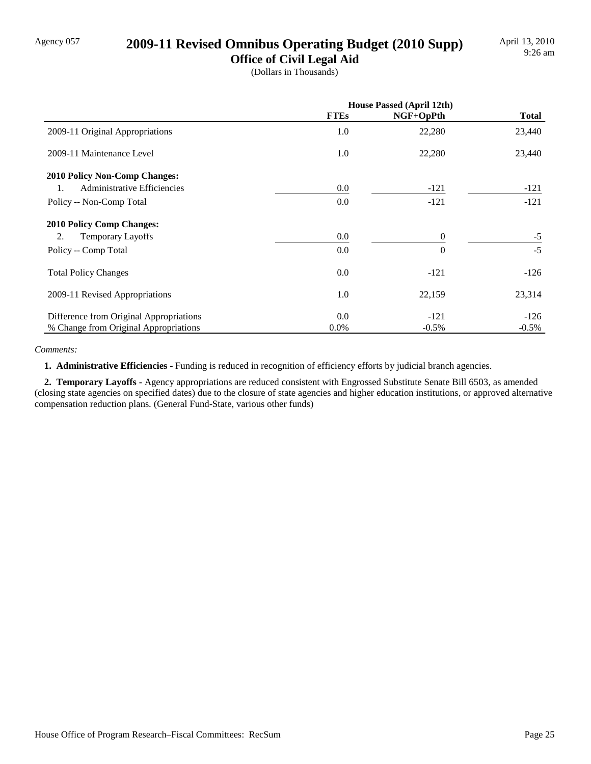# Agency 057 **2009-11 Revised Omnibus Operating Budget (2010 Supp)**

**Office of Civil Legal Aid** (Dollars in Thousands)

|                                         | <b>House Passed (April 12th)</b> |           |              |
|-----------------------------------------|----------------------------------|-----------|--------------|
|                                         | <b>FTEs</b>                      | NGF+OpPth | <b>Total</b> |
| 2009-11 Original Appropriations         | 1.0                              | 22,280    | 23,440       |
| 2009-11 Maintenance Level               | 1.0                              | 22,280    | 23,440       |
| <b>2010 Policy Non-Comp Changes:</b>    |                                  |           |              |
| Administrative Efficiencies<br>1.       | 0.0                              | $-121$    | $-121$       |
| Policy -- Non-Comp Total                | 0.0                              | $-121$    | $-121$       |
| <b>2010 Policy Comp Changes:</b>        |                                  |           |              |
| 2.<br><b>Temporary Layoffs</b>          | 0.0                              | $\Omega$  | $-5$         |
| Policy -- Comp Total                    | 0.0                              | $\Omega$  | $-5$         |
| <b>Total Policy Changes</b>             | 0.0                              | $-121$    | $-126$       |
| 2009-11 Revised Appropriations          | 1.0                              | 22,159    | 23,314       |
| Difference from Original Appropriations | 0.0                              | $-121$    | $-126$       |
| % Change from Original Appropriations   | 0.0%                             | $-0.5%$   | $-0.5\%$     |

*Comments:*

 **1. Administrative Efficiencies -** Funding is reduced in recognition of efficiency efforts by judicial branch agencies.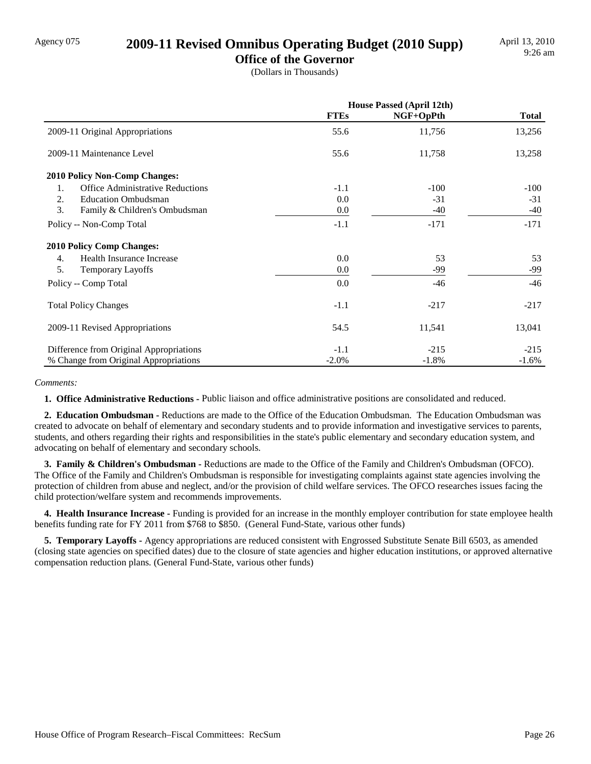### Agency 075 **2009-11 Revised Omnibus Operating Budget (2010 Supp)**

**Office of the Governor** (Dollars in Thousands)

|                                               | <b>House Passed (April 12th)</b> |           |              |  |
|-----------------------------------------------|----------------------------------|-----------|--------------|--|
|                                               | <b>FTEs</b>                      | NGF+OpPth | <b>Total</b> |  |
| 2009-11 Original Appropriations               | 55.6                             | 11,756    | 13,256       |  |
| 2009-11 Maintenance Level                     | 55.6                             | 11,758    | 13,258       |  |
| <b>2010 Policy Non-Comp Changes:</b>          |                                  |           |              |  |
| <b>Office Administrative Reductions</b><br>1. | $-1.1$                           | $-100$    | $-100$       |  |
| 2.<br><b>Education Ombudsman</b>              | 0.0                              | $-31$     | $-31$        |  |
| 3.<br>Family & Children's Ombudsman           | 0.0                              | $-40$     | $-40$        |  |
| Policy -- Non-Comp Total                      | $-1.1$                           | $-171$    | $-171$       |  |
| 2010 Policy Comp Changes:                     |                                  |           |              |  |
| Health Insurance Increase<br>4.               | 0.0                              | 53        | 53           |  |
| 5.<br>Temporary Layoffs                       | 0.0                              | -99       | -99          |  |
| Policy -- Comp Total                          | 0.0                              | -46       | $-46$        |  |
| <b>Total Policy Changes</b>                   | $-1.1$                           | $-217$    | $-217$       |  |
| 2009-11 Revised Appropriations                | 54.5                             | 11,541    | 13,041       |  |
| Difference from Original Appropriations       | $-1.1$                           | $-215$    | $-215$       |  |
| % Change from Original Appropriations         | $-2.0\%$                         | $-1.8%$   | $-1.6%$      |  |

#### *Comments:*

 **1. Office Administrative Reductions -** Public liaison and office administrative positions are consolidated and reduced.

 **2. Education Ombudsman -** Reductions are made to the Office of the Education Ombudsman. The Education Ombudsman was created to advocate on behalf of elementary and secondary students and to provide information and investigative services to parents, students, and others regarding their rights and responsibilities in the state's public elementary and secondary education system, and advocating on behalf of elementary and secondary schools.

 **3. Family & Children's Ombudsman -** Reductions are made to the Office of the Family and Children's Ombudsman (OFCO). The Office of the Family and Children's Ombudsman is responsible for investigating complaints against state agencies involving the protection of children from abuse and neglect, and/or the provision of child welfare services. The OFCO researches issues facing the child protection/welfare system and recommends improvements.

 **4. Health Insurance Increase -** Funding is provided for an increase in the monthly employer contribution for state employee health benefits funding rate for FY 2011 from \$768 to \$850. (General Fund-State, various other funds)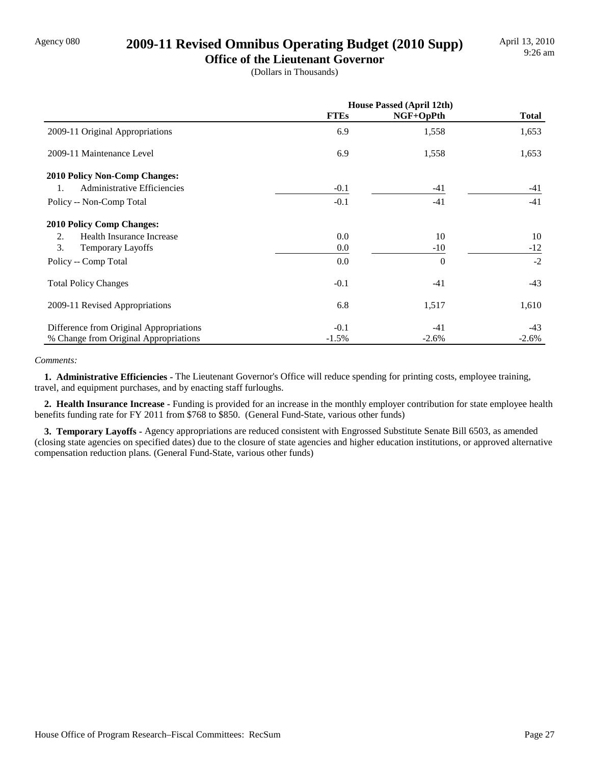# Agency 080 **2009-11 Revised Omnibus Operating Budget (2010 Supp)**

**Office of the Lieutenant Governor** (Dollars in Thousands)

|                                          | <b>House Passed (April 12th)</b> |           |              |  |
|------------------------------------------|----------------------------------|-----------|--------------|--|
|                                          | <b>FTEs</b>                      | NGF+OpPth | <b>Total</b> |  |
| 2009-11 Original Appropriations          | 6.9                              | 1,558     | 1,653        |  |
| 2009-11 Maintenance Level                | 6.9                              | 1,558     | 1,653        |  |
| <b>2010 Policy Non-Comp Changes:</b>     |                                  |           |              |  |
| <b>Administrative Efficiencies</b><br>1. | $-0.1$                           | -41       | -41          |  |
| Policy -- Non-Comp Total                 | $-0.1$                           | $-41$     | $-41$        |  |
| <b>2010 Policy Comp Changes:</b>         |                                  |           |              |  |
| Health Insurance Increase<br>2.          | 0.0                              | 10        | 10           |  |
| 3.<br><b>Temporary Layoffs</b>           | 0.0                              | $-10$     | $-12$        |  |
| Policy -- Comp Total                     | 0.0                              | $\Omega$  | $-2$         |  |
| <b>Total Policy Changes</b>              | $-0.1$                           | $-41$     | $-43$        |  |
| 2009-11 Revised Appropriations           | 6.8                              | 1,517     | 1,610        |  |
| Difference from Original Appropriations  | $-0.1$                           | $-41$     | $-43$        |  |
| % Change from Original Appropriations    | $-1.5%$                          | $-2.6%$   | $-2.6%$      |  |

#### *Comments:*

 **1. Administrative Efficiencies -** The Lieutenant Governor's Office will reduce spending for printing costs, employee training, travel, and equipment purchases, and by enacting staff furloughs.

 **2. Health Insurance Increase -** Funding is provided for an increase in the monthly employer contribution for state employee health benefits funding rate for FY 2011 from \$768 to \$850. (General Fund-State, various other funds)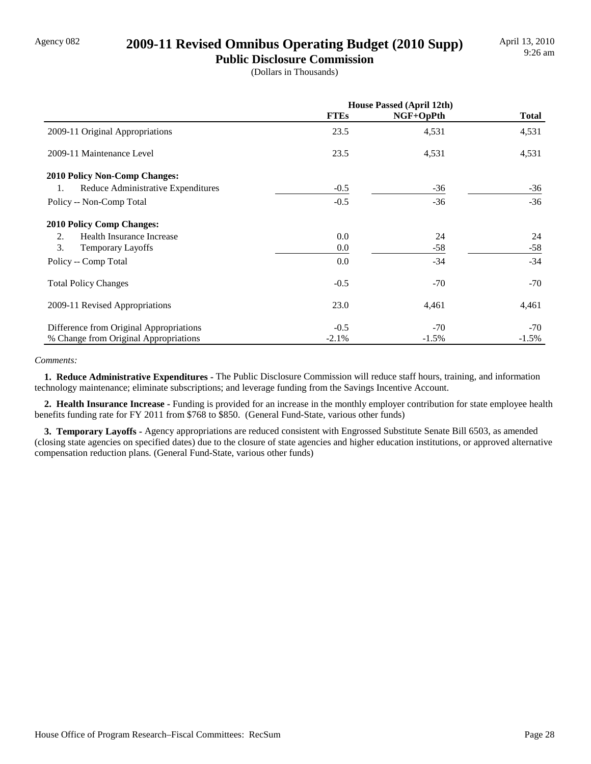# Agency 082 **2009-11 Revised Omnibus Operating Budget (2010 Supp)**

**Public Disclosure Commission** (Dollars in Thousands)

|                                          | <b>House Passed (April 12th)</b> |           |              |
|------------------------------------------|----------------------------------|-----------|--------------|
|                                          | <b>FTEs</b>                      | NGF+OpPth | <b>Total</b> |
| 2009-11 Original Appropriations          | 23.5                             | 4,531     | 4,531        |
| 2009-11 Maintenance Level                | 23.5                             | 4,531     | 4,531        |
| <b>2010 Policy Non-Comp Changes:</b>     |                                  |           |              |
| Reduce Administrative Expenditures<br>1. | $-0.5$                           | $-36$     | $-36$        |
| Policy -- Non-Comp Total                 | $-0.5$                           | $-36$     | $-36$        |
| <b>2010 Policy Comp Changes:</b>         |                                  |           |              |
| 2.<br>Health Insurance Increase          | 0.0                              | 24        | 24           |
| 3.<br><b>Temporary Layoffs</b>           | 0.0                              | $-58$     | $-58$        |
| Policy -- Comp Total                     | 0.0                              | $-34$     | $-34$        |
| <b>Total Policy Changes</b>              | $-0.5$                           | $-70$     | $-70$        |
| 2009-11 Revised Appropriations           | 23.0                             | 4,461     | 4,461        |
| Difference from Original Appropriations  | $-0.5$                           | $-70$     | $-70$        |
| % Change from Original Appropriations    | $-2.1\%$                         | $-1.5%$   | $-1.5\%$     |

#### *Comments:*

 **1. Reduce Administrative Expenditures -** The Public Disclosure Commission will reduce staff hours, training, and information technology maintenance; eliminate subscriptions; and leverage funding from the Savings Incentive Account.

 **2. Health Insurance Increase -** Funding is provided for an increase in the monthly employer contribution for state employee health benefits funding rate for FY 2011 from \$768 to \$850. (General Fund-State, various other funds)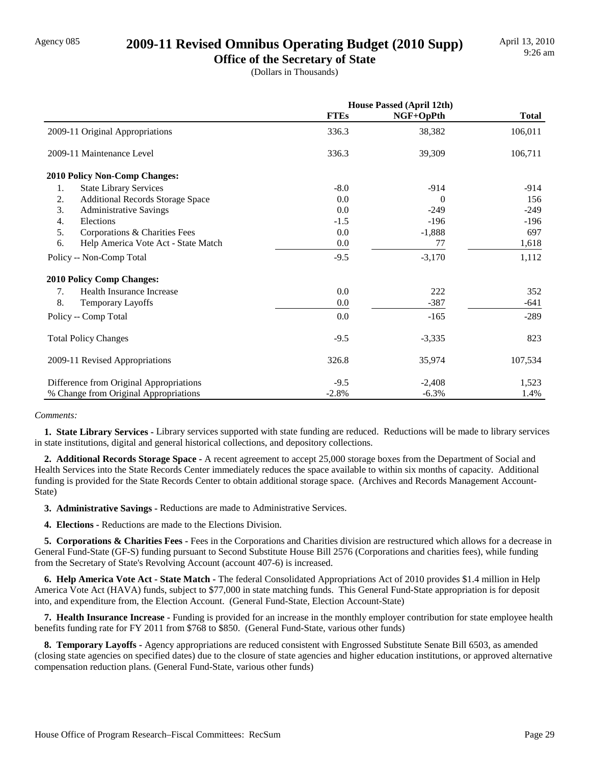# Agency 085 **2009-11 Revised Omnibus Operating Budget (2010 Supp)**

**Office of the Secretary of State**

(Dollars in Thousands)

|                                               | <b>House Passed (April 12th)</b> |           |              |
|-----------------------------------------------|----------------------------------|-----------|--------------|
|                                               | <b>FTEs</b>                      | NGF+OpPth | <b>Total</b> |
| 2009-11 Original Appropriations               | 336.3                            | 38,382    | 106,011      |
| 2009-11 Maintenance Level                     | 336.3                            | 39,309    | 106,711      |
| 2010 Policy Non-Comp Changes:                 |                                  |           |              |
| 1.<br><b>State Library Services</b>           | $-8.0$                           | $-914$    | $-914$       |
| 2.<br><b>Additional Records Storage Space</b> | 0.0                              | $\Omega$  | 156          |
| 3.<br><b>Administrative Savings</b>           | 0.0                              | $-249$    | $-249$       |
| 4.<br>Elections                               | $-1.5$                           | $-196$    | $-196$       |
| 5.<br>Corporations & Charities Fees           | 0.0                              | $-1,888$  | 697          |
| Help America Vote Act - State Match<br>6.     | 0.0                              | 77        | 1,618        |
| Policy -- Non-Comp Total                      | $-9.5$                           | $-3,170$  | 1,112        |
| <b>2010 Policy Comp Changes:</b>              |                                  |           |              |
| Health Insurance Increase<br>7.               | 0.0                              | 222       | 352          |
| 8.<br>Temporary Layoffs                       | 0.0                              | $-387$    | $-641$       |
| Policy -- Comp Total                          | 0.0                              | $-165$    | $-289$       |
| <b>Total Policy Changes</b>                   | $-9.5$                           | $-3,335$  | 823          |
| 2009-11 Revised Appropriations                | 326.8                            | 35,974    | 107,534      |
| Difference from Original Appropriations       | $-9.5$                           | $-2,408$  | 1,523        |
| % Change from Original Appropriations         | $-2.8%$                          | $-6.3%$   | 1.4%         |

#### *Comments:*

 **1. State Library Services -** Library services supported with state funding are reduced. Reductions will be made to library services in state institutions, digital and general historical collections, and depository collections.

 **2. Additional Records Storage Space -** A recent agreement to accept 25,000 storage boxes from the Department of Social and Health Services into the State Records Center immediately reduces the space available to within six months of capacity. Additional funding is provided for the State Records Center to obtain additional storage space. (Archives and Records Management Account-State)

 **3. Administrative Savings -** Reductions are made to Administrative Services.

 **4. Elections -** Reductions are made to the Elections Division.

 **5. Corporations & Charities Fees -** Fees in the Corporations and Charities division are restructured which allows for a decrease in General Fund-State (GF-S) funding pursuant to Second Substitute House Bill 2576 (Corporations and charities fees), while funding from the Secretary of State's Revolving Account (account 407-6) is increased.

 **6. Help America Vote Act - State Match -** The federal Consolidated Appropriations Act of 2010 provides \$1.4 million in Help America Vote Act (HAVA) funds, subject to \$77,000 in state matching funds. This General Fund-State appropriation is for deposit into, and expenditure from, the Election Account. (General Fund-State, Election Account-State)

 **7. Health Insurance Increase -** Funding is provided for an increase in the monthly employer contribution for state employee health benefits funding rate for FY 2011 from \$768 to \$850. (General Fund-State, various other funds)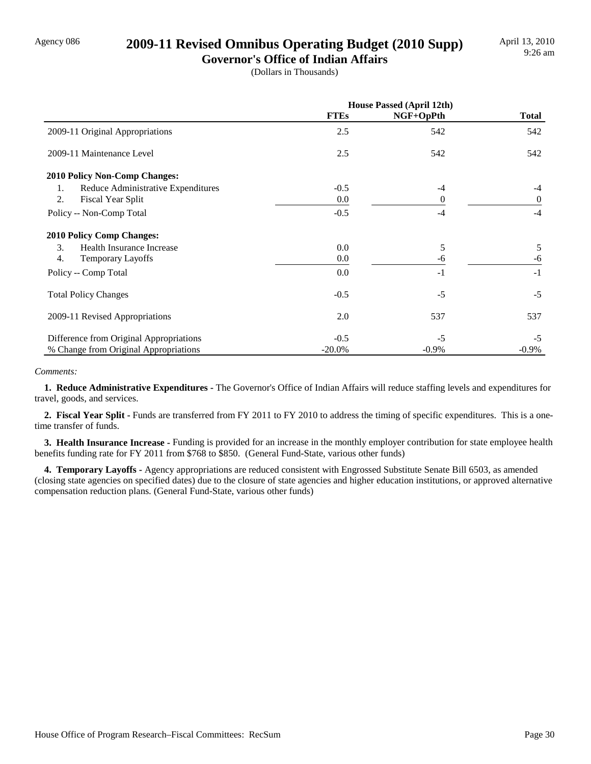# Agency 086 **2009-11 Revised Omnibus Operating Budget (2010 Supp)**

**Governor's Office of Indian Affairs** (Dollars in Thousands)

|                                          | <b>House Passed (April 12th)</b> |           |                |
|------------------------------------------|----------------------------------|-----------|----------------|
|                                          | <b>FTEs</b>                      | NGF+OpPth | <b>Total</b>   |
| 2009-11 Original Appropriations          | 2.5                              | 542       | 542            |
| 2009-11 Maintenance Level                | 2.5                              | 542       | 542            |
| <b>2010 Policy Non-Comp Changes:</b>     |                                  |           |                |
| Reduce Administrative Expenditures<br>1. | $-0.5$                           | $-4$      | $-4$           |
| 2.<br><b>Fiscal Year Split</b>           | 0.0                              | 0         | $\overline{0}$ |
| Policy -- Non-Comp Total                 | $-0.5$                           | $-4$      | $-4$           |
| <b>2010 Policy Comp Changes:</b>         |                                  |           |                |
| 3.<br>Health Insurance Increase          | 0.0                              | 5         | 5              |
| 4.<br><b>Temporary Layoffs</b>           | 0.0                              | -6        | -6             |
| Policy -- Comp Total                     | 0.0                              | $-1$      | $-1$           |
| <b>Total Policy Changes</b>              | $-0.5$                           | $-5$      | $-5$           |
| 2009-11 Revised Appropriations           | 2.0                              | 537       | 537            |
| Difference from Original Appropriations  | $-0.5$                           | $-5$      | $-5$           |
| % Change from Original Appropriations    | $-20.0\%$                        | $-0.9\%$  | $-0.9\%$       |

#### *Comments:*

 **1. Reduce Administrative Expenditures -** The Governor's Office of Indian Affairs will reduce staffing levels and expenditures for travel, goods, and services.

 **2. Fiscal Year Split -** Funds are transferred from FY 2011 to FY 2010 to address the timing of specific expenditures. This is a onetime transfer of funds.

 **3. Health Insurance Increase -** Funding is provided for an increase in the monthly employer contribution for state employee health benefits funding rate for FY 2011 from \$768 to \$850. (General Fund-State, various other funds)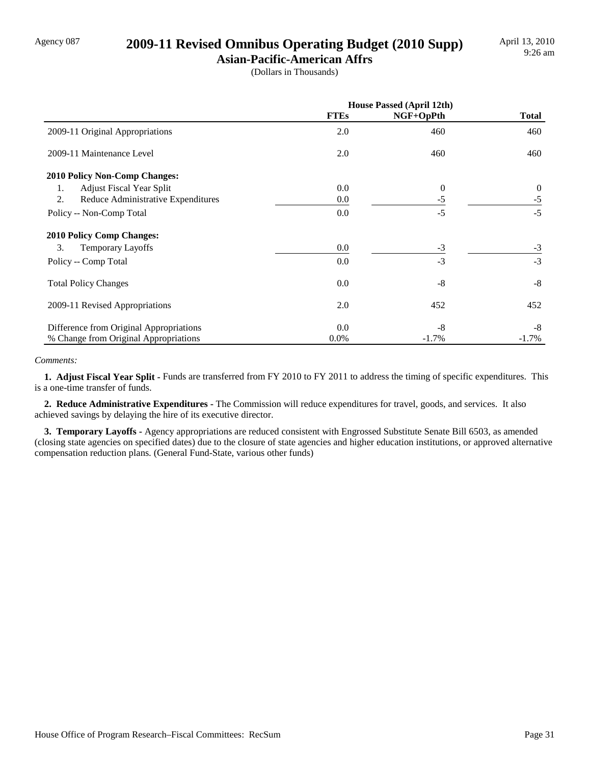# Agency 087 **2009-11 Revised Omnibus Operating Budget (2010 Supp)**

**Asian-Pacific-American Affrs** (Dollars in Thousands)

|                                          | <b>House Passed (April 12th)</b> |           |              |  |
|------------------------------------------|----------------------------------|-----------|--------------|--|
|                                          | <b>FTEs</b>                      | NGF+OpPth | <b>Total</b> |  |
| 2009-11 Original Appropriations          | 2.0                              | 460       | 460          |  |
| 2009-11 Maintenance Level                | 2.0                              | 460       | 460          |  |
| 2010 Policy Non-Comp Changes:            |                                  |           |              |  |
| <b>Adjust Fiscal Year Split</b><br>1.    | 0.0                              | $\theta$  | $\theta$     |  |
| 2.<br>Reduce Administrative Expenditures | 0.0                              | -5        | $-5$         |  |
| Policy -- Non-Comp Total                 | 0.0                              | $-5$      | $-5$         |  |
| <b>2010 Policy Comp Changes:</b>         |                                  |           |              |  |
| 3.<br><b>Temporary Layoffs</b>           | 0.0                              | $-3$      | $-3$         |  |
| Policy -- Comp Total                     | 0.0                              | $-3$      | $-3$         |  |
| <b>Total Policy Changes</b>              | 0.0                              | $-8$      | $-8$         |  |
| 2009-11 Revised Appropriations           | 2.0                              | 452       | 452          |  |
| Difference from Original Appropriations  | 0.0                              | -8        | -8           |  |
| % Change from Original Appropriations    | $0.0\%$                          | $-1.7\%$  | $-1.7\%$     |  |

#### *Comments:*

 **1. Adjust Fiscal Year Split -** Funds are transferred from FY 2010 to FY 2011 to address the timing of specific expenditures. This is a one-time transfer of funds.

 **2. Reduce Administrative Expenditures -** The Commission will reduce expenditures for travel, goods, and services. It also achieved savings by delaying the hire of its executive director.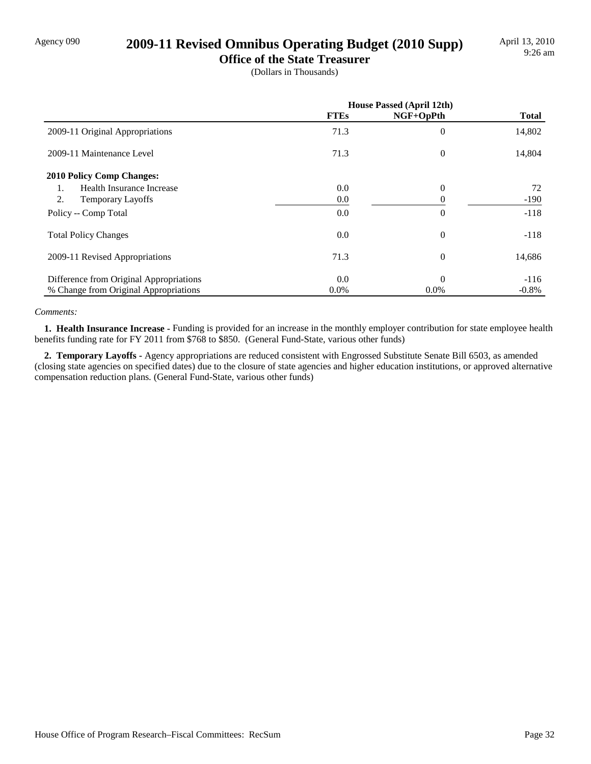# Agency 090 **2009-11 Revised Omnibus Operating Budget (2010 Supp)**

**Office of the State Treasurer**

(Dollars in Thousands)

|                                         | <b>House Passed (April 12th)</b> |                |              |
|-----------------------------------------|----------------------------------|----------------|--------------|
|                                         | <b>FTEs</b>                      | NGF+OpPth      | <b>Total</b> |
| 2009-11 Original Appropriations         | 71.3                             | $\overline{0}$ | 14,802       |
| 2009-11 Maintenance Level               | 71.3                             | $\theta$       | 14,804       |
| <b>2010 Policy Comp Changes:</b>        |                                  |                |              |
| Health Insurance Increase<br>1.         | 0.0                              | $\theta$       | 72           |
| 2.<br><b>Temporary Layoffs</b>          | 0.0                              | 0              | $-190$       |
| Policy -- Comp Total                    | 0.0                              | $\overline{0}$ | $-118$       |
| <b>Total Policy Changes</b>             | 0.0                              | $\theta$       | $-118$       |
| 2009-11 Revised Appropriations          | 71.3                             | $\overline{0}$ | 14,686       |
| Difference from Original Appropriations | 0.0                              | $\Omega$       | $-116$       |
| % Change from Original Appropriations   | $0.0\%$                          | $0.0\%$        | $-0.8\%$     |

#### *Comments:*

 **1. Health Insurance Increase -** Funding is provided for an increase in the monthly employer contribution for state employee health benefits funding rate for FY 2011 from \$768 to \$850. (General Fund-State, various other funds)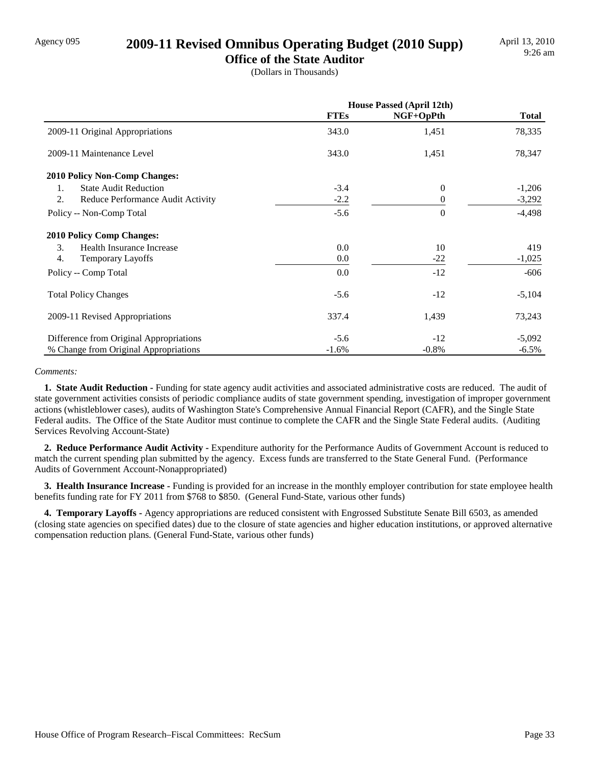# Agency 095 **2009-11 Revised Omnibus Operating Budget (2010 Supp)**

**Office of the State Auditor** (Dollars in Thousands)

|                                                | <b>House Passed (April 12th)</b> |              |              |
|------------------------------------------------|----------------------------------|--------------|--------------|
|                                                | <b>FTEs</b>                      | $NGF+OpPth$  | <b>Total</b> |
| 2009-11 Original Appropriations                | 343.0                            | 1,451        | 78,335       |
| 2009-11 Maintenance Level                      | 343.0                            | 1,451        | 78,347       |
| <b>2010 Policy Non-Comp Changes:</b>           |                                  |              |              |
| <b>State Audit Reduction</b><br>$\mathbf{1}$ . | $-3.4$                           | $\mathbf{0}$ | $-1,206$     |
| 2.<br>Reduce Performance Audit Activity        | $-2.2$                           | $\Omega$     | $-3,292$     |
| Policy -- Non-Comp Total                       | $-5.6$                           | $\Omega$     | $-4,498$     |
| <b>2010 Policy Comp Changes:</b>               |                                  |              |              |
| 3.<br>Health Insurance Increase                | 0.0                              | 10           | 419          |
| 4.<br>Temporary Layoffs                        | 0.0                              | $-22$        | $-1,025$     |
| Policy -- Comp Total                           | 0.0                              | $-12$        | $-606$       |
| <b>Total Policy Changes</b>                    | $-5.6$                           | $-12$        | $-5,104$     |
| 2009-11 Revised Appropriations                 | 337.4                            | 1,439        | 73,243       |
| Difference from Original Appropriations        | $-5.6$                           | $-12$        | $-5,092$     |
| % Change from Original Appropriations          | $-1.6\%$                         | $-0.8\%$     | $-6.5\%$     |

#### *Comments:*

**1. State Audit Reduction - Funding for state agency audit activities and associated administrative costs are reduced. The audit of** state government activities consists of periodic compliance audits of state government spending, investigation of improper government actions (whistleblower cases), audits of Washington State's Comprehensive Annual Financial Report (CAFR), and the Single State Federal audits. The Office of the State Auditor must continue to complete the CAFR and the Single State Federal audits. (Auditing Services Revolving Account-State)

 **2. Reduce Performance Audit Activity -** Expenditure authority for the Performance Audits of Government Account is reduced to match the current spending plan submitted by the agency. Excess funds are transferred to the State General Fund. (Performance Audits of Government Account-Nonappropriated)

 **3. Health Insurance Increase -** Funding is provided for an increase in the monthly employer contribution for state employee health benefits funding rate for FY 2011 from \$768 to \$850. (General Fund-State, various other funds)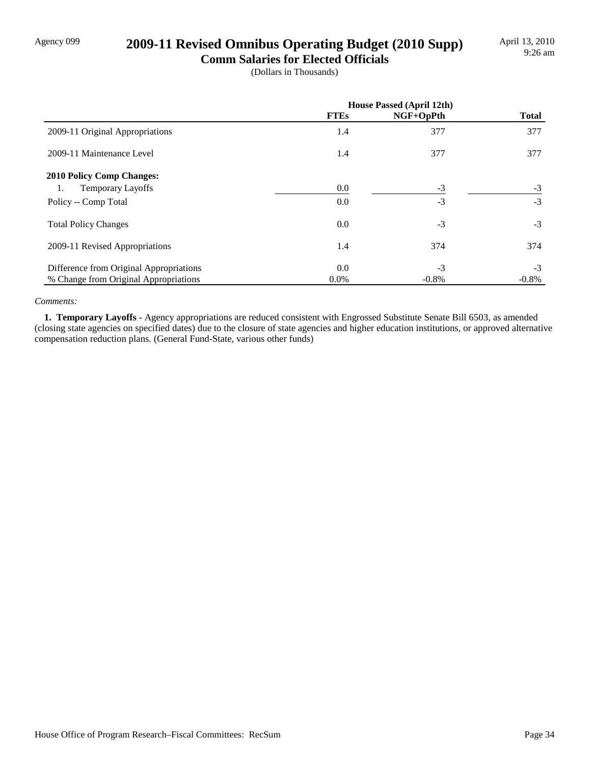# Agency 099 **2009-11 Revised Omnibus Operating Budget (2010 Supp)**

**Comm Salaries for Elected Officials** (Dollars in Thousands)

|                                         | <b>House Passed (April 12th)</b> |           |              |
|-----------------------------------------|----------------------------------|-----------|--------------|
|                                         | <b>FTEs</b>                      | NGF+OpPth | <b>Total</b> |
| 2009-11 Original Appropriations         | 1.4                              | 377       | 377          |
| 2009-11 Maintenance Level               | 1.4                              | 377       | 377          |
| <b>2010 Policy Comp Changes:</b>        |                                  |           |              |
| <b>Temporary Layoffs</b><br>1.          | 0.0                              | $-3$      | $-3$         |
| Policy -- Comp Total                    | 0.0                              | $-3$      | $-3$         |
| <b>Total Policy Changes</b>             | 0.0                              | $-3$      | $-3$         |
| 2009-11 Revised Appropriations          | 1.4                              | 374       | 374          |
| Difference from Original Appropriations | 0.0                              | $-3$      | $-3$         |
| % Change from Original Appropriations   | $0.0\%$                          | $-0.8\%$  | $-0.8\%$     |

#### *Comments:*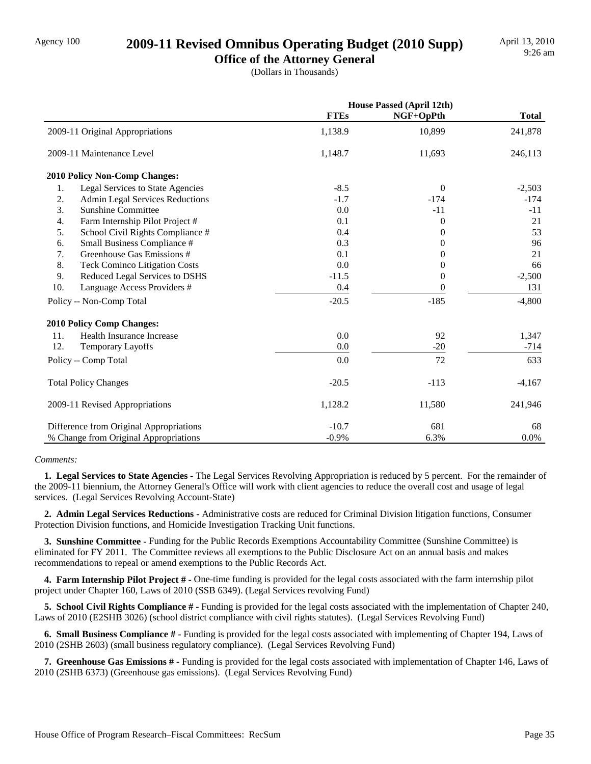# Agency 100 **2009-11 Revised Omnibus Operating Budget (2010 Supp)**

**Office of the Attorney General** (Dollars in Thousands)

|                                            |             | <b>House Passed (April 12th)</b> |              |
|--------------------------------------------|-------------|----------------------------------|--------------|
|                                            | <b>FTEs</b> | $NGF+OpPth$                      | <b>Total</b> |
| 2009-11 Original Appropriations            | 1,138.9     | 10,899                           | 241,878      |
| 2009-11 Maintenance Level                  | 1,148.7     | 11,693                           | 246,113      |
| 2010 Policy Non-Comp Changes:              |             |                                  |              |
| Legal Services to State Agencies<br>1.     | $-8.5$      | $\theta$                         | $-2,503$     |
| 2.<br>Admin Legal Services Reductions      | $-1.7$      | $-174$                           | $-174$       |
| 3.<br><b>Sunshine Committee</b>            | 0.0         | $-11$                            | $-11$        |
| 4.<br>Farm Internship Pilot Project #      | 0.1         | $\theta$                         | 21           |
| 5.<br>School Civil Rights Compliance #     | 0.4         | $\overline{0}$                   | 53           |
| 6.<br>Small Business Compliance #          | 0.3         | $\Omega$                         | 96           |
| 7.<br>Greenhouse Gas Emissions #           | 0.1         | 0                                | 21           |
| 8.<br><b>Teck Cominco Litigation Costs</b> | 0.0         | 0                                | 66           |
| 9.<br>Reduced Legal Services to DSHS       | $-11.5$     | $\theta$                         | $-2,500$     |
| 10.<br>Language Access Providers #         | 0.4         | 0                                | 131          |
| Policy -- Non-Comp Total                   | $-20.5$     | $-185$                           | $-4,800$     |
| <b>2010 Policy Comp Changes:</b>           |             |                                  |              |
| Health Insurance Increase<br>11.           | 0.0         | 92                               | 1,347        |
| 12.<br>Temporary Layoffs                   | 0.0         | $-20$                            | $-714$       |
| Policy -- Comp Total                       | 0.0         | 72                               | 633          |
| <b>Total Policy Changes</b>                | $-20.5$     | $-113$                           | $-4,167$     |
| 2009-11 Revised Appropriations             | 1,128.2     | 11,580                           | 241,946      |
| Difference from Original Appropriations    | $-10.7$     | 681                              | 68           |
| % Change from Original Appropriations      | $-0.9%$     | 6.3%                             | 0.0%         |

#### *Comments:*

 **1. Legal Services to State Agencies -** The Legal Services Revolving Appropriation is reduced by 5 percent. For the remainder of the 2009-11 biennium, the Attorney General's Office will work with client agencies to reduce the overall cost and usage of legal services. (Legal Services Revolving Account-State)

 **2. Admin Legal Services Reductions -** Administrative costs are reduced for Criminal Division litigation functions, Consumer Protection Division functions, and Homicide Investigation Tracking Unit functions.

 **3. Sunshine Committee -** Funding for the Public Records Exemptions Accountability Committee (Sunshine Committee) is eliminated for FY 2011. The Committee reviews all exemptions to the Public Disclosure Act on an annual basis and makes recommendations to repeal or amend exemptions to the Public Records Act.

 **4. Farm Internship Pilot Project # -** One-time funding is provided for the legal costs associated with the farm internship pilot project under Chapter 160, Laws of 2010 (SSB 6349). (Legal Services revolving Fund)

 **5. School Civil Rights Compliance # -** Funding is provided for the legal costs associated with the implementation of Chapter 240, Laws of 2010 (E2SHB 3026) (school district compliance with civil rights statutes). (Legal Services Revolving Fund)

 **6. Small Business Compliance # -** Funding is provided for the legal costs associated with implementing of Chapter 194, Laws of 2010 (2SHB 2603) (small business regulatory compliance). (Legal Services Revolving Fund)

 **7. Greenhouse Gas Emissions # -** Funding is provided for the legal costs associated with implementation of Chapter 146, Laws of 2010 (2SHB 6373) (Greenhouse gas emissions). (Legal Services Revolving Fund)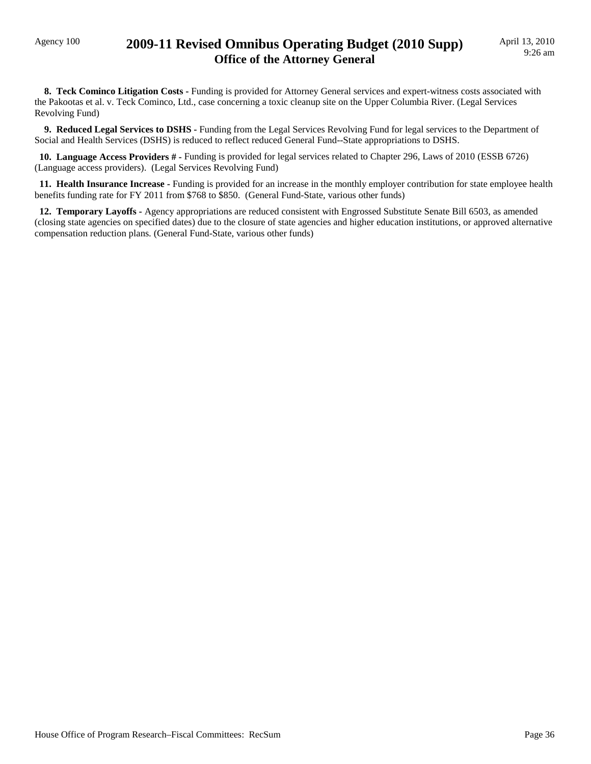### Agency 100 **2009-11 Revised Omnibus Operating Budget (2010 Supp) Office of the Attorney General**

 **8. Teck Cominco Litigation Costs -** Funding is provided for Attorney General services and expert-witness costs associated with the Pakootas et al. v. Teck Cominco, Ltd., case concerning a toxic cleanup site on the Upper Columbia River. (Legal Services Revolving Fund)

 **9. Reduced Legal Services to DSHS -** Funding from the Legal Services Revolving Fund for legal services to the Department of Social and Health Services (DSHS) is reduced to reflect reduced General Fund--State appropriations to DSHS.

 **10. Language Access Providers # -** Funding is provided for legal services related to Chapter 296, Laws of 2010 (ESSB 6726) (Language access providers). (Legal Services Revolving Fund)

 **11. Health Insurance Increase -** Funding is provided for an increase in the monthly employer contribution for state employee health benefits funding rate for FY 2011 from \$768 to \$850. (General Fund-State, various other funds)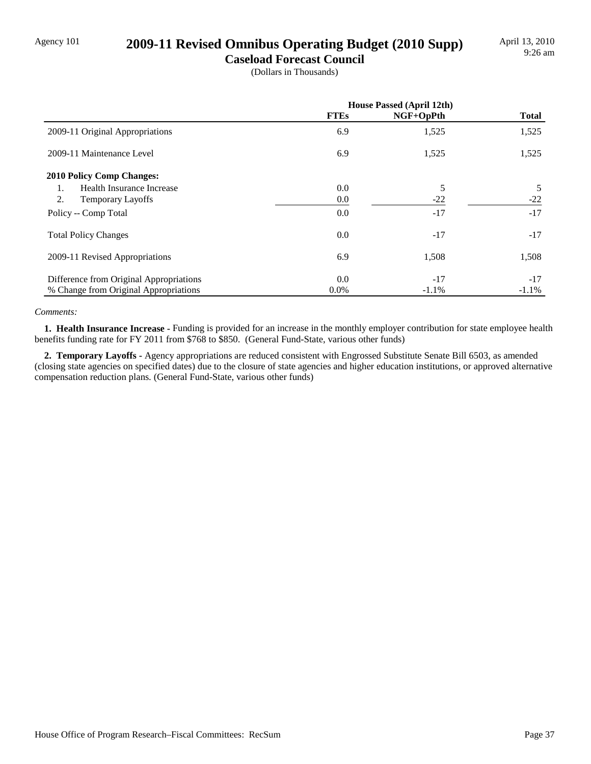### Agency 101 **2009-11 Revised Omnibus Operating Budget (2010 Supp)**

**Caseload Forecast Council**

(Dollars in Thousands)

|                                         | <b>House Passed (April 12th)</b> |           |              |
|-----------------------------------------|----------------------------------|-----------|--------------|
|                                         | <b>FTEs</b>                      | NGF+OpPth | <b>Total</b> |
| 2009-11 Original Appropriations         | 6.9                              | 1,525     | 1,525        |
| 2009-11 Maintenance Level               | 6.9                              | 1,525     | 1,525        |
| <b>2010 Policy Comp Changes:</b>        |                                  |           |              |
| Health Insurance Increase<br>1.         | 0.0                              | 5         | 5            |
| 2.<br><b>Temporary Layoffs</b>          | 0.0                              | $-22$     | $-22$        |
| Policy -- Comp Total                    | 0.0                              | $-17$     | $-17$        |
| <b>Total Policy Changes</b>             | 0.0                              | $-17$     | $-17$        |
| 2009-11 Revised Appropriations          | 6.9                              | 1,508     | 1,508        |
| Difference from Original Appropriations | 0.0                              | $-17$     | $-17$        |
| % Change from Original Appropriations   | $0.0\%$                          | $-1.1%$   | $-1.1%$      |

#### *Comments:*

 **1. Health Insurance Increase -** Funding is provided for an increase in the monthly employer contribution for state employee health benefits funding rate for FY 2011 from \$768 to \$850. (General Fund-State, various other funds)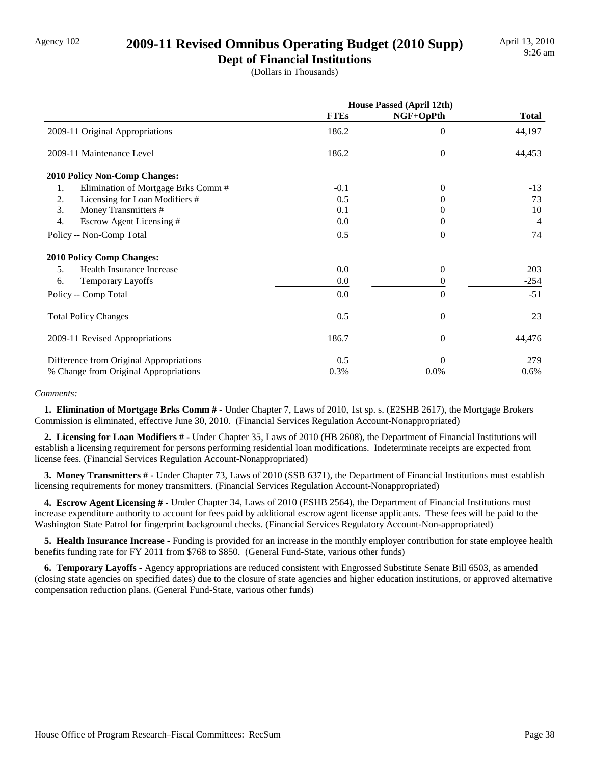### Agency 102 **2009-11 Revised Omnibus Operating Budget (2010 Supp)**

**Dept of Financial Institutions** (Dollars in Thousands)

|                                           | House Passed (April 12th) |                  |              |
|-------------------------------------------|---------------------------|------------------|--------------|
|                                           | <b>FTEs</b>               | NGF+OpPth        | <b>Total</b> |
| 2009-11 Original Appropriations           | 186.2                     | $\theta$         | 44,197       |
| 2009-11 Maintenance Level                 | 186.2                     | $\mathbf{0}$     | 44,453       |
| 2010 Policy Non-Comp Changes:             |                           |                  |              |
| Elimination of Mortgage Brks Comm #<br>1. | $-0.1$                    | $\theta$         | $-13$        |
| 2.<br>Licensing for Loan Modifiers #      | 0.5                       | $_{0}$           | 73           |
| 3.<br>Money Transmitters #                | 0.1                       | 0                | 10           |
| 4.<br>Escrow Agent Licensing #            | 0.0                       | 0                | 4            |
| Policy -- Non-Comp Total                  | 0.5                       | $\theta$         | 74           |
| <b>2010 Policy Comp Changes:</b>          |                           |                  |              |
| Health Insurance Increase<br>5.           | 0.0                       | $\theta$         | 203          |
| <b>Temporary Layoffs</b><br>6.            | 0.0                       | 0                | $-254$       |
| Policy -- Comp Total                      | 0.0                       | $\Omega$         | $-51$        |
| <b>Total Policy Changes</b>               | 0.5                       | $\overline{0}$   | 23           |
| 2009-11 Revised Appropriations            | 186.7                     | $\boldsymbol{0}$ | 44,476       |
| Difference from Original Appropriations   | 0.5                       | $\theta$         | 279          |
| % Change from Original Appropriations     | 0.3%                      | 0.0%             | 0.6%         |

#### *Comments:*

 **1. Elimination of Mortgage Brks Comm # -** Under Chapter 7, Laws of 2010, 1st sp. s. (E2SHB 2617), the Mortgage Brokers Commission is eliminated, effective June 30, 2010. (Financial Services Regulation Account-Nonappropriated)

 **2. Licensing for Loan Modifiers # -** Under Chapter 35, Laws of 2010 (HB 2608), the Department of Financial Institutions will establish a licensing requirement for persons performing residential loan modifications. Indeterminate receipts are expected from license fees. (Financial Services Regulation Account-Nonappropriated)

 **3. Money Transmitters # -** Under Chapter 73, Laws of 2010 (SSB 6371), the Department of Financial Institutions must establish licensing requirements for money transmitters. (Financial Services Regulation Account-Nonappropriated)

 **4. Escrow Agent Licensing # -** Under Chapter 34, Laws of 2010 (ESHB 2564), the Department of Financial Institutions must increase expenditure authority to account for fees paid by additional escrow agent license applicants. These fees will be paid to the Washington State Patrol for fingerprint background checks. (Financial Services Regulatory Account-Non-appropriated)

 **5. Health Insurance Increase -** Funding is provided for an increase in the monthly employer contribution for state employee health benefits funding rate for FY 2011 from \$768 to \$850. (General Fund-State, various other funds)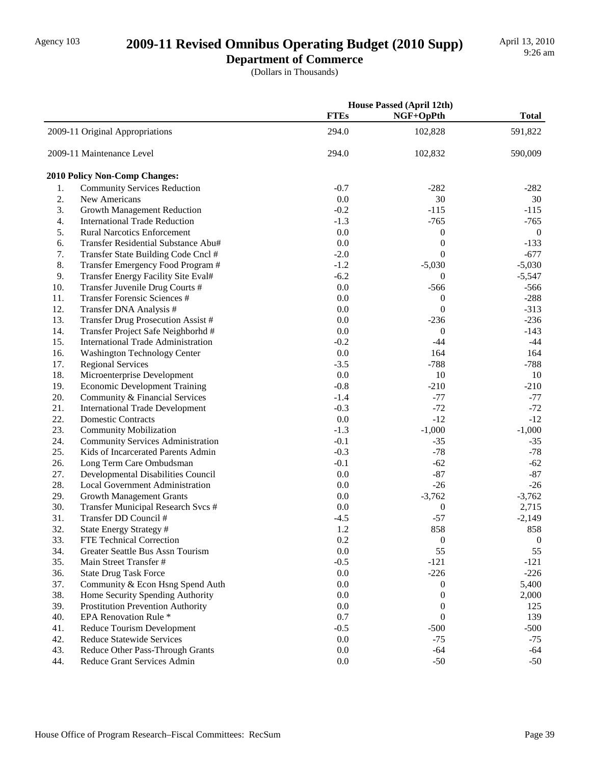# Agency 103 **2009-11 Revised Omnibus Operating Budget (2010 Supp)**

**Department of Commerce**

(Dollars in Thousands)

|     |                                           |             | <b>House Passed (April 12th)</b> |                  |  |
|-----|-------------------------------------------|-------------|----------------------------------|------------------|--|
|     |                                           | <b>FTEs</b> | NGF+OpPth                        | <b>Total</b>     |  |
|     | 2009-11 Original Appropriations           | 294.0       | 102,828                          | 591,822          |  |
|     | 2009-11 Maintenance Level                 | 294.0       | 102,832                          | 590,009          |  |
|     | 2010 Policy Non-Comp Changes:             |             |                                  |                  |  |
| 1.  | <b>Community Services Reduction</b>       | $-0.7$      | $-282$                           | $-282$           |  |
| 2.  | New Americans                             | 0.0         | 30                               | 30               |  |
| 3.  | <b>Growth Management Reduction</b>        | $-0.2$      | $-115$                           | $-115$           |  |
| 4.  | <b>International Trade Reduction</b>      | $-1.3$      | $-765$                           | $-765$           |  |
| 5.  | <b>Rural Narcotics Enforcement</b>        | 0.0         | $\boldsymbol{0}$                 | $\overline{0}$   |  |
| 6.  | Transfer Residential Substance Abu#       | 0.0         | $\mathbf{0}$                     | $-133$           |  |
| 7.  | Transfer State Building Code Cncl #       | $-2.0$      | $\theta$                         | $-677$           |  |
| 8.  | Transfer Emergency Food Program #         | $-1.2$      | $-5,030$                         | $-5,030$         |  |
| 9.  | Transfer Energy Facility Site Eval#       | $-6.2$      | $\theta$                         | $-5,547$         |  |
| 10. | Transfer Juvenile Drug Courts #           | 0.0         | $-566$                           | $-566$           |  |
| 11. | Transfer Forensic Sciences #              | 0.0         | $\boldsymbol{0}$                 | $-288$           |  |
| 12. | Transfer DNA Analysis #                   | 0.0         | $\theta$                         | $-313$           |  |
| 13. | Transfer Drug Prosecution Assist #        | 0.0         | $-236$                           | $-236$           |  |
| 14. | Transfer Project Safe Neighborhd #        | 0.0         | $\mathbf{0}$                     | $-143$           |  |
| 15. | <b>International Trade Administration</b> | $-0.2$      | $-44$                            | $-44$            |  |
| 16. | Washington Technology Center              | 0.0         | 164                              | 164              |  |
| 17. | <b>Regional Services</b>                  | $-3.5$      | $-788$                           | $-788$           |  |
| 18. | Microenterprise Development               | $0.0\,$     | 10                               | 10               |  |
| 19. | <b>Economic Development Training</b>      | $-0.8$      | $-210$                           | $-210$           |  |
| 20. | Community & Financial Services            | $-1.4$      | $-77$                            | $-77$            |  |
| 21. | <b>International Trade Development</b>    | $-0.3$      | $-72$                            | $-72$            |  |
| 22. | <b>Domestic Contracts</b>                 | 0.0         | $-12$                            | $-12$            |  |
| 23. | <b>Community Mobilization</b>             | $-1.3$      | $-1,000$                         | $-1,000$         |  |
| 24. | <b>Community Services Administration</b>  | $-0.1$      | $-35$                            | $-35$            |  |
| 25. | Kids of Incarcerated Parents Admin        | $-0.3$      | $-78$                            | $-78$            |  |
| 26. | Long Term Care Ombudsman                  | $-0.1$      | $-62$                            | $-62$            |  |
| 27. | Developmental Disabilities Council        | 0.0         | $-87$                            | $-87$            |  |
| 28. | <b>Local Government Administration</b>    | 0.0         | $-26$                            | $-26$            |  |
| 29. | <b>Growth Management Grants</b>           | 0.0         | $-3,762$                         | $-3,762$         |  |
| 30. | Transfer Municipal Research Svcs #        | 0.0         | $\boldsymbol{0}$                 | 2,715            |  |
| 31. | Transfer DD Council #                     | $-4.5$      | $-57$                            | $-2,149$         |  |
| 32. | State Energy Strategy #                   | 1.2         | 858                              | 858              |  |
| 33. | FTE Technical Correction                  | 0.2         | $\boldsymbol{0}$                 | $\boldsymbol{0}$ |  |
| 34. | Greater Seattle Bus Assn Tourism          | 0.0         | 55                               | 55               |  |
| 35. | Main Street Transfer #                    | $-0.5$      | $-121$                           | $-121$           |  |
| 36. | <b>State Drug Task Force</b>              | 0.0         | $-226$                           | $-226$           |  |
| 37. | Community & Econ Hsng Spend Auth          | 0.0         | $\theta$                         | 5,400            |  |
| 38. | Home Security Spending Authority          | 0.0         | $\boldsymbol{0}$                 | 2,000            |  |
| 39. | <b>Prostitution Prevention Authority</b>  | 0.0         | $\mathbf{0}$                     | 125              |  |
| 40. | EPA Renovation Rule *                     | 0.7         | $\theta$                         | 139              |  |
| 41. | Reduce Tourism Development                | $-0.5$      | $-500$                           | $-500$           |  |
| 42. | <b>Reduce Statewide Services</b>          | 0.0         | $-75$                            | $-75$            |  |
| 43. | Reduce Other Pass-Through Grants          | 0.0         | $-64$                            | $-64$            |  |
| 44. | Reduce Grant Services Admin               | 0.0         | $-50$                            | $-50$            |  |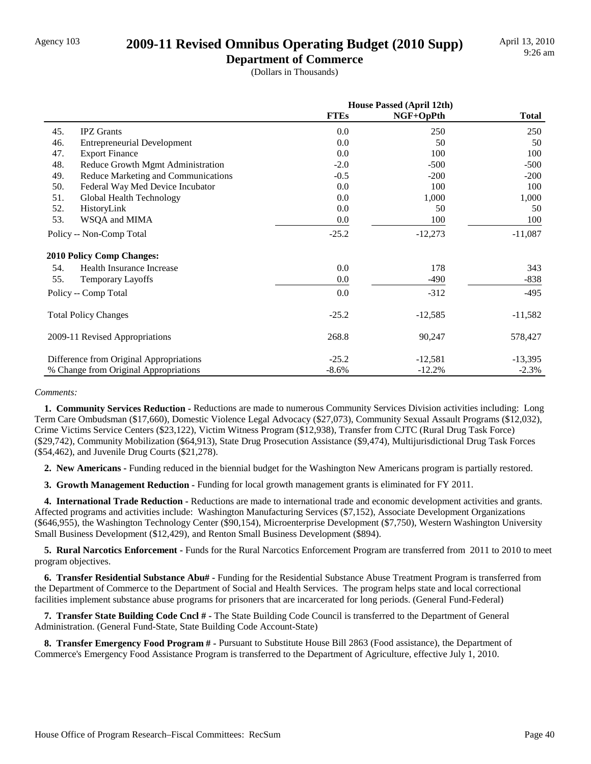### Agency 103 **2009-11 Revised Omnibus Operating Budget (2010 Supp)**

**Department of Commerce**

(Dollars in Thousands)

|     |                                         | <b>House Passed (April 12th)</b> |           |              |
|-----|-----------------------------------------|----------------------------------|-----------|--------------|
|     |                                         | <b>FTEs</b>                      | NGF+OpPth | <b>Total</b> |
| 45. | <b>IPZ</b> Grants                       | 0.0                              | 250       | 250          |
| 46. | <b>Entrepreneurial Development</b>      | 0.0                              | 50        | 50           |
| 47. | <b>Export Finance</b>                   | 0.0                              | 100       | 100          |
| 48. | Reduce Growth Mgmt Administration       | $-2.0$                           | $-500$    | $-500$       |
| 49. | Reduce Marketing and Communications     | $-0.5$                           | $-200$    | $-200$       |
| 50. | Federal Way Med Device Incubator        | 0.0                              | 100       | 100          |
| 51. | Global Health Technology                | 0.0                              | 1,000     | 1,000        |
| 52. | HistoryLink                             | 0.0                              | 50        | 50           |
| 53. | WSQA and MIMA                           | 0.0                              | 100       | 100          |
|     | Policy -- Non-Comp Total                | $-25.2$                          | $-12,273$ | $-11,087$    |
|     | <b>2010 Policy Comp Changes:</b>        |                                  |           |              |
| 54. | Health Insurance Increase               | 0.0                              | 178       | 343          |
| 55. | <b>Temporary Layoffs</b>                | 0.0                              | $-490$    | -838         |
|     | Policy -- Comp Total                    | 0.0                              | $-312$    | $-495$       |
|     | <b>Total Policy Changes</b>             | $-25.2$                          | $-12,585$ | $-11,582$    |
|     | 2009-11 Revised Appropriations          | 268.8                            | 90,247    | 578,427      |
|     | Difference from Original Appropriations | $-25.2$                          | $-12,581$ | $-13,395$    |
|     | % Change from Original Appropriations   | $-8.6%$                          | $-12.2%$  | $-2.3%$      |

#### *Comments:*

 **1. Community Services Reduction -** Reductions are made to numerous Community Services Division activities including: Long Term Care Ombudsman (\$17,660), Domestic Violence Legal Advocacy (\$27,073), Community Sexual Assault Programs (\$12,032), Crime Victims Service Centers (\$23,122), Victim Witness Program (\$12,938), Transfer from CJTC (Rural Drug Task Force) (\$29,742), Community Mobilization (\$64,913), State Drug Prosecution Assistance (\$9,474), Multijurisdictional Drug Task Forces (\$54,462), and Juvenile Drug Courts (\$21,278).

 **2. New Americans -** Funding reduced in the biennial budget for the Washington New Americans program is partially restored.

**3. Growth Management Reduction - Funding for local growth management grants is eliminated for FY 2011.** 

 **4. International Trade Reduction -** Reductions are made to international trade and economic development activities and grants. Affected programs and activities include: Washington Manufacturing Services (\$7,152), Associate Development Organizations (\$646,955), the Washington Technology Center (\$90,154), Microenterprise Development (\$7,750), Western Washington University Small Business Development (\$12,429), and Renton Small Business Development (\$894).

 **5. Rural Narcotics Enforcement -** Funds for the Rural Narcotics Enforcement Program are transferred from 2011 to 2010 to meet program objectives.

 **6. Transfer Residential Substance Abu# -** Funding for the Residential Substance Abuse Treatment Program is transferred from the Department of Commerce to the Department of Social and Health Services. The program helps state and local correctional facilities implement substance abuse programs for prisoners that are incarcerated for long periods. (General Fund-Federal)

 **7. Transfer State Building Code Cncl # -** The State Building Code Council is transferred to the Department of General Administration. (General Fund-State, State Building Code Account-State)

 **8. Transfer Emergency Food Program # -** Pursuant to Substitute House Bill 2863 (Food assistance), the Department of Commerce's Emergency Food Assistance Program is transferred to the Department of Agriculture, effective July 1, 2010.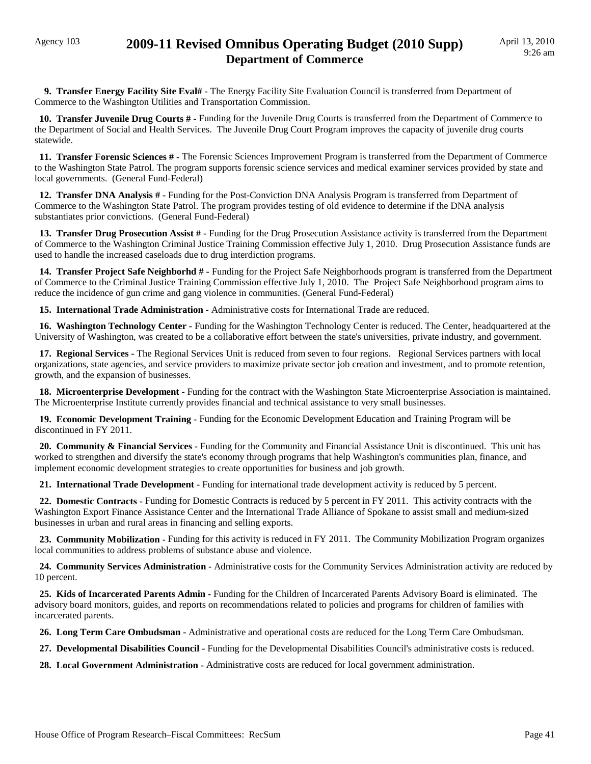### Agency 103 **2009-11 Revised Omnibus Operating Budget (2010 Supp) Department of Commerce**

 **9. Transfer Energy Facility Site Eval# -** The Energy Facility Site Evaluation Council is transferred from Department of Commerce to the Washington Utilities and Transportation Commission.

 **10. Transfer Juvenile Drug Courts # -** Funding for the Juvenile Drug Courts is transferred from the Department of Commerce to the Department of Social and Health Services. The Juvenile Drug Court Program improves the capacity of juvenile drug courts statewide.

 **11. Transfer Forensic Sciences # -** The Forensic Sciences Improvement Program is transferred from the Department of Commerce to the Washington State Patrol. The program supports forensic science services and medical examiner services provided by state and local governments. (General Fund-Federal)

 **12. Transfer DNA Analysis # -** Funding for the Post-Conviction DNA Analysis Program is transferred from Department of Commerce to the Washington State Patrol. The program provides testing of old evidence to determine if the DNA analysis substantiates prior convictions. (General Fund-Federal)

 **13. Transfer Drug Prosecution Assist # -** Funding for the Drug Prosecution Assistance activity is transferred from the Department of Commerce to the Washington Criminal Justice Training Commission effective July 1, 2010. Drug Prosecution Assistance funds are used to handle the increased caseloads due to drug interdiction programs.

 **14. Transfer Project Safe Neighborhd # -** Funding for the Project Safe Neighborhoods program is transferred from the Department of Commerce to the Criminal Justice Training Commission effective July 1, 2010. The Project Safe Neighborhood program aims to reduce the incidence of gun crime and gang violence in communities. (General Fund-Federal)

 **15. International Trade Administration -** Administrative costs for International Trade are reduced.

 **16. Washington Technology Center -** Funding for the Washington Technology Center is reduced. The Center, headquartered at the University of Washington, was created to be a collaborative effort between the state's universities, private industry, and government.

 **17. Regional Services -** The Regional Services Unit is reduced from seven to four regions. Regional Services partners with local organizations, state agencies, and service providers to maximize private sector job creation and investment, and to promote retention, growth, and the expansion of businesses.

 **18. Microenterprise Development -** Funding for the contract with the Washington State Microenterprise Association is maintained. The Microenterprise Institute currently provides financial and technical assistance to very small businesses.

 **19. Economic Development Training -** Funding for the Economic Development Education and Training Program will be discontinued in FY 2011.

 **20. Community & Financial Services -** Funding for the Community and Financial Assistance Unit is discontinued. This unit has worked to strengthen and diversify the state's economy through programs that help Washington's communities plan, finance, and implement economic development strategies to create opportunities for business and job growth.

 **21. International Trade Development -** Funding for international trade development activity is reduced by 5 percent.

 **22. Domestic Contracts -** Funding for Domestic Contracts is reduced by 5 percent in FY 2011. This activity contracts with the Washington Export Finance Assistance Center and the International Trade Alliance of Spokane to assist small and medium-sized businesses in urban and rural areas in financing and selling exports.

 **23. Community Mobilization -** Funding for this activity is reduced in FY 2011. The Community Mobilization Program organizes local communities to address problems of substance abuse and violence.

 **24. Community Services Administration -** Administrative costs for the Community Services Administration activity are reduced by 10 percent.

 **25. Kids of Incarcerated Parents Admin -** Funding for the Children of Incarcerated Parents Advisory Board is eliminated. The advisory board monitors, guides, and reports on recommendations related to policies and programs for children of families with incarcerated parents.

 **26. Long Term Care Ombudsman -** Administrative and operational costs are reduced for the Long Term Care Ombudsman.

 **27. Developmental Disabilities Council -** Funding for the Developmental Disabilities Council's administrative costs is reduced.

 **28. Local Government Administration -** Administrative costs are reduced for local government administration.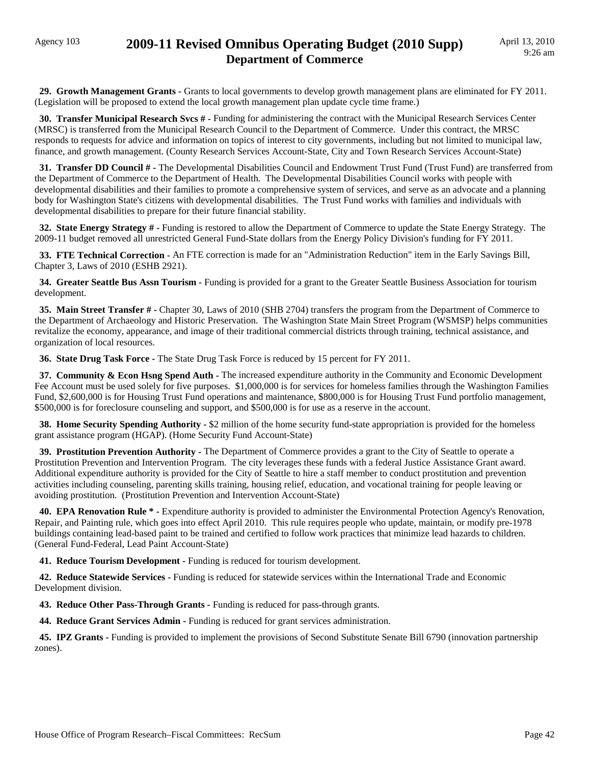### Agency 103 **2009-11 Revised Omnibus Operating Budget (2010 Supp) Department of Commerce**

 **29. Growth Management Grants -** Grants to local governments to develop growth management plans are eliminated for FY 2011. (Legislation will be proposed to extend the local growth management plan update cycle time frame.)

 **30. Transfer Municipal Research Svcs # -** Funding for administering the contract with the Municipal Research Services Center (MRSC) is transferred from the Municipal Research Council to the Department of Commerce. Under this contract, the MRSC responds to requests for advice and information on topics of interest to city governments, including but not limited to municipal law, finance, and growth management. (County Research Services Account-State, City and Town Research Services Account-State)

 **31. Transfer DD Council # -** The Developmental Disabilities Council and Endowment Trust Fund (Trust Fund) are transferred from the Department of Commerce to the Department of Health. The Developmental Disabilities Council works with people with developmental disabilities and their families to promote a comprehensive system of services, and serve as an advocate and a planning body for Washington State's citizens with developmental disabilities. The Trust Fund works with families and individuals with developmental disabilities to prepare for their future financial stability.

 **32. State Energy Strategy # -** Funding is restored to allow the Department of Commerce to update the State Energy Strategy. The 2009-11 budget removed all unrestricted General Fund-State dollars from the Energy Policy Division's funding for FY 2011.

 **33. FTE Technical Correction -** An FTE correction is made for an "Administration Reduction" item in the Early Savings Bill, Chapter 3, Laws of 2010 (ESHB 2921).

 **34. Greater Seattle Bus Assn Tourism -** Funding is provided for a grant to the Greater Seattle Business Association for tourism development.

 **35. Main Street Transfer # -** Chapter 30, Laws of 2010 (SHB 2704) transfers the program from the Department of Commerce to the Department of Archaeology and Historic Preservation. The Washington State Main Street Program (WSMSP) helps communities revitalize the economy, appearance, and image of their traditional commercial districts through training, technical assistance, and organization of local resources.

 **36. State Drug Task Force -** The State Drug Task Force is reduced by 15 percent for FY 2011.

 **37. Community & Econ Hsng Spend Auth -** The increased expenditure authority in the Community and Economic Development Fee Account must be used solely for five purposes. \$1,000,000 is for services for homeless families through the Washington Families Fund, \$2,600,000 is for Housing Trust Fund operations and maintenance, \$800,000 is for Housing Trust Fund portfolio management, \$500,000 is for foreclosure counseling and support, and \$500,000 is for use as a reserve in the account.

**38. Home Security Spending Authority -** \$2 million of the home security fund-state appropriation is provided for the homeless grant assistance program (HGAP). (Home Security Fund Account-State)

 **39. Prostitution Prevention Authority -** The Department of Commerce provides a grant to the City of Seattle to operate a Prostitution Prevention and Intervention Program. The city leverages these funds with a federal Justice Assistance Grant award. Additional expenditure authority is provided for the City of Seattle to hire a staff member to conduct prostitution and prevention activities including counseling, parenting skills training, housing relief, education, and vocational training for people leaving or avoiding prostitution. (Prostitution Prevention and Intervention Account-State)

 **40. EPA Renovation Rule \* -** Expenditure authority is provided to administer the Environmental Protection Agency's Renovation, Repair, and Painting rule, which goes into effect April 2010. This rule requires people who update, maintain, or modify pre-1978 buildings containing lead-based paint to be trained and certified to follow work practices that minimize lead hazards to children. (General Fund-Federal, Lead Paint Account-State)

 **41. Reduce Tourism Development -** Funding is reduced for tourism development.

 **42. Reduce Statewide Services -** Funding is reduced for statewide services within the International Trade and Economic Development division.

 **43. Reduce Other Pass-Through Grants -** Funding is reduced for pass-through grants.

 **44. Reduce Grant Services Admin -** Funding is reduced for grant services administration.

**45. IPZ Grants - Funding is provided to implement the provisions of Second Substitute Senate Bill 6790 (innovation partnership** zones).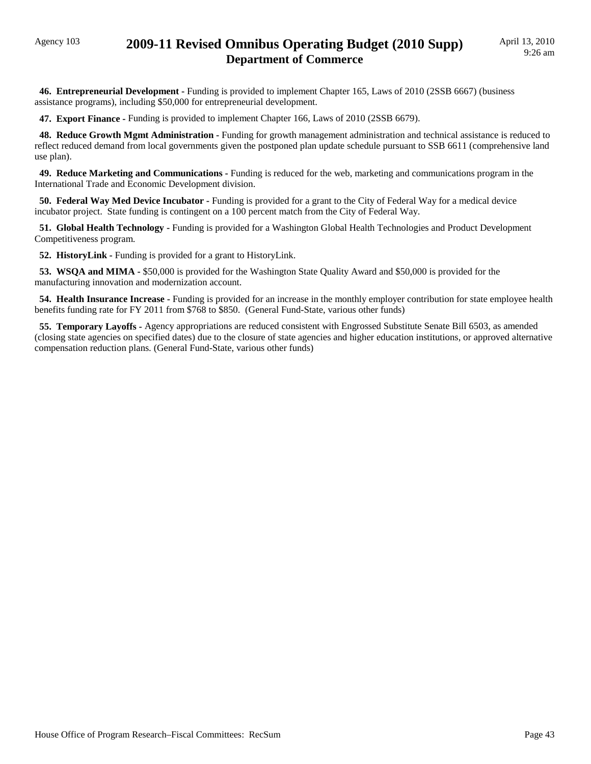### Agency 103 **2009-11 Revised Omnibus Operating Budget (2010 Supp) Department of Commerce**

 **46. Entrepreneurial Development -** Funding is provided to implement Chapter 165, Laws of 2010 (2SSB 6667) (business assistance programs), including \$50,000 for entrepreneurial development.

 **47. Export Finance -** Funding is provided to implement Chapter 166, Laws of 2010 (2SSB 6679).

**48. Reduce Growth Mgmt Administration -** Funding for growth management administration and technical assistance is reduced to reflect reduced demand from local governments given the postponed plan update schedule pursuant to SSB 6611 (comprehensive land use plan).

 **49. Reduce Marketing and Communications -** Funding is reduced for the web, marketing and communications program in the International Trade and Economic Development division.

 **50. Federal Way Med Device Incubator -** Funding is provided for a grant to the City of Federal Way for a medical device incubator project. State funding is contingent on a 100 percent match from the City of Federal Way.

 **51. Global Health Technology -** Funding is provided for a Washington Global Health Technologies and Product Development Competitiveness program.

**52. HistoryLink - Funding is provided for a grant to HistoryLink.** 

 **53. WSQA and MIMA -** \$50,000 is provided for the Washington State Quality Award and \$50,000 is provided for the manufacturing innovation and modernization account.

 **54. Health Insurance Increase -** Funding is provided for an increase in the monthly employer contribution for state employee health benefits funding rate for FY 2011 from \$768 to \$850. (General Fund-State, various other funds)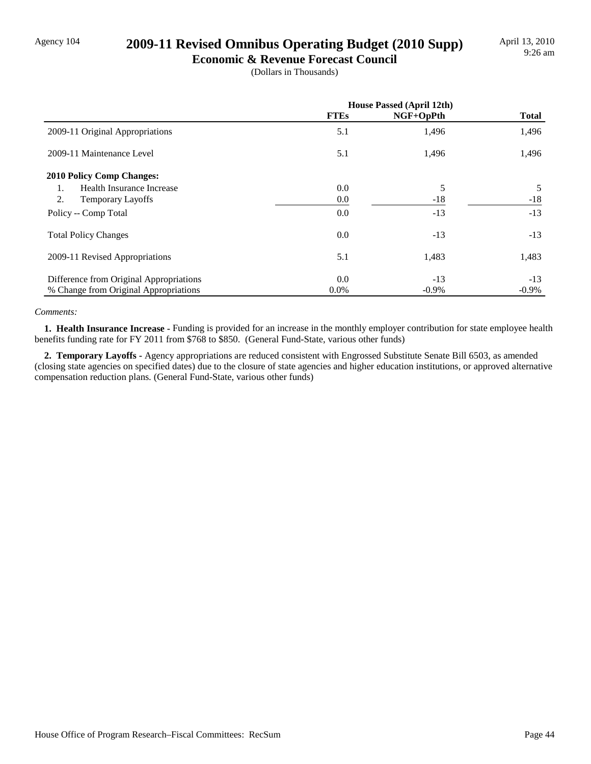# Agency 104 **2009-11 Revised Omnibus Operating Budget (2010 Supp)**

**Economic & Revenue Forecast Council** (Dollars in Thousands)

|                                         | <b>House Passed (April 12th)</b> |           |              |
|-----------------------------------------|----------------------------------|-----------|--------------|
|                                         | <b>FTEs</b>                      | NGF+OpPth | <b>Total</b> |
| 2009-11 Original Appropriations         | 5.1                              | 1,496     | 1,496        |
| 2009-11 Maintenance Level               | 5.1                              | 1,496     | 1,496        |
| <b>2010 Policy Comp Changes:</b>        |                                  |           |              |
| Health Insurance Increase<br>1.         | 0.0                              | 5         | 5            |
| 2.<br><b>Temporary Layoffs</b>          | 0.0                              | $-18$     | $-18$        |
| Policy -- Comp Total                    | 0.0                              | $-13$     | $-13$        |
| <b>Total Policy Changes</b>             | 0.0                              | $-13$     | $-13$        |
| 2009-11 Revised Appropriations          | 5.1                              | 1,483     | 1,483        |
| Difference from Original Appropriations | 0.0                              | $-13$     | $-13$        |
| % Change from Original Appropriations   | $0.0\%$                          | $-0.9\%$  | $-0.9\%$     |

#### *Comments:*

 **1. Health Insurance Increase -** Funding is provided for an increase in the monthly employer contribution for state employee health benefits funding rate for FY 2011 from \$768 to \$850. (General Fund-State, various other funds)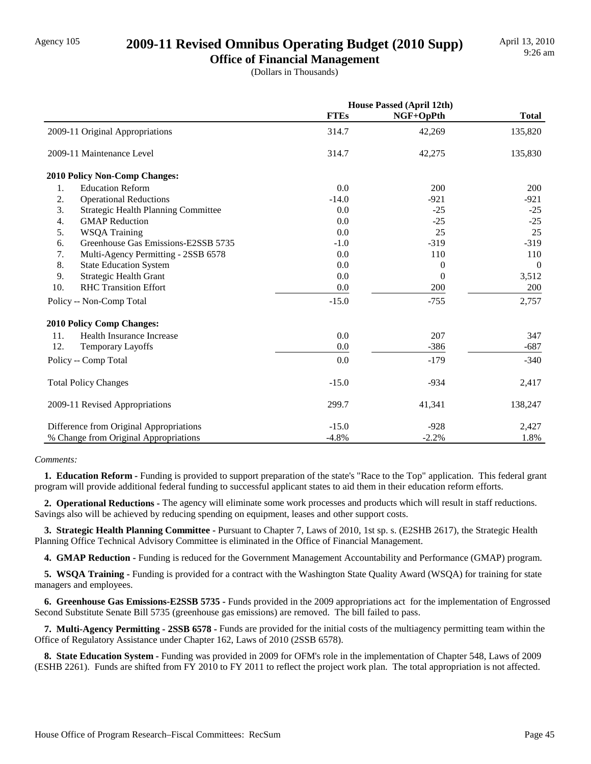### Agency 105 **2009-11 Revised Omnibus Operating Budget (2010 Supp)**

**Office of Financial Management** (Dollars in Thousands)

|     |                                            | <b>House Passed (April 12th)</b> |                |              |
|-----|--------------------------------------------|----------------------------------|----------------|--------------|
|     |                                            | <b>FTEs</b>                      | NGF+OpPth      | <b>Total</b> |
|     | 2009-11 Original Appropriations            | 314.7                            | 42,269         | 135,820      |
|     | 2009-11 Maintenance Level                  | 314.7                            | 42,275         | 135,830      |
|     | <b>2010 Policy Non-Comp Changes:</b>       |                                  |                |              |
| 1.  | <b>Education Reform</b>                    | 0.0                              | 200            | 200          |
| 2.  | <b>Operational Reductions</b>              | $-14.0$                          | $-921$         | $-921$       |
| 3.  | <b>Strategic Health Planning Committee</b> | 0.0                              | $-25$          | $-25$        |
| 4.  | <b>GMAP</b> Reduction                      | 0.0                              | $-25$          | $-25$        |
| 5.  | <b>WSQA Training</b>                       | 0.0                              | 25             | 25           |
| 6.  | Greenhouse Gas Emissions-E2SSB 5735        | $-1.0$                           | $-319$         | $-319$       |
| 7.  | Multi-Agency Permitting - 2SSB 6578        | 0.0                              | 110            | 110          |
| 8.  | <b>State Education System</b>              | 0.0                              | $\overline{0}$ | $\mathbf{0}$ |
| 9.  | <b>Strategic Health Grant</b>              | 0.0                              | $\Omega$       | 3,512        |
| 10. | <b>RHC Transition Effort</b>               | 0.0                              | 200            | 200          |
|     | Policy -- Non-Comp Total                   | $-15.0$                          | $-755$         | 2,757        |
|     | <b>2010 Policy Comp Changes:</b>           |                                  |                |              |
| 11. | Health Insurance Increase                  | 0.0                              | 207            | 347          |
| 12. | Temporary Layoffs                          | 0.0                              | $-386$         | $-687$       |
|     | Policy -- Comp Total                       | 0.0                              | $-179$         | $-340$       |
|     | <b>Total Policy Changes</b>                | $-15.0$                          | $-934$         | 2,417        |
|     | 2009-11 Revised Appropriations             | 299.7                            | 41,341         | 138,247      |
|     | Difference from Original Appropriations    | $-15.0$                          | $-928$         | 2,427        |
|     | % Change from Original Appropriations      | $-4.8%$                          | $-2.2%$        | 1.8%         |

#### *Comments:*

**1. Education Reform -** Funding is provided to support preparation of the state's "Race to the Top" application. This federal grant program will provide additional federal funding to successful applicant states to aid them in their education reform efforts.

 **2. Operational Reductions -** The agency will eliminate some work processes and products which will result in staff reductions. Savings also will be achieved by reducing spending on equipment, leases and other support costs.

 **3. Strategic Health Planning Committee -** Pursuant to Chapter 7, Laws of 2010, 1st sp. s. (E2SHB 2617), the Strategic Health Planning Office Technical Advisory Committee is eliminated in the Office of Financial Management.

 **4. GMAP Reduction -** Funding is reduced for the Government Management Accountability and Performance (GMAP) program.

**5. WSQA Training - Funding is provided for a contract with the Washington State Quality Award (WSQA) for training for state** managers and employees.

 **6. Greenhouse Gas Emissions-E2SSB 5735 -** Funds provided in the 2009 appropriations act for the implementation of Engrossed Second Substitute Senate Bill 5735 (greenhouse gas emissions) are removed. The bill failed to pass.

 **7. Multi-Agency Permitting - 2SSB 6578 -** Funds are provided for the initial costs of the multiagency permitting team within the Office of Regulatory Assistance under Chapter 162, Laws of 2010 (2SSB 6578).

 **8. State Education System -** Funding was provided in 2009 for OFM's role in the implementation of Chapter 548, Laws of 2009 (ESHB 2261). Funds are shifted from FY 2010 to FY 2011 to reflect the project work plan. The total appropriation is not affected.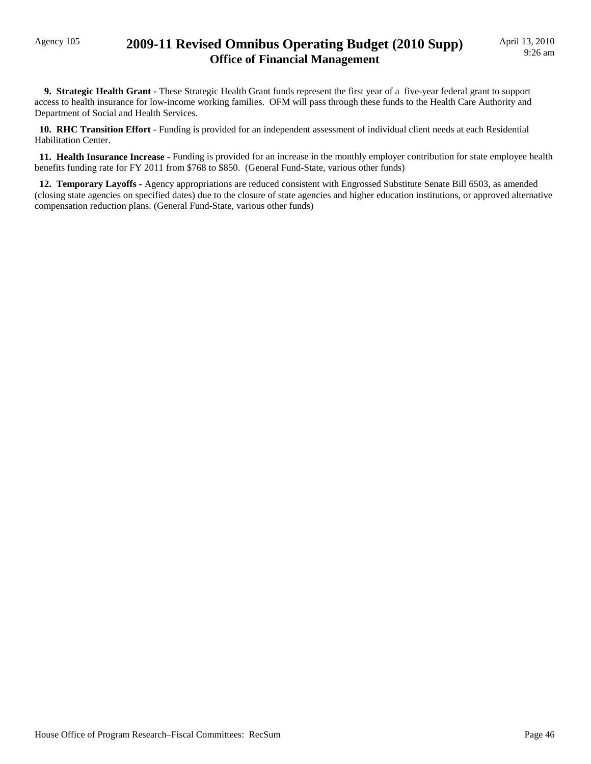### Agency 105 **2009-11 Revised Omnibus Operating Budget (2010 Supp) Office of Financial Management**

 **9. Strategic Health Grant -** These Strategic Health Grant funds represent the first year of a five-year federal grant to support access to health insurance for low-income working families. OFM will pass through these funds to the Health Care Authority and Department of Social and Health Services.

 **10. RHC Transition Effort -** Funding is provided for an independent assessment of individual client needs at each Residential Habilitation Center.

 **11. Health Insurance Increase -** Funding is provided for an increase in the monthly employer contribution for state employee health benefits funding rate for FY 2011 from \$768 to \$850. (General Fund-State, various other funds)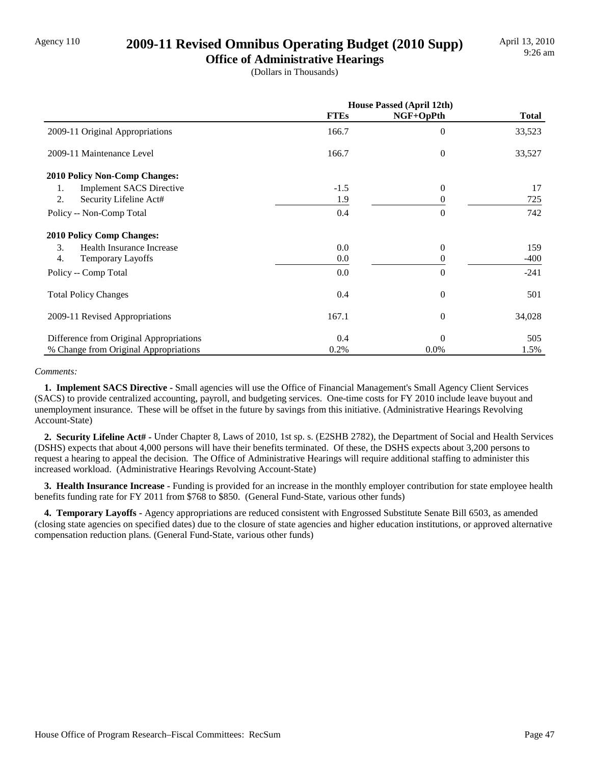### Agency 110 **2009-11 Revised Omnibus Operating Budget (2010 Supp)**

**Office of Administrative Hearings** (Dollars in Thousands)

|                                         | <b>House Passed (April 12th)</b> |                  |              |
|-----------------------------------------|----------------------------------|------------------|--------------|
|                                         | <b>FTEs</b>                      | NGF+OpPth        | <b>Total</b> |
| 2009-11 Original Appropriations         | 166.7                            | $\theta$         | 33,523       |
| 2009-11 Maintenance Level               | 166.7                            | $\theta$         | 33,527       |
| 2010 Policy Non-Comp Changes:           |                                  |                  |              |
| <b>Implement SACS Directive</b><br>1.   | $-1.5$                           | $\theta$         | 17           |
| 2.<br>Security Lifeline Act#            | 1.9                              | $\Omega$         | 725          |
| Policy -- Non-Comp Total                | 0.4                              | $\Omega$         | 742          |
| <b>2010 Policy Comp Changes:</b>        |                                  |                  |              |
| 3.<br>Health Insurance Increase         | 0.0                              | $\Omega$         | 159          |
| 4.<br><b>Temporary Layoffs</b>          | 0.0                              | 0                | $-400$       |
| Policy -- Comp Total                    | 0.0                              | $\Omega$         | $-241$       |
| <b>Total Policy Changes</b>             | 0.4                              | $\theta$         | 501          |
| 2009-11 Revised Appropriations          | 167.1                            | $\boldsymbol{0}$ | 34,028       |
| Difference from Original Appropriations | 0.4                              | $\Omega$         | 505          |
| % Change from Original Appropriations   | 0.2%                             | 0.0%             | 1.5%         |

#### *Comments:*

 **1. Implement SACS Directive -** Small agencies will use the Office of Financial Management's Small Agency Client Services (SACS) to provide centralized accounting, payroll, and budgeting services. One-time costs for FY 2010 include leave buyout and unemployment insurance. These will be offset in the future by savings from this initiative. (Administrative Hearings Revolving Account-State)

 **2. Security Lifeline Act# -** Under Chapter 8, Laws of 2010, 1st sp. s. (E2SHB 2782), the Department of Social and Health Services (DSHS) expects that about 4,000 persons will have their benefits terminated. Of these, the DSHS expects about 3,200 persons to request a hearing to appeal the decision. The Office of Administrative Hearings will require additional staffing to administer this increased workload. (Administrative Hearings Revolving Account-State)

 **3. Health Insurance Increase -** Funding is provided for an increase in the monthly employer contribution for state employee health benefits funding rate for FY 2011 from \$768 to \$850. (General Fund-State, various other funds)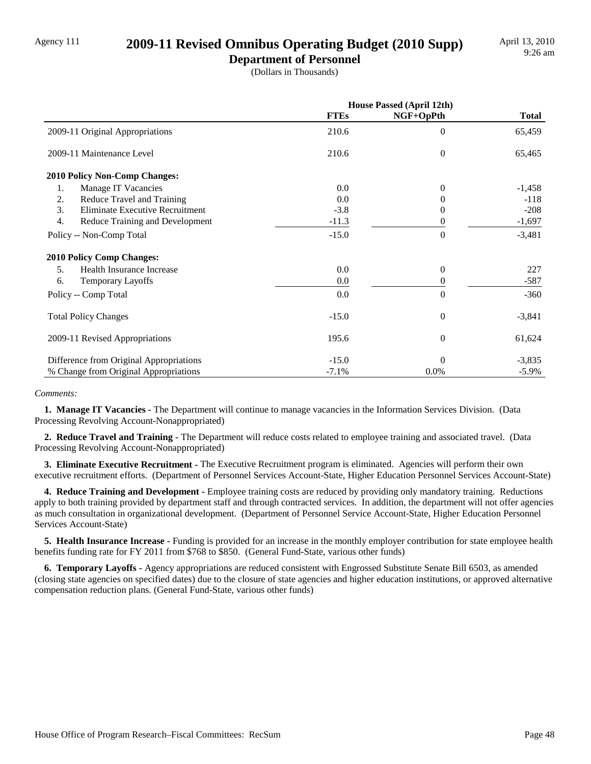### Agency 111 **2009-11 Revised Omnibus Operating Budget (2010 Supp)**

**Department of Personnel**

(Dollars in Thousands)

|                                         | <b>House Passed (April 12th)</b> |              |              |
|-----------------------------------------|----------------------------------|--------------|--------------|
|                                         | <b>FTEs</b>                      | NGF+OpPth    | <b>Total</b> |
| 2009-11 Original Appropriations         | 210.6                            | $\theta$     | 65,459       |
| 2009-11 Maintenance Level               | 210.6                            | $\mathbf{0}$ | 65,465       |
| 2010 Policy Non-Comp Changes:           |                                  |              |              |
| 1.<br>Manage IT Vacancies               | 0.0                              | $\theta$     | $-1,458$     |
| 2.<br>Reduce Travel and Training        | 0.0                              |              | $-118$       |
| 3.<br>Eliminate Executive Recruitment   | $-3.8$                           | $\theta$     | $-208$       |
| 4.<br>Reduce Training and Development   | $-11.3$                          | 0            | $-1,697$     |
| Policy -- Non-Comp Total                | $-15.0$                          | $\Omega$     | $-3,481$     |
| <b>2010 Policy Comp Changes:</b>        |                                  |              |              |
| Health Insurance Increase<br>5.         | 0.0                              | $\theta$     | 227          |
| <b>Temporary Layoffs</b><br>6.          | 0.0                              | $\Omega$     | -587         |
| Policy -- Comp Total                    | 0.0                              | $\Omega$     | $-360$       |
| <b>Total Policy Changes</b>             | $-15.0$                          | $\theta$     | $-3,841$     |
| 2009-11 Revised Appropriations          | 195.6                            | $\theta$     | 61,624       |
| Difference from Original Appropriations | $-15.0$                          | $\theta$     | $-3,835$     |
| % Change from Original Appropriations   | $-7.1%$                          | 0.0%         | $-5.9\%$     |

#### *Comments:*

 **1. Manage IT Vacancies -** The Department will continue to manage vacancies in the Information Services Division. (Data Processing Revolving Account-Nonappropriated)

 **2. Reduce Travel and Training -** The Department will reduce costs related to employee training and associated travel. (Data Processing Revolving Account-Nonappropriated)

 **3. Eliminate Executive Recruitment -** The Executive Recruitment program is eliminated. Agencies will perform their own executive recruitment efforts. (Department of Personnel Services Account-State, Higher Education Personnel Services Account-State)

 **4. Reduce Training and Development -** Employee training costs are reduced by providing only mandatory training. Reductions apply to both training provided by department staff and through contracted services. In addition, the department will not offer agencies as much consultation in organizational development. (Department of Personnel Service Account-State, Higher Education Personnel Services Account-State)

 **5. Health Insurance Increase -** Funding is provided for an increase in the monthly employer contribution for state employee health benefits funding rate for FY 2011 from \$768 to \$850. (General Fund-State, various other funds)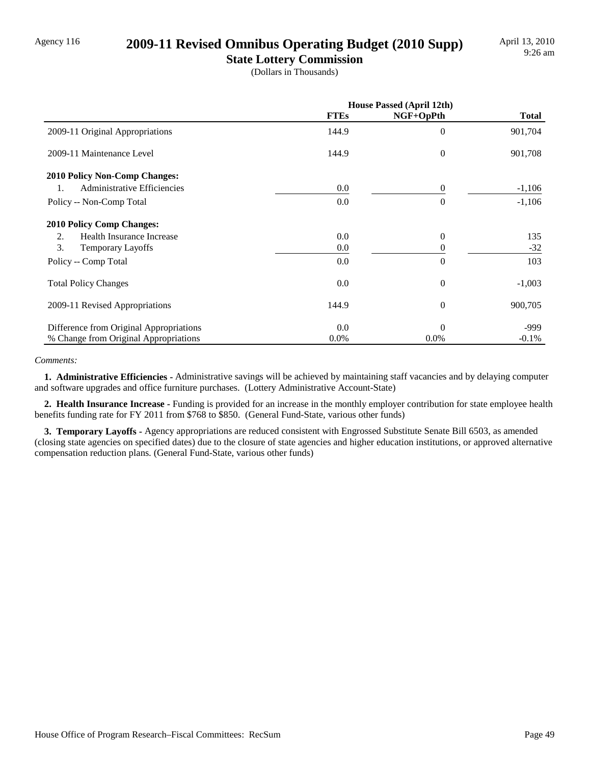### Agency 116 **2009-11 Revised Omnibus Operating Budget (2010 Supp)**

**State Lottery Commission** (Dollars in Thousands)

|                                               | <b>House Passed (April 12th)</b> |                  |              |
|-----------------------------------------------|----------------------------------|------------------|--------------|
|                                               | <b>FTEs</b>                      | NGF+OpPth        | <b>Total</b> |
| 2009-11 Original Appropriations               | 144.9                            | $\overline{0}$   | 901,704      |
| 2009-11 Maintenance Level                     | 144.9                            | $\mathbf{0}$     | 901,708      |
| <b>2010 Policy Non-Comp Changes:</b>          |                                  |                  |              |
| Administrative Efficiencies<br>$\mathbf{1}$ . | 0.0                              | $\theta$         | $-1,106$     |
| Policy -- Non-Comp Total                      | 0.0                              | $\Omega$         | $-1,106$     |
| <b>2010 Policy Comp Changes:</b>              |                                  |                  |              |
| Health Insurance Increase<br>2.               | 0.0                              | $\theta$         | 135          |
| 3.<br><b>Temporary Layoffs</b>                | 0.0                              | 0                | $-32$        |
| Policy -- Comp Total                          | 0.0                              | $\theta$         | 103          |
| <b>Total Policy Changes</b>                   | 0.0                              | $\boldsymbol{0}$ | $-1,003$     |
| 2009-11 Revised Appropriations                | 144.9                            | $\theta$         | 900,705      |
| Difference from Original Appropriations       | 0.0                              | $\Omega$         | -999         |
| % Change from Original Appropriations         | $0.0\%$                          | $0.0\%$          | $-0.1\%$     |

#### *Comments:*

 **1. Administrative Efficiencies -** Administrative savings will be achieved by maintaining staff vacancies and by delaying computer and software upgrades and office furniture purchases. (Lottery Administrative Account-State)

 **2. Health Insurance Increase -** Funding is provided for an increase in the monthly employer contribution for state employee health benefits funding rate for FY 2011 from \$768 to \$850. (General Fund-State, various other funds)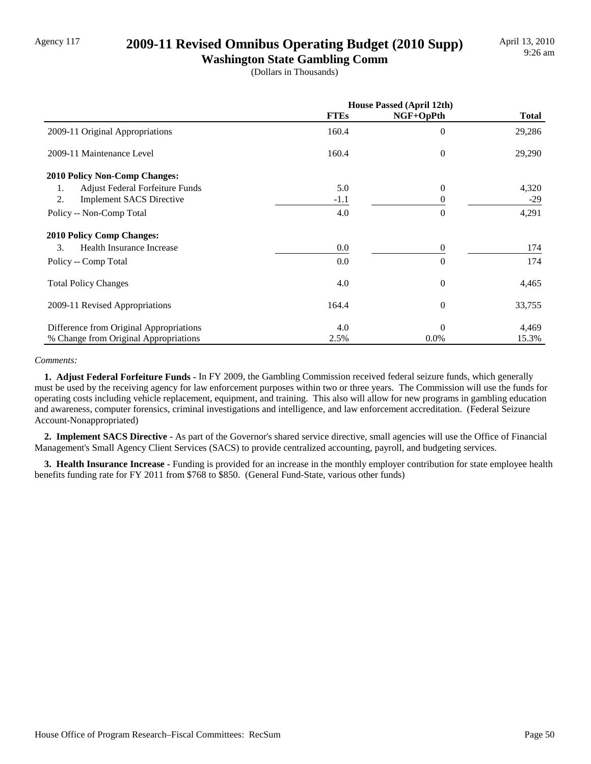### Agency 117 **2009-11 Revised Omnibus Operating Budget (2010 Supp)**

**Washington State Gambling Comm** (Dollars in Thousands)

|                                         | <b>House Passed (April 12th)</b> |           |              |
|-----------------------------------------|----------------------------------|-----------|--------------|
|                                         | <b>FTEs</b>                      | NGF+OpPth | <b>Total</b> |
| 2009-11 Original Appropriations         | 160.4                            | $\theta$  | 29,286       |
| 2009-11 Maintenance Level               | 160.4                            | $\theta$  | 29,290       |
| 2010 Policy Non-Comp Changes:           |                                  |           |              |
| Adjust Federal Forfeiture Funds<br>1.   | 5.0                              | $\theta$  | 4,320        |
| 2.<br><b>Implement SACS Directive</b>   | $-1.1$                           | $\Omega$  | $-29$        |
| Policy -- Non-Comp Total                | 4.0                              | $\Omega$  | 4,291        |
| <b>2010 Policy Comp Changes:</b>        |                                  |           |              |
| 3.<br>Health Insurance Increase         | 0.0                              | $\Omega$  | 174          |
| Policy -- Comp Total                    | 0.0                              | $\Omega$  | 174          |
| <b>Total Policy Changes</b>             | 4.0                              | $\theta$  | 4,465        |
| 2009-11 Revised Appropriations          | 164.4                            | $\theta$  | 33,755       |
| Difference from Original Appropriations | 4.0                              | $\Omega$  | 4,469        |
| % Change from Original Appropriations   | 2.5%                             | 0.0%      | 15.3%        |

#### *Comments:*

 **1. Adjust Federal Forfeiture Funds -** In FY 2009, the Gambling Commission received federal seizure funds, which generally must be used by the receiving agency for law enforcement purposes within two or three years. The Commission will use the funds for operating costs including vehicle replacement, equipment, and training. This also will allow for new programs in gambling education and awareness, computer forensics, criminal investigations and intelligence, and law enforcement accreditation. (Federal Seizure Account-Nonappropriated)

 **2. Implement SACS Directive -** As part of the Governor's shared service directive, small agencies will use the Office of Financial Management's Small Agency Client Services (SACS) to provide centralized accounting, payroll, and budgeting services.

 **3. Health Insurance Increase -** Funding is provided for an increase in the monthly employer contribution for state employee health benefits funding rate for FY 2011 from \$768 to \$850. (General Fund-State, various other funds)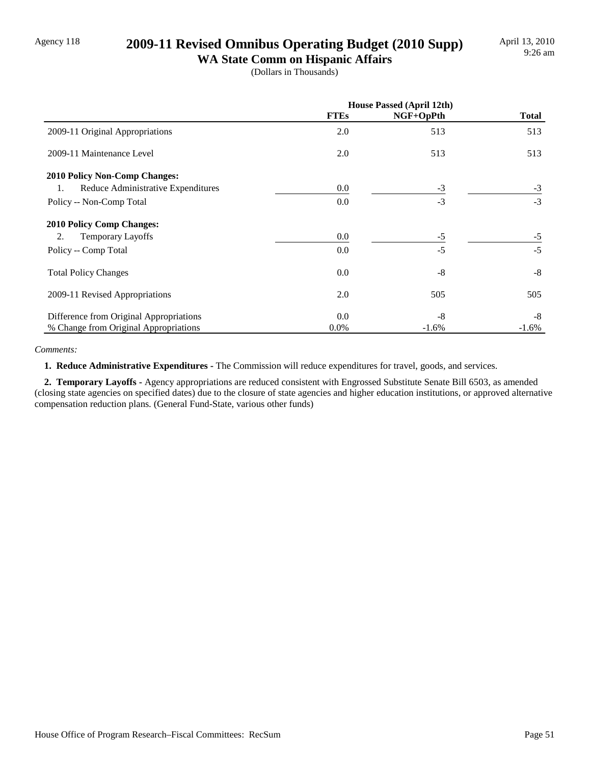### Agency 118 **2009-11 Revised Omnibus Operating Budget (2010 Supp)**

**WA State Comm on Hispanic Affairs** (Dollars in Thousands)

|                                          | <b>House Passed (April 12th)</b> |           |              |
|------------------------------------------|----------------------------------|-----------|--------------|
|                                          | <b>FTEs</b>                      | NGF+OpPth | <b>Total</b> |
| 2009-11 Original Appropriations          | 2.0                              | 513       | 513          |
| 2009-11 Maintenance Level                | 2.0                              | 513       | 513          |
| <b>2010 Policy Non-Comp Changes:</b>     |                                  |           |              |
| Reduce Administrative Expenditures<br>1. | 0.0                              | $-3$      | $-3$         |
| Policy -- Non-Comp Total                 | 0.0                              | $-3$      | $-3$         |
| <b>2010 Policy Comp Changes:</b>         |                                  |           |              |
| 2.<br>Temporary Layoffs                  | 0.0                              | $-5$      | $-5$         |
| Policy -- Comp Total                     | 0.0                              | $-5$      | $-5$         |
| <b>Total Policy Changes</b>              | 0.0                              | $-8$      | $-8$         |
| 2009-11 Revised Appropriations           | 2.0                              | 505       | 505          |
| Difference from Original Appropriations  | 0.0                              | $-8$      | -8           |
| % Change from Original Appropriations    | $0.0\%$                          | $-1.6%$   | $-1.6%$      |

#### *Comments:*

 **1. Reduce Administrative Expenditures -** The Commission will reduce expenditures for travel, goods, and services.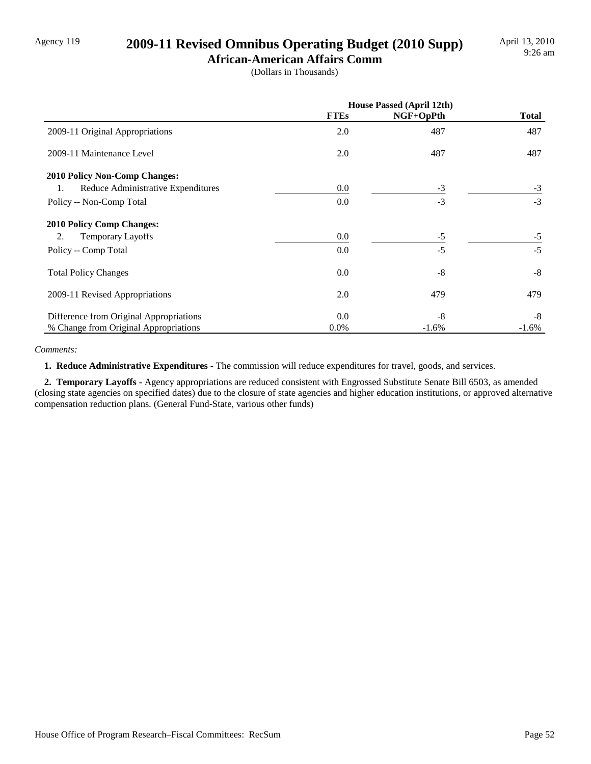## Agency 119 **2009-11 Revised Omnibus Operating Budget (2010 Supp)**

**African-American Affairs Comm** (Dollars in Thousands)

|                                          | House Passed (April 12th) |           |              |
|------------------------------------------|---------------------------|-----------|--------------|
|                                          | <b>FTEs</b>               | NGF+OpPth | <b>Total</b> |
| 2009-11 Original Appropriations          | 2.0                       | 487       | 487          |
| 2009-11 Maintenance Level                | 2.0                       | 487       | 487          |
| <b>2010 Policy Non-Comp Changes:</b>     |                           |           |              |
| Reduce Administrative Expenditures<br>1. | 0.0                       | $-3$      | $-3$         |
| Policy -- Non-Comp Total                 | 0.0                       | $-3$      | $-3$         |
| <b>2010 Policy Comp Changes:</b>         |                           |           |              |
| 2.<br><b>Temporary Layoffs</b>           | 0.0                       | $-5$      | $-5$         |
| Policy -- Comp Total                     | 0.0                       | $-5$      | $-5$         |
| <b>Total Policy Changes</b>              | 0.0                       | $-8$      | $-8$         |
| 2009-11 Revised Appropriations           | 2.0                       | 479       | 479          |
| Difference from Original Appropriations  | 0.0                       | $-8$      | -8           |
| % Change from Original Appropriations    | $0.0\%$                   | $-1.6%$   | $-1.6%$      |

#### *Comments:*

 **1. Reduce Administrative Expenditures -** The commission will reduce expenditures for travel, goods, and services.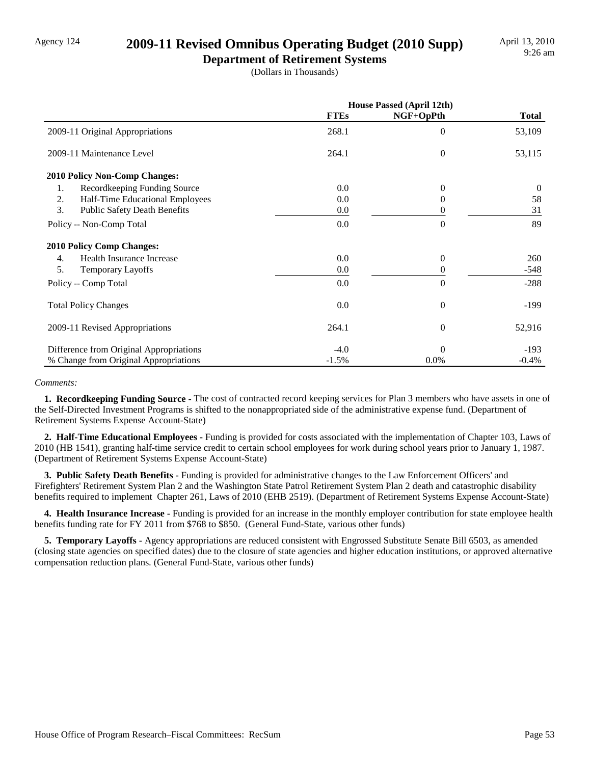### Agency 124 **2009-11 Revised Omnibus Operating Budget (2010 Supp)**

**Department of Retirement Systems** (Dollars in Thousands)

|                                           | House Passed (April 12th) |           |              |
|-------------------------------------------|---------------------------|-----------|--------------|
|                                           | <b>FTEs</b>               | NGF+OpPth | <b>Total</b> |
| 2009-11 Original Appropriations           | 268.1                     | $\Omega$  | 53,109       |
| 2009-11 Maintenance Level                 | 264.1                     | $\theta$  | 53,115       |
| 2010 Policy Non-Comp Changes:             |                           |           |              |
| Recordkeeping Funding Source<br>1.        | 0.0                       | $\Omega$  | $\theta$     |
| Half-Time Educational Employees<br>2.     | 0.0                       | 0         | 58           |
| 3.<br><b>Public Safety Death Benefits</b> | 0.0                       | 0         | 31           |
| Policy -- Non-Comp Total                  | 0.0                       | $\Omega$  | 89           |
| <b>2010 Policy Comp Changes:</b>          |                           |           |              |
| Health Insurance Increase<br>4.           | 0.0                       | $\theta$  | 260          |
| 5.<br><b>Temporary Layoffs</b>            | 0.0                       | 0         | $-548$       |
| Policy -- Comp Total                      | 0.0                       | $\theta$  | $-288$       |
| <b>Total Policy Changes</b>               | 0.0                       | $\theta$  | -199         |
| 2009-11 Revised Appropriations            | 264.1                     | $\theta$  | 52,916       |
| Difference from Original Appropriations   | $-4.0$                    | $\Omega$  | $-193$       |
| % Change from Original Appropriations     | $-1.5%$                   | 0.0%      | $-0.4%$      |

#### *Comments:*

 **1. Recordkeeping Funding Source -** The cost of contracted record keeping services for Plan 3 members who have assets in one of the Self-Directed Investment Programs is shifted to the nonappropriated side of the administrative expense fund. (Department of Retirement Systems Expense Account-State)

 **2. Half-Time Educational Employees -** Funding is provided for costs associated with the implementation of Chapter 103, Laws of 2010 (HB 1541), granting half-time service credit to certain school employees for work during school years prior to January 1, 1987. (Department of Retirement Systems Expense Account-State)

 **3. Public Safety Death Benefits -** Funding is provided for administrative changes to the Law Enforcement Officers' and Firefighters' Retirement System Plan 2 and the Washington State Patrol Retirement System Plan 2 death and catastrophic disability benefits required to implement Chapter 261, Laws of 2010 (EHB 2519). (Department of Retirement Systems Expense Account-State)

 **4. Health Insurance Increase -** Funding is provided for an increase in the monthly employer contribution for state employee health benefits funding rate for FY 2011 from \$768 to \$850. (General Fund-State, various other funds)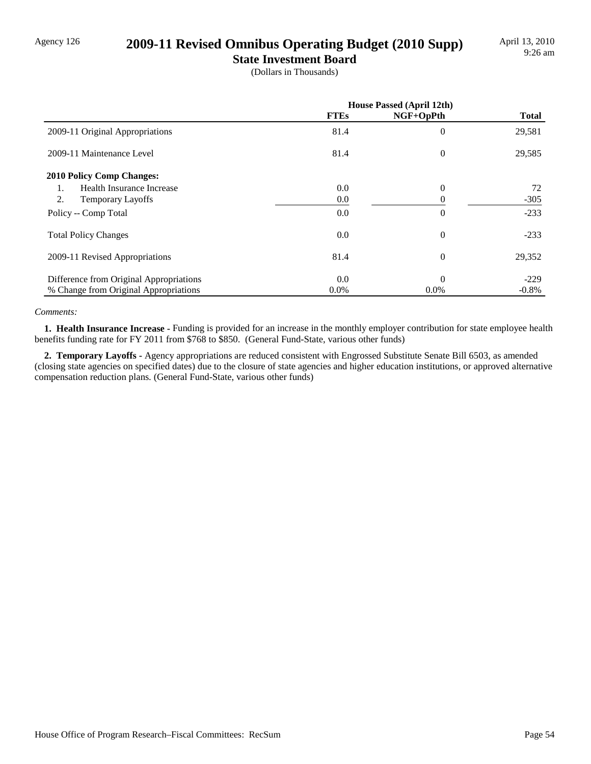### Agency 126 **2009-11 Revised Omnibus Operating Budget (2010 Supp)**

**State Investment Board**

(Dollars in Thousands)

|                                         | <b>House Passed (April 12th)</b> |           |              |
|-----------------------------------------|----------------------------------|-----------|--------------|
|                                         | <b>FTEs</b>                      | NGF+OpPth | <b>Total</b> |
| 2009-11 Original Appropriations         | 81.4                             | $\theta$  | 29,581       |
| 2009-11 Maintenance Level               | 81.4                             | $\theta$  | 29,585       |
| <b>2010 Policy Comp Changes:</b>        |                                  |           |              |
| Health Insurance Increase<br>1.         | 0.0                              | $\Omega$  | 72           |
| 2.<br><b>Temporary Layoffs</b>          | 0.0                              | $\Omega$  | $-305$       |
| Policy -- Comp Total                    | 0.0                              | $\theta$  | $-233$       |
| <b>Total Policy Changes</b>             | 0.0                              | $\theta$  | $-233$       |
| 2009-11 Revised Appropriations          | 81.4                             | $\theta$  | 29,352       |
| Difference from Original Appropriations | 0.0                              | $\Omega$  | $-229$       |
| % Change from Original Appropriations   | $0.0\%$                          | $0.0\%$   | $-0.8\%$     |

#### *Comments:*

 **1. Health Insurance Increase -** Funding is provided for an increase in the monthly employer contribution for state employee health benefits funding rate for FY 2011 from \$768 to \$850. (General Fund-State, various other funds)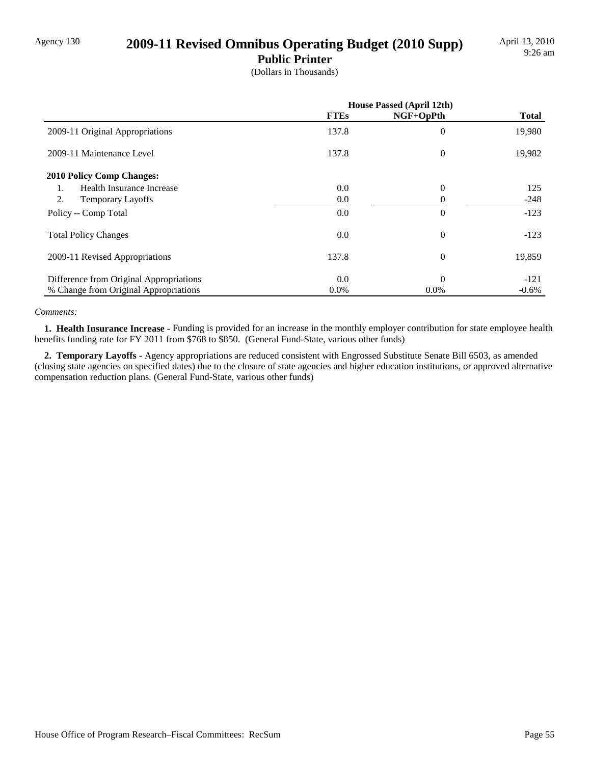### Agency 130 **2009-11 Revised Omnibus Operating Budget (2010 Supp)**

**Public Printer**

(Dollars in Thousands)

|                                         | <b>House Passed (April 12th)</b> |                |              |
|-----------------------------------------|----------------------------------|----------------|--------------|
|                                         | <b>FTEs</b>                      | NGF+OpPth      | <b>Total</b> |
| 2009-11 Original Appropriations         | 137.8                            | $\theta$       | 19,980       |
| 2009-11 Maintenance Level               | 137.8                            | $\theta$       | 19,982       |
| <b>2010 Policy Comp Changes:</b>        |                                  |                |              |
| <b>Health Insurance Increase</b><br>1.  | 0.0                              | $\theta$       | 125          |
| 2.<br><b>Temporary Layoffs</b>          | 0.0                              |                | $-248$       |
| Policy -- Comp Total                    | 0.0                              | $\theta$       | $-123$       |
| <b>Total Policy Changes</b>             | 0.0                              | $\overline{0}$ | $-123$       |
| 2009-11 Revised Appropriations          | 137.8                            | $\theta$       | 19,859       |
| Difference from Original Appropriations | 0.0                              | $\Omega$       | $-121$       |
| % Change from Original Appropriations   | $0.0\%$                          | $0.0\%$        | $-0.6%$      |

#### *Comments:*

 **1. Health Insurance Increase -** Funding is provided for an increase in the monthly employer contribution for state employee health benefits funding rate for FY 2011 from \$768 to \$850. (General Fund-State, various other funds)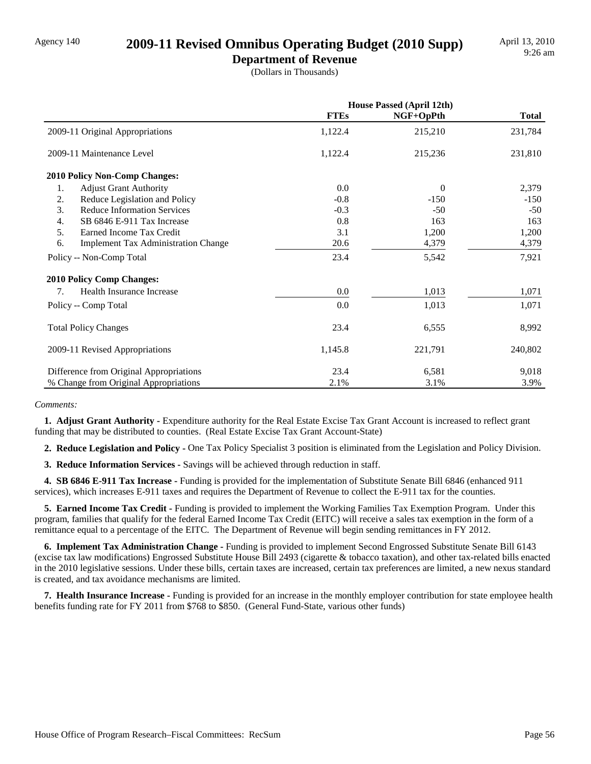### Agency 140 **2009-11 Revised Omnibus Operating Budget (2010 Supp)**

**Department of Revenue** (Dollars in Thousands)

|                                                  | House Passed (April 12th) |           |              |
|--------------------------------------------------|---------------------------|-----------|--------------|
|                                                  | <b>FTEs</b>               | NGF+OpPth | <b>Total</b> |
| 2009-11 Original Appropriations                  | 1,122.4                   | 215,210   | 231,784      |
| 2009-11 Maintenance Level                        | 1,122.4                   | 215,236   | 231,810      |
| 2010 Policy Non-Comp Changes:                    |                           |           |              |
| 1.<br><b>Adjust Grant Authority</b>              | 0.0                       | $\Omega$  | 2,379        |
| Reduce Legislation and Policy<br>2.              | $-0.8$                    | $-150$    | $-150$       |
| 3.<br><b>Reduce Information Services</b>         | $-0.3$                    | $-50$     | $-50$        |
| SB 6846 E-911 Tax Increase<br>4.                 | 0.8                       | 163       | 163          |
| 5.<br>Earned Income Tax Credit                   | 3.1                       | 1,200     | 1,200        |
| 6.<br><b>Implement Tax Administration Change</b> | 20.6                      | 4,379     | 4,379        |
| Policy -- Non-Comp Total                         | 23.4                      | 5,542     | 7,921        |
| <b>2010 Policy Comp Changes:</b>                 |                           |           |              |
| Health Insurance Increase<br>7.                  | 0.0                       | 1,013     | 1,071        |
| Policy -- Comp Total                             | 0.0                       | 1,013     | 1,071        |
| <b>Total Policy Changes</b>                      | 23.4                      | 6,555     | 8,992        |
| 2009-11 Revised Appropriations                   | 1,145.8                   | 221,791   | 240,802      |
| Difference from Original Appropriations          | 23.4                      | 6,581     | 9,018        |
| % Change from Original Appropriations            | 2.1%                      | 3.1%      | 3.9%         |

#### *Comments:*

 **1. Adjust Grant Authority -** Expenditure authority for the Real Estate Excise Tax Grant Account is increased to reflect grant funding that may be distributed to counties. (Real Estate Excise Tax Grant Account-State)

 **2. Reduce Legislation and Policy -** One Tax Policy Specialist 3 position is eliminated from the Legislation and Policy Division.

 **3. Reduce Information Services -** Savings will be achieved through reduction in staff.

 **4. SB 6846 E-911 Tax Increase -** Funding is provided for the implementation of Substitute Senate Bill 6846 (enhanced 911 services), which increases E-911 taxes and requires the Department of Revenue to collect the E-911 tax for the counties.

**5. Earned Income Tax Credit - Funding is provided to implement the Working Families Tax Exemption Program. Under this** program, families that qualify for the federal Earned Income Tax Credit (EITC) will receive a sales tax exemption in the form of a remittance equal to a percentage of the EITC. The Department of Revenue will begin sending remittances in FY 2012.

 **6. Implement Tax Administration Change -** Funding is provided to implement Second Engrossed Substitute Senate Bill 6143 (excise tax law modifications) Engrossed Substitute House Bill 2493 (cigarette & tobacco taxation), and other tax-related bills enacted in the 2010 legislative sessions. Under these bills, certain taxes are increased, certain tax preferences are limited, a new nexus standard is created, and tax avoidance mechanisms are limited.

 **7. Health Insurance Increase -** Funding is provided for an increase in the monthly employer contribution for state employee health benefits funding rate for FY 2011 from \$768 to \$850. (General Fund-State, various other funds)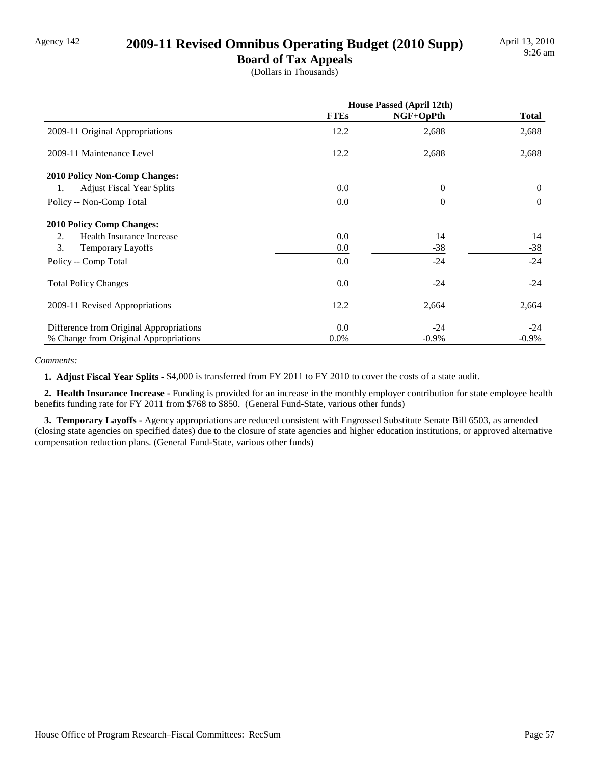### Agency 142 **2009-11 Revised Omnibus Operating Budget (2010 Supp)**

**Board of Tax Appeals** (Dollars in Thousands)

|                                         | <b>House Passed (April 12th)</b> |                |              |
|-----------------------------------------|----------------------------------|----------------|--------------|
|                                         | <b>FTEs</b>                      | NGF+OpPth      | <b>Total</b> |
| 2009-11 Original Appropriations         | 12.2                             | 2,688          | 2,688        |
| 2009-11 Maintenance Level               | 12.2                             | 2,688          | 2,688        |
| 2010 Policy Non-Comp Changes:           |                                  |                |              |
| <b>Adjust Fiscal Year Splits</b><br>1.  | 0.0                              | $\overline{0}$ | $\theta$     |
| Policy -- Non-Comp Total                | 0.0                              | $\Omega$       | $\Omega$     |
| <b>2010 Policy Comp Changes:</b>        |                                  |                |              |
| Health Insurance Increase<br>2.         | 0.0                              | 14             | 14           |
| 3.<br><b>Temporary Layoffs</b>          | 0.0                              | $-38$          | $-38$        |
| Policy -- Comp Total                    | 0.0                              | $-24$          | $-24$        |
| <b>Total Policy Changes</b>             | 0.0                              | $-24$          | $-24$        |
| 2009-11 Revised Appropriations          | 12.2                             | 2,664          | 2,664        |
| Difference from Original Appropriations | 0.0                              | $-24$          | $-24$        |
| % Change from Original Appropriations   | $0.0\%$                          | $-0.9\%$       | $-0.9\%$     |

#### *Comments:*

 **1. Adjust Fiscal Year Splits -** \$4,000 is transferred from FY 2011 to FY 2010 to cover the costs of a state audit.

 **2. Health Insurance Increase -** Funding is provided for an increase in the monthly employer contribution for state employee health benefits funding rate for FY 2011 from \$768 to \$850. (General Fund-State, various other funds)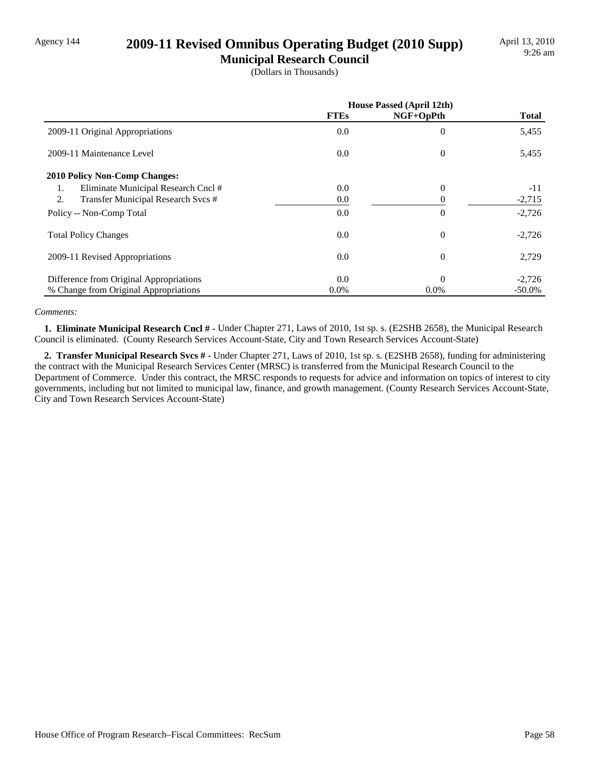### Agency 144 **2009-11 Revised Omnibus Operating Budget (2010 Supp)**

**Municipal Research Council** (Dollars in Thousands)

|                                           | <b>House Passed (April 12th)</b> |             |              |
|-------------------------------------------|----------------------------------|-------------|--------------|
|                                           | <b>FTEs</b>                      | $NGF+OpPth$ | <b>Total</b> |
| 2009-11 Original Appropriations           | 0.0                              | $\theta$    | 5,455        |
| 2009-11 Maintenance Level                 | 0.0                              | $\theta$    | 5,455        |
| <b>2010 Policy Non-Comp Changes:</b>      |                                  |             |              |
| Eliminate Municipal Research Cncl #<br>1. | 0.0                              | $\Omega$    | $-11$        |
| 2.<br>Transfer Municipal Research Svcs #  | 0.0                              |             | $-2,715$     |
| Policy -- Non-Comp Total                  | 0.0                              | $\theta$    | $-2,726$     |
| <b>Total Policy Changes</b>               | 0.0                              | $\theta$    | $-2,726$     |
| 2009-11 Revised Appropriations            | 0.0                              | $\Omega$    | 2,729        |
| Difference from Original Appropriations   | 0.0                              | $\Omega$    | $-2,726$     |
| % Change from Original Appropriations     | $0.0\%$                          | 0.0%        | $-50.0\%$    |

#### *Comments:*

 **1. Eliminate Municipal Research Cncl # -** Under Chapter 271, Laws of 2010, 1st sp. s. (E2SHB 2658), the Municipal Research Council is eliminated. (County Research Services Account-State, City and Town Research Services Account-State)

 **2. Transfer Municipal Research Svcs # -** Under Chapter 271, Laws of 2010, 1st sp. s. (E2SHB 2658), funding for administering the contract with the Municipal Research Services Center (MRSC) is transferred from the Municipal Research Council to the Department of Commerce. Under this contract, the MRSC responds to requests for advice and information on topics of interest to city governments, including but not limited to municipal law, finance, and growth management. (County Research Services Account-State, City and Town Research Services Account-State)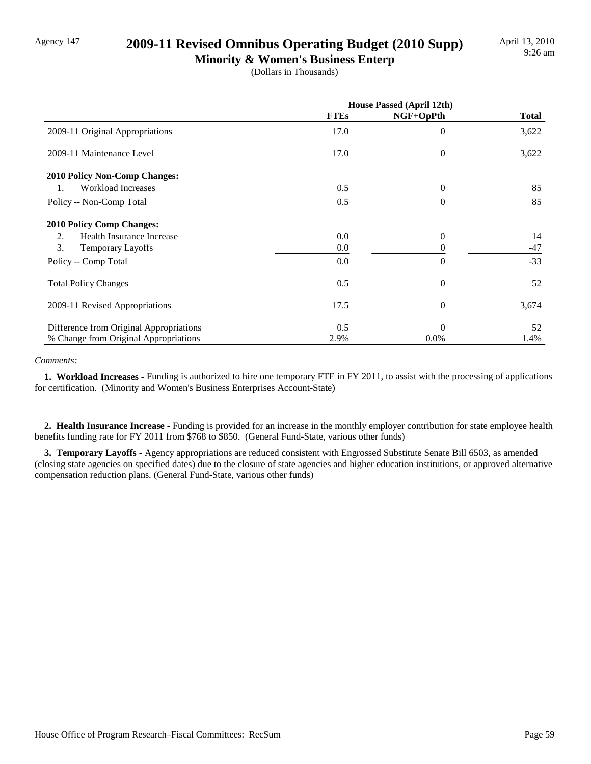### Agency 147 **2009-11 Revised Omnibus Operating Budget (2010 Supp)**

**Minority & Women's Business Enterp** (Dollars in Thousands)

|                                         | <b>House Passed (April 12th)</b> |                  |              |
|-----------------------------------------|----------------------------------|------------------|--------------|
|                                         | <b>FTEs</b>                      | NGF+OpPth        | <b>Total</b> |
| 2009-11 Original Appropriations         | 17.0                             | $\boldsymbol{0}$ | 3,622        |
| 2009-11 Maintenance Level               | 17.0                             | $\theta$         | 3,622        |
| 2010 Policy Non-Comp Changes:           |                                  |                  |              |
| <b>Workload Increases</b><br>1.         | 0.5                              | $\Omega$         | 85           |
| Policy -- Non-Comp Total                | 0.5                              | $\Omega$         | 85           |
| <b>2010 Policy Comp Changes:</b>        |                                  |                  |              |
| Health Insurance Increase<br>2.         | 0.0                              | $\theta$         | 14           |
| 3.<br><b>Temporary Layoffs</b>          | 0.0                              | 0                | $-47$        |
| Policy -- Comp Total                    | 0.0                              | $\theta$         | $-33$        |
| <b>Total Policy Changes</b>             | 0.5                              | $\theta$         | 52           |
| 2009-11 Revised Appropriations          | 17.5                             | $\theta$         | 3,674        |
| Difference from Original Appropriations | 0.5                              | $\Omega$         | 52           |
| % Change from Original Appropriations   | 2.9%                             | 0.0%             | 1.4%         |

#### *Comments:*

 **1. Workload Increases -** Funding is authorized to hire one temporary FTE in FY 2011, to assist with the processing of applications for certification. (Minority and Women's Business Enterprises Account-State)

 **2. Health Insurance Increase -** Funding is provided for an increase in the monthly employer contribution for state employee health benefits funding rate for FY 2011 from \$768 to \$850. (General Fund-State, various other funds)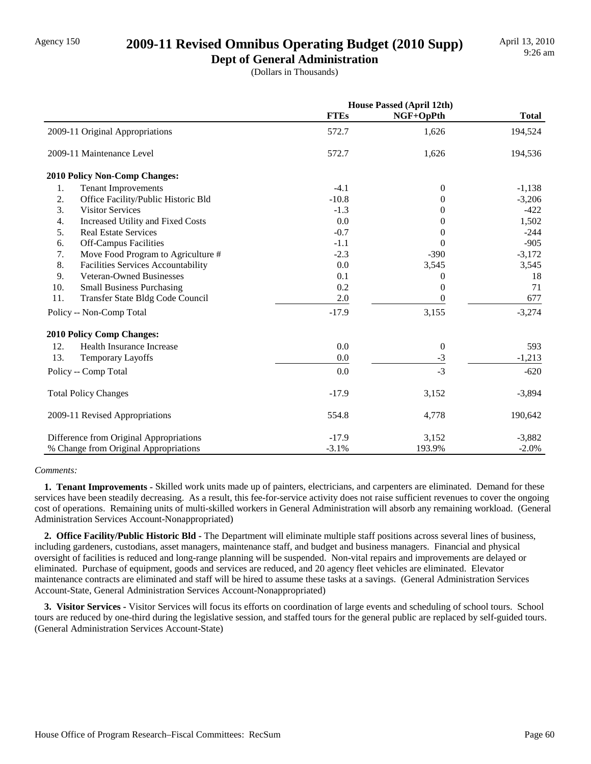### Agency 150 **2009-11 Revised Omnibus Operating Budget (2010 Supp)**

**Dept of General Administration** (Dollars in Thousands)

|                                           |             | <b>House Passed (April 12th)</b> |              |
|-------------------------------------------|-------------|----------------------------------|--------------|
|                                           | <b>FTEs</b> | NGF+OpPth                        | <b>Total</b> |
| 2009-11 Original Appropriations           | 572.7       | 1,626                            | 194,524      |
| 2009-11 Maintenance Level                 | 572.7       | 1,626                            | 194,536      |
| <b>2010 Policy Non-Comp Changes:</b>      |             |                                  |              |
| <b>Tenant Improvements</b><br>1.          | $-4.1$      | $\overline{0}$                   | $-1,138$     |
| 2.<br>Office Facility/Public Historic Bld | $-10.8$     | 0                                | $-3,206$     |
| 3.<br><b>Visitor Services</b>             | $-1.3$      | 0                                | $-422$       |
| 4.<br>Increased Utility and Fixed Costs   | 0.0         | 0                                | 1,502        |
| 5.<br><b>Real Estate Services</b>         | $-0.7$      | $\Omega$                         | $-244$       |
| 6.<br><b>Off-Campus Facilities</b>        | $-1.1$      | $\Omega$                         | $-905$       |
| 7.<br>Move Food Program to Agriculture #  | $-2.3$      | $-390$                           | $-3,172$     |
| 8.<br>Facilities Services Accountability  | 0.0         | 3,545                            | 3,545        |
| Veteran-Owned Businesses<br>9.            | 0.1         | 0                                | 18           |
| 10.<br><b>Small Business Purchasing</b>   | 0.2         | $\Omega$                         | 71           |
| 11.<br>Transfer State Bldg Code Council   | 2.0         | $\Omega$                         | 677          |
| Policy -- Non-Comp Total                  | $-17.9$     | 3,155                            | $-3,274$     |
| <b>2010 Policy Comp Changes:</b>          |             |                                  |              |
| 12.<br>Health Insurance Increase          | 0.0         | $\boldsymbol{0}$                 | 593          |
| 13.<br><b>Temporary Layoffs</b>           | 0.0         | $\frac{-3}{2}$                   | $-1,213$     |
| Policy -- Comp Total                      | 0.0         | $-3$                             | $-620$       |
| <b>Total Policy Changes</b>               | $-17.9$     | 3,152                            | $-3,894$     |
| 2009-11 Revised Appropriations            | 554.8       | 4,778                            | 190,642      |
| Difference from Original Appropriations   | $-17.9$     | 3,152                            | $-3,882$     |
| % Change from Original Appropriations     | $-3.1%$     | 193.9%                           | $-2.0\%$     |

#### *Comments:*

 **1. Tenant Improvements -** Skilled work units made up of painters, electricians, and carpenters are eliminated. Demand for these services have been steadily decreasing. As a result, this fee-for-service activity does not raise sufficient revenues to cover the ongoing cost of operations. Remaining units of multi-skilled workers in General Administration will absorb any remaining workload. (General Administration Services Account-Nonappropriated)

 **2. Office Facility/Public Historic Bld -** The Department will eliminate multiple staff positions across several lines of business, including gardeners, custodians, asset managers, maintenance staff, and budget and business managers. Financial and physical oversight of facilities is reduced and long-range planning will be suspended. Non-vital repairs and improvements are delayed or eliminated. Purchase of equipment, goods and services are reduced, and 20 agency fleet vehicles are eliminated. Elevator maintenance contracts are eliminated and staff will be hired to assume these tasks at a savings. (General Administration Services Account-State, General Administration Services Account-Nonappropriated)

 **3. Visitor Services -** Visitor Services will focus its efforts on coordination of large events and scheduling of school tours. School tours are reduced by one-third during the legislative session, and staffed tours for the general public are replaced by self-guided tours. (General Administration Services Account-State)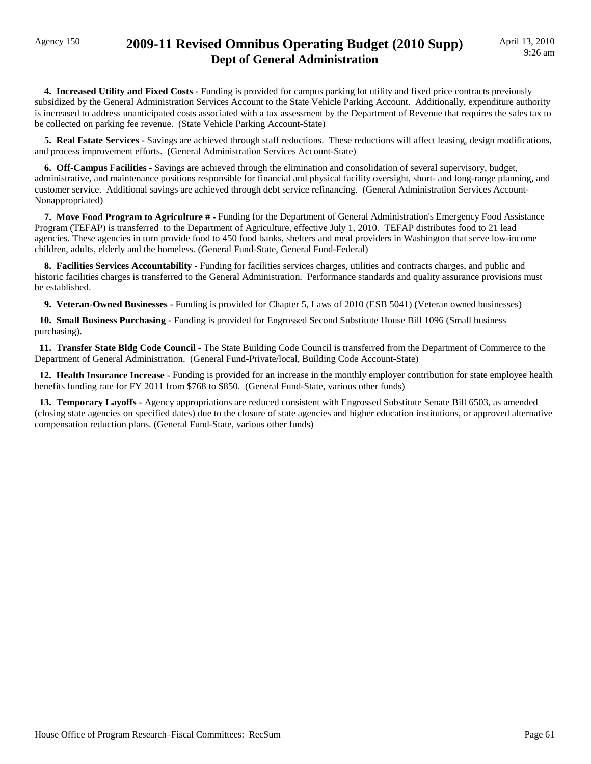### Agency 150 **2009-11 Revised Omnibus Operating Budget (2010 Supp) Dept of General Administration**

 **4. Increased Utility and Fixed Costs -** Funding is provided for campus parking lot utility and fixed price contracts previously subsidized by the General Administration Services Account to the State Vehicle Parking Account. Additionally, expenditure authority is increased to address unanticipated costs associated with a tax assessment by the Department of Revenue that requires the sales tax to be collected on parking fee revenue. (State Vehicle Parking Account-State)

 **5. Real Estate Services -** Savings are achieved through staff reductions. These reductions will affect leasing, design modifications, and process improvement efforts. (General Administration Services Account-State)

 **6. Off-Campus Facilities -** Savings are achieved through the elimination and consolidation of several supervisory, budget, administrative, and maintenance positions responsible for financial and physical facility oversight, short- and long-range planning, and customer service. Additional savings are achieved through debt service refinancing. (General Administration Services Account-Nonappropriated)

 **7. Move Food Program to Agriculture # -** Funding for the Department of General Administration's Emergency Food Assistance Program (TEFAP) is transferred to the Department of Agriculture, effective July 1, 2010. TEFAP distributes food to 21 lead agencies. These agencies in turn provide food to 450 food banks, shelters and meal providers in Washington that serve low-income children, adults, elderly and the homeless. (General Fund-State, General Fund-Federal)

 **8. Facilities Services Accountability -** Funding for facilities services charges, utilities and contracts charges, and public and historic facilities charges is transferred to the General Administration. Performance standards and quality assurance provisions must be established.

 **9. Veteran-Owned Businesses -** Funding is provided for Chapter 5, Laws of 2010 (ESB 5041) (Veteran owned businesses)

 **10. Small Business Purchasing -** Funding is provided for Engrossed Second Substitute House Bill 1096 (Small business purchasing).

 **11. Transfer State Bldg Code Council -** The State Building Code Council is transferred from the Department of Commerce to the Department of General Administration. (General Fund-Private/local, Building Code Account-State)

 **12. Health Insurance Increase -** Funding is provided for an increase in the monthly employer contribution for state employee health benefits funding rate for FY 2011 from \$768 to \$850. (General Fund-State, various other funds)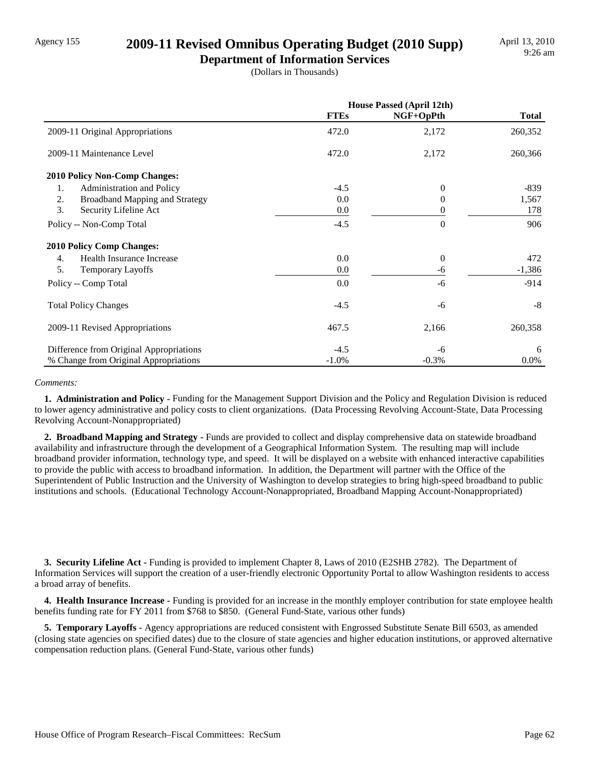### Agency 155 **2009-11 Revised Omnibus Operating Budget (2010 Supp)**

**Department of Information Services** (Dollars in Thousands)

|                                             | <b>House Passed (April 12th)</b> |           |              |
|---------------------------------------------|----------------------------------|-----------|--------------|
|                                             | <b>FTEs</b>                      | NGF+OpPth | <b>Total</b> |
| 2009-11 Original Appropriations             | 472.0                            | 2,172     | 260,352      |
| 2009-11 Maintenance Level                   | 472.0                            | 2,172     | 260,366      |
| <b>2010 Policy Non-Comp Changes:</b>        |                                  |           |              |
| Administration and Policy<br>1.             | $-4.5$                           | $\Omega$  | $-839$       |
| <b>Broadband Mapping and Strategy</b><br>2. | 0.0                              | 0         | 1,567        |
| 3.<br>Security Lifeline Act                 | 0.0                              | 0         | 178          |
| Policy -- Non-Comp Total                    | $-4.5$                           | $\Omega$  | 906          |
| <b>2010 Policy Comp Changes:</b>            |                                  |           |              |
| Health Insurance Increase<br>4.             | $0.0\,$                          | $\theta$  | 472          |
| 5.<br><b>Temporary Layoffs</b>              | 0.0                              | -6        | $-1,386$     |
| Policy -- Comp Total                        | 0.0                              | -6        | $-914$       |
| <b>Total Policy Changes</b>                 | $-4.5$                           | -6        | $-8$         |
| 2009-11 Revised Appropriations              | 467.5                            | 2,166     | 260,358      |
| Difference from Original Appropriations     | $-4.5$                           | -6        | 6            |
| % Change from Original Appropriations       | $-1.0%$                          | $-0.3%$   | 0.0%         |

#### *Comments:*

 **1. Administration and Policy -** Funding for the Management Support Division and the Policy and Regulation Division is reduced to lower agency administrative and policy costs to client organizations. (Data Processing Revolving Account-State, Data Processing Revolving Account-Nonappropriated)

 **2. Broadband Mapping and Strategy -** Funds are provided to collect and display comprehensive data on statewide broadband availability and infrastructure through the development of a Geographical Information System. The resulting map will include broadband provider information, technology type, and speed. It will be displayed on a website with enhanced interactive capabilities to provide the public with access to broadband information. In addition, the Department will partner with the Office of the Superintendent of Public Instruction and the University of Washington to develop strategies to bring high-speed broadband to public institutions and schools. (Educational Technology Account-Nonappropriated, Broadband Mapping Account-Nonappropriated)

 **3. Security Lifeline Act -** Funding is provided to implement Chapter 8, Laws of 2010 (E2SHB 2782). The Department of Information Services will support the creation of a user-friendly electronic Opportunity Portal to allow Washington residents to access a broad array of benefits.

 **4. Health Insurance Increase -** Funding is provided for an increase in the monthly employer contribution for state employee health benefits funding rate for FY 2011 from \$768 to \$850. (General Fund-State, various other funds)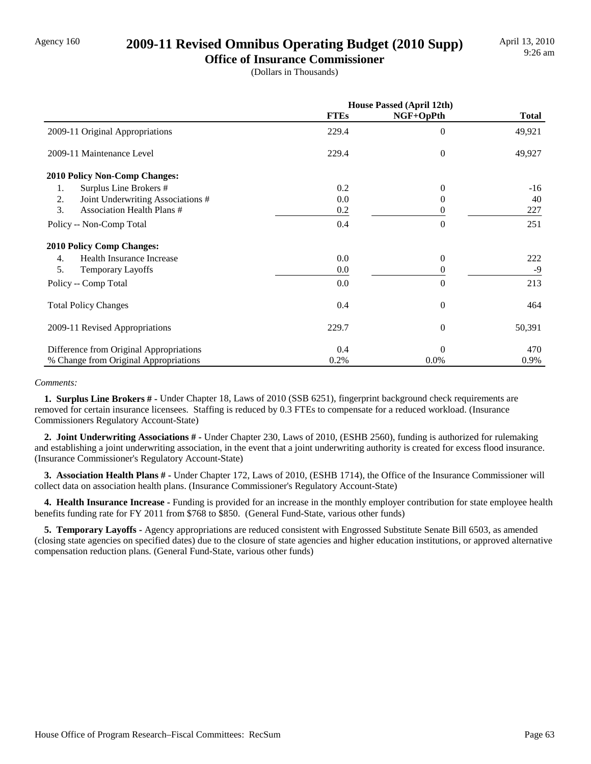### Agency 160 **2009-11 Revised Omnibus Operating Budget (2010 Supp)**

**Office of Insurance Commissioner** (Dollars in Thousands)

|                                         | House Passed (April 12th) |           |              |
|-----------------------------------------|---------------------------|-----------|--------------|
|                                         | <b>FTEs</b>               | NGF+OpPth | <b>Total</b> |
| 2009-11 Original Appropriations         | 229.4                     | $\Omega$  | 49,921       |
| 2009-11 Maintenance Level               | 229.4                     | $\Omega$  | 49,927       |
| 2010 Policy Non-Comp Changes:           |                           |           |              |
| Surplus Line Brokers #<br>1.            | 0.2                       | 0         | $-16$        |
| Joint Underwriting Associations #<br>2. | 0.0                       | 0         | 40           |
| 3.<br><b>Association Health Plans #</b> | 0.2                       | 0         | 227          |
| Policy -- Non-Comp Total                | 0.4                       | $\Omega$  | 251          |
| <b>2010 Policy Comp Changes:</b>        |                           |           |              |
| Health Insurance Increase<br>4.         | 0.0                       | $\theta$  | 222          |
| 5.<br><b>Temporary Layoffs</b>          | 0.0                       | 0         | $-9$         |
| Policy -- Comp Total                    | 0.0                       | $\theta$  | 213          |
| <b>Total Policy Changes</b>             | 0.4                       | $\theta$  | 464          |
| 2009-11 Revised Appropriations          | 229.7                     | $\theta$  | 50,391       |
| Difference from Original Appropriations | 0.4                       | $\Omega$  | 470          |
| % Change from Original Appropriations   | 0.2%                      | 0.0%      | 0.9%         |

#### *Comments:*

 **1. Surplus Line Brokers # -** Under Chapter 18, Laws of 2010 (SSB 6251), fingerprint background check requirements are removed for certain insurance licensees. Staffing is reduced by 0.3 FTEs to compensate for a reduced workload. (Insurance Commissioners Regulatory Account-State)

 **2. Joint Underwriting Associations # -** Under Chapter 230, Laws of 2010, (ESHB 2560), funding is authorized for rulemaking and establishing a joint underwriting association, in the event that a joint underwriting authority is created for excess flood insurance. (Insurance Commissioner's Regulatory Account-State)

 **3. Association Health Plans # -** Under Chapter 172, Laws of 2010, (ESHB 1714), the Office of the Insurance Commissioner will collect data on association health plans. (Insurance Commissioner's Regulatory Account-State)

 **4. Health Insurance Increase -** Funding is provided for an increase in the monthly employer contribution for state employee health benefits funding rate for FY 2011 from \$768 to \$850. (General Fund-State, various other funds)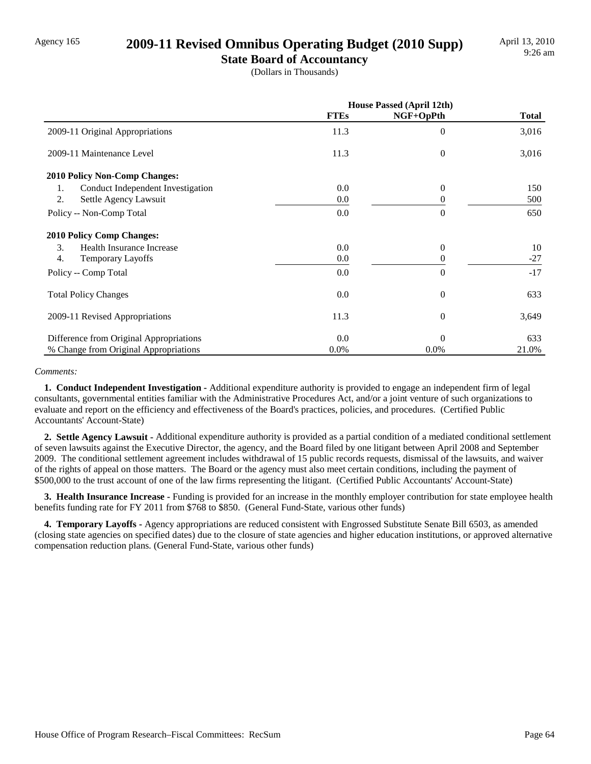### Agency 165 **2009-11 Revised Omnibus Operating Budget (2010 Supp)**

**State Board of Accountancy** (Dollars in Thousands)

|                                         | House Passed (April 12th) |           |              |
|-----------------------------------------|---------------------------|-----------|--------------|
|                                         | <b>FTEs</b>               | NGF+OpPth | <b>Total</b> |
| 2009-11 Original Appropriations         | 11.3                      | $\Omega$  | 3,016        |
| 2009-11 Maintenance Level               | 11.3                      | $\theta$  | 3,016        |
| 2010 Policy Non-Comp Changes:           |                           |           |              |
| Conduct Independent Investigation<br>1. | 0.0                       | $\Omega$  | 150          |
| 2.<br>Settle Agency Lawsuit             | 0.0                       | 0         | 500          |
| Policy -- Non-Comp Total                | 0.0                       | $\Omega$  | 650          |
| <b>2010 Policy Comp Changes:</b>        |                           |           |              |
| 3.<br>Health Insurance Increase         | 0.0                       | $\Omega$  | 10           |
| 4.<br><b>Temporary Layoffs</b>          | 0.0                       | 0         | $-27$        |
| Policy -- Comp Total                    | 0.0                       | $\Omega$  | $-17$        |
| <b>Total Policy Changes</b>             | 0.0                       | $\Omega$  | 633          |
| 2009-11 Revised Appropriations          | 11.3                      | $\theta$  | 3,649        |
| Difference from Original Appropriations | 0.0                       | $\Omega$  | 633          |
| % Change from Original Appropriations   | 0.0%                      | 0.0%      | 21.0%        |

#### *Comments:*

 **1. Conduct Independent Investigation -** Additional expenditure authority is provided to engage an independent firm of legal consultants, governmental entities familiar with the Administrative Procedures Act, and/or a joint venture of such organizations to evaluate and report on the efficiency and effectiveness of the Board's practices, policies, and procedures. (Certified Public Accountants' Account-State)

 **2. Settle Agency Lawsuit -** Additional expenditure authority is provided as a partial condition of a mediated conditional settlement of seven lawsuits against the Executive Director, the agency, and the Board filed by one litigant between April 2008 and September 2009. The conditional settlement agreement includes withdrawal of 15 public records requests, dismissal of the lawsuits, and waiver of the rights of appeal on those matters. The Board or the agency must also meet certain conditions, including the payment of \$500,000 to the trust account of one of the law firms representing the litigant. (Certified Public Accountants' Account-State)

 **3. Health Insurance Increase -** Funding is provided for an increase in the monthly employer contribution for state employee health benefits funding rate for FY 2011 from \$768 to \$850. (General Fund-State, various other funds)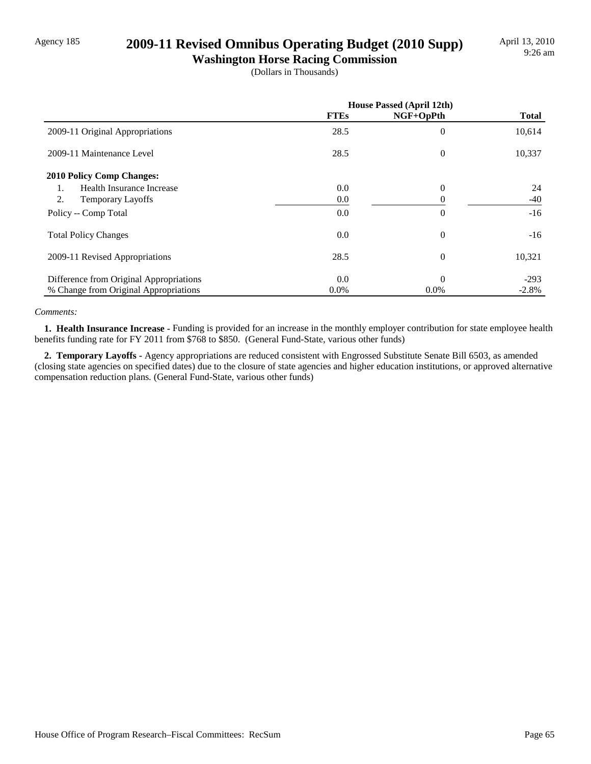### Agency 185 **2009-11 Revised Omnibus Operating Budget (2010 Supp)**

**Washington Horse Racing Commission** (Dollars in Thousands)

|                                         | <b>House Passed (April 12th)</b> |           |              |
|-----------------------------------------|----------------------------------|-----------|--------------|
|                                         | <b>FTEs</b>                      | NGF+OpPth | <b>Total</b> |
| 2009-11 Original Appropriations         | 28.5                             | $\theta$  | 10,614       |
| 2009-11 Maintenance Level               | 28.5                             | $\theta$  | 10,337       |
| 2010 Policy Comp Changes:               |                                  |           |              |
| Health Insurance Increase<br>1.         | 0.0                              | $\theta$  | 24           |
| 2.<br><b>Temporary Layoffs</b>          | 0.0                              |           | -40          |
| Policy -- Comp Total                    | 0.0                              | $\theta$  | $-16$        |
| <b>Total Policy Changes</b>             | 0.0                              | $\theta$  | $-16$        |
| 2009-11 Revised Appropriations          | 28.5                             | $\Omega$  | 10,321       |
| Difference from Original Appropriations | 0.0                              | $\Omega$  | $-293$       |
| % Change from Original Appropriations   | $0.0\%$                          | $0.0\%$   | $-2.8%$      |

#### *Comments:*

 **1. Health Insurance Increase -** Funding is provided for an increase in the monthly employer contribution for state employee health benefits funding rate for FY 2011 from \$768 to \$850. (General Fund-State, various other funds)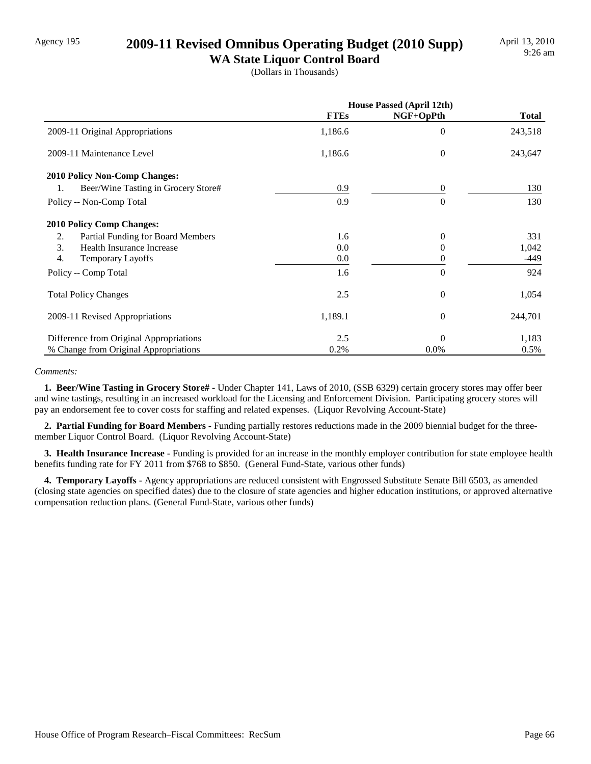### Agency 195 **2009-11 Revised Omnibus Operating Budget (2010 Supp)**

**WA State Liquor Control Board** (Dollars in Thousands)

|                                           | <b>House Passed (April 12th)</b> |           |              |
|-------------------------------------------|----------------------------------|-----------|--------------|
|                                           | <b>FTEs</b>                      | NGF+OpPth | <b>Total</b> |
| 2009-11 Original Appropriations           | 1,186.6                          | $\Omega$  | 243,518      |
| 2009-11 Maintenance Level                 | 1,186.6                          | $\theta$  | 243,647      |
| 2010 Policy Non-Comp Changes:             |                                  |           |              |
| Beer/Wine Tasting in Grocery Store#<br>1. | 0.9                              | $\theta$  | 130          |
| Policy -- Non-Comp Total                  | 0.9                              | $\theta$  | 130          |
| <b>2010 Policy Comp Changes:</b>          |                                  |           |              |
| Partial Funding for Board Members<br>2.   | 1.6                              | $\theta$  | 331          |
| 3.<br>Health Insurance Increase           | 0.0                              | 0         | 1,042        |
| 4.<br><b>Temporary Layoffs</b>            | 0.0                              | 0         | -449         |
| Policy -- Comp Total                      | 1.6                              | $\Omega$  | 924          |
| <b>Total Policy Changes</b>               | 2.5                              | $\Omega$  | 1,054        |
| 2009-11 Revised Appropriations            | 1,189.1                          | $\theta$  | 244,701      |
| Difference from Original Appropriations   | 2.5                              | $\Omega$  | 1,183        |
| % Change from Original Appropriations     | 0.2%                             | 0.0%      | 0.5%         |

#### *Comments:*

 **1. Beer/Wine Tasting in Grocery Store# -** Under Chapter 141, Laws of 2010, (SSB 6329) certain grocery stores may offer beer and wine tastings, resulting in an increased workload for the Licensing and Enforcement Division. Participating grocery stores will pay an endorsement fee to cover costs for staffing and related expenses. (Liquor Revolving Account-State)

 **2. Partial Funding for Board Members -** Funding partially restores reductions made in the 2009 biennial budget for the threemember Liquor Control Board. (Liquor Revolving Account-State)

 **3. Health Insurance Increase -** Funding is provided for an increase in the monthly employer contribution for state employee health benefits funding rate for FY 2011 from \$768 to \$850. (General Fund-State, various other funds)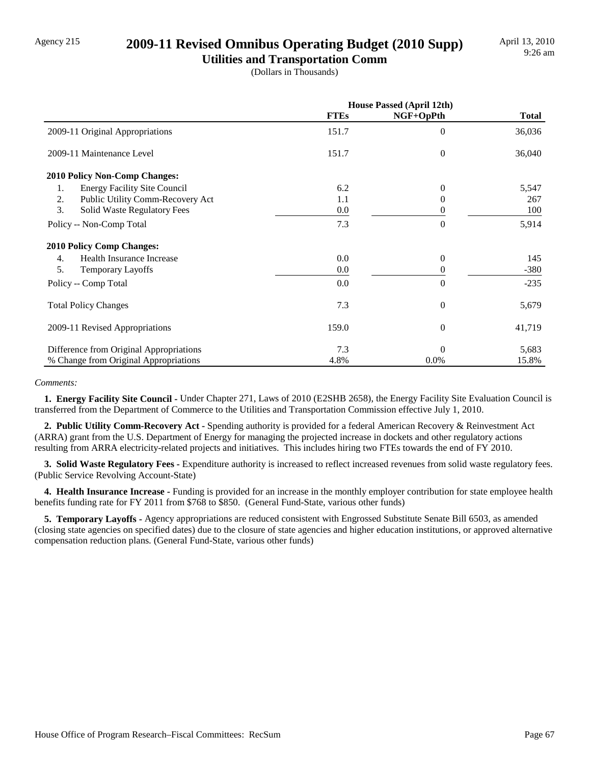## Agency 215 **2009-11 Revised Omnibus Operating Budget (2010 Supp)**

**Utilities and Transportation Comm** (Dollars in Thousands)

|                                           | <b>House Passed (April 12th)</b> |           |              |
|-------------------------------------------|----------------------------------|-----------|--------------|
|                                           | <b>FTEs</b>                      | NGF+OpPth | <b>Total</b> |
| 2009-11 Original Appropriations           | 151.7                            | $\Omega$  | 36,036       |
| 2009-11 Maintenance Level                 | 151.7                            | $\Omega$  | 36,040       |
| <b>2010 Policy Non-Comp Changes:</b>      |                                  |           |              |
| <b>Energy Facility Site Council</b><br>1. | 6.2                              | 0         | 5,547        |
| Public Utility Comm-Recovery Act<br>2.    | 1.1                              | 0         | 267          |
| 3.<br>Solid Waste Regulatory Fees         | 0.0                              | 0         | 100          |
| Policy -- Non-Comp Total                  | 7.3                              | $\theta$  | 5,914        |
| <b>2010 Policy Comp Changes:</b>          |                                  |           |              |
| Health Insurance Increase<br>4.           | 0.0                              | $\theta$  | 145          |
| 5.<br><b>Temporary Layoffs</b>            | 0.0                              | 0         | $-380$       |
| Policy -- Comp Total                      | 0.0                              | $\theta$  | $-235$       |
| <b>Total Policy Changes</b>               | 7.3                              | $\theta$  | 5,679        |
| 2009-11 Revised Appropriations            | 159.0                            | $\theta$  | 41,719       |
| Difference from Original Appropriations   | 7.3                              | $\Omega$  | 5,683        |
| % Change from Original Appropriations     | 4.8%                             | 0.0%      | 15.8%        |

#### *Comments:*

 **1. Energy Facility Site Council -** Under Chapter 271, Laws of 2010 (E2SHB 2658), the Energy Facility Site Evaluation Council is transferred from the Department of Commerce to the Utilities and Transportation Commission effective July 1, 2010.

 **2. Public Utility Comm-Recovery Act -** Spending authority is provided for a federal American Recovery & Reinvestment Act (ARRA) grant from the U.S. Department of Energy for managing the projected increase in dockets and other regulatory actions resulting from ARRA electricity-related projects and initiatives. This includes hiring two FTEs towards the end of FY 2010.

 **3. Solid Waste Regulatory Fees -** Expenditure authority is increased to reflect increased revenues from solid waste regulatory fees. (Public Service Revolving Account-State)

 **4. Health Insurance Increase -** Funding is provided for an increase in the monthly employer contribution for state employee health benefits funding rate for FY 2011 from \$768 to \$850. (General Fund-State, various other funds)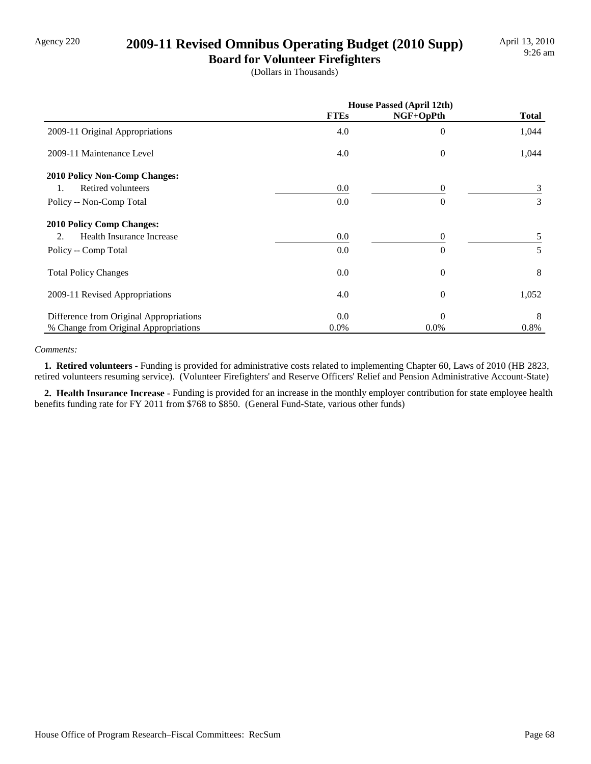### Agency 220 **2009-11 Revised Omnibus Operating Budget (2010 Supp)**

**Board for Volunteer Firefighters** (Dollars in Thousands)

|                                         | <b>House Passed (April 12th)</b> |           |              |
|-----------------------------------------|----------------------------------|-----------|--------------|
|                                         | <b>FTEs</b>                      | NGF+OpPth | <b>Total</b> |
| 2009-11 Original Appropriations         | 4.0                              | $\theta$  | 1,044        |
| 2009-11 Maintenance Level               | 4.0                              | $\theta$  | 1,044        |
| <b>2010 Policy Non-Comp Changes:</b>    |                                  |           |              |
| Retired volunteers<br>1.                | 0.0                              | 0         | 3            |
| Policy -- Non-Comp Total                | 0.0                              | $\Omega$  | 3            |
| <b>2010 Policy Comp Changes:</b>        |                                  |           |              |
| Health Insurance Increase<br>2.         | 0.0                              | $\Omega$  | 5            |
| Policy -- Comp Total                    | 0.0                              | $\Omega$  | 5            |
| <b>Total Policy Changes</b>             | 0.0                              | $\theta$  | 8            |
| 2009-11 Revised Appropriations          | 4.0                              | $\theta$  | 1,052        |
| Difference from Original Appropriations | 0.0                              | $\Omega$  | 8            |
| % Change from Original Appropriations   | 0.0%                             | $0.0\%$   | 0.8%         |

#### *Comments:*

 **1. Retired volunteers -** Funding is provided for administrative costs related to implementing Chapter 60, Laws of 2010 (HB 2823, retired volunteers resuming service). (Volunteer Firefighters' and Reserve Officers' Relief and Pension Administrative Account-State)

 **2. Health Insurance Increase -** Funding is provided for an increase in the monthly employer contribution for state employee health benefits funding rate for FY 2011 from \$768 to \$850. (General Fund-State, various other funds)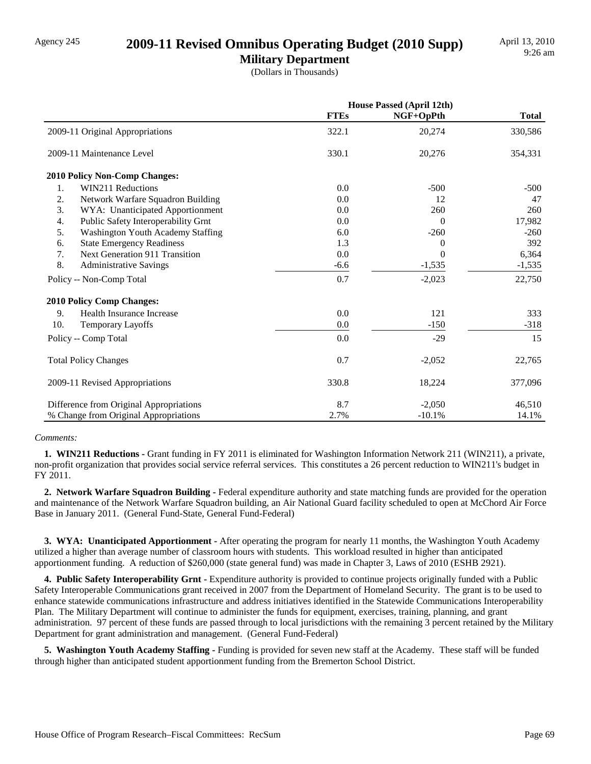### Agency 245 **2009-11 Revised Omnibus Operating Budget (2010 Supp)**

**Military Department** (Dollars in Thousands)

|                                             | <b>House Passed (April 12th)</b> |           |              |
|---------------------------------------------|----------------------------------|-----------|--------------|
|                                             | <b>FTEs</b>                      | NGF+OpPth | <b>Total</b> |
| 2009-11 Original Appropriations             | 322.1                            | 20,274    | 330,586      |
| 2009-11 Maintenance Level                   | 330.1                            | 20,276    | 354,331      |
| <b>2010 Policy Non-Comp Changes:</b>        |                                  |           |              |
| WIN211 Reductions<br>1.                     | 0.0                              | $-500$    | $-500$       |
| 2.<br>Network Warfare Squadron Building     | 0.0                              | 12        | 47           |
| 3.<br>WYA: Unanticipated Apportionment      | 0.0                              | 260       | 260          |
| Public Safety Interoperability Grnt<br>4.   | 0.0                              | 0         | 17,982       |
| 5.<br>Washington Youth Academy Staffing     | 6.0                              | $-260$    | $-260$       |
| 6.<br><b>State Emergency Readiness</b>      | 1.3                              | $\Omega$  | 392          |
| 7.<br><b>Next Generation 911 Transition</b> | 0.0                              | $\Omega$  | 6,364        |
| 8.<br><b>Administrative Savings</b>         | $-6.6$                           | $-1,535$  | $-1,535$     |
| Policy -- Non-Comp Total                    | 0.7                              | $-2,023$  | 22,750       |
| <b>2010 Policy Comp Changes:</b>            |                                  |           |              |
| 9.<br>Health Insurance Increase             | 0.0                              | 121       | 333          |
| 10.<br><b>Temporary Layoffs</b>             | 0.0                              | $-150$    | $-318$       |
| Policy -- Comp Total                        | 0.0                              | $-29$     | 15           |
| <b>Total Policy Changes</b>                 | 0.7                              | $-2,052$  | 22,765       |
| 2009-11 Revised Appropriations              | 330.8                            | 18,224    | 377,096      |
| Difference from Original Appropriations     | 8.7                              | $-2,050$  | 46,510       |
| % Change from Original Appropriations       | 2.7%                             | $-10.1%$  | 14.1%        |

#### *Comments:*

 **1. WIN211 Reductions -** Grant funding in FY 2011 is eliminated for Washington Information Network 211 (WIN211), a private, non-profit organization that provides social service referral services. This constitutes a 26 percent reduction to WIN211's budget in FY 2011.

 **2. Network Warfare Squadron Building -** Federal expenditure authority and state matching funds are provided for the operation and maintenance of the Network Warfare Squadron building, an Air National Guard facility scheduled to open at McChord Air Force Base in January 2011. (General Fund-State, General Fund-Federal)

 **3. WYA: Unanticipated Apportionment -** After operating the program for nearly 11 months, the Washington Youth Academy utilized a higher than average number of classroom hours with students. This workload resulted in higher than anticipated apportionment funding. A reduction of \$260,000 (state general fund) was made in Chapter 3, Laws of 2010 (ESHB 2921).

**4. Public Safety Interoperability Grnt -** Expenditure authority is provided to continue projects originally funded with a Public Safety Interoperable Communications grant received in 2007 from the Department of Homeland Security. The grant is to be used to enhance statewide communications infrastructure and address initiatives identified in the Statewide Communications Interoperability Plan. The Military Department will continue to administer the funds for equipment, exercises, training, planning, and grant administration. 97 percent of these funds are passed through to local jurisdictions with the remaining 3 percent retained by the Military Department for grant administration and management. (General Fund-Federal)

 **5. Washington Youth Academy Staffing -** Funding is provided for seven new staff at the Academy. These staff will be funded through higher than anticipated student apportionment funding from the Bremerton School District.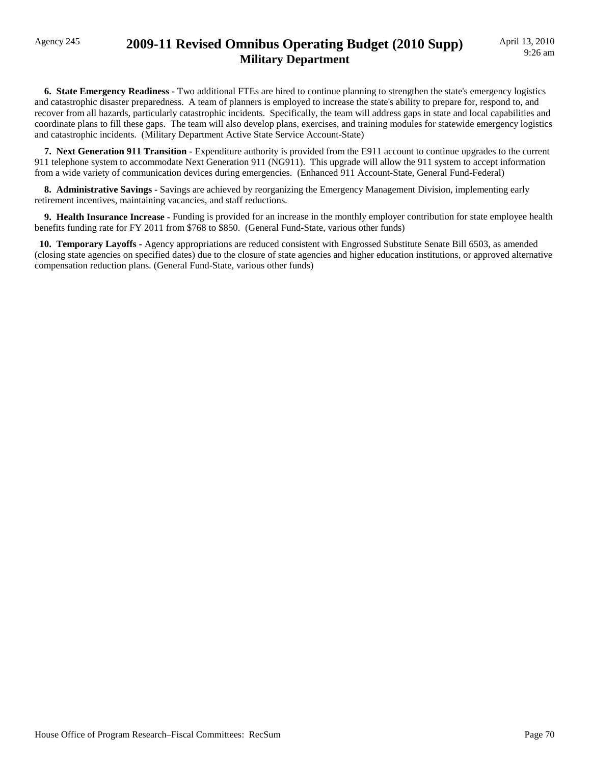### Agency 245 **2009-11 Revised Omnibus Operating Budget (2010 Supp) Military Department**

 **6. State Emergency Readiness -** Two additional FTEs are hired to continue planning to strengthen the state's emergency logistics and catastrophic disaster preparedness. A team of planners is employed to increase the state's ability to prepare for, respond to, and recover from all hazards, particularly catastrophic incidents. Specifically, the team will address gaps in state and local capabilities and coordinate plans to fill these gaps. The team will also develop plans, exercises, and training modules for statewide emergency logistics and catastrophic incidents. (Military Department Active State Service Account-State)

**7. Next Generation 911 Transition -** Expenditure authority is provided from the E911 account to continue upgrades to the current 911 telephone system to accommodate Next Generation 911 (NG911). This upgrade will allow the 911 system to accept information from a wide variety of communication devices during emergencies. (Enhanced 911 Account-State, General Fund-Federal)

 **8. Administrative Savings -** Savings are achieved by reorganizing the Emergency Management Division, implementing early retirement incentives, maintaining vacancies, and staff reductions.

 **9. Health Insurance Increase -** Funding is provided for an increase in the monthly employer contribution for state employee health benefits funding rate for FY 2011 from \$768 to \$850. (General Fund-State, various other funds)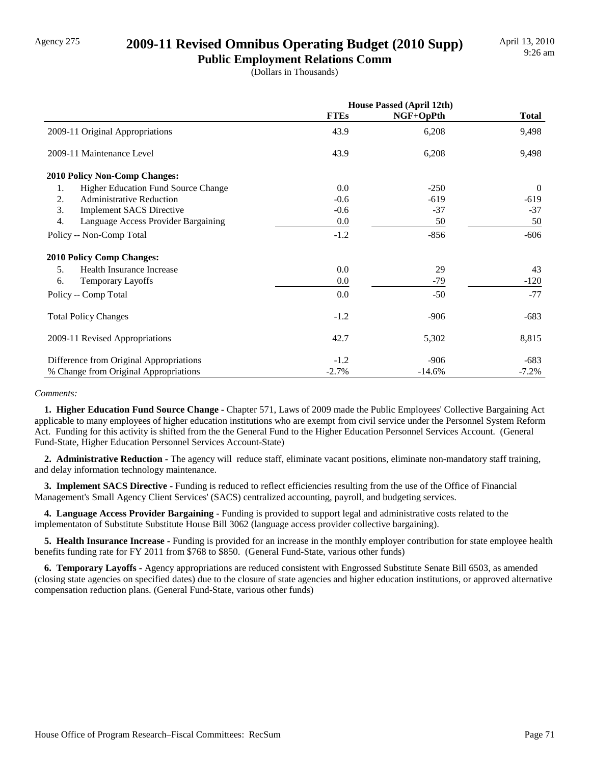## Agency 275 **2009-11 Revised Omnibus Operating Budget (2010 Supp)**

**Public Employment Relations Comm** (Dollars in Thousands)

|                                           | <b>House Passed (April 12th)</b> |           |                |
|-------------------------------------------|----------------------------------|-----------|----------------|
|                                           | <b>FTEs</b>                      | NGF+OpPth | <b>Total</b>   |
| 2009-11 Original Appropriations           | 43.9                             | 6,208     | 9,498          |
| 2009-11 Maintenance Level                 | 43.9                             | 6,208     | 9,498          |
| <b>2010 Policy Non-Comp Changes:</b>      |                                  |           |                |
| Higher Education Fund Source Change<br>1. | 0.0                              | $-250$    | $\overline{0}$ |
| 2.<br><b>Administrative Reduction</b>     | $-0.6$                           | $-619$    | $-619$         |
| 3.<br><b>Implement SACS Directive</b>     | $-0.6$                           | $-37$     | $-37$          |
| 4.<br>Language Access Provider Bargaining | 0.0                              | 50        | 50             |
| Policy -- Non-Comp Total                  | $-1.2$                           | $-856$    | $-606$         |
| <b>2010 Policy Comp Changes:</b>          |                                  |           |                |
| Health Insurance Increase<br>5.           | 0.0                              | 29        | 43             |
| <b>Temporary Layoffs</b><br>6.            | 0.0                              | $-79$     | $-120$         |
| Policy -- Comp Total                      | 0.0                              | $-50$     | $-77$          |
| <b>Total Policy Changes</b>               | $-1.2$                           | $-906$    | $-683$         |
| 2009-11 Revised Appropriations            | 42.7                             | 5,302     | 8,815          |
| Difference from Original Appropriations   | $-1.2$                           | $-906$    | $-683$         |
| % Change from Original Appropriations     | $-2.7%$                          | $-14.6%$  | $-7.2%$        |

#### *Comments:*

**1. Higher Education Fund Source Change - Chapter 571, Laws of 2009 made the Public Employees' Collective Bargaining Act** applicable to many employees of higher education institutions who are exempt from civil service under the Personnel System Reform Act. Funding for this activity is shifted from the the General Fund to the Higher Education Personnel Services Account. (General Fund-State, Higher Education Personnel Services Account-State)

 **2. Administrative Reduction -** The agency will reduce staff, eliminate vacant positions, eliminate non-mandatory staff training, and delay information technology maintenance.

**3. Implement SACS Directive - Funding is reduced to reflect efficiencies resulting from the use of the Office of Financial** Management's Small Agency Client Services' (SACS) centralized accounting, payroll, and budgeting services.

 **4. Language Access Provider Bargaining -** Funding is provided to support legal and administrative costs related to the implementaton of Substitute Substitute House Bill 3062 (language access provider collective bargaining).

 **5. Health Insurance Increase -** Funding is provided for an increase in the monthly employer contribution for state employee health benefits funding rate for FY 2011 from \$768 to \$850. (General Fund-State, various other funds)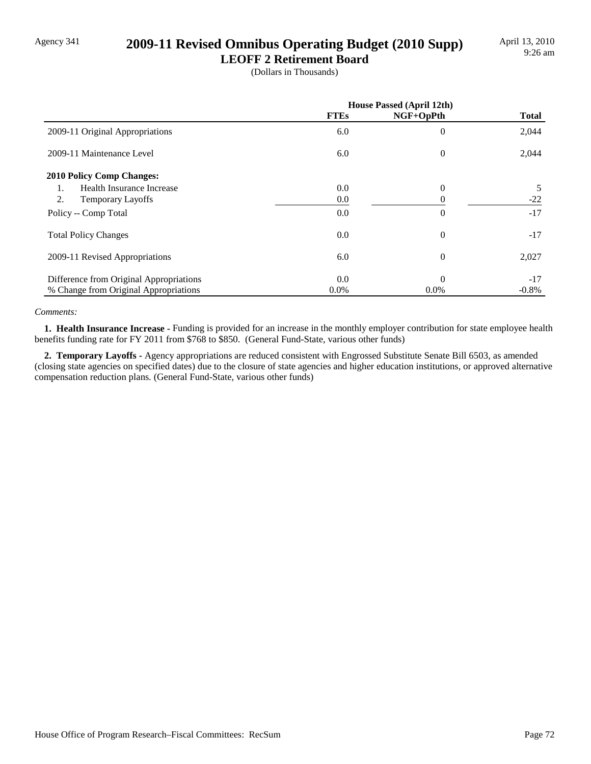# Agency 341 **2009-11 Revised Omnibus Operating Budget (2010 Supp)**

**LEOFF 2 Retirement Board** (Dollars in Thousands)

|                                         | <b>House Passed (April 12th)</b> |                |              |
|-----------------------------------------|----------------------------------|----------------|--------------|
|                                         | <b>FTEs</b>                      | NGF+OpPth      | <b>Total</b> |
| 2009-11 Original Appropriations         | 6.0                              | $\overline{0}$ | 2,044        |
| 2009-11 Maintenance Level               | 6.0                              | $\Omega$       | 2,044        |
| <b>2010 Policy Comp Changes:</b>        |                                  |                |              |
| Health Insurance Increase<br>1.         | 0.0                              | $\Omega$       | 5            |
| 2.<br><b>Temporary Layoffs</b>          | 0.0                              |                | $-22$        |
| Policy -- Comp Total                    | 0.0                              | $\overline{0}$ | $-17$        |
| <b>Total Policy Changes</b>             | 0.0                              | $\theta$       | $-17$        |
| 2009-11 Revised Appropriations          | 6.0                              | $\theta$       | 2,027        |
| Difference from Original Appropriations | 0.0                              | $\Omega$       | $-17$        |
| % Change from Original Appropriations   | $0.0\%$                          | $0.0\%$        | $-0.8%$      |

#### *Comments:*

 **1. Health Insurance Increase -** Funding is provided for an increase in the monthly employer contribution for state employee health benefits funding rate for FY 2011 from \$768 to \$850. (General Fund-State, various other funds)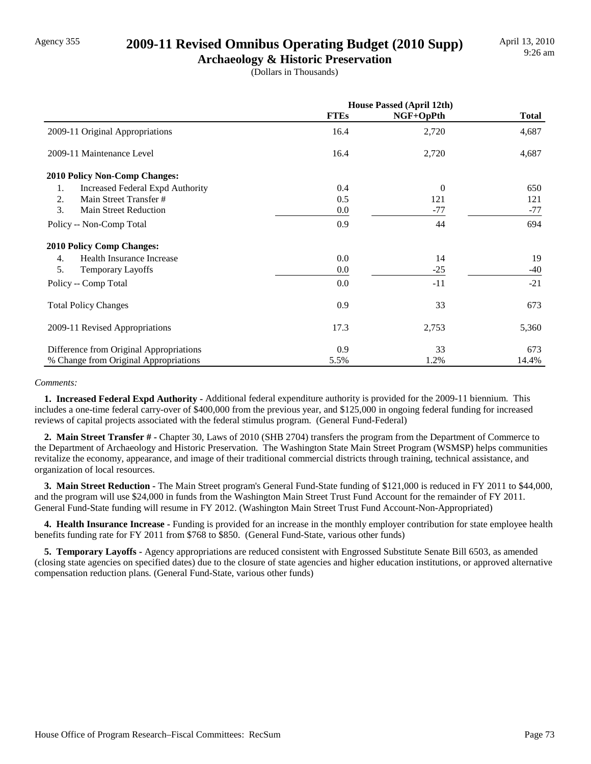### Agency 355 **2009-11 Revised Omnibus Operating Budget (2010 Supp)**

**Archaeology & Historic Preservation** (Dollars in Thousands)

|                                         | <b>House Passed (April 12th)</b> |           |              |
|-----------------------------------------|----------------------------------|-----------|--------------|
|                                         | <b>FTEs</b>                      | NGF+OpPth | <b>Total</b> |
| 2009-11 Original Appropriations         | 16.4                             | 2,720     | 4,687        |
| 2009-11 Maintenance Level               | 16.4                             | 2,720     | 4,687        |
| <b>2010 Policy Non-Comp Changes:</b>    |                                  |           |              |
| 1.<br>Increased Federal Expd Authority  | 0.4                              | $\Omega$  | 650          |
| Main Street Transfer #<br>2.            | 0.5                              | 121       | 121          |
| 3.<br><b>Main Street Reduction</b>      | 0.0                              | $-77$     | $-77$        |
| Policy -- Non-Comp Total                | 0.9                              | 44        | 694          |
| <b>2010 Policy Comp Changes:</b>        |                                  |           |              |
| Health Insurance Increase<br>4.         | 0.0                              | 14        | 19           |
| 5.<br><b>Temporary Layoffs</b>          | 0.0                              | $-25$     | $-40$        |
| Policy -- Comp Total                    | 0.0                              | $-11$     | $-21$        |
| <b>Total Policy Changes</b>             | 0.9                              | 33        | 673          |
| 2009-11 Revised Appropriations          | 17.3                             | 2,753     | 5,360        |
| Difference from Original Appropriations | 0.9                              | 33        | 673          |
| % Change from Original Appropriations   | 5.5%                             | 1.2%      | 14.4%        |

#### *Comments:*

 **1. Increased Federal Expd Authority -** Additional federal expenditure authority is provided for the 2009-11 biennium. This includes a one-time federal carry-over of \$400,000 from the previous year, and \$125,000 in ongoing federal funding for increased reviews of capital projects associated with the federal stimulus program. (General Fund-Federal)

 **2. Main Street Transfer # -** Chapter 30, Laws of 2010 (SHB 2704) transfers the program from the Department of Commerce to the Department of Archaeology and Historic Preservation. The Washington State Main Street Program (WSMSP) helps communities revitalize the economy, appearance, and image of their traditional commercial districts through training, technical assistance, and organization of local resources.

 **3. Main Street Reduction -** The Main Street program's General Fund-State funding of \$121,000 is reduced in FY 2011 to \$44,000, and the program will use \$24,000 in funds from the Washington Main Street Trust Fund Account for the remainder of FY 2011. General Fund-State funding will resume in FY 2012. (Washington Main Street Trust Fund Account-Non-Appropriated)

 **4. Health Insurance Increase -** Funding is provided for an increase in the monthly employer contribution for state employee health benefits funding rate for FY 2011 from \$768 to \$850. (General Fund-State, various other funds)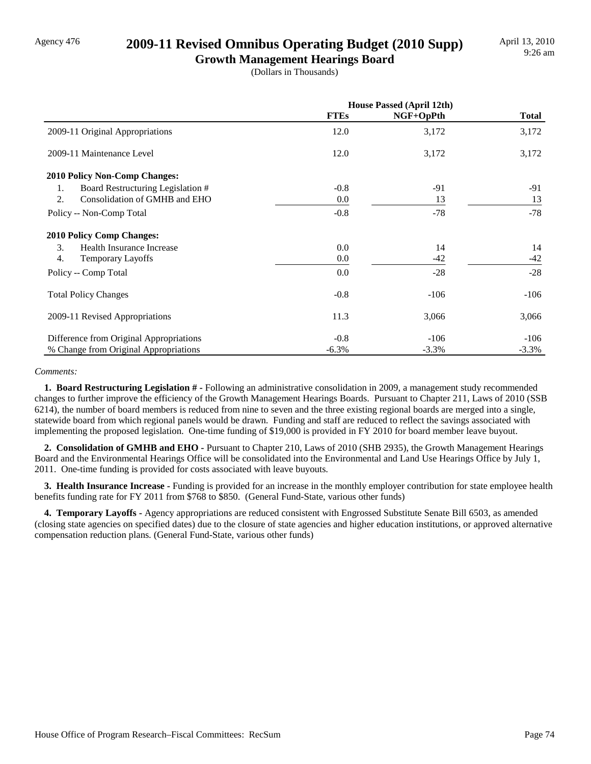### Agency 476 **2009-11 Revised Omnibus Operating Budget (2010 Supp)**

**Growth Management Hearings Board** (Dollars in Thousands)

|                                         | House Passed (April 12th) |           |              |
|-----------------------------------------|---------------------------|-----------|--------------|
|                                         | <b>FTEs</b>               | NGF+OpPth | <b>Total</b> |
| 2009-11 Original Appropriations         | 12.0                      | 3,172     | 3,172        |
| 2009-11 Maintenance Level               | 12.0                      | 3,172     | 3,172        |
| <b>2010 Policy Non-Comp Changes:</b>    |                           |           |              |
| Board Restructuring Legislation #<br>1. | $-0.8$                    | $-91$     | -91          |
| 2.<br>Consolidation of GMHB and EHO     | 0.0                       | 13        | 13           |
| Policy -- Non-Comp Total                | $-0.8$                    | $-78$     | $-78$        |
| <b>2010 Policy Comp Changes:</b>        |                           |           |              |
| 3.<br>Health Insurance Increase         | 0.0                       | 14        | 14           |
| 4.<br><b>Temporary Layoffs</b>          | $0.0\,$                   | $-42$     | -42          |
| Policy -- Comp Total                    | 0.0                       | $-28$     | $-28$        |
| <b>Total Policy Changes</b>             | $-0.8$                    | $-106$    | $-106$       |
| 2009-11 Revised Appropriations          | 11.3                      | 3,066     | 3,066        |
| Difference from Original Appropriations | $-0.8$                    | $-106$    | $-106$       |
| % Change from Original Appropriations   | $-6.3\%$                  | $-3.3%$   | $-3.3\%$     |

#### *Comments:*

 **1. Board Restructuring Legislation # -** Following an administrative consolidation in 2009, a management study recommended changes to further improve the efficiency of the Growth Management Hearings Boards. Pursuant to Chapter 211, Laws of 2010 (SSB 6214), the number of board members is reduced from nine to seven and the three existing regional boards are merged into a single, statewide board from which regional panels would be drawn. Funding and staff are reduced to reflect the savings associated with implementing the proposed legislation. One-time funding of \$19,000 is provided in FY 2010 for board member leave buyout.

 **2. Consolidation of GMHB and EHO -** Pursuant to Chapter 210, Laws of 2010 (SHB 2935), the Growth Management Hearings Board and the Environmental Hearings Office will be consolidated into the Environmental and Land Use Hearings Office by July 1, 2011. One-time funding is provided for costs associated with leave buyouts.

 **3. Health Insurance Increase -** Funding is provided for an increase in the monthly employer contribution for state employee health benefits funding rate for FY 2011 from \$768 to \$850. (General Fund-State, various other funds)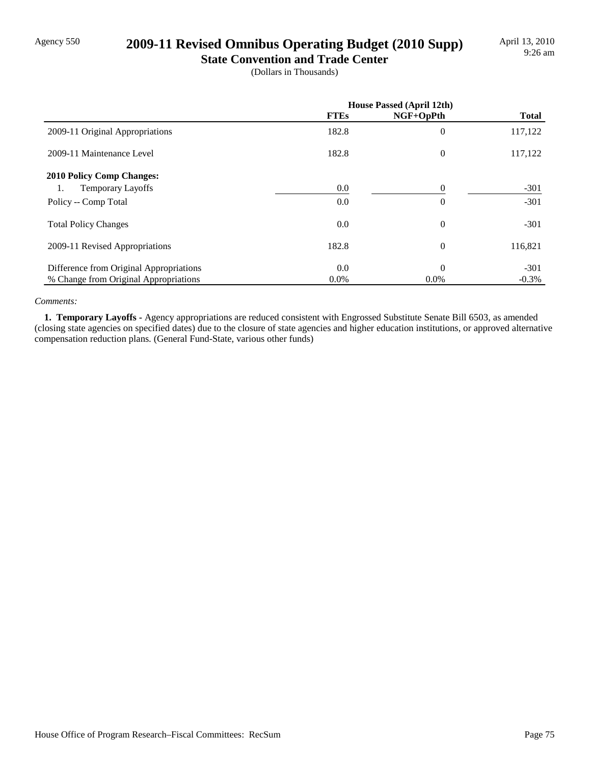### Agency 550 **2009-11 Revised Omnibus Operating Budget (2010 Supp)**

**State Convention and Trade Center** (Dollars in Thousands)

|                                         |             | House Passed (April 12th) |              |
|-----------------------------------------|-------------|---------------------------|--------------|
|                                         | <b>FTEs</b> | NGF+OpPth                 | <b>Total</b> |
| 2009-11 Original Appropriations         | 182.8       | $\mathbf{0}$              | 117,122      |
| 2009-11 Maintenance Level               | 182.8       | $\theta$                  | 117,122      |
| <b>2010 Policy Comp Changes:</b>        |             |                           |              |
| <b>Temporary Layoffs</b><br>1.          | $0.0\,$     | $\Omega$                  | $-301$       |
| Policy -- Comp Total                    | 0.0         | $\Omega$                  | $-301$       |
| <b>Total Policy Changes</b>             | 0.0         | $\theta$                  | $-301$       |
| 2009-11 Revised Appropriations          | 182.8       | $\theta$                  | 116,821      |
| Difference from Original Appropriations | 0.0         | $\Omega$                  | $-301$       |
| % Change from Original Appropriations   | $0.0\%$     | 0.0%                      | $-0.3\%$     |

#### *Comments:*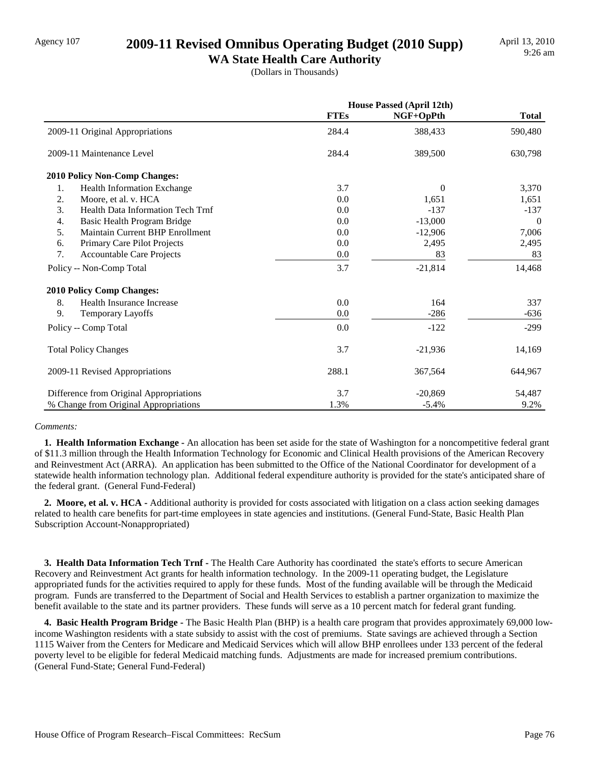## Agency 107 **2009-11 Revised Omnibus Operating Budget (2010 Supp)**

**WA State Health Care Authority** (Dollars in Thousands)

|                                          | <b>House Passed (April 12th)</b> |           |              |
|------------------------------------------|----------------------------------|-----------|--------------|
|                                          | <b>FTEs</b>                      | NGF+OpPth | <b>Total</b> |
| 2009-11 Original Appropriations          | 284.4                            | 388,433   | 590,480      |
| 2009-11 Maintenance Level                | 284.4                            | 389,500   | 630,798      |
| 2010 Policy Non-Comp Changes:            |                                  |           |              |
| 1.<br><b>Health Information Exchange</b> | 3.7                              | $\Omega$  | 3,370        |
| 2.<br>Moore, et al. v. HCA               | 0.0                              | 1,651     | 1,651        |
| 3.<br>Health Data Information Tech Trnf  | 0.0                              | $-137$    | $-137$       |
| 4.<br>Basic Health Program Bridge        | 0.0                              | $-13,000$ | $\Omega$     |
| 5.<br>Maintain Current BHP Enrollment    | 0.0                              | $-12,906$ | 7,006        |
| Primary Care Pilot Projects<br>6.        | 0.0                              | 2,495     | 2,495        |
| 7.<br><b>Accountable Care Projects</b>   | $0.0\,$                          | 83        | 83           |
| Policy -- Non-Comp Total                 | 3.7                              | $-21,814$ | 14,468       |
| <b>2010 Policy Comp Changes:</b>         |                                  |           |              |
| 8.<br>Health Insurance Increase          | 0.0                              | 164       | 337          |
| 9.<br>Temporary Layoffs                  | 0.0                              | $-286$    | $-636$       |
| Policy -- Comp Total                     | 0.0                              | $-122$    | $-299$       |
| <b>Total Policy Changes</b>              | 3.7                              | $-21,936$ | 14,169       |
| 2009-11 Revised Appropriations           | 288.1                            | 367,564   | 644,967      |
| Difference from Original Appropriations  | 3.7                              | $-20,869$ | 54,487       |
| % Change from Original Appropriations    | 1.3%                             | $-5.4%$   | 9.2%         |

#### *Comments:*

 **1. Health Information Exchange -** An allocation has been set aside for the state of Washington for a noncompetitive federal grant of \$11.3 million through the Health Information Technology for Economic and Clinical Health provisions of the American Recovery and Reinvestment Act (ARRA). An application has been submitted to the Office of the National Coordinator for development of a statewide health information technology plan. Additional federal expenditure authority is provided for the state's anticipated share of the federal grant. (General Fund-Federal)

 **2. Moore, et al. v. HCA -** Additional authority is provided for costs associated with litigation on a class action seeking damages related to health care benefits for part-time employees in state agencies and institutions. (General Fund-State, Basic Health Plan Subscription Account-Nonappropriated)

 **3. Health Data Information Tech Trnf -** The Health Care Authority has coordinated the state's efforts to secure American Recovery and Reinvestment Act grants for health information technology. In the 2009-11 operating budget, the Legislature appropriated funds for the activities required to apply for these funds. Most of the funding available will be through the Medicaid program. Funds are transferred to the Department of Social and Health Services to establish a partner organization to maximize the benefit available to the state and its partner providers. These funds will serve as a 10 percent match for federal grant funding.

 **4. Basic Health Program Bridge -** The Basic Health Plan (BHP) is a health care program that provides approximately 69,000 lowincome Washington residents with a state subsidy to assist with the cost of premiums. State savings are achieved through a Section 1115 Waiver from the Centers for Medicare and Medicaid Services which will allow BHP enrollees under 133 percent of the federal poverty level to be eligible for federal Medicaid matching funds. Adjustments are made for increased premium contributions. (General Fund-State; General Fund-Federal)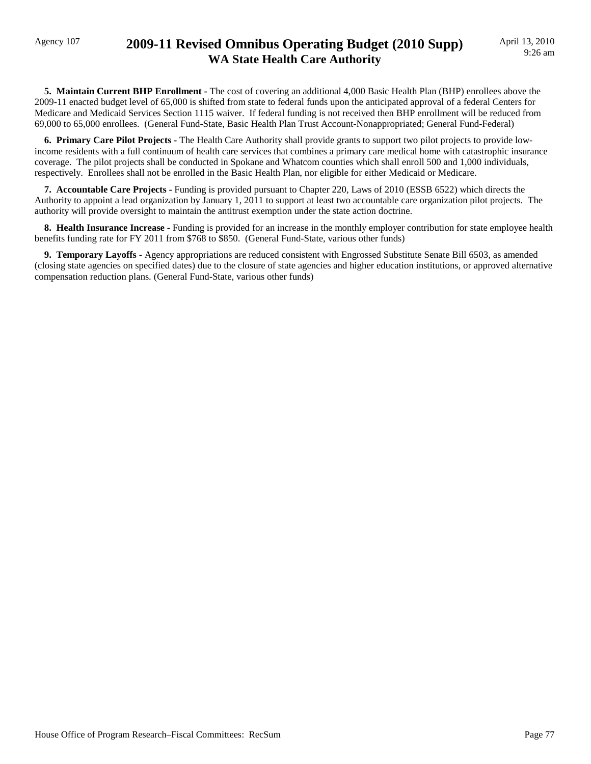### Agency 107 **2009-11 Revised Omnibus Operating Budget (2010 Supp) WA State Health Care Authority**

 **5. Maintain Current BHP Enrollment -** The cost of covering an additional 4,000 Basic Health Plan (BHP) enrollees above the 2009-11 enacted budget level of 65,000 is shifted from state to federal funds upon the anticipated approval of a federal Centers for Medicare and Medicaid Services Section 1115 waiver. If federal funding is not received then BHP enrollment will be reduced from 69,000 to 65,000 enrollees. (General Fund-State, Basic Health Plan Trust Account-Nonappropriated; General Fund-Federal)

 **6. Primary Care Pilot Projects -** The Health Care Authority shall provide grants to support two pilot projects to provide lowincome residents with a full continuum of health care services that combines a primary care medical home with catastrophic insurance coverage. The pilot projects shall be conducted in Spokane and Whatcom counties which shall enroll 500 and 1,000 individuals, respectively. Enrollees shall not be enrolled in the Basic Health Plan, nor eligible for either Medicaid or Medicare.

 **7. Accountable Care Projects -** Funding is provided pursuant to Chapter 220, Laws of 2010 (ESSB 6522) which directs the Authority to appoint a lead organization by January 1, 2011 to support at least two accountable care organization pilot projects. The authority will provide oversight to maintain the antitrust exemption under the state action doctrine.

 **8. Health Insurance Increase -** Funding is provided for an increase in the monthly employer contribution for state employee health benefits funding rate for FY 2011 from \$768 to \$850. (General Fund-State, various other funds)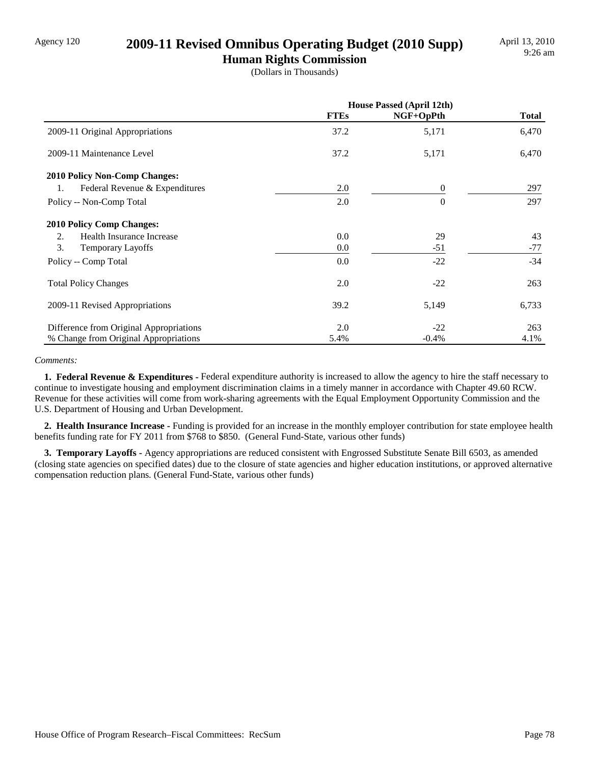### Agency 120 **2009-11 Revised Omnibus Operating Budget (2010 Supp)**

**Human Rights Commission** (Dollars in Thousands)

|                                         | <b>House Passed (April 12th)</b> |           |              |
|-----------------------------------------|----------------------------------|-----------|--------------|
|                                         | <b>FTEs</b>                      | NGF+OpPth | <b>Total</b> |
| 2009-11 Original Appropriations         | 37.2                             | 5,171     | 6,470        |
| 2009-11 Maintenance Level               | 37.2                             | 5,171     | 6,470        |
| <b>2010 Policy Non-Comp Changes:</b>    |                                  |           |              |
| Federal Revenue & Expenditures<br>1.    | 2.0                              | $\Omega$  | 297          |
| Policy -- Non-Comp Total                | 2.0                              | $\Omega$  | 297          |
| <b>2010 Policy Comp Changes:</b>        |                                  |           |              |
| Health Insurance Increase<br>2.         | 0.0                              | 29        | 43           |
| 3.<br><b>Temporary Layoffs</b>          | 0.0                              | $-51$     | $-77$        |
| Policy -- Comp Total                    | 0.0                              | $-22$     | $-34$        |
| <b>Total Policy Changes</b>             | 2.0                              | $-22$     | 263          |
| 2009-11 Revised Appropriations          | 39.2                             | 5,149     | 6,733        |
| Difference from Original Appropriations | 2.0                              | $-22$     | 263          |
| % Change from Original Appropriations   | 5.4%                             | $-0.4%$   | 4.1%         |

#### *Comments:*

**1. Federal Revenue & Expenditures -** Federal expenditure authority is increased to allow the agency to hire the staff necessary to continue to investigate housing and employment discrimination claims in a timely manner in accordance with Chapter 49.60 RCW. Revenue for these activities will come from work-sharing agreements with the Equal Employment Opportunity Commission and the U.S. Department of Housing and Urban Development.

 **2. Health Insurance Increase -** Funding is provided for an increase in the monthly employer contribution for state employee health benefits funding rate for FY 2011 from \$768 to \$850. (General Fund-State, various other funds)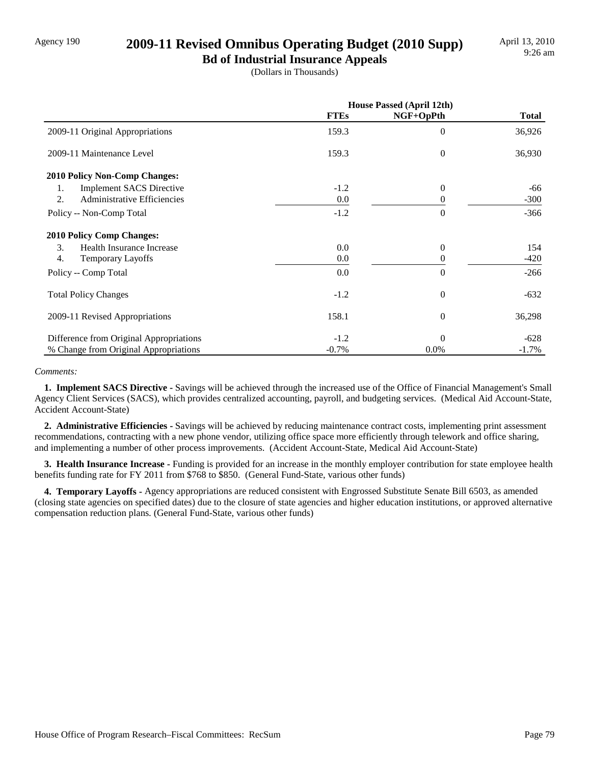### Agency 190 **2009-11 Revised Omnibus Operating Budget (2010 Supp)**

**Bd of Industrial Insurance Appeals** (Dollars in Thousands)

|                                         | House Passed (April 12th) |           |              |
|-----------------------------------------|---------------------------|-----------|--------------|
|                                         | <b>FTEs</b>               | NGF+OpPth | <b>Total</b> |
| 2009-11 Original Appropriations         | 159.3                     | $\Omega$  | 36,926       |
| 2009-11 Maintenance Level               | 159.3                     | $\theta$  | 36,930       |
| <b>2010 Policy Non-Comp Changes:</b>    |                           |           |              |
| <b>Implement SACS Directive</b><br>1.   | $-1.2$                    | $\theta$  | -66          |
| 2.<br>Administrative Efficiencies       | 0.0                       | 0         | $-300$       |
| Policy -- Non-Comp Total                | $-1.2$                    | $\Omega$  | $-366$       |
| <b>2010 Policy Comp Changes:</b>        |                           |           |              |
| 3.<br>Health Insurance Increase         | 0.0                       | $\Omega$  | 154          |
| 4.<br><b>Temporary Layoffs</b>          | 0.0                       | 0         | $-420$       |
| Policy -- Comp Total                    | 0.0                       | $\Omega$  | $-266$       |
| <b>Total Policy Changes</b>             | $-1.2$                    | $\theta$  | $-632$       |
| 2009-11 Revised Appropriations          | 158.1                     | $\theta$  | 36,298       |
| Difference from Original Appropriations | $-1.2$                    | $\Omega$  | $-628$       |
| % Change from Original Appropriations   | $-0.7%$                   | 0.0%      | $-1.7\%$     |

#### *Comments:*

 **1. Implement SACS Directive -** Savings will be achieved through the increased use of the Office of Financial Management's Small Agency Client Services (SACS), which provides centralized accounting, payroll, and budgeting services. (Medical Aid Account-State, Accident Account-State)

 **2. Administrative Efficiencies -** Savings will be achieved by reducing maintenance contract costs, implementing print assessment recommendations, contracting with a new phone vendor, utilizing office space more efficiently through telework and office sharing, and implementing a number of other process improvements. (Accident Account-State, Medical Aid Account-State)

 **3. Health Insurance Increase -** Funding is provided for an increase in the monthly employer contribution for state employee health benefits funding rate for FY 2011 from \$768 to \$850. (General Fund-State, various other funds)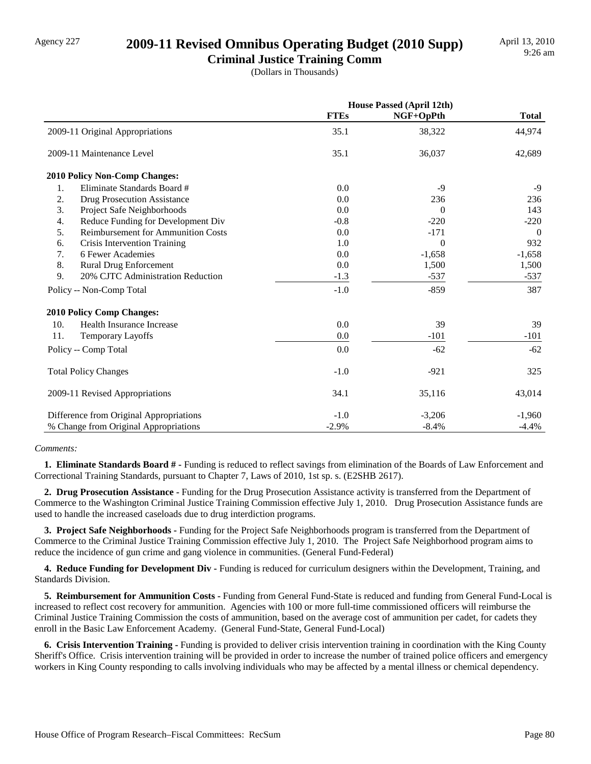### Agency 227 **2009-11 Revised Omnibus Operating Budget (2010 Supp)**

**Criminal Justice Training Comm** (Dollars in Thousands)

|                                                 | <b>House Passed (April 12th)</b> |           |              |
|-------------------------------------------------|----------------------------------|-----------|--------------|
|                                                 | <b>FTEs</b>                      | NGF+OpPth | <b>Total</b> |
| 2009-11 Original Appropriations                 | 35.1                             | 38,322    | 44,974       |
| 2009-11 Maintenance Level                       | 35.1                             | 36,037    | 42,689       |
| <b>2010 Policy Non-Comp Changes:</b>            |                                  |           |              |
| Eliminate Standards Board #<br>1.               | 0.0                              | $-9$      | $-9$         |
| 2.<br><b>Drug Prosecution Assistance</b>        | 0.0                              | 236       | 236          |
| 3.<br>Project Safe Neighborhoods                | 0.0                              | $\Omega$  | 143          |
| Reduce Funding for Development Div<br>4.        | $-0.8$                           | $-220$    | $-220$       |
| 5.<br><b>Reimbursement for Ammunition Costs</b> | 0.0                              | $-171$    | $\Omega$     |
| Crisis Intervention Training<br>6.              | 1.0                              | $\Omega$  | 932          |
| 6 Fewer Academies<br>7.                         | 0.0                              | $-1,658$  | $-1,658$     |
| 8.<br><b>Rural Drug Enforcement</b>             | 0.0                              | 1,500     | 1,500        |
| 20% CJTC Administration Reduction<br>9.         | $-1.3$                           | $-537$    | $-537$       |
| Policy -- Non-Comp Total                        | $-1.0$                           | $-859$    | 387          |
| <b>2010 Policy Comp Changes:</b>                |                                  |           |              |
| 10.<br>Health Insurance Increase                | 0.0                              | 39        | 39           |
| 11.<br><b>Temporary Layoffs</b>                 | 0.0                              | $-101$    | $-101$       |
| Policy -- Comp Total                            | 0.0                              | $-62$     | $-62$        |
| <b>Total Policy Changes</b>                     | $-1.0$                           | $-921$    | 325          |
| 2009-11 Revised Appropriations                  | 34.1                             | 35,116    | 43,014       |
| Difference from Original Appropriations         | $-1.0$                           | $-3,206$  | $-1,960$     |
| % Change from Original Appropriations           | $-2.9%$                          | $-8.4%$   | $-4.4%$      |

#### *Comments:*

 **1. Eliminate Standards Board # -** Funding is reduced to reflect savings from elimination of the Boards of Law Enforcement and Correctional Training Standards, pursuant to Chapter 7, Laws of 2010, 1st sp. s. (E2SHB 2617).

 **2. Drug Prosecution Assistance -** Funding for the Drug Prosecution Assistance activity is transferred from the Department of Commerce to the Washington Criminal Justice Training Commission effective July 1, 2010. Drug Prosecution Assistance funds are used to handle the increased caseloads due to drug interdiction programs.

 **3. Project Safe Neighborhoods -** Funding for the Project Safe Neighborhoods program is transferred from the Department of Commerce to the Criminal Justice Training Commission effective July 1, 2010. The Project Safe Neighborhood program aims to reduce the incidence of gun crime and gang violence in communities. (General Fund-Federal)

 **4. Reduce Funding for Development Div -** Funding is reduced for curriculum designers within the Development, Training, and Standards Division.

 **5. Reimbursement for Ammunition Costs -** Funding from General Fund-State is reduced and funding from General Fund-Local is increased to reflect cost recovery for ammunition. Agencies with 100 or more full-time commissioned officers will reimburse the Criminal Justice Training Commission the costs of ammunition, based on the average cost of ammunition per cadet, for cadets they enroll in the Basic Law Enforcement Academy. (General Fund-State, General Fund-Local)

 **6. Crisis Intervention Training -** Funding is provided to deliver crisis intervention training in coordination with the King County Sheriff's Office. Crisis intervention training will be provided in order to increase the number of trained police officers and emergency workers in King County responding to calls involving individuals who may be affected by a mental illness or chemical dependency.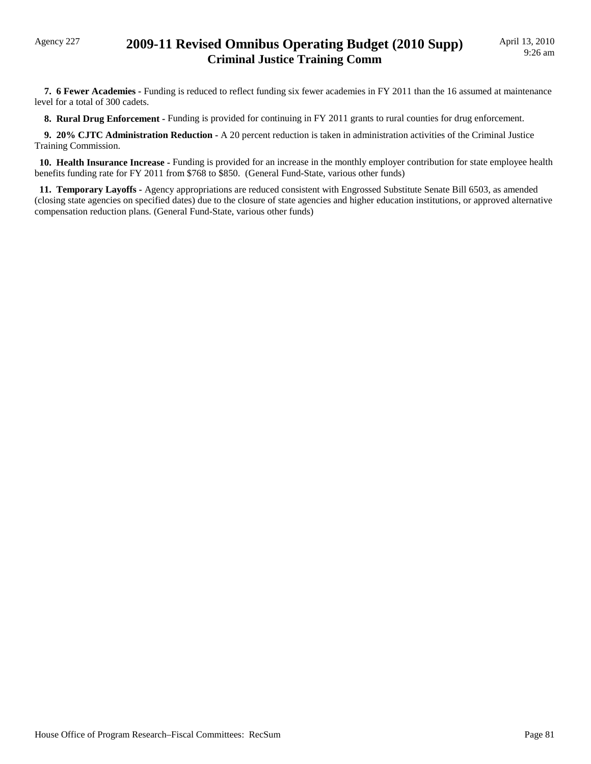### Agency 227 **2009-11 Revised Omnibus Operating Budget (2010 Supp) Criminal Justice Training Comm**

 **7. 6 Fewer Academies -** Funding is reduced to reflect funding six fewer academies in FY 2011 than the 16 assumed at maintenance level for a total of 300 cadets.

 **8. Rural Drug Enforcement -** Funding is provided for continuing in FY 2011 grants to rural counties for drug enforcement.

 **9. 20% CJTC Administration Reduction -** A 20 percent reduction is taken in administration activities of the Criminal Justice Training Commission.

 **10. Health Insurance Increase -** Funding is provided for an increase in the monthly employer contribution for state employee health benefits funding rate for FY 2011 from \$768 to \$850. (General Fund-State, various other funds)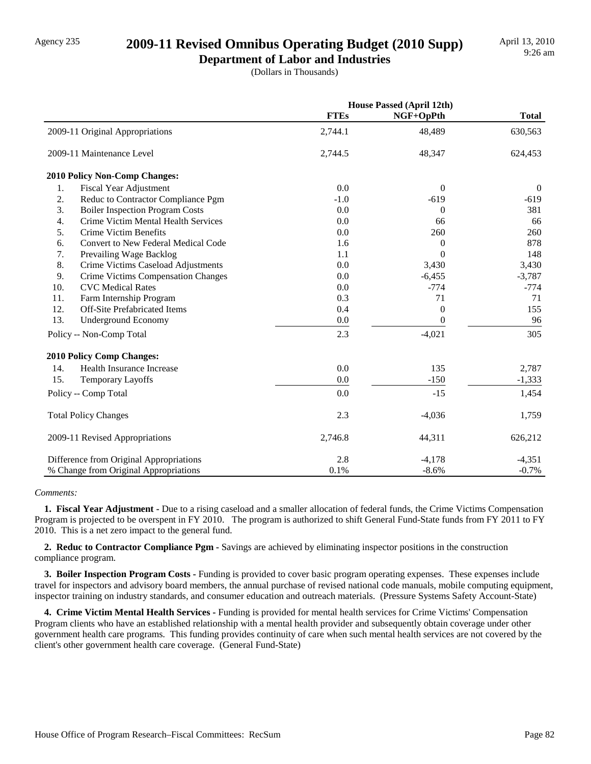### Agency 235 **2009-11 Revised Omnibus Operating Budget (2010 Supp)**

**Department of Labor and Industries** (Dollars in Thousands)

|                                                 |             | <b>House Passed (April 12th)</b> |              |
|-------------------------------------------------|-------------|----------------------------------|--------------|
|                                                 | <b>FTEs</b> | NGF+OpPth                        | <b>Total</b> |
| 2009-11 Original Appropriations                 | 2,744.1     | 48,489                           | 630,563      |
| 2009-11 Maintenance Level                       | 2,744.5     | 48,347                           | 624,453      |
| 2010 Policy Non-Comp Changes:                   |             |                                  |              |
| 1.<br><b>Fiscal Year Adjustment</b>             | 0.0         | $\theta$                         | $\theta$     |
| 2.<br>Reduc to Contractor Compliance Pgm        | $-1.0$      | $-619$                           | -619         |
| 3.<br><b>Boiler Inspection Program Costs</b>    | 0.0         | $\theta$                         | 381          |
| 4.<br>Crime Victim Mental Health Services       | 0.0         | 66                               | 66           |
| 5.<br>Crime Victim Benefits                     | 0.0         | 260                              | 260          |
| Convert to New Federal Medical Code<br>6.       | 1.6         | $\theta$                         | 878          |
| 7.<br>Prevailing Wage Backlog                   | 1.1         | $\Omega$                         | 148          |
| 8.<br>Crime Victims Caseload Adjustments        | 0.0         | 3,430                            | 3,430        |
| 9.<br><b>Crime Victims Compensation Changes</b> | 0.0         | $-6,455$                         | $-3,787$     |
| 10.<br><b>CVC</b> Medical Rates                 | 0.0         | $-774$                           | $-774$       |
| 11.<br>Farm Internship Program                  | 0.3         | 71                               | 71           |
| 12.<br><b>Off-Site Prefabricated Items</b>      | 0.4         | $\theta$                         | 155          |
| 13.<br><b>Underground Economy</b>               | 0.0         | $\theta$                         | 96           |
| Policy -- Non-Comp Total                        | 2.3         | $-4,021$                         | 305          |
| <b>2010 Policy Comp Changes:</b>                |             |                                  |              |
| Health Insurance Increase<br>14.                | 0.0         | 135                              | 2,787        |
| 15.<br>Temporary Layoffs                        | 0.0         | $-150$                           | $-1,333$     |
| Policy -- Comp Total                            | 0.0         | $-15$                            | 1,454        |
| <b>Total Policy Changes</b>                     | 2.3         | $-4,036$                         | 1,759        |
| 2009-11 Revised Appropriations                  | 2,746.8     | 44,311                           | 626,212      |
| Difference from Original Appropriations         | 2.8         | $-4,178$                         | $-4,351$     |
| % Change from Original Appropriations           | 0.1%        | $-8.6%$                          | $-0.7%$      |

#### *Comments:*

 **1. Fiscal Year Adjustment -** Due to a rising caseload and a smaller allocation of federal funds, the Crime Victims Compensation Program is projected to be overspent in FY 2010. The program is authorized to shift General Fund-State funds from FY 2011 to FY 2010. This is a net zero impact to the general fund.

 **2. Reduc to Contractor Compliance Pgm -** Savings are achieved by eliminating inspector positions in the construction compliance program.

 **3. Boiler Inspection Program Costs -** Funding is provided to cover basic program operating expenses. These expenses include travel for inspectors and advisory board members, the annual purchase of revised national code manuals, mobile computing equipment, inspector training on industry standards, and consumer education and outreach materials. (Pressure Systems Safety Account-State)

 **4. Crime Victim Mental Health Services -** Funding is provided for mental health services for Crime Victims' Compensation Program clients who have an established relationship with a mental health provider and subsequently obtain coverage under other government health care programs. This funding provides continuity of care when such mental health services are not covered by the client's other government health care coverage. (General Fund-State)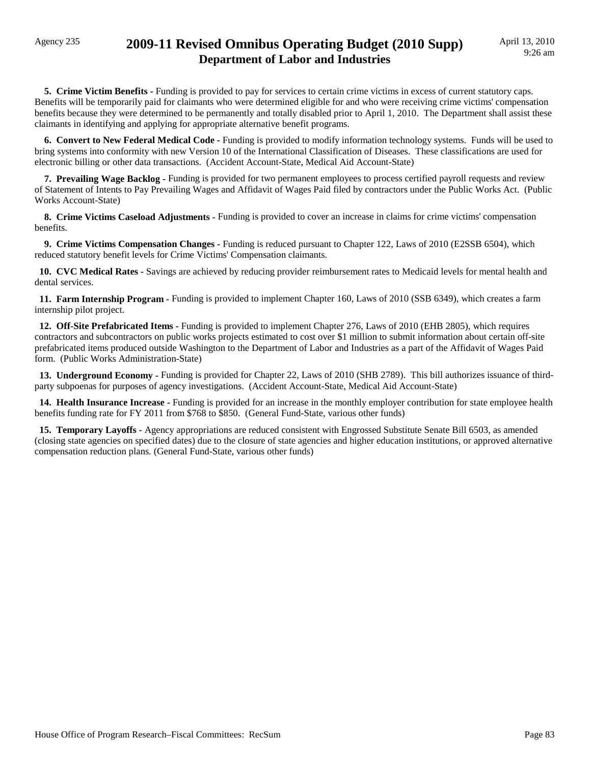**5. Crime Victim Benefits -** Funding is provided to pay for services to certain crime victims in excess of current statutory caps. Benefits will be temporarily paid for claimants who were determined eligible for and who were receiving crime victims' compensation benefits because they were determined to be permanently and totally disabled prior to April 1, 2010. The Department shall assist these claimants in identifying and applying for appropriate alternative benefit programs.

 **6. Convert to New Federal Medical Code -** Funding is provided to modify information technology systems. Funds will be used to bring systems into conformity with new Version 10 of the International Classification of Diseases. These classifications are used for electronic billing or other data transactions. (Accident Account-State, Medical Aid Account-State)

 **7. Prevailing Wage Backlog -** Funding is provided for two permanent employees to process certified payroll requests and review of Statement of Intents to Pay Prevailing Wages and Affidavit of Wages Paid filed by contractors under the Public Works Act. (Public Works Account-State)

 **8. Crime Victims Caseload Adjustments -** Funding is provided to cover an increase in claims for crime victims' compensation benefits.

 **9. Crime Victims Compensation Changes -** Funding is reduced pursuant to Chapter 122, Laws of 2010 (E2SSB 6504), which reduced statutory benefit levels for Crime Victims' Compensation claimants.

 **10. CVC Medical Rates -** Savings are achieved by reducing provider reimbursement rates to Medicaid levels for mental health and dental services.

 **11. Farm Internship Program -** Funding is provided to implement Chapter 160, Laws of 2010 (SSB 6349), which creates a farm internship pilot project.

 **12. Off-Site Prefabricated Items -** Funding is provided to implement Chapter 276, Laws of 2010 (EHB 2805), which requires contractors and subcontractors on public works projects estimated to cost over \$1 million to submit information about certain off-site prefabricated items produced outside Washington to the Department of Labor and Industries as a part of the Affidavit of Wages Paid form. (Public Works Administration-State)

 **13. Underground Economy -** Funding is provided for Chapter 22, Laws of 2010 (SHB 2789). This bill authorizes issuance of thirdparty subpoenas for purposes of agency investigations. (Accident Account-State, Medical Aid Account-State)

 **14. Health Insurance Increase -** Funding is provided for an increase in the monthly employer contribution for state employee health benefits funding rate for FY 2011 from \$768 to \$850. (General Fund-State, various other funds)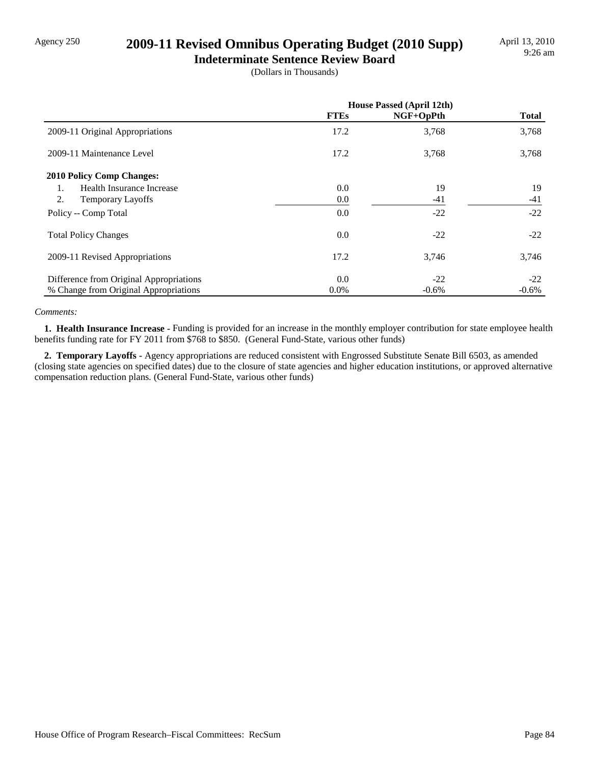# Agency 250 **2009-11 Revised Omnibus Operating Budget (2010 Supp)**

**Indeterminate Sentence Review Board** (Dollars in Thousands)

|                                         | <b>House Passed (April 12th)</b> |           |              |
|-----------------------------------------|----------------------------------|-----------|--------------|
|                                         | <b>FTEs</b>                      | NGF+OpPth | <b>Total</b> |
| 2009-11 Original Appropriations         | 17.2                             | 3,768     | 3,768        |
| 2009-11 Maintenance Level               | 17.2                             | 3,768     | 3,768        |
| <b>2010 Policy Comp Changes:</b>        |                                  |           |              |
| Health Insurance Increase<br>1.         | 0.0                              | 19        | 19           |
| 2.<br><b>Temporary Layoffs</b>          | 0.0                              | $-41$     | $-41$        |
| Policy -- Comp Total                    | 0.0                              | $-22$     | $-22$        |
| <b>Total Policy Changes</b>             | 0.0                              | $-22$     | $-22$        |
| 2009-11 Revised Appropriations          | 17.2                             | 3,746     | 3,746        |
| Difference from Original Appropriations | 0.0                              | $-22$     | $-22$        |
| % Change from Original Appropriations   | $0.0\%$                          | $-0.6%$   | $-0.6%$      |

#### *Comments:*

 **1. Health Insurance Increase -** Funding is provided for an increase in the monthly employer contribution for state employee health benefits funding rate for FY 2011 from \$768 to \$850. (General Fund-State, various other funds)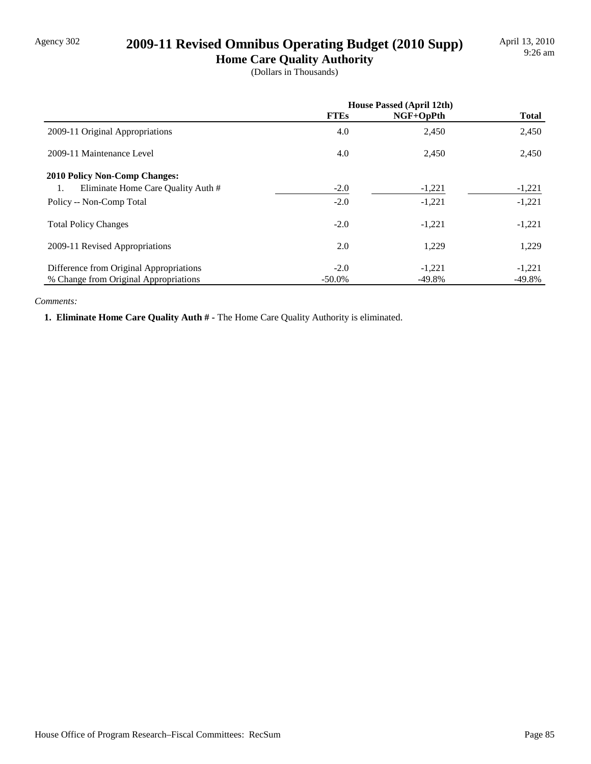# Agency 302 **2009-11 Revised Omnibus Operating Budget (2010 Supp)**

**Home Care Quality Authority** (Dollars in Thousands)

|                                          | House Passed (April 12th) |           |              |
|------------------------------------------|---------------------------|-----------|--------------|
|                                          | <b>FTEs</b>               | NGF+OpPth | <b>Total</b> |
| 2009-11 Original Appropriations          | 4.0                       | 2,450     | 2,450        |
| 2009-11 Maintenance Level                | 4.0                       | 2,450     | 2,450        |
| <b>2010 Policy Non-Comp Changes:</b>     |                           |           |              |
| Eliminate Home Care Quality Auth #<br>1. | $-2.0$                    | $-1,221$  | $-1,221$     |
| Policy -- Non-Comp Total                 | $-2.0$                    | $-1,221$  | $-1,221$     |
| <b>Total Policy Changes</b>              | $-2.0$                    | $-1,221$  | $-1,221$     |
| 2009-11 Revised Appropriations           | 2.0                       | 1,229     | 1,229        |
| Difference from Original Appropriations  | $-2.0$                    | $-1,221$  | $-1,221$     |
| % Change from Original Appropriations    | $-50.0\%$                 | $-49.8%$  | $-49.8%$     |

#### *Comments:*

 **1. Eliminate Home Care Quality Auth # -** The Home Care Quality Authority is eliminated.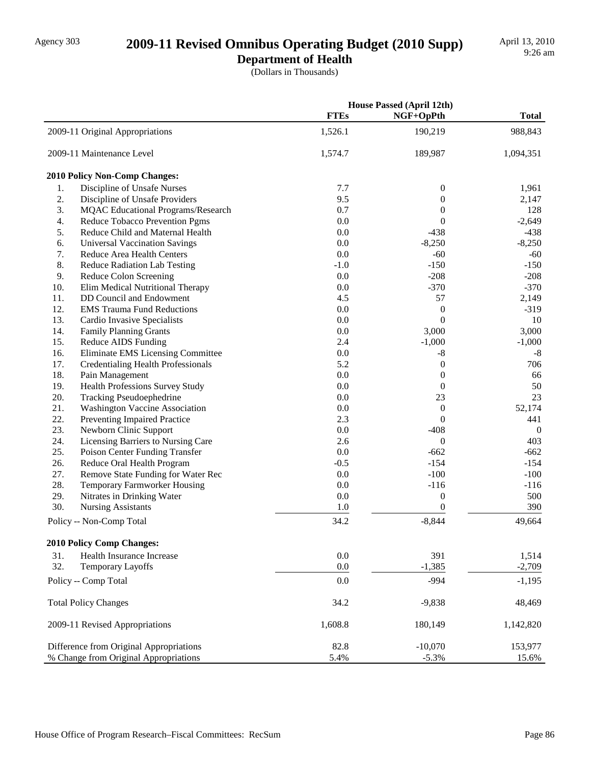# Agency 303 **2009-11 Revised Omnibus Operating Budget (2010 Supp)**

**Department of Health**

(Dollars in Thousands)

|     |                                           |             | <b>House Passed (April 12th)</b> |              |
|-----|-------------------------------------------|-------------|----------------------------------|--------------|
|     |                                           | <b>FTEs</b> | NGF+OpPth                        | <b>Total</b> |
|     | 2009-11 Original Appropriations           | 1,526.1     | 190,219                          | 988,843      |
|     | 2009-11 Maintenance Level                 | 1,574.7     | 189,987                          | 1,094,351    |
|     | <b>2010 Policy Non-Comp Changes:</b>      |             |                                  |              |
| 1.  | Discipline of Unsafe Nurses               | 7.7         | 0                                | 1,961        |
| 2.  | Discipline of Unsafe Providers            | 9.5         | $\mathbf{0}$                     | 2,147        |
| 3.  | <b>MQAC</b> Educational Programs/Research | 0.7         | 0                                | 128          |
| 4.  | Reduce Tobacco Prevention Pgms            | 0.0         | $\theta$                         | $-2,649$     |
| 5.  | Reduce Child and Maternal Health          | 0.0         | $-438$                           | $-438$       |
| 6.  | <b>Universal Vaccination Savings</b>      | 0.0         | $-8,250$                         | $-8,250$     |
| 7.  | Reduce Area Health Centers                | 0.0         | $-60$                            | $-60$        |
| 8.  | <b>Reduce Radiation Lab Testing</b>       | $-1.0$      | $-150$                           | $-150$       |
| 9.  | Reduce Colon Screening                    | 0.0         | $-208$                           | $-208$       |
| 10. | Elim Medical Nutritional Therapy          | 0.0         | $-370$                           | $-370$       |
| 11. | DD Council and Endowment                  | 4.5         | 57                               | 2,149        |
| 12. | <b>EMS Trauma Fund Reductions</b>         | 0.0         | $\boldsymbol{0}$                 | $-319$       |
| 13. | Cardio Invasive Specialists               | 0.0         | $\theta$                         | 10           |
| 14. | <b>Family Planning Grants</b>             | 0.0         | 3,000                            | 3,000        |
| 15. | Reduce AIDS Funding                       | 2.4         | $-1,000$                         | $-1,000$     |
| 16. | Eliminate EMS Licensing Committee         | 0.0         | $-8$                             | $-8$         |
| 17. | <b>Credentialing Health Professionals</b> | 5.2         | $\boldsymbol{0}$                 | 706          |
| 18. | Pain Management                           | 0.0         | $\mathbf{0}$                     | 66           |
| 19. | Health Professions Survey Study           | 0.0         | $\mathbf{0}$                     | 50           |
| 20. | Tracking Pseudoephedrine                  | 0.0         | 23                               | 23           |
| 21. | <b>Washington Vaccine Association</b>     | 0.0         | $\mathbf{0}$                     | 52,174       |
| 22. | Preventing Impaired Practice              | 2.3         | $\theta$                         | 441          |
| 23. | Newborn Clinic Support                    | 0.0         | $-408$                           | $\mathbf{0}$ |
| 24. | Licensing Barriers to Nursing Care        | 2.6         | $\mathbf{0}$                     | 403          |
| 25. | Poison Center Funding Transfer            | 0.0         | $-662$                           | $-662$       |
| 26. | Reduce Oral Health Program                | $-0.5$      | $-154$                           | $-154$       |
| 27. | Remove State Funding for Water Rec        | 0.0         | $-100$                           | $-100$       |
| 28. | Temporary Farmworker Housing              | 0.0         | $-116$                           | $-116$       |
| 29. | Nitrates in Drinking Water                | 0.0         | $\boldsymbol{0}$                 | 500          |
| 30. | <b>Nursing Assistants</b>                 | 1.0         | $\overline{0}$                   | 390          |
|     | Policy -- Non-Comp Total                  | 34.2        | $-8,844$                         | 49,664       |
|     | 2010 Policy Comp Changes:                 |             |                                  |              |
| 31. | <b>Health Insurance Increase</b>          | 0.0         | 391                              | 1,514        |
| 32. | Temporary Layoffs                         | 0.0         | $-1,385$                         | $-2,709$     |
|     | Policy -- Comp Total                      | 0.0         | $-994$                           |              |
|     |                                           |             |                                  | $-1,195$     |
|     | <b>Total Policy Changes</b>               | 34.2        | $-9,838$                         | 48,469       |
|     | 2009-11 Revised Appropriations            | 1,608.8     | 180,149                          | 1,142,820    |
|     | Difference from Original Appropriations   | 82.8        | $-10,070$                        | 153,977      |
|     | % Change from Original Appropriations     | 5.4%        | $-5.3%$                          | 15.6%        |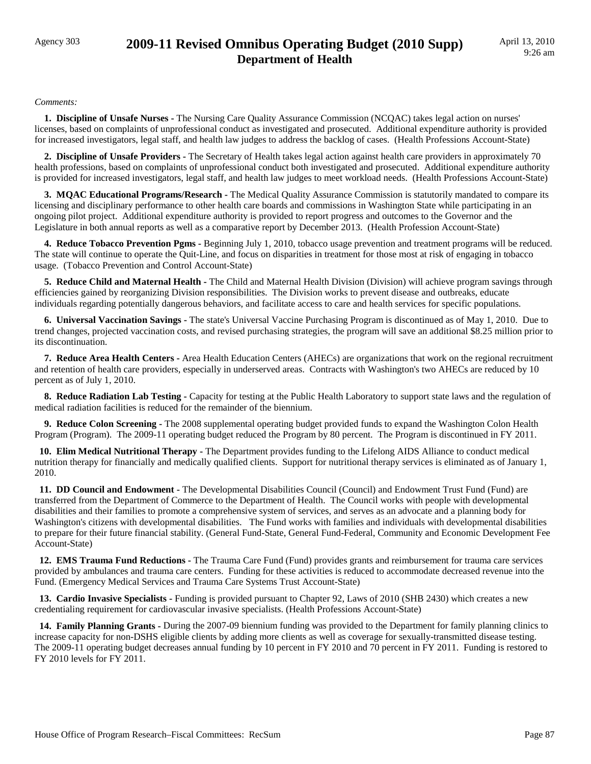## Agency 303 **2009-11 Revised Omnibus Operating Budget (2010 Supp) Department of Health**

#### *Comments:*

 **1. Discipline of Unsafe Nurses -** The Nursing Care Quality Assurance Commission (NCQAC) takes legal action on nurses' licenses, based on complaints of unprofessional conduct as investigated and prosecuted. Additional expenditure authority is provided for increased investigators, legal staff, and health law judges to address the backlog of cases. (Health Professions Account-State)

 **2. Discipline of Unsafe Providers -** The Secretary of Health takes legal action against health care providers in approximately 70 health professions, based on complaints of unprofessional conduct both investigated and prosecuted. Additional expenditure authority is provided for increased investigators, legal staff, and health law judges to meet workload needs. (Health Professions Account-State)

 **3. MQAC Educational Programs/Research -** The Medical Quality Assurance Commission is statutorily mandated to compare its licensing and disciplinary performance to other health care boards and commissions in Washington State while participating in an ongoing pilot project. Additional expenditure authority is provided to report progress and outcomes to the Governor and the Legislature in both annual reports as well as a comparative report by December 2013. (Health Profession Account-State)

 **4. Reduce Tobacco Prevention Pgms -** Beginning July 1, 2010, tobacco usage prevention and treatment programs will be reduced. The state will continue to operate the Quit-Line, and focus on disparities in treatment for those most at risk of engaging in tobacco usage. (Tobacco Prevention and Control Account-State)

 **5. Reduce Child and Maternal Health -** The Child and Maternal Health Division (Division) will achieve program savings through efficiencies gained by reorganizing Division responsibilities. The Division works to prevent disease and outbreaks, educate individuals regarding potentially dangerous behaviors, and facilitate access to care and health services for specific populations.

 **6. Universal Vaccination Savings -** The state's Universal Vaccine Purchasing Program is discontinued as of May 1, 2010. Due to trend changes, projected vaccination costs, and revised purchasing strategies, the program will save an additional \$8.25 million prior to its discontinuation.

 **7. Reduce Area Health Centers -** Area Health Education Centers (AHECs) are organizations that work on the regional recruitment and retention of health care providers, especially in underserved areas. Contracts with Washington's two AHECs are reduced by 10 percent as of July 1, 2010.

 **8. Reduce Radiation Lab Testing -** Capacity for testing at the Public Health Laboratory to support state laws and the regulation of medical radiation facilities is reduced for the remainder of the biennium.

 **9. Reduce Colon Screening -** The 2008 supplemental operating budget provided funds to expand the Washington Colon Health Program (Program). The 2009-11 operating budget reduced the Program by 80 percent. The Program is discontinued in FY 2011.

 **10. Elim Medical Nutritional Therapy -** The Department provides funding to the Lifelong AIDS Alliance to conduct medical nutrition therapy for financially and medically qualified clients. Support for nutritional therapy services is eliminated as of January 1, 2010.

 **11. DD Council and Endowment -** The Developmental Disabilities Council (Council) and Endowment Trust Fund (Fund) are transferred from the Department of Commerce to the Department of Health. The Council works with people with developmental disabilities and their families to promote a comprehensive system of services, and serves as an advocate and a planning body for Washington's citizens with developmental disabilities. The Fund works with families and individuals with developmental disabilities to prepare for their future financial stability. (General Fund-State, General Fund-Federal, Community and Economic Development Fee Account-State)

 **12. EMS Trauma Fund Reductions -** The Trauma Care Fund (Fund) provides grants and reimbursement for trauma care services provided by ambulances and trauma care centers. Funding for these activities is reduced to accommodate decreased revenue into the Fund. (Emergency Medical Services and Trauma Care Systems Trust Account-State)

 **13. Cardio Invasive Specialists -** Funding is provided pursuant to Chapter 92, Laws of 2010 (SHB 2430) which creates a new credentialing requirement for cardiovascular invasive specialists. (Health Professions Account-State)

 **14. Family Planning Grants -** During the 2007-09 biennium funding was provided to the Department for family planning clinics to increase capacity for non-DSHS eligible clients by adding more clients as well as coverage for sexually-transmitted disease testing. The 2009-11 operating budget decreases annual funding by 10 percent in FY 2010 and 70 percent in FY 2011. Funding is restored to FY 2010 levels for FY 2011.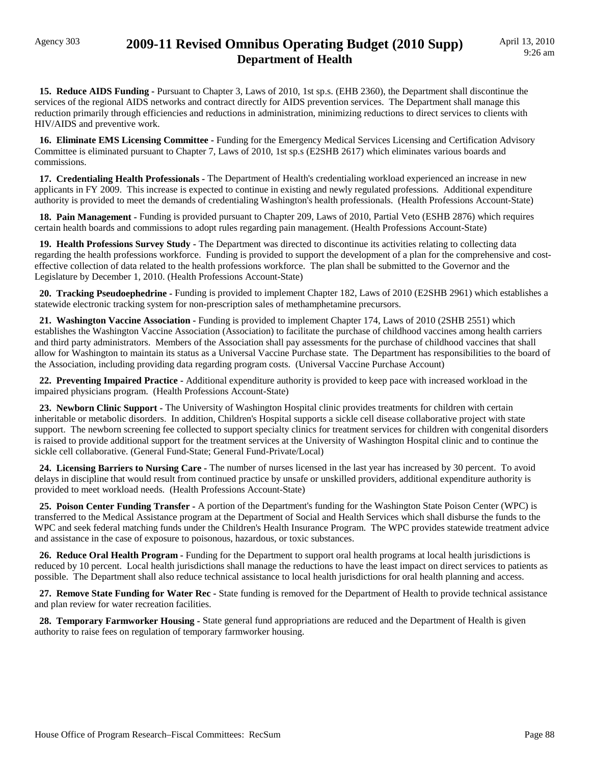### Agency 303 **2009-11 Revised Omnibus Operating Budget (2010 Supp) Department of Health**

 **15. Reduce AIDS Funding -** Pursuant to Chapter 3, Laws of 2010, 1st sp.s. (EHB 2360), the Department shall discontinue the services of the regional AIDS networks and contract directly for AIDS prevention services. The Department shall manage this reduction primarily through efficiencies and reductions in administration, minimizing reductions to direct services to clients with HIV/AIDS and preventive work.

 **16. Eliminate EMS Licensing Committee -** Funding for the Emergency Medical Services Licensing and Certification Advisory Committee is eliminated pursuant to Chapter 7, Laws of 2010, 1st sp.s (E2SHB 2617) which eliminates various boards and commissions.

 **17. Credentialing Health Professionals -** The Department of Health's credentialing workload experienced an increase in new applicants in FY 2009. This increase is expected to continue in existing and newly regulated professions. Additional expenditure authority is provided to meet the demands of credentialing Washington's health professionals. (Health Professions Account-State)

 **18. Pain Management -** Funding is provided pursuant to Chapter 209, Laws of 2010, Partial Veto (ESHB 2876) which requires certain health boards and commissions to adopt rules regarding pain management. (Health Professions Account-State)

 **19. Health Professions Survey Study -** The Department was directed to discontinue its activities relating to collecting data regarding the health professions workforce. Funding is provided to support the development of a plan for the comprehensive and costeffective collection of data related to the health professions workforce. The plan shall be submitted to the Governor and the Legislature by December 1, 2010. (Health Professions Account-State)

 **20. Tracking Pseudoephedrine -** Funding is provided to implement Chapter 182, Laws of 2010 (E2SHB 2961) which establishes a statewide electronic tracking system for non-prescription sales of methamphetamine precursors.

 **21. Washington Vaccine Association -** Funding is provided to implement Chapter 174, Laws of 2010 (2SHB 2551) which establishes the Washington Vaccine Association (Association) to facilitate the purchase of childhood vaccines among health carriers and third party administrators. Members of the Association shall pay assessments for the purchase of childhood vaccines that shall allow for Washington to maintain its status as a Universal Vaccine Purchase state. The Department has responsibilities to the board of the Association, including providing data regarding program costs. (Universal Vaccine Purchase Account)

 **22. Preventing Impaired Practice -** Additional expenditure authority is provided to keep pace with increased workload in the impaired physicians program. (Health Professions Account-State)

 **23. Newborn Clinic Support -** The University of Washington Hospital clinic provides treatments for children with certain inheritable or metabolic disorders. In addition, Children's Hospital supports a sickle cell disease collaborative project with state support. The newborn screening fee collected to support specialty clinics for treatment services for children with congenital disorders is raised to provide additional support for the treatment services at the University of Washington Hospital clinic and to continue the sickle cell collaborative. (General Fund-State; General Fund-Private/Local)

**24. Licensing Barriers to Nursing Care -** The number of nurses licensed in the last year has increased by 30 percent. To avoid delays in discipline that would result from continued practice by unsafe or unskilled providers, additional expenditure authority is provided to meet workload needs. (Health Professions Account-State)

 **25. Poison Center Funding Transfer -** A portion of the Department's funding for the Washington State Poison Center (WPC) is transferred to the Medical Assistance program at the Department of Social and Health Services which shall disburse the funds to the WPC and seek federal matching funds under the Children's Health Insurance Program. The WPC provides statewide treatment advice and assistance in the case of exposure to poisonous, hazardous, or toxic substances.

 **26. Reduce Oral Health Program -** Funding for the Department to support oral health programs at local health jurisdictions is reduced by 10 percent. Local health jurisdictions shall manage the reductions to have the least impact on direct services to patients as possible. The Department shall also reduce technical assistance to local health jurisdictions for oral health planning and access.

 **27. Remove State Funding for Water Rec -** State funding is removed for the Department of Health to provide technical assistance and plan review for water recreation facilities.

 **28. Temporary Farmworker Housing -** State general fund appropriations are reduced and the Department of Health is given authority to raise fees on regulation of temporary farmworker housing.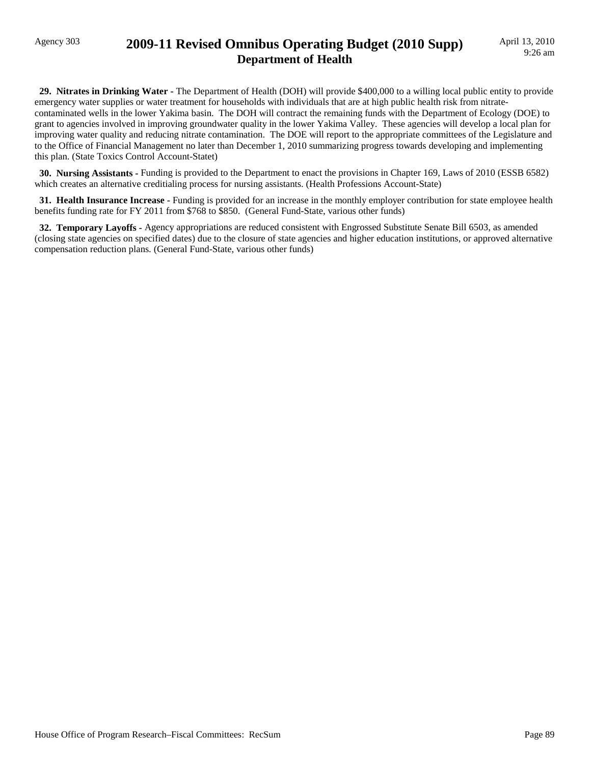### Agency 303 **2009-11 Revised Omnibus Operating Budget (2010 Supp) Department of Health**

 **29. Nitrates in Drinking Water -** The Department of Health (DOH) will provide \$400,000 to a willing local public entity to provide emergency water supplies or water treatment for households with individuals that are at high public health risk from nitratecontaminated wells in the lower Yakima basin. The DOH will contract the remaining funds with the Department of Ecology (DOE) to grant to agencies involved in improving groundwater quality in the lower Yakima Valley. These agencies will develop a local plan for improving water quality and reducing nitrate contamination. The DOE will report to the appropriate committees of the Legislature and to the Office of Financial Management no later than December 1, 2010 summarizing progress towards developing and implementing this plan. (State Toxics Control Account-Statet)

 **30. Nursing Assistants -** Funding is provided to the Department to enact the provisions in Chapter 169, Laws of 2010 (ESSB 6582) which creates an alternative creditialing process for nursing assistants. (Health Professions Account-State)

 **31. Health Insurance Increase -** Funding is provided for an increase in the monthly employer contribution for state employee health benefits funding rate for FY 2011 from \$768 to \$850. (General Fund-State, various other funds)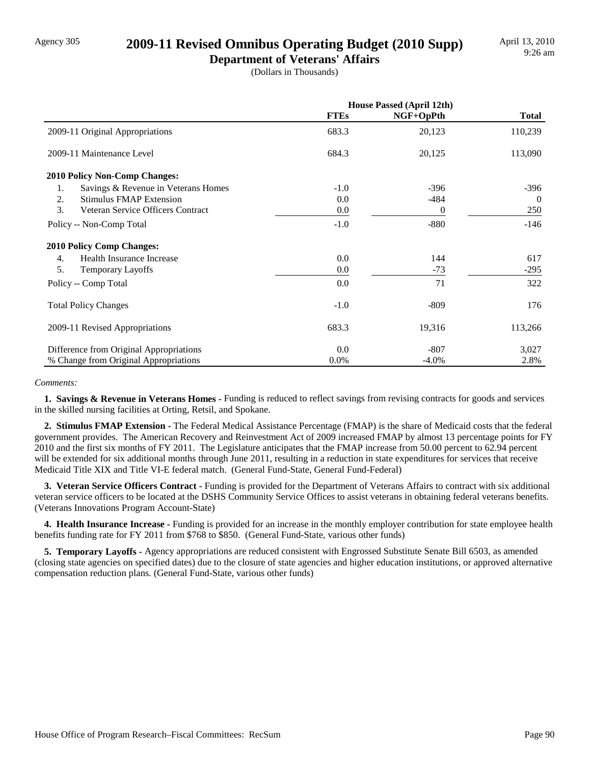### Agency 305 **2009-11 Revised Omnibus Operating Budget (2010 Supp)**

**Department of Veterans' Affairs** (Dollars in Thousands)

|                                           | <b>House Passed (April 12th)</b> |                  |              |
|-------------------------------------------|----------------------------------|------------------|--------------|
|                                           | <b>FTEs</b>                      | NGF+OpPth        | <b>Total</b> |
| 2009-11 Original Appropriations           | 683.3                            | 20,123           | 110,239      |
| 2009-11 Maintenance Level                 | 684.3                            | 20,125           | 113,090      |
| <b>2010 Policy Non-Comp Changes:</b>      |                                  |                  |              |
| Savings & Revenue in Veterans Homes<br>1. | $-1.0$                           | $-396$           | $-396$       |
| <b>Stimulus FMAP Extension</b><br>2.      | 0.0                              | $-484$           | $\theta$     |
| 3.<br>Veteran Service Officers Contract   | 0.0                              | $\boldsymbol{0}$ | 250          |
| Policy -- Non-Comp Total                  | $-1.0$                           | $-880$           | $-146$       |
| <b>2010 Policy Comp Changes:</b>          |                                  |                  |              |
| Health Insurance Increase<br>4.           | 0.0                              | 144              | 617          |
| 5.<br><b>Temporary Layoffs</b>            | 0.0                              | $-73$            | $-295$       |
| Policy -- Comp Total                      | 0.0                              | 71               | 322          |
| <b>Total Policy Changes</b>               | $-1.0$                           | $-809$           | 176          |
| 2009-11 Revised Appropriations            | 683.3                            | 19,316           | 113,266      |
| Difference from Original Appropriations   | 0.0                              | $-807$           | 3,027        |
| % Change from Original Appropriations     | 0.0%                             | $-4.0\%$         | 2.8%         |

#### *Comments:*

 **1. Savings & Revenue in Veterans Homes -** Funding is reduced to reflect savings from revising contracts for goods and services in the skilled nursing facilities at Orting, Retsil, and Spokane.

 **2. Stimulus FMAP Extension -** The Federal Medical Assistance Percentage (FMAP) is the share of Medicaid costs that the federal government provides. The American Recovery and Reinvestment Act of 2009 increased FMAP by almost 13 percentage points for FY 2010 and the first six months of FY 2011. The Legislature anticipates that the FMAP increase from 50.00 percent to 62.94 percent will be extended for six additional months through June 2011, resulting in a reduction in state expenditures for services that receive Medicaid Title XIX and Title VI-E federal match. (General Fund-State, General Fund-Federal)

**3. Veteran Service Officers Contract - Funding is provided for the Department of Veterans Affairs to contract with six additional** veteran service officers to be located at the DSHS Community Service Offices to assist veterans in obtaining federal veterans benefits. (Veterans Innovations Program Account-State)

 **4. Health Insurance Increase -** Funding is provided for an increase in the monthly employer contribution for state employee health benefits funding rate for FY 2011 from \$768 to \$850. (General Fund-State, various other funds)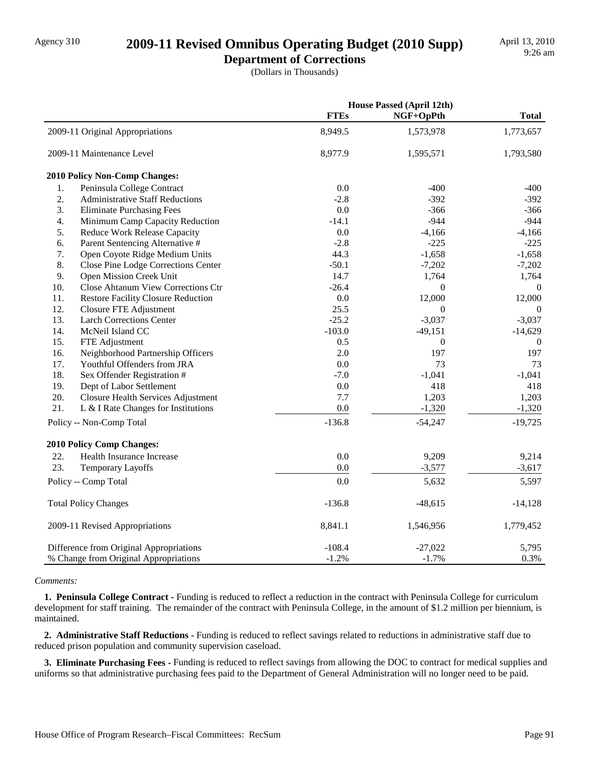### Agency 310 **2009-11 Revised Omnibus Operating Budget (2010 Supp)**

**Department of Corrections**

(Dollars in Thousands)

|     |                                           | <b>House Passed (April 12th)</b> |                  |                  |
|-----|-------------------------------------------|----------------------------------|------------------|------------------|
|     |                                           | <b>FTEs</b>                      | NGF+OpPth        | <b>Total</b>     |
|     | 2009-11 Original Appropriations           | 8,949.5                          | 1,573,978        | 1,773,657        |
|     | 2009-11 Maintenance Level                 | 8,977.9                          | 1,595,571        | 1,793,580        |
|     | 2010 Policy Non-Comp Changes:             |                                  |                  |                  |
| 1.  | Peninsula College Contract                | 0.0                              | $-400$           | $-400$           |
| 2.  | <b>Administrative Staff Reductions</b>    | $-2.8$                           | $-392$           | $-392$           |
| 3.  | <b>Eliminate Purchasing Fees</b>          | 0.0                              | $-366$           | $-366$           |
| 4.  | Minimum Camp Capacity Reduction           | $-14.1$                          | $-944$           | $-944$           |
| 5.  | Reduce Work Release Capacity              | 0.0                              | $-4,166$         | $-4,166$         |
| 6.  | Parent Sentencing Alternative #           | $-2.8$                           | $-225$           | $-225$           |
| 7.  | Open Coyote Ridge Medium Units            | 44.3                             | $-1,658$         | $-1,658$         |
| 8.  | Close Pine Lodge Corrections Center       | $-50.1$                          | $-7,202$         | $-7,202$         |
| 9.  | Open Mission Creek Unit                   | 14.7                             | 1,764            | 1,764            |
| 10. | <b>Close Ahtanum View Corrections Ctr</b> | $-26.4$                          | $\boldsymbol{0}$ | $\boldsymbol{0}$ |
| 11. | <b>Restore Facility Closure Reduction</b> | 0.0                              | 12,000           | 12,000           |
| 12. | Closure FTE Adjustment                    | 25.5                             | $\boldsymbol{0}$ | $\boldsymbol{0}$ |
| 13. | <b>Larch Corrections Center</b>           | $-25.2$                          | $-3,037$         | $-3,037$         |
| 14. | McNeil Island CC                          | $-103.0$                         | $-49,151$        | $-14,629$        |
| 15. | FTE Adjustment                            | 0.5                              | $\boldsymbol{0}$ | $\theta$         |
| 16. | Neighborhood Partnership Officers         | 2.0                              | 197              | 197              |
| 17. | Youthful Offenders from JRA               | 0.0                              | 73               | 73               |
| 18. | Sex Offender Registration #               | $-7.0$                           | $-1,041$         | $-1,041$         |
| 19. | Dept of Labor Settlement                  | 0.0                              | 418              | 418              |
| 20. | <b>Closure Health Services Adjustment</b> | 7.7                              | 1,203            | 1,203            |
| 21. | L & I Rate Changes for Institutions       | 0.0                              | $-1,320$         | $-1,320$         |
|     | Policy -- Non-Comp Total                  | $-136.8$                         | $-54,247$        | $-19,725$        |
|     | 2010 Policy Comp Changes:                 |                                  |                  |                  |
| 22. | <b>Health Insurance Increase</b>          | 0.0                              | 9,209            | 9,214            |
| 23. | Temporary Layoffs                         | 0.0                              | $-3,577$         | $-3,617$         |
|     | Policy -- Comp Total                      | 0.0                              | 5,632            | 5,597            |
|     | <b>Total Policy Changes</b>               | $-136.8$                         | $-48,615$        | $-14,128$        |
|     | 2009-11 Revised Appropriations            | 8,841.1                          | 1,546,956        | 1,779,452        |
|     | Difference from Original Appropriations   | $-108.4$                         | $-27,022$        | 5,795            |
|     | % Change from Original Appropriations     | $-1.2%$                          | $-1.7%$          | 0.3%             |

#### *Comments:*

 **1. Peninsula College Contract -** Funding is reduced to reflect a reduction in the contract with Peninsula College for curriculum development for staff training. The remainder of the contract with Peninsula College, in the amount of \$1.2 million per biennium, is maintained.

 **2. Administrative Staff Reductions -** Funding is reduced to reflect savings related to reductions in administrative staff due to reduced prison population and community supervision caseload.

 **3. Eliminate Purchasing Fees -** Funding is reduced to reflect savings from allowing the DOC to contract for medical supplies and uniforms so that administrative purchasing fees paid to the Department of General Administration will no longer need to be paid.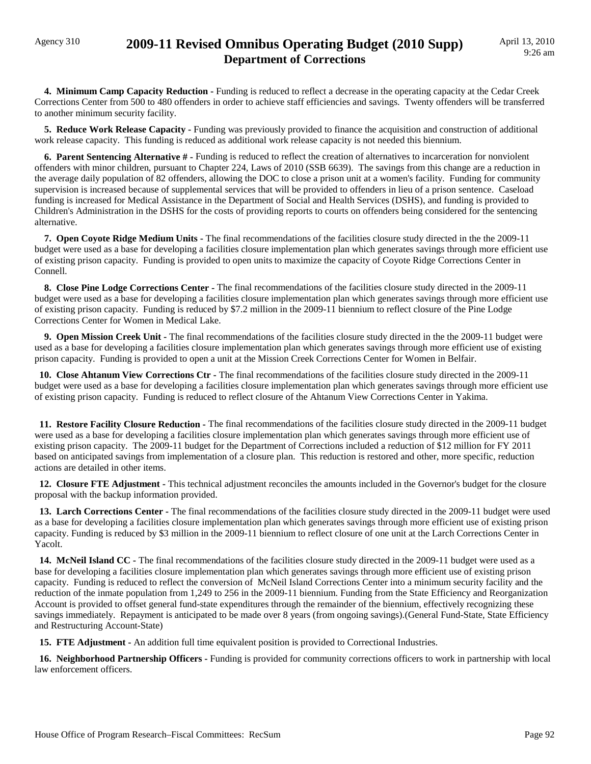### Agency 310 **2009-11 Revised Omnibus Operating Budget (2010 Supp) Department of Corrections**

**4. Minimum Camp Capacity Reduction - Funding is reduced to reflect a decrease in the operating capacity at the Cedar Creek** Corrections Center from 500 to 480 offenders in order to achieve staff efficiencies and savings. Twenty offenders will be transferred to another minimum security facility.

 **5. Reduce Work Release Capacity -** Funding was previously provided to finance the acquisition and construction of additional work release capacity. This funding is reduced as additional work release capacity is not needed this biennium.

 **6. Parent Sentencing Alternative # -** Funding is reduced to reflect the creation of alternatives to incarceration for nonviolent offenders with minor children, pursuant to Chapter 224, Laws of 2010 (SSB 6639). The savings from this change are a reduction in the average daily population of 82 offenders, allowing the DOC to close a prison unit at a women's facility. Funding for community supervision is increased because of supplemental services that will be provided to offenders in lieu of a prison sentence. Caseload funding is increased for Medical Assistance in the Department of Social and Health Services (DSHS), and funding is provided to Children's Administration in the DSHS for the costs of providing reports to courts on offenders being considered for the sentencing alternative.

 **7. Open Coyote Ridge Medium Units -** The final recommendations of the facilities closure study directed in the the 2009-11 budget were used as a base for developing a facilities closure implementation plan which generates savings through more efficient use of existing prison capacity. Funding is provided to open units to maximize the capacity of Coyote Ridge Corrections Center in Connell.

**8. Close Pine Lodge Corrections Center -** The final recommendations of the facilities closure study directed in the 2009-11 budget were used as a base for developing a facilities closure implementation plan which generates savings through more efficient use of existing prison capacity. Funding is reduced by \$7.2 million in the 2009-11 biennium to reflect closure of the Pine Lodge Corrections Center for Women in Medical Lake.

 **9. Open Mission Creek Unit -** The final recommendations of the facilities closure study directed in the the 2009-11 budget were used as a base for developing a facilities closure implementation plan which generates savings through more efficient use of existing prison capacity. Funding is provided to open a unit at the Mission Creek Corrections Center for Women in Belfair.

 **10. Close Ahtanum View Corrections Ctr -** The final recommendations of the facilities closure study directed in the 2009-11 budget were used as a base for developing a facilities closure implementation plan which generates savings through more efficient use of existing prison capacity. Funding is reduced to reflect closure of the Ahtanum View Corrections Center in Yakima.

 **11. Restore Facility Closure Reduction -** The final recommendations of the facilities closure study directed in the 2009-11 budget were used as a base for developing a facilities closure implementation plan which generates savings through more efficient use of existing prison capacity. The 2009-11 budget for the Department of Corrections included a reduction of \$12 million for FY 2011 based on anticipated savings from implementation of a closure plan. This reduction is restored and other, more specific, reduction actions are detailed in other items.

 **12. Closure FTE Adjustment -** This technical adjustment reconciles the amounts included in the Governor's budget for the closure proposal with the backup information provided.

**13. Larch Corrections Center -** The final recommendations of the facilities closure study directed in the 2009-11 budget were used as a base for developing a facilities closure implementation plan which generates savings through more efficient use of existing prison capacity. Funding is reduced by \$3 million in the 2009-11 biennium to reflect closure of one unit at the Larch Corrections Center in Yacolt.

**14. McNeil Island CC** - The final recommendations of the facilities closure study directed in the 2009-11 budget were used as a base for developing a facilities closure implementation plan which generates savings through more efficient use of existing prison capacity. Funding is reduced to reflect the conversion of McNeil Island Corrections Center into a minimum security facility and the reduction of the inmate population from 1,249 to 256 in the 2009-11 biennium. Funding from the State Efficiency and Reorganization Account is provided to offset general fund-state expenditures through the remainder of the biennium, effectively recognizing these savings immediately. Repayment is anticipated to be made over 8 years (from ongoing savings).(General Fund-State, State Efficiency and Restructuring Account-State)

 **15. FTE Adjustment -** An addition full time equivalent position is provided to Correctional Industries.

 **16. Neighborhood Partnership Officers -** Funding is provided for community corrections officers to work in partnership with local law enforcement officers.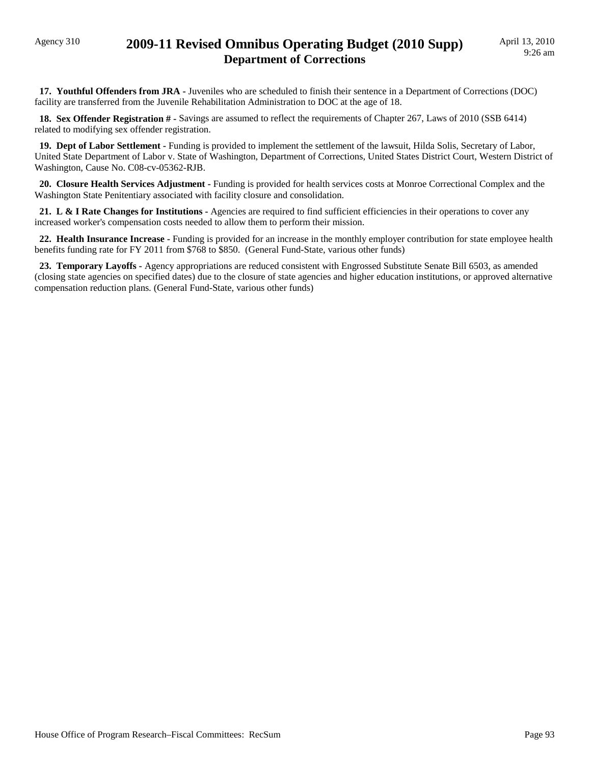### Agency 310 **2009-11 Revised Omnibus Operating Budget (2010 Supp) Department of Corrections**

 **17. Youthful Offenders from JRA -** Juveniles who are scheduled to finish their sentence in a Department of Corrections (DOC) facility are transferred from the Juvenile Rehabilitation Administration to DOC at the age of 18.

 **18. Sex Offender Registration # -** Savings are assumed to reflect the requirements of Chapter 267, Laws of 2010 (SSB 6414) related to modifying sex offender registration.

 **19. Dept of Labor Settlement -** Funding is provided to implement the settlement of the lawsuit, Hilda Solis, Secretary of Labor, United State Department of Labor v. State of Washington, Department of Corrections, United States District Court, Western District of Washington, Cause No. C08-cv-05362-RJB.

 **20. Closure Health Services Adjustment -** Funding is provided for health services costs at Monroe Correctional Complex and the Washington State Penitentiary associated with facility closure and consolidation.

21. L & I Rate Changes for Institutions - Agencies are required to find sufficient efficiencies in their operations to cover any increased worker's compensation costs needed to allow them to perform their mission.

 **22. Health Insurance Increase -** Funding is provided for an increase in the monthly employer contribution for state employee health benefits funding rate for FY 2011 from \$768 to \$850. (General Fund-State, various other funds)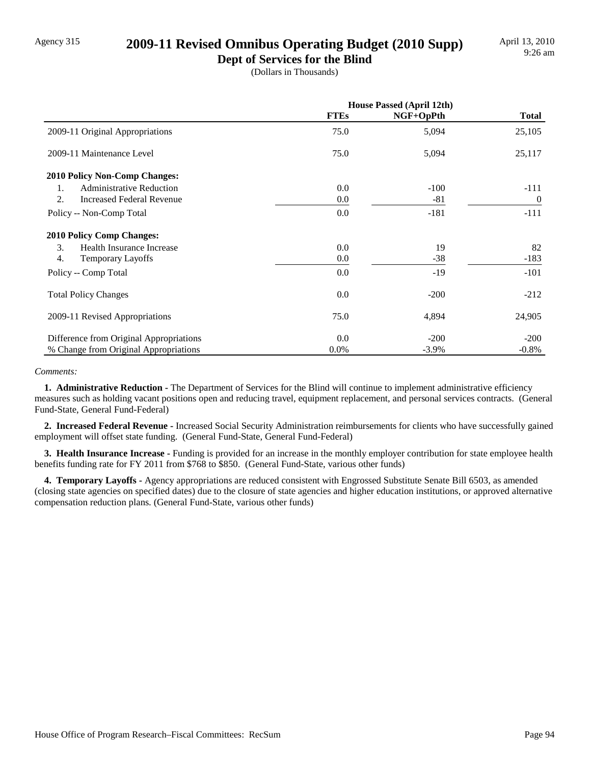#### Agency 315 **2009-11 Revised Omnibus Operating Budget (2010 Supp)**

**Dept of Services for the Blind** (Dollars in Thousands)

|                                         | <b>House Passed (April 12th)</b> |           |                |
|-----------------------------------------|----------------------------------|-----------|----------------|
|                                         | <b>FTEs</b>                      | NGF+OpPth | <b>Total</b>   |
| 2009-11 Original Appropriations         | 75.0                             | 5,094     | 25,105         |
| 2009-11 Maintenance Level               | 75.0                             | 5,094     | 25,117         |
| <b>2010 Policy Non-Comp Changes:</b>    |                                  |           |                |
| <b>Administrative Reduction</b><br>1.   | 0.0                              | $-100$    | $-111$         |
| 2.<br><b>Increased Federal Revenue</b>  | 0.0                              | $-81$     | $\overline{0}$ |
| Policy -- Non-Comp Total                | 0.0                              | $-181$    | $-111$         |
| <b>2010 Policy Comp Changes:</b>        |                                  |           |                |
| 3.<br>Health Insurance Increase         | 0.0                              | 19        | 82             |
| 4.<br><b>Temporary Layoffs</b>          | $0.0\,$                          | $-38$     | $-183$         |
| Policy -- Comp Total                    | 0.0                              | $-19$     | $-101$         |
| <b>Total Policy Changes</b>             | 0.0                              | $-200$    | $-212$         |
| 2009-11 Revised Appropriations          | 75.0                             | 4,894     | 24,905         |
| Difference from Original Appropriations | 0.0                              | $-200$    | $-200$         |
| % Change from Original Appropriations   | 0.0%                             | $-3.9\%$  | $-0.8%$        |

#### *Comments:*

 **1. Administrative Reduction -** The Department of Services for the Blind will continue to implement administrative efficiency measures such as holding vacant positions open and reducing travel, equipment replacement, and personal services contracts. (General Fund-State, General Fund-Federal)

 **2. Increased Federal Revenue -** Increased Social Security Administration reimbursements for clients who have successfully gained employment will offset state funding. (General Fund-State, General Fund-Federal)

 **3. Health Insurance Increase -** Funding is provided for an increase in the monthly employer contribution for state employee health benefits funding rate for FY 2011 from \$768 to \$850. (General Fund-State, various other funds)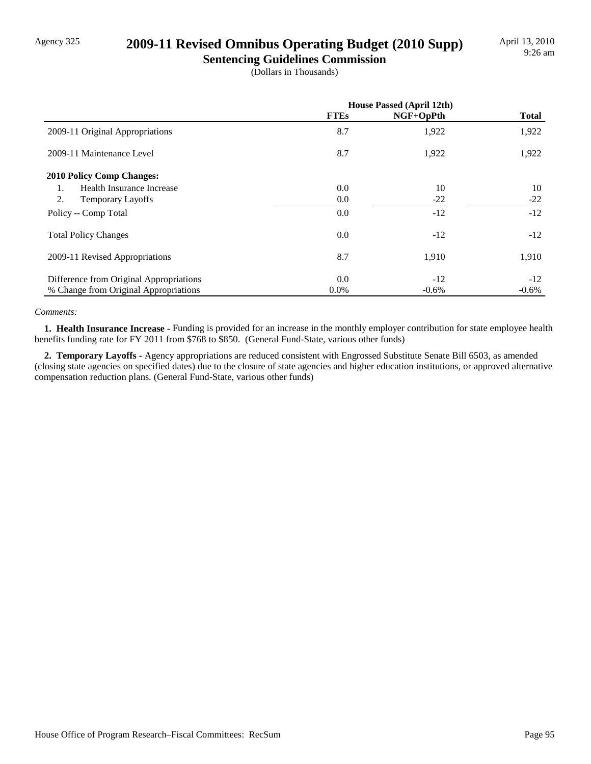### Agency 325 **2009-11 Revised Omnibus Operating Budget (2010 Supp)**

**Sentencing Guidelines Commission** (Dollars in Thousands)

|                                         | <b>House Passed (April 12th)</b> |           |              |
|-----------------------------------------|----------------------------------|-----------|--------------|
|                                         | <b>FTEs</b>                      | NGF+OpPth | <b>Total</b> |
| 2009-11 Original Appropriations         | 8.7                              | 1,922     | 1,922        |
| 2009-11 Maintenance Level               | 8.7                              | 1,922     | 1,922        |
| <b>2010 Policy Comp Changes:</b>        |                                  |           |              |
| Health Insurance Increase<br>1.         | 0.0                              | 10        | 10           |
| 2.<br>Temporary Layoffs                 | 0.0                              | $-22$     | $-22$        |
| Policy -- Comp Total                    | 0.0                              | $-12$     | $-12$        |
| <b>Total Policy Changes</b>             | 0.0                              | $-12$     | $-12$        |
| 2009-11 Revised Appropriations          | 8.7                              | 1,910     | 1,910        |
| Difference from Original Appropriations | 0.0                              | $-12$     | $-12$        |
| % Change from Original Appropriations   | $0.0\%$                          | $-0.6%$   | $-0.6\%$     |

#### *Comments:*

 **1. Health Insurance Increase -** Funding is provided for an increase in the monthly employer contribution for state employee health benefits funding rate for FY 2011 from \$768 to \$850. (General Fund-State, various other funds)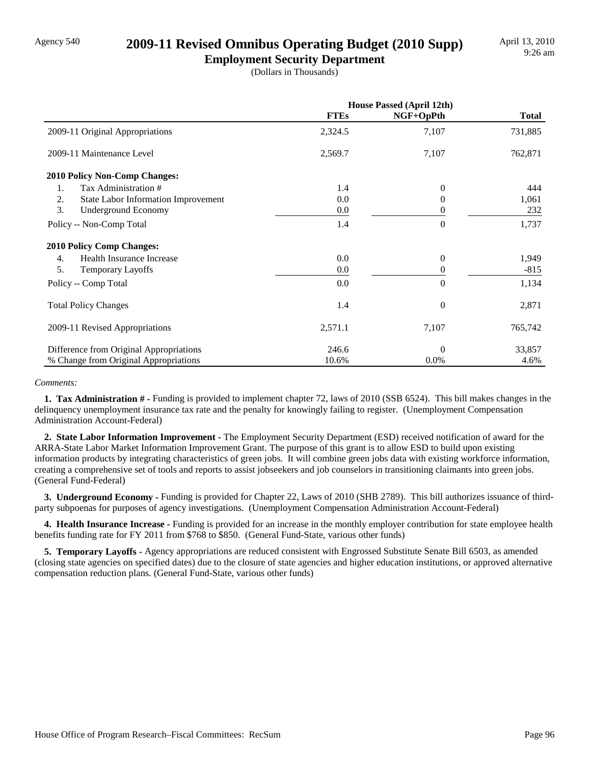### Agency 540 **2009-11 Revised Omnibus Operating Budget (2010 Supp)**

**Employment Security Department** (Dollars in Thousands)

|                                           | <b>House Passed (April 12th)</b> |                  |              |  |
|-------------------------------------------|----------------------------------|------------------|--------------|--|
|                                           | <b>FTEs</b>                      | NGF+OpPth        | <b>Total</b> |  |
| 2009-11 Original Appropriations           | 2,324.5                          | 7,107            | 731,885      |  |
| 2009-11 Maintenance Level                 | 2,569.7                          | 7,107            | 762,871      |  |
| 2010 Policy Non-Comp Changes:             |                                  |                  |              |  |
| Tax Administration #<br>1.                | 1.4                              | $\Omega$         | 444          |  |
| 2.<br>State Labor Information Improvement | 0.0                              | 0                | 1,061        |  |
| 3.<br>Underground Economy                 | 0.0                              | $\theta$         | 232          |  |
| Policy -- Non-Comp Total                  | 1.4                              | $\Omega$         | 1,737        |  |
| <b>2010 Policy Comp Changes:</b>          |                                  |                  |              |  |
| Health Insurance Increase<br>4.           | 0.0                              | $\theta$         | 1,949        |  |
| 5.<br><b>Temporary Layoffs</b>            | 0.0                              | 0                | $-815$       |  |
| Policy -- Comp Total                      | 0.0                              | $\theta$         | 1,134        |  |
| <b>Total Policy Changes</b>               | 1.4                              | $\boldsymbol{0}$ | 2,871        |  |
| 2009-11 Revised Appropriations            | 2,571.1                          | 7,107            | 765,742      |  |
| Difference from Original Appropriations   | 246.6                            | $\Omega$         | 33,857       |  |
| % Change from Original Appropriations     | 10.6%                            | 0.0%             | 4.6%         |  |

#### *Comments:*

 **1. Tax Administration # -** Funding is provided to implement chapter 72, laws of 2010 (SSB 6524). This bill makes changes in the delinquency unemployment insurance tax rate and the penalty for knowingly failing to register. (Unemployment Compensation Administration Account-Federal)

 **2. State Labor Information Improvement -** The Employment Security Department (ESD) received notification of award for the ARRA-State Labor Market Information Improvement Grant. The purpose of this grant is to allow ESD to build upon existing information products by integrating characteristics of green jobs. It will combine green jobs data with existing workforce information, creating a comprehensive set of tools and reports to assist jobseekers and job counselors in transitioning claimants into green jobs. (General Fund-Federal)

 **3. Underground Economy -** Funding is provided for Chapter 22, Laws of 2010 (SHB 2789). This bill authorizes issuance of thirdparty subpoenas for purposes of agency investigations. (Unemployment Compensation Administration Account-Federal)

 **4. Health Insurance Increase -** Funding is provided for an increase in the monthly employer contribution for state employee health benefits funding rate for FY 2011 from \$768 to \$850. (General Fund-State, various other funds)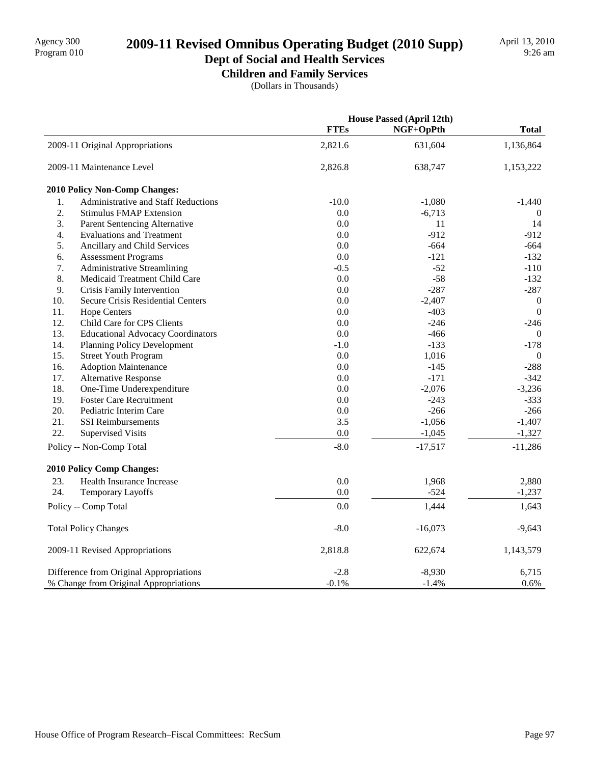# 2009-11 Revised Omnibus Operating Budget (2010 Supp)

### **Dept of Social and Health Services Children and Family Services**

(Dollars in Thousands)

|     |                                          | House Passed (April 12th) |           |                  |
|-----|------------------------------------------|---------------------------|-----------|------------------|
|     |                                          | <b>FTEs</b>               | NGF+OpPth | <b>Total</b>     |
|     | 2009-11 Original Appropriations          | 2,821.6                   | 631,604   | 1,136,864        |
|     | 2009-11 Maintenance Level                | 2,826.8                   | 638,747   | 1,153,222        |
|     | <b>2010 Policy Non-Comp Changes:</b>     |                           |           |                  |
| 1.  | Administrative and Staff Reductions      | $-10.0$                   | $-1,080$  | $-1,440$         |
| 2.  | <b>Stimulus FMAP Extension</b>           | 0.0                       | $-6,713$  | $\theta$         |
| 3.  | <b>Parent Sentencing Alternative</b>     | 0.0                       | 11        | 14               |
| 4.  | <b>Evaluations and Treatment</b>         | 0.0                       | $-912$    | $-912$           |
| 5.  | Ancillary and Child Services             | 0.0                       | $-664$    | $-664$           |
| 6.  | <b>Assessment Programs</b>               | 0.0                       | $-121$    | $-132$           |
| 7.  | <b>Administrative Streamlining</b>       | $-0.5$                    | $-52$     | $-110$           |
| 8.  | Medicaid Treatment Child Care            | 0.0                       | $-58$     | $-132$           |
| 9.  | Crisis Family Intervention               | 0.0                       | $-287$    | $-287$           |
| 10. | Secure Crisis Residential Centers        | 0.0                       | $-2,407$  | $\boldsymbol{0}$ |
| 11. | <b>Hope Centers</b>                      | 0.0                       | $-403$    | $\mathbf{0}$     |
| 12. | Child Care for CPS Clients               | 0.0                       | $-246$    | $-246$           |
| 13. | <b>Educational Advocacy Coordinators</b> | 0.0                       | $-466$    | $\overline{0}$   |
| 14. | <b>Planning Policy Development</b>       | $-1.0$                    | $-133$    | $-178$           |
| 15. | <b>Street Youth Program</b>              | 0.0                       | 1,016     | $\mathbf{0}$     |
| 16. | <b>Adoption Maintenance</b>              | 0.0                       | $-145$    | $-288$           |
| 17. | <b>Alternative Response</b>              | 0.0                       | $-171$    | $-342$           |
| 18. | One-Time Underexpenditure                | 0.0                       | $-2,076$  | $-3,236$         |
| 19. | <b>Foster Care Recruitment</b>           | 0.0                       | $-243$    | $-333$           |
| 20. | Pediatric Interim Care                   | 0.0                       | $-266$    | $-266$           |
| 21. | <b>SSI</b> Reimbursements                | 3.5                       | $-1,056$  | $-1,407$         |
| 22. | <b>Supervised Visits</b>                 | 0.0                       | $-1,045$  | $-1,327$         |
|     | Policy -- Non-Comp Total                 | $-8.0$                    | $-17,517$ | $-11,286$        |
|     | <b>2010 Policy Comp Changes:</b>         |                           |           |                  |
| 23. | Health Insurance Increase                | 0.0                       | 1,968     | 2,880            |
| 24. | Temporary Layoffs                        | 0.0                       | $-524$    | $-1,237$         |
|     | Policy -- Comp Total                     | 0.0                       | 1,444     | 1,643            |
|     | <b>Total Policy Changes</b>              | $-8.0$                    | $-16,073$ | $-9,643$         |
|     | 2009-11 Revised Appropriations           | 2,818.8                   | 622,674   | 1,143,579        |
|     | Difference from Original Appropriations  | $-2.8$                    | $-8,930$  | 6,715            |
|     | % Change from Original Appropriations    | $-0.1%$                   | $-1.4%$   | 0.6%             |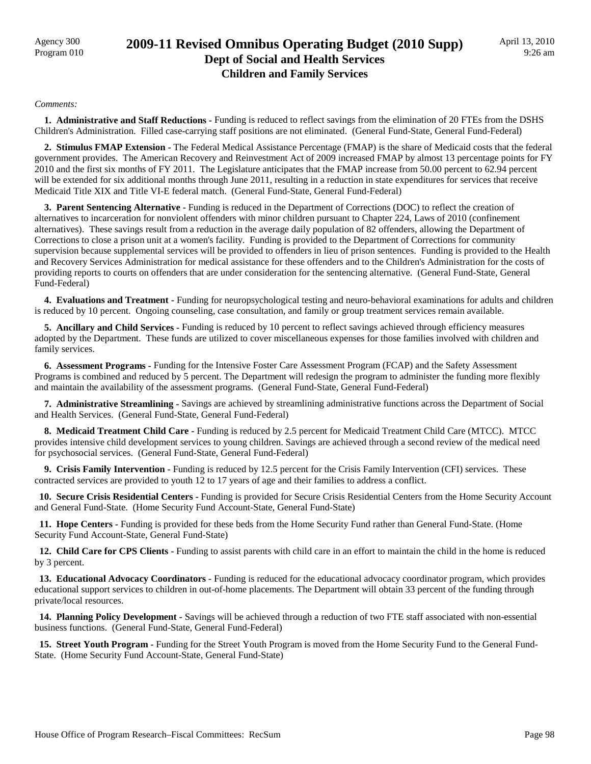### Agency 300 **2009-11 Revised Omnibus Operating Budget (2010 Supp)**<br>Program 010 **Dept of Social and Health Services Children and Family Services**

#### *Comments:*

 **1. Administrative and Staff Reductions -** Funding is reduced to reflect savings from the elimination of 20 FTEs from the DSHS Children's Administration. Filled case-carrying staff positions are not eliminated. (General Fund-State, General Fund-Federal)

 **2. Stimulus FMAP Extension -** The Federal Medical Assistance Percentage (FMAP) is the share of Medicaid costs that the federal government provides. The American Recovery and Reinvestment Act of 2009 increased FMAP by almost 13 percentage points for FY 2010 and the first six months of FY 2011. The Legislature anticipates that the FMAP increase from 50.00 percent to 62.94 percent will be extended for six additional months through June 2011, resulting in a reduction in state expenditures for services that receive Medicaid Title XIX and Title VI-E federal match. (General Fund-State, General Fund-Federal)

**3. Parent Sentencing Alternative - Funding is reduced in the Department of Corrections (DOC) to reflect the creation of** alternatives to incarceration for nonviolent offenders with minor children pursuant to Chapter 224, Laws of 2010 (confinement alternatives). These savings result from a reduction in the average daily population of 82 offenders, allowing the Department of Corrections to close a prison unit at a women's facility. Funding is provided to the Department of Corrections for community supervision because supplemental services will be provided to offenders in lieu of prison sentences. Funding is provided to the Health and Recovery Services Administration for medical assistance for these offenders and to the Children's Administration for the costs of providing reports to courts on offenders that are under consideration for the sentencing alternative. (General Fund-State, General Fund-Federal)

 **4. Evaluations and Treatment -** Funding for neuropsychological testing and neuro-behavioral examinations for adults and children is reduced by 10 percent. Ongoing counseling, case consultation, and family or group treatment services remain available.

 **5. Ancillary and Child Services -** Funding is reduced by 10 percent to reflect savings achieved through efficiency measures adopted by the Department. These funds are utilized to cover miscellaneous expenses for those families involved with children and family services.

 **6. Assessment Programs -** Funding for the Intensive Foster Care Assessment Program (FCAP) and the Safety Assessment Programs is combined and reduced by 5 percent. The Department will redesign the program to administer the funding more flexibly and maintain the availability of the assessment programs. (General Fund-State, General Fund-Federal)

 **7. Administrative Streamlining -** Savings are achieved by streamlining administrative functions across the Department of Social and Health Services. (General Fund-State, General Fund-Federal)

 **8. Medicaid Treatment Child Care -** Funding is reduced by 2.5 percent for Medicaid Treatment Child Care (MTCC). MTCC provides intensive child development services to young children. Savings are achieved through a second review of the medical need for psychosocial services. (General Fund-State, General Fund-Federal)

 **9. Crisis Family Intervention -** Funding is reduced by 12.5 percent for the Crisis Family Intervention (CFI) services. These contracted services are provided to youth 12 to 17 years of age and their families to address a conflict.

 **10. Secure Crisis Residential Centers -** Funding is provided for Secure Crisis Residential Centers from the Home Security Account and General Fund-State. (Home Security Fund Account-State, General Fund-State)

 **11. Hope Centers -** Funding is provided for these beds from the Home Security Fund rather than General Fund-State. (Home Security Fund Account-State, General Fund-State)

 **12. Child Care for CPS Clients -** Funding to assist parents with child care in an effort to maintain the child in the home is reduced by 3 percent.

 **13. Educational Advocacy Coordinators -** Funding is reduced for the educational advocacy coordinator program, which provides educational support services to children in out-of-home placements. The Department will obtain 33 percent of the funding through private/local resources.

 **14. Planning Policy Development -** Savings will be achieved through a reduction of two FTE staff associated with non-essential business functions. (General Fund-State, General Fund-Federal)

 **15. Street Youth Program -** Funding for the Street Youth Program is moved from the Home Security Fund to the General Fund-State. (Home Security Fund Account-State, General Fund-State)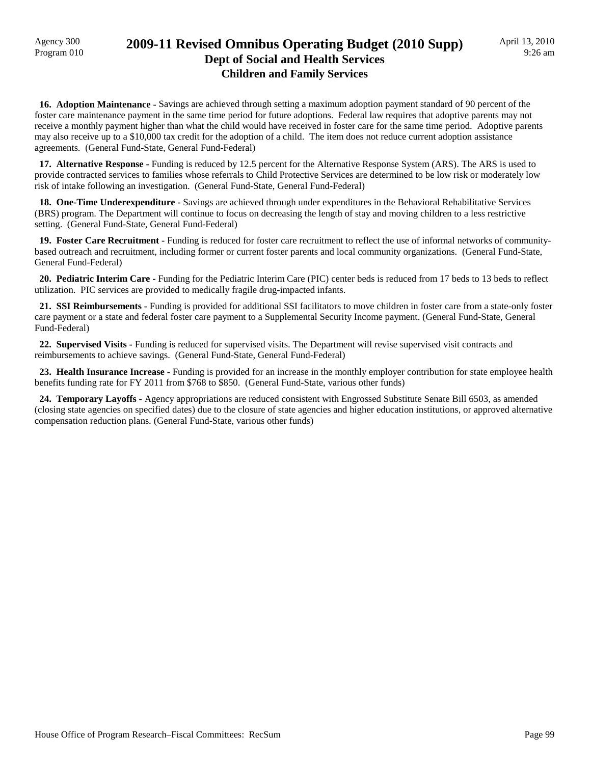### Agency 300 **2009-11 Revised Omnibus Operating Budget (2010 Supp)**<br>Program 010 **Dept of Social and Health Services Children and Family Services**

 **16. Adoption Maintenance -** Savings are achieved through setting a maximum adoption payment standard of 90 percent of the foster care maintenance payment in the same time period for future adoptions. Federal law requires that adoptive parents may not receive a monthly payment higher than what the child would have received in foster care for the same time period. Adoptive parents may also receive up to a \$10,000 tax credit for the adoption of a child. The item does not reduce current adoption assistance agreements. (General Fund-State, General Fund-Federal)

 **17. Alternative Response -** Funding is reduced by 12.5 percent for the Alternative Response System (ARS). The ARS is used to provide contracted services to families whose referrals to Child Protective Services are determined to be low risk or moderately low risk of intake following an investigation. (General Fund-State, General Fund-Federal)

 **18. One-Time Underexpenditure -** Savings are achieved through under expenditures in the Behavioral Rehabilitative Services (BRS) program. The Department will continue to focus on decreasing the length of stay and moving children to a less restrictive setting. (General Fund-State, General Fund-Federal)

 **19. Foster Care Recruitment -** Funding is reduced for foster care recruitment to reflect the use of informal networks of communitybased outreach and recruitment, including former or current foster parents and local community organizations. (General Fund-State, General Fund-Federal)

 **20. Pediatric Interim Care -** Funding for the Pediatric Interim Care (PIC) center beds is reduced from 17 beds to 13 beds to reflect utilization. PIC services are provided to medically fragile drug-impacted infants.

 **21. SSI Reimbursements -** Funding is provided for additional SSI facilitators to move children in foster care from a state-only foster care payment or a state and federal foster care payment to a Supplemental Security Income payment. (General Fund-State, General Fund-Federal)

 **22. Supervised Visits -** Funding is reduced for supervised visits. The Department will revise supervised visit contracts and reimbursements to achieve savings. (General Fund-State, General Fund-Federal)

 **23. Health Insurance Increase -** Funding is provided for an increase in the monthly employer contribution for state employee health benefits funding rate for FY 2011 from \$768 to \$850. (General Fund-State, various other funds)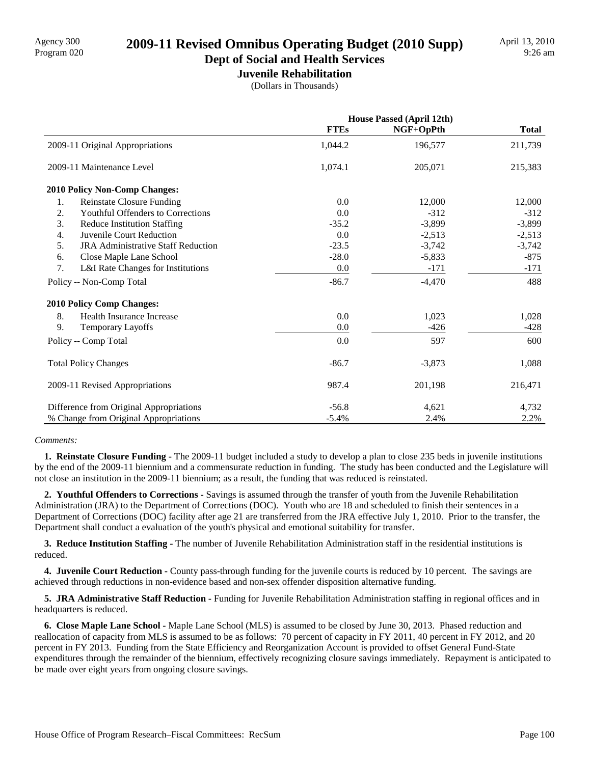# Agency 300<br>Program 020 **2009-11 Revised Omnibus Operating Budget (2010 Supp)**

# **Dept of Social and Health Services**

**Juvenile Rehabilitation** (Dollars in Thousands)

|                                                 | <b>House Passed (April 12th)</b> |           |              |  |
|-------------------------------------------------|----------------------------------|-----------|--------------|--|
|                                                 | <b>FTEs</b>                      | NGF+OpPth | <b>Total</b> |  |
| 2009-11 Original Appropriations                 | 1,044.2                          | 196,577   | 211,739      |  |
| 2009-11 Maintenance Level                       | 1,074.1                          | 205,071   | 215,383      |  |
| 2010 Policy Non-Comp Changes:                   |                                  |           |              |  |
| 1.<br><b>Reinstate Closure Funding</b>          | 0.0                              | 12,000    | 12,000       |  |
| 2.<br>Youthful Offenders to Corrections         | 0.0                              | $-312$    | $-312$       |  |
| 3.<br><b>Reduce Institution Staffing</b>        | $-35.2$                          | $-3,899$  | $-3,899$     |  |
| 4.<br>Juvenile Court Reduction                  | 0.0                              | $-2,513$  | $-2,513$     |  |
| 5.<br><b>JRA Administrative Staff Reduction</b> | $-23.5$                          | $-3,742$  | $-3,742$     |  |
| Close Maple Lane School<br>6.                   | $-28.0$                          | $-5,833$  | $-875$       |  |
| 7.<br>L&I Rate Changes for Institutions         | 0.0                              | $-171$    | $-171$       |  |
| Policy -- Non-Comp Total                        | $-86.7$                          | $-4,470$  | 488          |  |
| <b>2010 Policy Comp Changes:</b>                |                                  |           |              |  |
| 8.<br>Health Insurance Increase                 | 0.0                              | 1,023     | 1,028        |  |
| 9.<br><b>Temporary Layoffs</b>                  | 0.0                              | $-426$    | $-428$       |  |
| Policy -- Comp Total                            | 0.0                              | 597       | 600          |  |
| <b>Total Policy Changes</b>                     | $-86.7$                          | $-3,873$  | 1,088        |  |
| 2009-11 Revised Appropriations                  | 987.4                            | 201,198   | 216,471      |  |
| Difference from Original Appropriations         | $-56.8$                          | 4,621     | 4,732        |  |
| % Change from Original Appropriations           | $-5.4%$                          | 2.4%      | 2.2%         |  |

#### *Comments:*

 **1. Reinstate Closure Funding -** The 2009-11 budget included a study to develop a plan to close 235 beds in juvenile institutions by the end of the 2009-11 biennium and a commensurate reduction in funding. The study has been conducted and the Legislature will not close an institution in the 2009-11 biennium; as a result, the funding that was reduced is reinstated.

 **2. Youthful Offenders to Corrections -** Savings is assumed through the transfer of youth from the Juvenile Rehabilitation Administration (JRA) to the Department of Corrections (DOC). Youth who are 18 and scheduled to finish their sentences in a Department of Corrections (DOC) facility after age 21 are transferred from the JRA effective July 1, 2010. Prior to the transfer, the Department shall conduct a evaluation of the youth's physical and emotional suitability for transfer.

 **3. Reduce Institution Staffing -** The number of Juvenile Rehabilitation Administration staff in the residential institutions is reduced.

 **4. Juvenile Court Reduction -** County pass-through funding for the juvenile courts is reduced by 10 percent. The savings are achieved through reductions in non-evidence based and non-sex offender disposition alternative funding.

**5. JRA Administrative Staff Reduction -** Funding for Juvenile Rehabilitation Administration staffing in regional offices and in headquarters is reduced.

 **6. Close Maple Lane School -** Maple Lane School (MLS) is assumed to be closed by June 30, 2013. Phased reduction and reallocation of capacity from MLS is assumed to be as follows: 70 percent of capacity in FY 2011, 40 percent in FY 2012, and 20 percent in FY 2013. Funding from the State Efficiency and Reorganization Account is provided to offset General Fund-State expenditures through the remainder of the biennium, effectively recognizing closure savings immediately. Repayment is anticipated to be made over eight years from ongoing closure savings.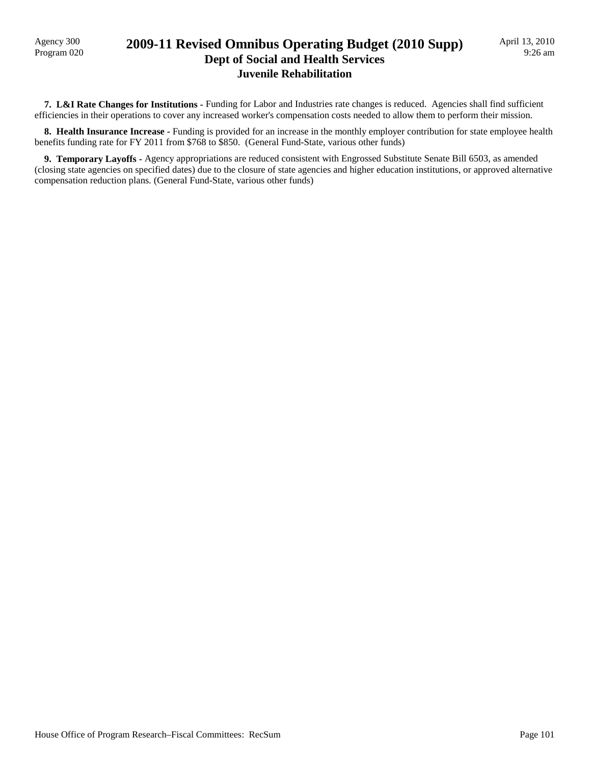### Program 020 **2009-11 Revised Omnibus Operating Budget (2010 Supp) Dept of Social and Health Services Juvenile Rehabilitation**

 **7. L&I Rate Changes for Institutions -** Funding for Labor and Industries rate changes is reduced. Agencies shall find sufficient efficiencies in their operations to cover any increased worker's compensation costs needed to allow them to perform their mission.

 **8. Health Insurance Increase -** Funding is provided for an increase in the monthly employer contribution for state employee health benefits funding rate for FY 2011 from \$768 to \$850. (General Fund-State, various other funds)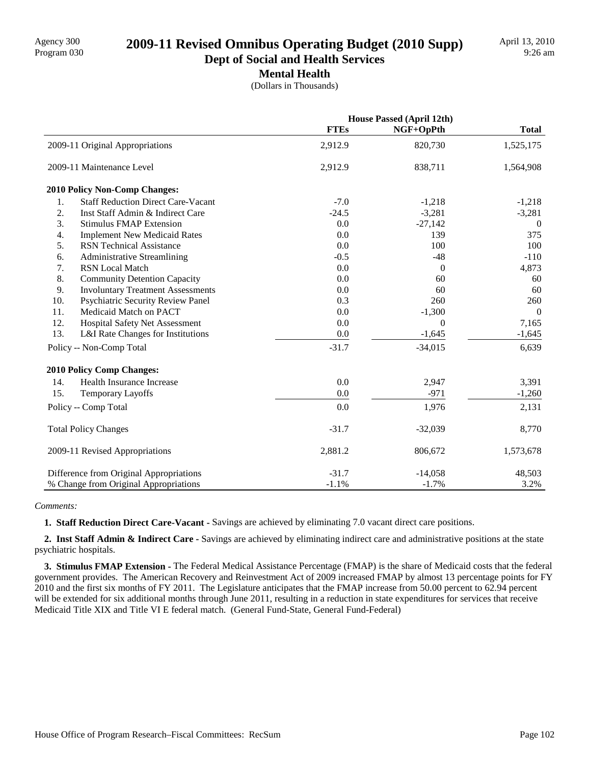# Program 030 **2009-11 Revised Omnibus Operating Budget (2010 Supp)**

**Dept of Social and Health Services Mental Health**

(Dollars in Thousands)

|                                                 |             | <b>House Passed (April 12th)</b> |              |
|-------------------------------------------------|-------------|----------------------------------|--------------|
|                                                 | <b>FTEs</b> | NGF+OpPth                        | <b>Total</b> |
| 2009-11 Original Appropriations                 | 2,912.9     | 820,730                          | 1,525,175    |
| 2009-11 Maintenance Level                       | 2,912.9     | 838,711                          | 1,564,908    |
| 2010 Policy Non-Comp Changes:                   |             |                                  |              |
| <b>Staff Reduction Direct Care-Vacant</b><br>1. | $-7.0$      | $-1,218$                         | $-1,218$     |
| 2.<br>Inst Staff Admin & Indirect Care          | $-24.5$     | $-3,281$                         | $-3,281$     |
| 3.<br><b>Stimulus FMAP Extension</b>            | 0.0         | $-27,142$                        | $\mathbf{0}$ |
| 4.<br><b>Implement New Medicaid Rates</b>       | 0.0         | 139                              | 375          |
| 5.<br><b>RSN</b> Technical Assistance           | 0.0         | 100                              | 100          |
| 6.<br><b>Administrative Streamlining</b>        | $-0.5$      | $-48$                            | $-110$       |
| 7.<br><b>RSN</b> Local Match                    | 0.0         | $\overline{0}$                   | 4,873        |
| 8.<br><b>Community Detention Capacity</b>       | 0.0         | 60                               | 60           |
| 9.<br><b>Involuntary Treatment Assessments</b>  | 0.0         | 60                               | 60           |
| 10.<br>Psychiatric Security Review Panel        | 0.3         | 260                              | 260          |
| 11.<br>Medicaid Match on PACT                   | 0.0         | $-1,300$                         | $\theta$     |
| 12.<br>Hospital Safety Net Assessment           | 0.0         | $\boldsymbol{0}$                 | 7,165        |
| 13.<br>L&I Rate Changes for Institutions        | 0.0         | $-1,645$                         | $-1,645$     |
| Policy -- Non-Comp Total                        | $-31.7$     | $-34,015$                        | 6,639        |
| <b>2010 Policy Comp Changes:</b>                |             |                                  |              |
| Health Insurance Increase<br>14.                | 0.0         | 2,947                            | 3,391        |
| 15.<br><b>Temporary Layoffs</b>                 | 0.0         | $-971$                           | $-1,260$     |
| Policy -- Comp Total                            | 0.0         | 1,976                            | 2,131        |
| <b>Total Policy Changes</b>                     | $-31.7$     | $-32,039$                        | 8,770        |
| 2009-11 Revised Appropriations                  | 2,881.2     | 806,672                          | 1,573,678    |
| Difference from Original Appropriations         | $-31.7$     | $-14,058$                        | 48,503       |
| % Change from Original Appropriations           | $-1.1%$     | $-1.7%$                          | 3.2%         |

#### *Comments:*

 **1. Staff Reduction Direct Care-Vacant -** Savings are achieved by eliminating 7.0 vacant direct care positions.

 **2. Inst Staff Admin & Indirect Care -** Savings are achieved by eliminating indirect care and administrative positions at the state psychiatric hospitals.

 **3. Stimulus FMAP Extension -** The Federal Medical Assistance Percentage (FMAP) is the share of Medicaid costs that the federal government provides. The American Recovery and Reinvestment Act of 2009 increased FMAP by almost 13 percentage points for FY 2010 and the first six months of FY 2011. The Legislature anticipates that the FMAP increase from 50.00 percent to 62.94 percent will be extended for six additional months through June 2011, resulting in a reduction in state expenditures for services that receive Medicaid Title XIX and Title VI E federal match. (General Fund-State, General Fund-Federal)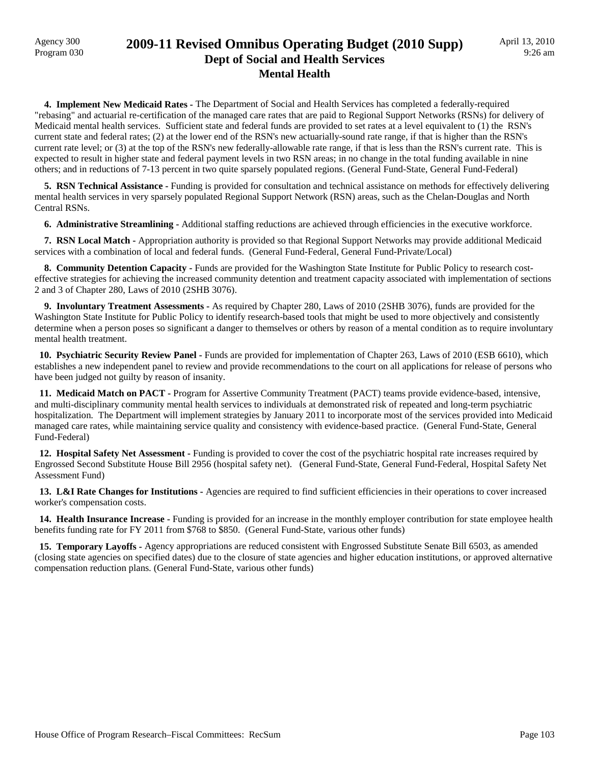### Agency 300 **2009-11 Revised Omnibus Operating Budget (2010 Supp)**<br>Program 030 **Dept of Social and Health Services Mental Health**

 **4. Implement New Medicaid Rates -** The Department of Social and Health Services has completed a federally-required "rebasing" and actuarial re-certification of the managed care rates that are paid to Regional Support Networks (RSNs) for delivery of Medicaid mental health services. Sufficient state and federal funds are provided to set rates at a level equivalent to (1) the RSN's current state and federal rates; (2) at the lower end of the RSN's new actuarially-sound rate range, if that is higher than the RSN's current rate level; or (3) at the top of the RSN's new federally-allowable rate range, if that is less than the RSN's current rate. This is expected to result in higher state and federal payment levels in two RSN areas; in no change in the total funding available in nine others; and in reductions of 7-13 percent in two quite sparsely populated regions. (General Fund-State, General Fund-Federal)

 **5. RSN Technical Assistance -** Funding is provided for consultation and technical assistance on methods for effectively delivering mental health services in very sparsely populated Regional Support Network (RSN) areas, such as the Chelan-Douglas and North Central RSNs.

 **6. Administrative Streamlining -** Additional staffing reductions are achieved through efficiencies in the executive workforce.

 **7. RSN Local Match -** Appropriation authority is provided so that Regional Support Networks may provide additional Medicaid services with a combination of local and federal funds. (General Fund-Federal, General Fund-Private/Local)

**8. Community Detention Capacity - Funds are provided for the Washington State Institute for Public Policy to research cost**effective strategies for achieving the increased community detention and treatment capacity associated with implementation of sections 2 and 3 of Chapter 280, Laws of 2010 (2SHB 3076).

 **9. Involuntary Treatment Assessments -** As required by Chapter 280, Laws of 2010 (2SHB 3076), funds are provided for the Washington State Institute for Public Policy to identify research-based tools that might be used to more objectively and consistently determine when a person poses so significant a danger to themselves or others by reason of a mental condition as to require involuntary mental health treatment.

 **10. Psychiatric Security Review Panel -** Funds are provided for implementation of Chapter 263, Laws of 2010 (ESB 6610), which establishes a new independent panel to review and provide recommendations to the court on all applications for release of persons who have been judged not guilty by reason of insanity.

 **11. Medicaid Match on PACT -** Program for Assertive Community Treatment (PACT) teams provide evidence-based, intensive, and multi-disciplinary community mental health services to individuals at demonstrated risk of repeated and long-term psychiatric hospitalization. The Department will implement strategies by January 2011 to incorporate most of the services provided into Medicaid managed care rates, while maintaining service quality and consistency with evidence-based practice. (General Fund-State, General Fund-Federal)

 **12. Hospital Safety Net Assessment -** Funding is provided to cover the cost of the psychiatric hospital rate increases required by Engrossed Second Substitute House Bill 2956 (hospital safety net). (General Fund-State, General Fund-Federal, Hospital Safety Net Assessment Fund)

 **13. L&I Rate Changes for Institutions -** Agencies are required to find sufficient efficiencies in their operations to cover increased worker's compensation costs.

 **14. Health Insurance Increase -** Funding is provided for an increase in the monthly employer contribution for state employee health benefits funding rate for FY 2011 from \$768 to \$850. (General Fund-State, various other funds)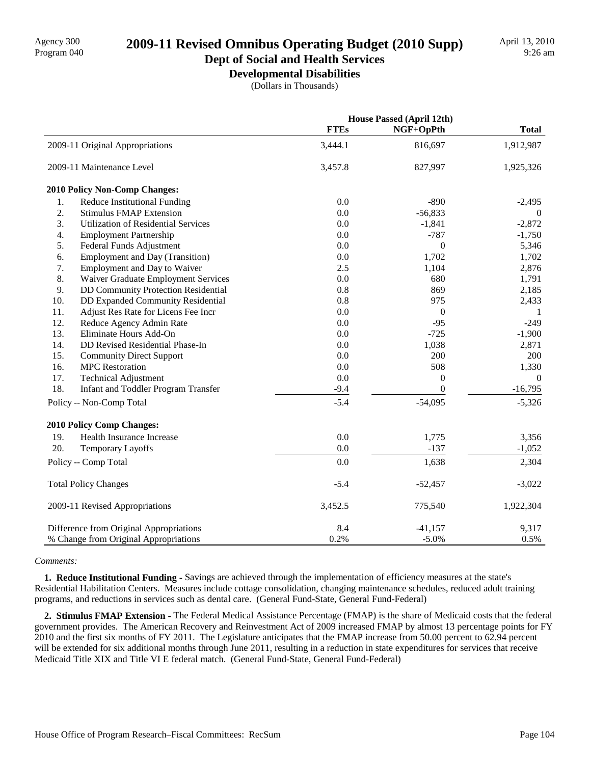# Program 040 **2009-11 Revised Omnibus Operating Budget (2010 Supp)**

#### **Dept of Social and Health Services Developmental Disabilities**

(Dollars in Thousands)

|     |                                            | <b>House Passed (April 12th)</b> |                  |                |
|-----|--------------------------------------------|----------------------------------|------------------|----------------|
|     |                                            | <b>FTEs</b>                      | NGF+OpPth        | <b>Total</b>   |
|     | 2009-11 Original Appropriations            | 3,444.1                          | 816,697          | 1,912,987      |
|     | 2009-11 Maintenance Level                  | 3,457.8                          | 827,997          | 1,925,326      |
|     | 2010 Policy Non-Comp Changes:              |                                  |                  |                |
| 1.  | <b>Reduce Institutional Funding</b>        | 0.0                              | $-890$           | $-2,495$       |
| 2.  | <b>Stimulus FMAP Extension</b>             | 0.0                              | $-56,833$        | $\Omega$       |
| 3.  | <b>Utilization of Residential Services</b> | 0.0                              | $-1,841$         | $-2,872$       |
| 4.  | <b>Employment Partnership</b>              | $0.0\,$                          | $-787$           | $-1,750$       |
| 5.  | Federal Funds Adjustment                   | 0.0                              | $\mathbf{0}$     | 5,346          |
| 6.  | <b>Employment and Day (Transition)</b>     | 0.0                              | 1,702            | 1,702          |
| 7.  | Employment and Day to Waiver               | 2.5                              | 1,104            | 2,876          |
| 8.  | Waiver Graduate Employment Services        | 0.0                              | 680              | 1,791          |
| 9.  | DD Community Protection Residential        | 0.8                              | 869              | 2,185          |
| 10. | DD Expanded Community Residential          | 0.8                              | 975              | 2,433          |
| 11. | Adjust Res Rate for Licens Fee Incr        | 0.0                              | $\boldsymbol{0}$ | 1              |
| 12. | Reduce Agency Admin Rate                   | 0.0                              | $-95$            | $-249$         |
| 13. | Eliminate Hours Add-On                     | 0.0                              | $-725$           | $-1,900$       |
| 14. | DD Revised Residential Phase-In            | 0.0                              | 1,038            | 2,871          |
| 15. | <b>Community Direct Support</b>            | 0.0                              | 200              | 200            |
| 16. | <b>MPC</b> Restoration                     | $0.0\,$                          | 508              | 1,330          |
| 17. | <b>Technical Adjustment</b>                | 0.0                              | $\theta$         | $\overline{0}$ |
| 18. | Infant and Toddler Program Transfer        | $-9.4$                           | $\boldsymbol{0}$ | $-16,795$      |
|     | Policy -- Non-Comp Total                   | $-5.4$                           | $-54,095$        | $-5,326$       |
|     | 2010 Policy Comp Changes:                  |                                  |                  |                |
| 19. | Health Insurance Increase                  | 0.0                              | 1,775            | 3,356          |
| 20. | Temporary Layoffs                          | 0.0                              | $-137$           | $-1,052$       |
|     | Policy -- Comp Total                       | 0.0                              | 1,638            | 2,304          |
|     | <b>Total Policy Changes</b>                | $-5.4$                           | $-52,457$        | $-3,022$       |
|     | 2009-11 Revised Appropriations             | 3,452.5                          | 775,540          | 1,922,304      |
|     | Difference from Original Appropriations    | 8.4                              | $-41,157$        | 9,317          |
|     | % Change from Original Appropriations      | 0.2%                             | $-5.0%$          | 0.5%           |

#### *Comments:*

 **1. Reduce Institutional Funding -** Savings are achieved through the implementation of efficiency measures at the state's Residential Habilitation Centers. Measures include cottage consolidation, changing maintenance schedules, reduced adult training programs, and reductions in services such as dental care. (General Fund-State, General Fund-Federal)

 **2. Stimulus FMAP Extension -** The Federal Medical Assistance Percentage (FMAP) is the share of Medicaid costs that the federal government provides. The American Recovery and Reinvestment Act of 2009 increased FMAP by almost 13 percentage points for FY 2010 and the first six months of FY 2011. The Legislature anticipates that the FMAP increase from 50.00 percent to 62.94 percent will be extended for six additional months through June 2011, resulting in a reduction in state expenditures for services that receive Medicaid Title XIX and Title VI E federal match. (General Fund-State, General Fund-Federal)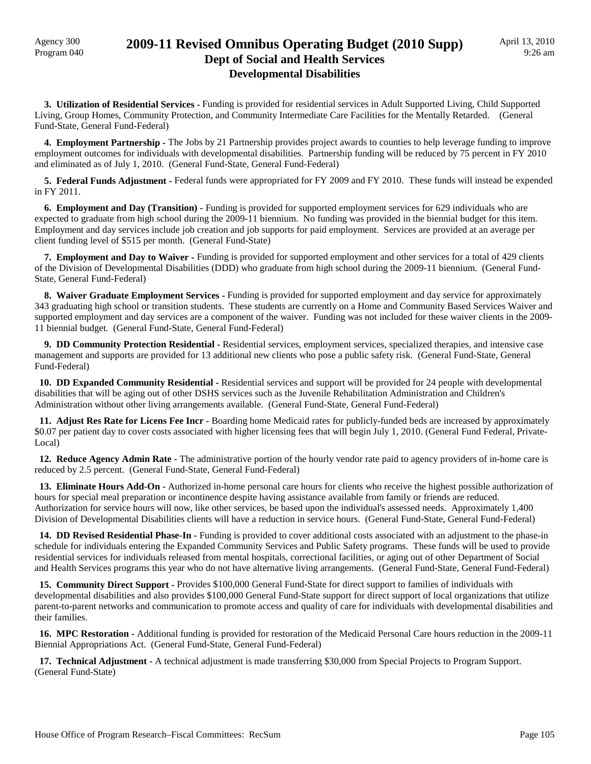### Agency 300 **2009-11 Revised Omnibus Operating Budget (2010 Supp)**<br>Program 040 **Dept of Social and Health Services Developmental Disabilities**

 **3. Utilization of Residential Services -** Funding is provided for residential services in Adult Supported Living, Child Supported Living, Group Homes, Community Protection, and Community Intermediate Care Facilities for the Mentally Retarded. (General Fund-State, General Fund-Federal)

 **4. Employment Partnership -** The Jobs by 21 Partnership provides project awards to counties to help leverage funding to improve employment outcomes for individuals with developmental disabilities. Partnership funding will be reduced by 75 percent in FY 2010 and eliminated as of July 1, 2010. (General Fund-State, General Fund-Federal)

 **5. Federal Funds Adjustment -** Federal funds were appropriated for FY 2009 and FY 2010. These funds will instead be expended in FY 2011.

 **6. Employment and Day (Transition) -** Funding is provided for supported employment services for 629 individuals who are expected to graduate from high school during the 2009-11 biennium. No funding was provided in the biennial budget for this item. Employment and day services include job creation and job supports for paid employment. Services are provided at an average per client funding level of \$515 per month. (General Fund-State)

 **7. Employment and Day to Waiver -** Funding is provided for supported employment and other services for a total of 429 clients of the Division of Developmental Disabilities (DDD) who graduate from high school during the 2009-11 biennium. (General Fund-State, General Fund-Federal)

**8. Waiver Graduate Employment Services - Funding is provided for supported employment and day service for approximately** 343 graduating high school or transition students. These students are currently on a Home and Community Based Services Waiver and supported employment and day services are a component of the waiver. Funding was not included for these waiver clients in the 2009- 11 biennial budget. (General Fund-State, General Fund-Federal)

 **9. DD Community Protection Residential -** Residential services, employment services, specialized therapies, and intensive case management and supports are provided for 13 additional new clients who pose a public safety risk. (General Fund-State, General Fund-Federal)

 **10. DD Expanded Community Residential -** Residential services and support will be provided for 24 people with developmental disabilities that will be aging out of other DSHS services such as the Juvenile Rehabilitation Administration and Children's Administration without other living arrangements available. (General Fund-State, General Fund-Federal)

 **11. Adjust Res Rate for Licens Fee Incr -** Boarding home Medicaid rates for publicly-funded beds are increased by approximately \$0.07 per patient day to cover costs associated with higher licensing fees that will begin July 1, 2010. (General Fund Federal, Private-Local)

 **12. Reduce Agency Admin Rate -** The administrative portion of the hourly vendor rate paid to agency providers of in-home care is reduced by 2.5 percent. (General Fund-State, General Fund-Federal)

 **13. Eliminate Hours Add-On -** Authorized in-home personal care hours for clients who receive the highest possible authorization of hours for special meal preparation or incontinence despite having assistance available from family or friends are reduced. Authorization for service hours will now, like other services, be based upon the individual's assessed needs. Approximately 1,400 Division of Developmental Disabilities clients will have a reduction in service hours. (General Fund-State, General Fund-Federal)

 **14. DD Revised Residential Phase-In -** Funding is provided to cover additional costs associated with an adjustment to the phase-in schedule for individuals entering the Expanded Community Services and Public Safety programs. These funds will be used to provide residential services for individuals released from mental hospitals, correctional facilities, or aging out of other Department of Social and Health Services programs this year who do not have alternative living arrangements. (General Fund-State, General Fund-Federal)

 **15. Community Direct Support -** Provides \$100,000 General Fund-State for direct support to families of individuals with developmental disabilities and also provides \$100,000 General Fund-State support for direct support of local organizations that utilize parent-to-parent networks and communication to promote access and quality of care for individuals with developmental disabilities and their families.

 **16. MPC Restoration -** Additional funding is provided for restoration of the Medicaid Personal Care hours reduction in the 2009-11 Biennial Appropriations Act. (General Fund-State, General Fund-Federal)

 **17. Technical Adjustment -** A technical adjustment is made transferring \$30,000 from Special Projects to Program Support. (General Fund-State)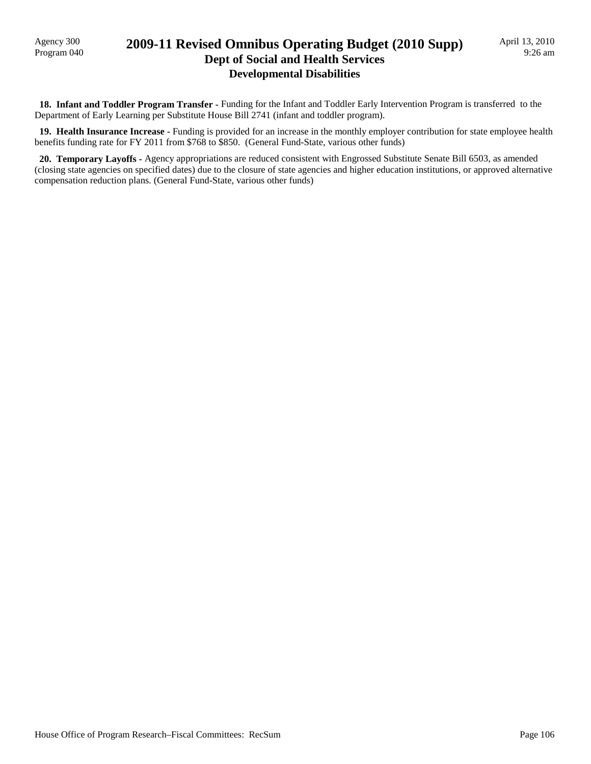### Program 040 **2009-11 Revised Omnibus Operating Budget (2010 Supp) Dept of Social and Health Services Developmental Disabilities**

 **18. Infant and Toddler Program Transfer -** Funding for the Infant and Toddler Early Intervention Program is transferred to the Department of Early Learning per Substitute House Bill 2741 (infant and toddler program).

 **19. Health Insurance Increase -** Funding is provided for an increase in the monthly employer contribution for state employee health benefits funding rate for FY 2011 from \$768 to \$850. (General Fund-State, various other funds)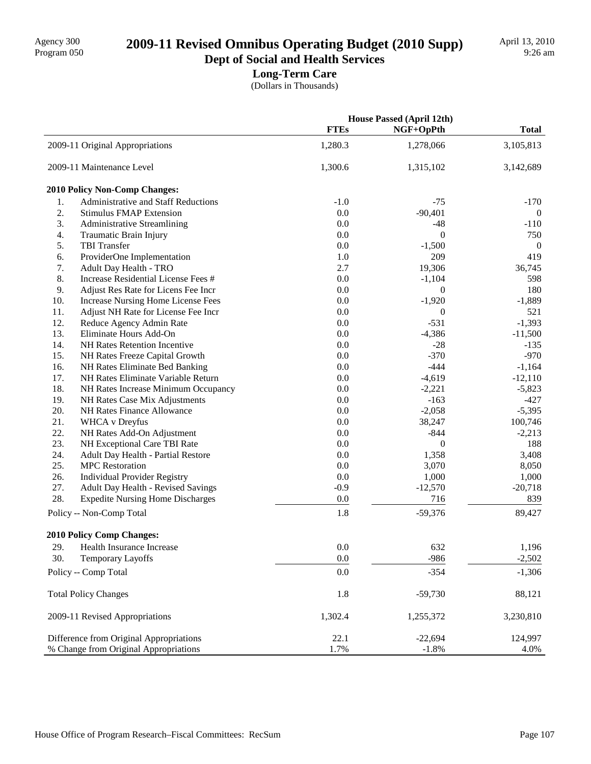# 2009-11 Revised Omnibus Operating Budget (2010 Supp)

**Dept of Social and Health Services Long-Term Care**

(Dollars in Thousands)

|     |                                         | <b>House Passed (April 12th)</b> |                  |                |
|-----|-----------------------------------------|----------------------------------|------------------|----------------|
|     |                                         | <b>FTEs</b>                      | NGF+OpPth        | <b>Total</b>   |
|     | 2009-11 Original Appropriations         | 1,280.3                          | 1,278,066        | 3,105,813      |
|     | 2009-11 Maintenance Level               | 1,300.6                          | 1,315,102        | 3,142,689      |
|     | 2010 Policy Non-Comp Changes:           |                                  |                  |                |
| 1.  | Administrative and Staff Reductions     | $-1.0$                           | $-75$            | $-170$         |
| 2.  | <b>Stimulus FMAP Extension</b>          | 0.0                              | $-90,401$        | $\overline{0}$ |
| 3.  | <b>Administrative Streamlining</b>      | 0.0                              | $-48$            | $-110$         |
| 4.  | Traumatic Brain Injury                  | 0.0                              | $\overline{0}$   | 750            |
| 5.  | <b>TBI</b> Transfer                     | 0.0                              | $-1,500$         | $\mathbf{0}$   |
| 6.  | ProviderOne Implementation              | 1.0                              | 209              | 419            |
| 7.  | Adult Day Health - TRO                  | 2.7                              | 19,306           | 36,745         |
| 8.  | Increase Residential License Fees #     | 0.0                              | $-1,104$         | 598            |
| 9.  | Adjust Res Rate for Licens Fee Incr     | 0.0                              | 0                | 180            |
| 10. | Increase Nursing Home License Fees      | 0.0                              | $-1,920$         | $-1,889$       |
| 11. | Adjust NH Rate for License Fee Incr     | 0.0                              | 0                | 521            |
| 12. | Reduce Agency Admin Rate                | $0.0\,$                          | $-531$           | $-1,393$       |
| 13. | Eliminate Hours Add-On                  | 0.0                              | $-4,386$         | $-11,500$      |
| 14. | NH Rates Retention Incentive            | 0.0                              | $-28$            | $-135$         |
| 15. | NH Rates Freeze Capital Growth          | 0.0                              | $-370$           | $-970$         |
| 16. | NH Rates Eliminate Bed Banking          | 0.0                              | $-444$           | $-1,164$       |
| 17. | NH Rates Eliminate Variable Return      | 0.0                              | $-4,619$         | $-12,110$      |
| 18. | NH Rates Increase Minimum Occupancy     | 0.0                              | $-2,221$         | $-5,823$       |
| 19. | NH Rates Case Mix Adjustments           | 0.0                              | $-163$           | $-427$         |
| 20. | NH Rates Finance Allowance              | 0.0                              | $-2,058$         | $-5,395$       |
| 21. | <b>WHCA</b> v Dreyfus                   | $0.0\,$                          | 38,247           | 100,746        |
| 22. | NH Rates Add-On Adjustment              | 0.0                              | $-844$           | $-2,213$       |
| 23. | NH Exceptional Care TBI Rate            | 0.0                              | $\boldsymbol{0}$ | 188            |
| 24. | Adult Day Health - Partial Restore      | 0.0                              | 1,358            | 3,408          |
| 25. | <b>MPC</b> Restoration                  | 0.0                              | 3,070            | 8,050          |
| 26. | <b>Individual Provider Registry</b>     | 0.0                              | 1,000            | 1,000          |
| 27. | Adult Day Health - Revised Savings      | $-0.9$                           | $-12,570$        | $-20,718$      |
| 28. | <b>Expedite Nursing Home Discharges</b> | 0.0                              | 716              | 839            |
|     | Policy -- Non-Comp Total                | 1.8                              | $-59,376$        | 89,427         |
|     | 2010 Policy Comp Changes:               |                                  |                  |                |
| 29. | <b>Health Insurance Increase</b>        | 0.0                              | 632              | 1,196          |
| 30. | Temporary Layoffs                       | 0.0                              | $-986$           | $-2,502$       |
|     | Policy -- Comp Total                    | 0.0                              | $-354$           | $-1,306$       |
|     | <b>Total Policy Changes</b>             | 1.8                              | $-59,730$        | 88,121         |
|     | 2009-11 Revised Appropriations          | 1,302.4                          | 1,255,372        | 3,230,810      |
|     | Difference from Original Appropriations | 22.1                             | $-22,694$        | 124,997        |
|     | % Change from Original Appropriations   | 1.7%                             | $-1.8%$          | 4.0%           |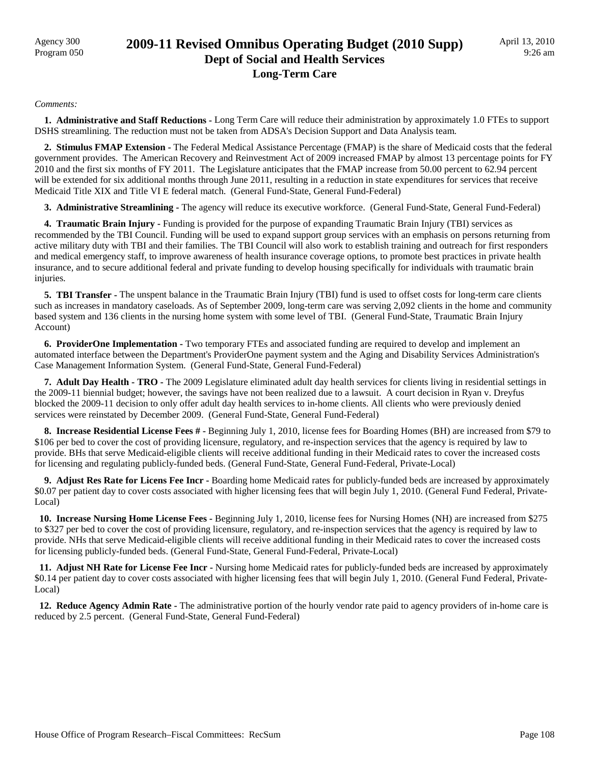### Agency 300<br>Program 050 **2009-11 Revised Omnibus Operating Budget (2010 Supp) Dept of Social and Health Services Long-Term Care**

#### *Comments:*

 **1. Administrative and Staff Reductions -** Long Term Care will reduce their administration by approximately 1.0 FTEs to support DSHS streamlining. The reduction must not be taken from ADSA's Decision Support and Data Analysis team.

 **2. Stimulus FMAP Extension -** The Federal Medical Assistance Percentage (FMAP) is the share of Medicaid costs that the federal government provides. The American Recovery and Reinvestment Act of 2009 increased FMAP by almost 13 percentage points for FY 2010 and the first six months of FY 2011. The Legislature anticipates that the FMAP increase from 50.00 percent to 62.94 percent will be extended for six additional months through June 2011, resulting in a reduction in state expenditures for services that receive Medicaid Title XIX and Title VI E federal match. (General Fund-State, General Fund-Federal)

 **3. Administrative Streamlining -** The agency will reduce its executive workforce. (General Fund-State, General Fund-Federal)

**4. Traumatic Brain Injury - Funding is provided for the purpose of expanding Traumatic Brain Injury (TBI) services as** recommended by the TBI Council. Funding will be used to expand support group services with an emphasis on persons returning from active military duty with TBI and their families. The TBI Council will also work to establish training and outreach for first responders and medical emergency staff, to improve awareness of health insurance coverage options, to promote best practices in private health insurance, and to secure additional federal and private funding to develop housing specifically for individuals with traumatic brain injuries.

 **5. TBI Transfer -** The unspent balance in the Traumatic Brain Injury (TBI) fund is used to offset costs for long-term care clients such as increases in mandatory caseloads. As of September 2009, long-term care was serving 2,092 clients in the home and community based system and 136 clients in the nursing home system with some level of TBI. (General Fund-State, Traumatic Brain Injury Account)

 **6. ProviderOne Implementation -** Two temporary FTEs and associated funding are required to develop and implement an automated interface between the Department's ProviderOne payment system and the Aging and Disability Services Administration's Case Management Information System. (General Fund-State, General Fund-Federal)

**7. Adult Day Health - TRO -** The 2009 Legislature eliminated adult day health services for clients living in residential settings in the 2009-11 biennial budget; however, the savings have not been realized due to a lawsuit. A court decision in Ryan v. Dreyfus blocked the 2009-11 decision to only offer adult day health services to in-home clients. All clients who were previously denied services were reinstated by December 2009. (General Fund-State, General Fund-Federal)

 **8. Increase Residential License Fees # -** Beginning July 1, 2010, license fees for Boarding Homes (BH) are increased from \$79 to \$106 per bed to cover the cost of providing licensure, regulatory, and re-inspection services that the agency is required by law to provide. BHs that serve Medicaid-eligible clients will receive additional funding in their Medicaid rates to cover the increased costs for licensing and regulating publicly-funded beds. (General Fund-State, General Fund-Federal, Private-Local)

 **9. Adjust Res Rate for Licens Fee Incr -** Boarding home Medicaid rates for publicly-funded beds are increased by approximately \$0.07 per patient day to cover costs associated with higher licensing fees that will begin July 1, 2010. (General Fund Federal, Private-Local)

 **10. Increase Nursing Home License Fees -** Beginning July 1, 2010, license fees for Nursing Homes (NH) are increased from \$275 to \$327 per bed to cover the cost of providing licensure, regulatory, and re-inspection services that the agency is required by law to provide. NHs that serve Medicaid-eligible clients will receive additional funding in their Medicaid rates to cover the increased costs for licensing publicly-funded beds. (General Fund-State, General Fund-Federal, Private-Local)

 **11. Adjust NH Rate for License Fee Incr -** Nursing home Medicaid rates for publicly-funded beds are increased by approximately \$0.14 per patient day to cover costs associated with higher licensing fees that will begin July 1, 2010. (General Fund Federal, Private-Local)

 **12. Reduce Agency Admin Rate -** The administrative portion of the hourly vendor rate paid to agency providers of in-home care is reduced by 2.5 percent. (General Fund-State, General Fund-Federal)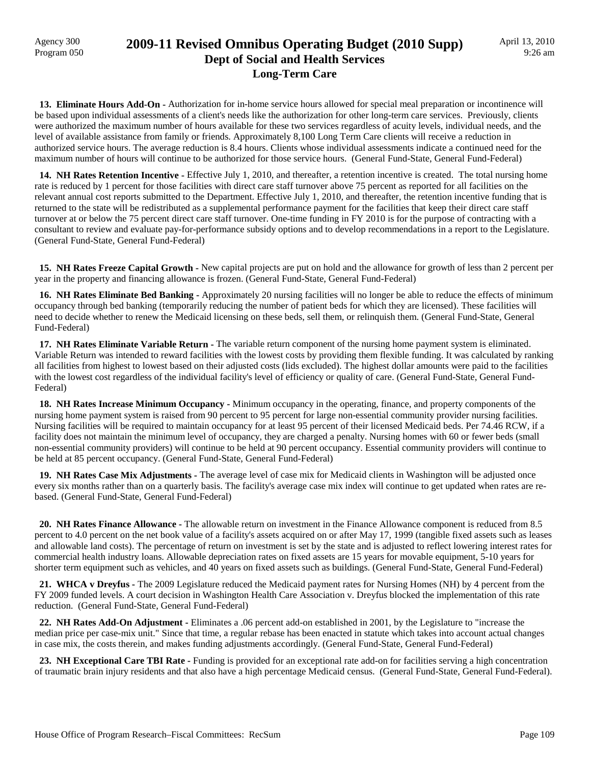### Agency 300 **2009-11 Revised Omnibus Operating Budget (2010 Supp)**<br>Program 050 **Dept of Social and Health Services Long-Term Care**

 **13. Eliminate Hours Add-On -** Authorization for in-home service hours allowed for special meal preparation or incontinence will be based upon individual assessments of a client's needs like the authorization for other long-term care services. Previously, clients were authorized the maximum number of hours available for these two services regardless of acuity levels, individual needs, and the level of available assistance from family or friends. Approximately 8,100 Long Term Care clients will receive a reduction in authorized service hours. The average reduction is 8.4 hours. Clients whose individual assessments indicate a continued need for the maximum number of hours will continue to be authorized for those service hours. (General Fund-State, General Fund-Federal)

 **14. NH Rates Retention Incentive -** Effective July 1, 2010, and thereafter, a retention incentive is created. The total nursing home rate is reduced by 1 percent for those facilities with direct care staff turnover above 75 percent as reported for all facilities on the relevant annual cost reports submitted to the Department. Effective July 1, 2010, and thereafter, the retention incentive funding that is returned to the state will be redistributed as a supplemental performance payment for the facilities that keep their direct care staff turnover at or below the 75 percent direct care staff turnover. One-time funding in FY 2010 is for the purpose of contracting with a consultant to review and evaluate pay-for-performance subsidy options and to develop recommendations in a report to the Legislature. (General Fund-State, General Fund-Federal)

 **15. NH Rates Freeze Capital Growth -** New capital projects are put on hold and the allowance for growth of less than 2 percent per year in the property and financing allowance is frozen. (General Fund-State, General Fund-Federal)

 **16. NH Rates Eliminate Bed Banking -** Approximately 20 nursing facilities will no longer be able to reduce the effects of minimum occupancy through bed banking (temporarily reducing the number of patient beds for which they are licensed). These facilities will need to decide whether to renew the Medicaid licensing on these beds, sell them, or relinquish them. (General Fund-State, General Fund-Federal)

 **17. NH Rates Eliminate Variable Return -** The variable return component of the nursing home payment system is eliminated. Variable Return was intended to reward facilities with the lowest costs by providing them flexible funding. It was calculated by ranking all facilities from highest to lowest based on their adjusted costs (lids excluded). The highest dollar amounts were paid to the facilities with the lowest cost regardless of the individual facility's level of efficiency or quality of care. (General Fund-State, General Fund-Federal)

 **18. NH Rates Increase Minimum Occupancy -** Minimum occupancy in the operating, finance, and property components of the nursing home payment system is raised from 90 percent to 95 percent for large non-essential community provider nursing facilities. Nursing facilities will be required to maintain occupancy for at least 95 percent of their licensed Medicaid beds. Per 74.46 RCW, if a facility does not maintain the minimum level of occupancy, they are charged a penalty. Nursing homes with 60 or fewer beds (small non-essential community providers) will continue to be held at 90 percent occupancy. Essential community providers will continue to be held at 85 percent occupancy. (General Fund-State, General Fund-Federal)

 **19. NH Rates Case Mix Adjustments -** The average level of case mix for Medicaid clients in Washington will be adjusted once every six months rather than on a quarterly basis. The facility's average case mix index will continue to get updated when rates are rebased. (General Fund-State, General Fund-Federal)

 **20. NH Rates Finance Allowance -** The allowable return on investment in the Finance Allowance component is reduced from 8.5 percent to 4.0 percent on the net book value of a facility's assets acquired on or after May 17, 1999 (tangible fixed assets such as leases and allowable land costs). The percentage of return on investment is set by the state and is adjusted to reflect lowering interest rates for commercial health industry loans. Allowable depreciation rates on fixed assets are 15 years for movable equipment, 5-10 years for shorter term equipment such as vehicles, and 40 years on fixed assets such as buildings. (General Fund-State, General Fund-Federal)

 **21. WHCA v Dreyfus -** The 2009 Legislature reduced the Medicaid payment rates for Nursing Homes (NH) by 4 percent from the FY 2009 funded levels. A court decision in Washington Health Care Association v. Dreyfus blocked the implementation of this rate reduction. (General Fund-State, General Fund-Federal)

 **22. NH Rates Add-On Adjustment -** Eliminates a .06 percent add-on established in 2001, by the Legislature to "increase the median price per case-mix unit." Since that time, a regular rebase has been enacted in statute which takes into account actual changes in case mix, the costs therein, and makes funding adjustments accordingly. (General Fund-State, General Fund-Federal)

 **23. NH Exceptional Care TBI Rate -** Funding is provided for an exceptional rate add-on for facilities serving a high concentration of traumatic brain injury residents and that also have a high percentage Medicaid census. (General Fund-State, General Fund-Federal).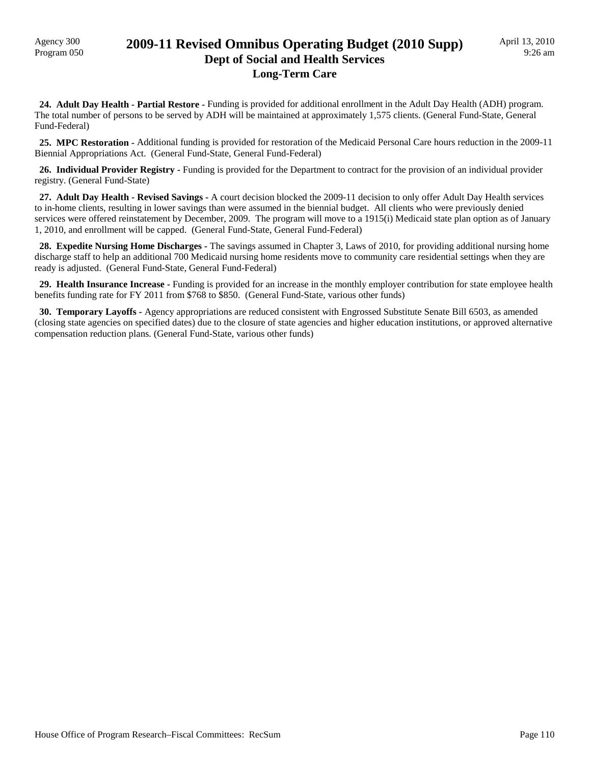### Agency 300 **2009-11 Revised Omnibus Operating Budget (2010 Supp)**<br>Program 050 **Dept of Social and Health Services Long-Term Care**

 **24. Adult Day Health - Partial Restore -** Funding is provided for additional enrollment in the Adult Day Health (ADH) program. The total number of persons to be served by ADH will be maintained at approximately 1,575 clients. (General Fund-State, General Fund-Federal)

 **25. MPC Restoration -** Additional funding is provided for restoration of the Medicaid Personal Care hours reduction in the 2009-11 Biennial Appropriations Act. (General Fund-State, General Fund-Federal)

 **26. Individual Provider Registry -** Funding is provided for the Department to contract for the provision of an individual provider registry. (General Fund-State)

 **27. Adult Day Health - Revised Savings -** A court decision blocked the 2009-11 decision to only offer Adult Day Health services to in-home clients, resulting in lower savings than were assumed in the biennial budget. All clients who were previously denied services were offered reinstatement by December, 2009. The program will move to a 1915(i) Medicaid state plan option as of January 1, 2010, and enrollment will be capped. (General Fund-State, General Fund-Federal)

**28. Expedite Nursing Home Discharges -** The savings assumed in Chapter 3, Laws of 2010, for providing additional nursing home discharge staff to help an additional 700 Medicaid nursing home residents move to community care residential settings when they are ready is adjusted. (General Fund-State, General Fund-Federal)

 **29. Health Insurance Increase -** Funding is provided for an increase in the monthly employer contribution for state employee health benefits funding rate for FY 2011 from \$768 to \$850. (General Fund-State, various other funds)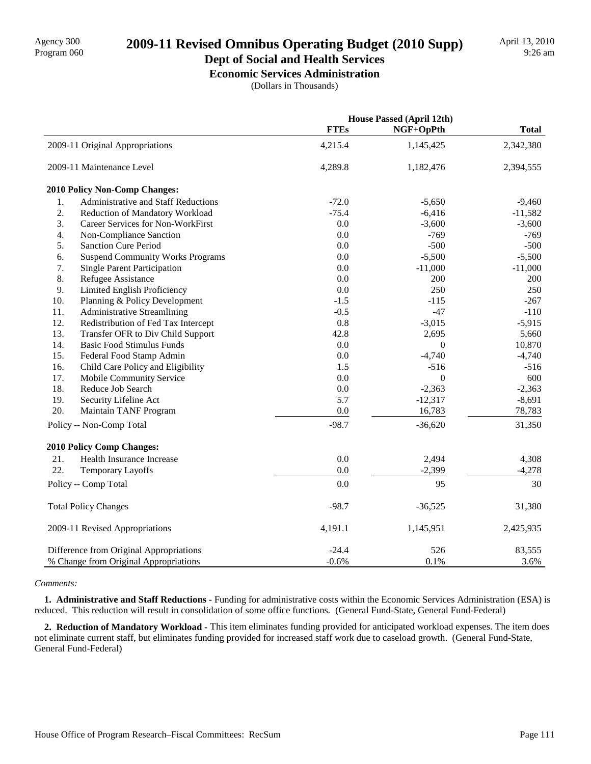## 2009-11 Revised Omnibus Operating Budget (2010 Supp)

# **Dept of Social and Health Services**

**Economic Services Administration** (Dollars in Thousands)

|     |                                          | <b>House Passed (April 12th)</b> |                  |              |
|-----|------------------------------------------|----------------------------------|------------------|--------------|
|     |                                          | <b>FTEs</b>                      | NGF+OpPth        | <b>Total</b> |
|     | 2009-11 Original Appropriations          | 4,215.4                          | 1,145,425        | 2,342,380    |
|     | 2009-11 Maintenance Level                | 4,289.8                          | 1,182,476        | 2,394,555    |
|     | 2010 Policy Non-Comp Changes:            |                                  |                  |              |
| 1.  | Administrative and Staff Reductions      | $-72.0$                          | $-5,650$         | $-9,460$     |
| 2.  | Reduction of Mandatory Workload          | $-75.4$                          | $-6,416$         | $-11,582$    |
| 3.  | <b>Career Services for Non-WorkFirst</b> | 0.0                              | $-3,600$         | $-3,600$     |
| 4.  | Non-Compliance Sanction                  | 0.0                              | $-769$           | $-769$       |
| 5.  | <b>Sanction Cure Period</b>              | 0.0                              | $-500$           | $-500$       |
| 6.  | <b>Suspend Community Works Programs</b>  | 0.0                              | $-5,500$         | $-5,500$     |
| 7.  | <b>Single Parent Participation</b>       | 0.0                              | $-11,000$        | $-11,000$    |
| 8.  | Refugee Assistance                       | 0.0                              | 200              | 200          |
| 9.  | Limited English Proficiency              | 0.0                              | 250              | 250          |
| 10. | Planning & Policy Development            | $-1.5$                           | $-115$           | $-267$       |
| 11. | <b>Administrative Streamlining</b>       | $-0.5$                           | $-47$            | $-110$       |
| 12. | Redistribution of Fed Tax Intercept      | 0.8                              | $-3,015$         | $-5,915$     |
| 13. | Transfer OFR to Div Child Support        | 42.8                             | 2,695            | 5,660        |
| 14. | <b>Basic Food Stimulus Funds</b>         | 0.0                              | $\boldsymbol{0}$ | 10,870       |
| 15. | Federal Food Stamp Admin                 | 0.0                              | $-4,740$         | $-4,740$     |
| 16. | Child Care Policy and Eligibility        | 1.5                              | $-516$           | $-516$       |
| 17. | Mobile Community Service                 | 0.0                              | $\mathbf{0}$     | 600          |
| 18. | Reduce Job Search                        | 0.0                              | $-2,363$         | $-2,363$     |
| 19. | Security Lifeline Act                    | 5.7                              | $-12,317$        | $-8,691$     |
| 20. | Maintain TANF Program                    | 0.0                              | 16,783           | 78,783       |
|     | Policy -- Non-Comp Total                 | $-98.7$                          | $-36,620$        | 31,350       |
|     | 2010 Policy Comp Changes:                |                                  |                  |              |
| 21. | Health Insurance Increase                | 0.0                              | 2,494            | 4,308        |
| 22. | Temporary Layoffs                        | 0.0                              | $-2,399$         | $-4,278$     |
|     | Policy -- Comp Total                     | 0.0                              | 95               | 30           |
|     | <b>Total Policy Changes</b>              | $-98.7$                          | $-36,525$        | 31,380       |
|     | 2009-11 Revised Appropriations           | 4,191.1                          | 1,145,951        | 2,425,935    |
|     | Difference from Original Appropriations  | $-24.4$                          | 526              | 83,555       |
|     | % Change from Original Appropriations    | $-0.6%$                          | 0.1%             | 3.6%         |

*Comments:*

 **1. Administrative and Staff Reductions -** Funding for administrative costs within the Economic Services Administration (ESA) is reduced. This reduction will result in consolidation of some office functions. (General Fund-State, General Fund-Federal)

 **2. Reduction of Mandatory Workload -** This item eliminates funding provided for anticipated workload expenses. The item does not eliminate current staff, but eliminates funding provided for increased staff work due to caseload growth. (General Fund-State, General Fund-Federal)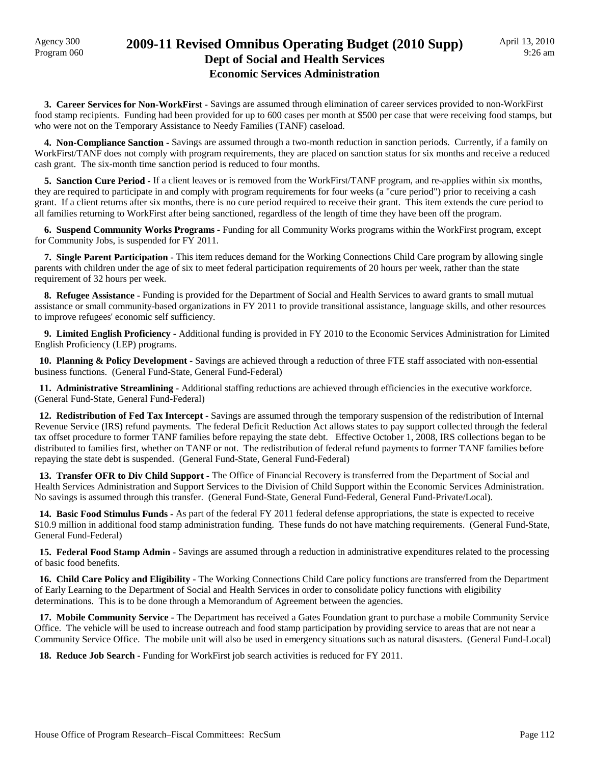#### Agency 300<br>Program 060 **2009-11 Revised Omnibus Operating Budget (2010 Supp) Dept of Social and Health Services Economic Services Administration**

 **3. Career Services for Non-WorkFirst -** Savings are assumed through elimination of career services provided to non-WorkFirst food stamp recipients. Funding had been provided for up to 600 cases per month at \$500 per case that were receiving food stamps, but who were not on the Temporary Assistance to Needy Families (TANF) caseload.

 **4. Non-Compliance Sanction -** Savings are assumed through a two-month reduction in sanction periods. Currently, if a family on WorkFirst/TANF does not comply with program requirements, they are placed on sanction status for six months and receive a reduced cash grant. The six-month time sanction period is reduced to four months.

 **5. Sanction Cure Period -** If a client leaves or is removed from the WorkFirst/TANF program, and re-applies within six months, they are required to participate in and comply with program requirements for four weeks (a "cure period") prior to receiving a cash grant. If a client returns after six months, there is no cure period required to receive their grant. This item extends the cure period to all families returning to WorkFirst after being sanctioned, regardless of the length of time they have been off the program.

 **6. Suspend Community Works Programs -** Funding for all Community Works programs within the WorkFirst program, except for Community Jobs, is suspended for FY 2011.

 **7. Single Parent Participation -** This item reduces demand for the Working Connections Child Care program by allowing single parents with children under the age of six to meet federal participation requirements of 20 hours per week, rather than the state requirement of 32 hours per week.

 **8. Refugee Assistance -** Funding is provided for the Department of Social and Health Services to award grants to small mutual assistance or small community-based organizations in FY 2011 to provide transitional assistance, language skills, and other resources to improve refugees' economic self sufficiency.

 **9. Limited English Proficiency -** Additional funding is provided in FY 2010 to the Economic Services Administration for Limited English Proficiency (LEP) programs.

 **10. Planning & Policy Development -** Savings are achieved through a reduction of three FTE staff associated with non-essential business functions. (General Fund-State, General Fund-Federal)

 **11. Administrative Streamlining -** Additional staffing reductions are achieved through efficiencies in the executive workforce. (General Fund-State, General Fund-Federal)

 **12. Redistribution of Fed Tax Intercept -** Savings are assumed through the temporary suspension of the redistribution of Internal Revenue Service (IRS) refund payments. The federal Deficit Reduction Act allows states to pay support collected through the federal tax offset procedure to former TANF families before repaying the state debt. Effective October 1, 2008, IRS collections began to be distributed to families first, whether on TANF or not. The redistribution of federal refund payments to former TANF families before repaying the state debt is suspended. (General Fund-State, General Fund-Federal)

**13. Transfer OFR to Div Child Support -** The Office of Financial Recovery is transferred from the Department of Social and Health Services Administration and Support Services to the Division of Child Support within the Economic Services Administration. No savings is assumed through this transfer. (General Fund-State, General Fund-Federal, General Fund-Private/Local).

 **14. Basic Food Stimulus Funds -** As part of the federal FY 2011 federal defense appropriations, the state is expected to receive \$10.9 million in additional food stamp administration funding. These funds do not have matching requirements. (General Fund-State, General Fund-Federal)

 **15. Federal Food Stamp Admin -** Savings are assumed through a reduction in administrative expenditures related to the processing of basic food benefits.

 **16. Child Care Policy and Eligibility -** The Working Connections Child Care policy functions are transferred from the Department of Early Learning to the Department of Social and Health Services in order to consolidate policy functions with eligibility determinations. This is to be done through a Memorandum of Agreement between the agencies.

 **17. Mobile Community Service -** The Department has received a Gates Foundation grant to purchase a mobile Community Service Office. The vehicle will be used to increase outreach and food stamp participation by providing service to areas that are not near a Community Service Office. The mobile unit will also be used in emergency situations such as natural disasters. (General Fund-Local)

 **18. Reduce Job Search -** Funding for WorkFirst job search activities is reduced for FY 2011.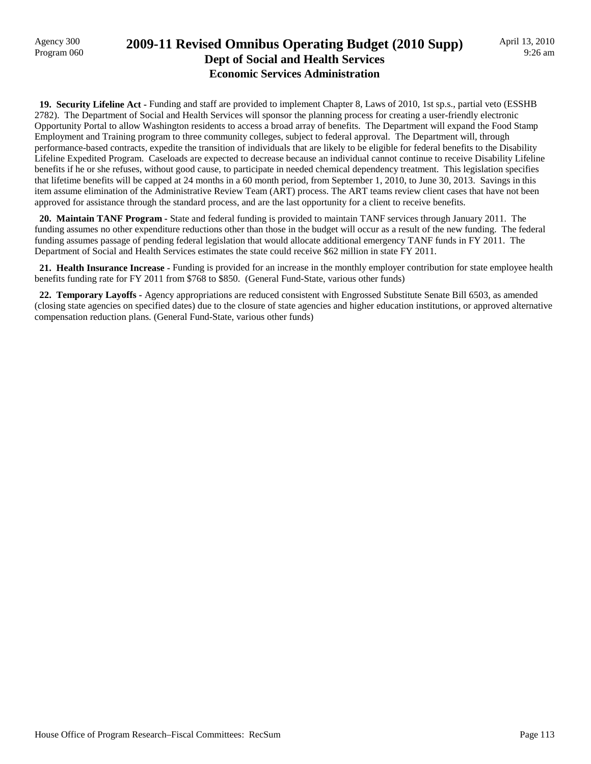### Agency 300 **2009-11 Revised Omnibus Operating Budget (2010 Supp)**<br>Program 060 **Dept of Social and Health Services Economic Services Administration**

 **19. Security Lifeline Act -** Funding and staff are provided to implement Chapter 8, Laws of 2010, 1st sp.s., partial veto (ESSHB 2782). The Department of Social and Health Services will sponsor the planning process for creating a user-friendly electronic Opportunity Portal to allow Washington residents to access a broad array of benefits. The Department will expand the Food Stamp Employment and Training program to three community colleges, subject to federal approval. The Department will, through performance-based contracts, expedite the transition of individuals that are likely to be eligible for federal benefits to the Disability Lifeline Expedited Program. Caseloads are expected to decrease because an individual cannot continue to receive Disability Lifeline benefits if he or she refuses, without good cause, to participate in needed chemical dependency treatment. This legislation specifies that lifetime benefits will be capped at 24 months in a 60 month period, from September 1, 2010, to June 30, 2013. Savings in this item assume elimination of the Administrative Review Team (ART) process. The ART teams review client cases that have not been approved for assistance through the standard process, and are the last opportunity for a client to receive benefits.

 **20. Maintain TANF Program -** State and federal funding is provided to maintain TANF services through January 2011. The funding assumes no other expenditure reductions other than those in the budget will occur as a result of the new funding. The federal funding assumes passage of pending federal legislation that would allocate additional emergency TANF funds in FY 2011. The Department of Social and Health Services estimates the state could receive \$62 million in state FY 2011.

 **21. Health Insurance Increase -** Funding is provided for an increase in the monthly employer contribution for state employee health benefits funding rate for FY 2011 from \$768 to \$850. (General Fund-State, various other funds)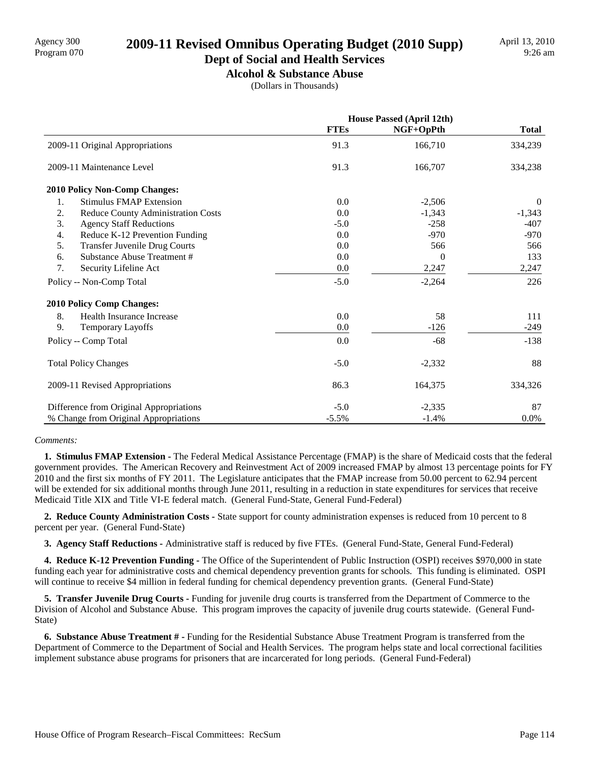# Agency 300<br>Program 070 **2009-11 Revised Omnibus Operating Budget (2010 Supp)**

## **Dept of Social and Health Services**

**Alcohol & Substance Abuse** (Dollars in Thousands)

|                                            | <b>House Passed (April 12th)</b> |           |              |
|--------------------------------------------|----------------------------------|-----------|--------------|
|                                            | <b>FTEs</b>                      | NGF+OpPth | <b>Total</b> |
| 2009-11 Original Appropriations            | 91.3                             | 166,710   | 334,239      |
| 2009-11 Maintenance Level                  | 91.3                             | 166,707   | 334,238      |
| <b>2010 Policy Non-Comp Changes:</b>       |                                  |           |              |
| <b>Stimulus FMAP Extension</b><br>1.       | 0.0                              | $-2,506$  | $\Omega$     |
| 2.<br>Reduce County Administration Costs   | 0.0                              | $-1,343$  | $-1,343$     |
| 3.<br><b>Agency Staff Reductions</b>       | $-5.0$                           | $-258$    | $-407$       |
| 4.<br>Reduce K-12 Prevention Funding       | 0.0                              | $-970$    | $-970$       |
| 5.<br><b>Transfer Juvenile Drug Courts</b> | 0.0                              | 566       | 566          |
| Substance Abuse Treatment #<br>6.          | 0.0                              | $\theta$  | 133          |
| 7.<br>Security Lifeline Act                | $0.0\,$                          | 2,247     | 2,247        |
| Policy -- Non-Comp Total                   | $-5.0$                           | $-2,264$  | 226          |
| <b>2010 Policy Comp Changes:</b>           |                                  |           |              |
| 8.<br>Health Insurance Increase            | 0.0                              | 58        | 111          |
| 9.<br><b>Temporary Layoffs</b>             | 0.0                              | $-126$    | $-249$       |
| Policy -- Comp Total                       | 0.0                              | $-68$     | $-138$       |
| <b>Total Policy Changes</b>                | $-5.0$                           | $-2,332$  | 88           |
| 2009-11 Revised Appropriations             | 86.3                             | 164,375   | 334,326      |
| Difference from Original Appropriations    | $-5.0$                           | $-2,335$  | 87           |
| % Change from Original Appropriations      | $-5.5%$                          | $-1.4%$   | 0.0%         |

#### *Comments:*

 **1. Stimulus FMAP Extension -** The Federal Medical Assistance Percentage (FMAP) is the share of Medicaid costs that the federal government provides. The American Recovery and Reinvestment Act of 2009 increased FMAP by almost 13 percentage points for FY 2010 and the first six months of FY 2011. The Legislature anticipates that the FMAP increase from 50.00 percent to 62.94 percent will be extended for six additional months through June 2011, resulting in a reduction in state expenditures for services that receive Medicaid Title XIX and Title VI-E federal match. (General Fund-State, General Fund-Federal)

 **2. Reduce County Administration Costs -** State support for county administration expenses is reduced from 10 percent to 8 percent per year. (General Fund-State)

 **3. Agency Staff Reductions -** Administrative staff is reduced by five FTEs. (General Fund-State, General Fund-Federal)

 **4. Reduce K-12 Prevention Funding -** The Office of the Superintendent of Public Instruction (OSPI) receives \$970,000 in state funding each year for administrative costs and chemical dependency prevention grants for schools. This funding is eliminated. OSPI will continue to receive \$4 million in federal funding for chemical dependency prevention grants. (General Fund-State)

 **5. Transfer Juvenile Drug Courts -** Funding for juvenile drug courts is transferred from the Department of Commerce to the Division of Alcohol and Substance Abuse. This program improves the capacity of juvenile drug courts statewide. (General Fund-State)

 **6. Substance Abuse Treatment # -** Funding for the Residential Substance Abuse Treatment Program is transferred from the Department of Commerce to the Department of Social and Health Services. The program helps state and local correctional facilities implement substance abuse programs for prisoners that are incarcerated for long periods. (General Fund-Federal)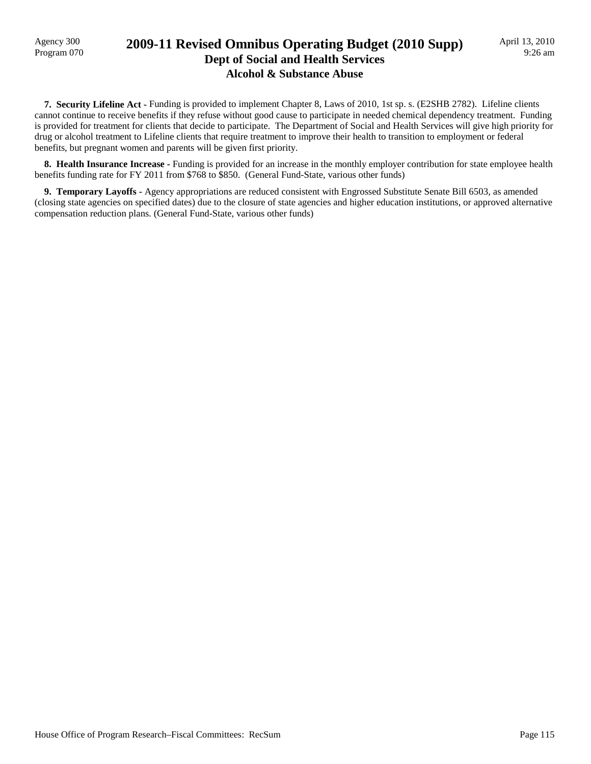Agency 300

#### Program 070 **2009-11 Revised Omnibus Operating Budget (2010 Supp) Dept of Social and Health Services Alcohol & Substance Abuse**

 **7. Security Lifeline Act -** Funding is provided to implement Chapter 8, Laws of 2010, 1st sp. s. (E2SHB 2782). Lifeline clients cannot continue to receive benefits if they refuse without good cause to participate in needed chemical dependency treatment. Funding is provided for treatment for clients that decide to participate. The Department of Social and Health Services will give high priority for drug or alcohol treatment to Lifeline clients that require treatment to improve their health to transition to employment or federal benefits, but pregnant women and parents will be given first priority.

 **8. Health Insurance Increase -** Funding is provided for an increase in the monthly employer contribution for state employee health benefits funding rate for FY 2011 from \$768 to \$850. (General Fund-State, various other funds)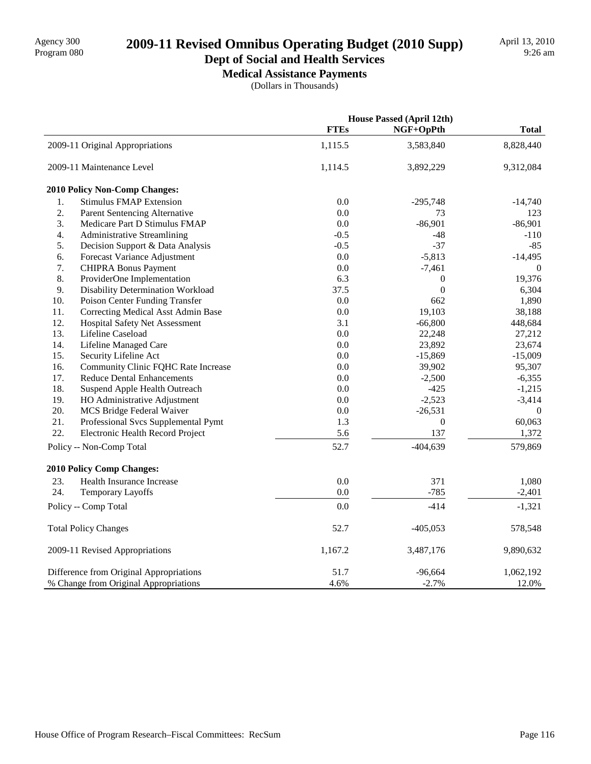# 2009-11 Revised Omnibus Operating Budget (2010 Supp)

#### **Dept of Social and Health Services Medical Assistance Payments**

(Dollars in Thousands)

|     |                                         |             | <b>House Passed (April 12th)</b> |              |
|-----|-----------------------------------------|-------------|----------------------------------|--------------|
|     |                                         | <b>FTEs</b> | NGF+OpPth                        | <b>Total</b> |
|     | 2009-11 Original Appropriations         | 1,115.5     | 3,583,840                        | 8,828,440    |
|     | 2009-11 Maintenance Level               | 1,114.5     | 3,892,229                        | 9,312,084    |
|     | 2010 Policy Non-Comp Changes:           |             |                                  |              |
| 1.  | <b>Stimulus FMAP Extension</b>          | 0.0         | $-295,748$                       | $-14,740$    |
| 2.  | Parent Sentencing Alternative           | 0.0         | 73                               | 123          |
| 3.  | Medicare Part D Stimulus FMAP           | 0.0         | $-86,901$                        | $-86,901$    |
| 4.  | <b>Administrative Streamlining</b>      | $-0.5$      | $-48$                            | $-110$       |
| 5.  | Decision Support & Data Analysis        | $-0.5$      | $-37$                            | $-85$        |
| 6.  | Forecast Variance Adjustment            | 0.0         | $-5,813$                         | $-14,495$    |
| 7.  | <b>CHIPRA Bonus Payment</b>             | 0.0         | $-7,461$                         | $\mathbf{0}$ |
| 8.  | ProviderOne Implementation              | 6.3         | $\boldsymbol{0}$                 | 19,376       |
| 9.  | Disability Determination Workload       | 37.5        | $\boldsymbol{0}$                 | 6,304        |
| 10. | Poison Center Funding Transfer          | 0.0         | 662                              | 1,890        |
| 11. | Correcting Medical Asst Admin Base      | 0.0         | 19,103                           | 38,188       |
| 12. | Hospital Safety Net Assessment          | 3.1         | $-66,800$                        | 448,684      |
| 13. | Lifeline Caseload                       | 0.0         | 22,248                           | 27,212       |
| 14. | Lifeline Managed Care                   | 0.0         | 23,892                           | 23,674       |
| 15. | Security Lifeline Act                   | 0.0         | $-15,869$                        | $-15,009$    |
| 16. | Community Clinic FQHC Rate Increase     | 0.0         | 39,902                           | 95,307       |
| 17. | <b>Reduce Dental Enhancements</b>       | 0.0         | $-2,500$                         | $-6,355$     |
| 18. | Suspend Apple Health Outreach           | 0.0         | $-425$                           | $-1,215$     |
| 19. | HO Administrative Adjustment            | 0.0         | $-2,523$                         | $-3,414$     |
| 20. | MCS Bridge Federal Waiver               | 0.0         | $-26,531$                        | $\Omega$     |
| 21. | Professional Svcs Supplemental Pymt     | 1.3         | $\boldsymbol{0}$                 | 60,063       |
| 22. | Electronic Health Record Project        | 5.6         | 137                              | 1,372        |
|     | Policy -- Non-Comp Total                | 52.7        | $-404,639$                       | 579,869      |
|     | 2010 Policy Comp Changes:               |             |                                  |              |
| 23. | Health Insurance Increase               | 0.0         | 371                              | 1,080        |
| 24. | <b>Temporary Layoffs</b>                | 0.0         | $-785$                           | $-2,401$     |
|     | Policy -- Comp Total                    | 0.0         | $-414$                           | $-1,321$     |
|     | <b>Total Policy Changes</b>             | 52.7        | $-405,053$                       | 578,548      |
|     | 2009-11 Revised Appropriations          | 1,167.2     | 3,487,176                        | 9,890,632    |
|     | Difference from Original Appropriations | 51.7        | $-96,664$                        | 1,062,192    |
|     | % Change from Original Appropriations   | 4.6%        | $-2.7%$                          | 12.0%        |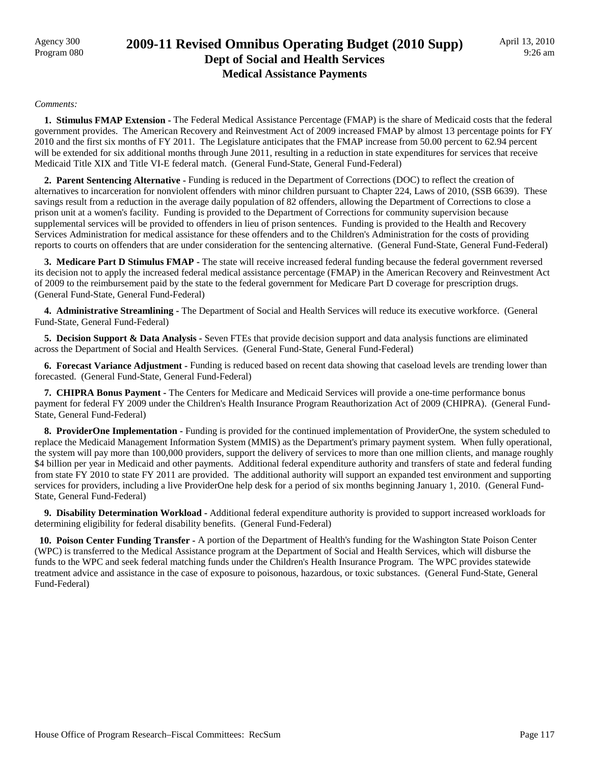### Agency 300<br>Program 080 **2009-11 Revised Omnibus Operating Budget (2010 Supp) Dept of Social and Health Services Medical Assistance Payments**

#### *Comments:*

 **1. Stimulus FMAP Extension -** The Federal Medical Assistance Percentage (FMAP) is the share of Medicaid costs that the federal government provides. The American Recovery and Reinvestment Act of 2009 increased FMAP by almost 13 percentage points for FY 2010 and the first six months of FY 2011. The Legislature anticipates that the FMAP increase from 50.00 percent to 62.94 percent will be extended for six additional months through June 2011, resulting in a reduction in state expenditures for services that receive Medicaid Title XIX and Title VI-E federal match. (General Fund-State, General Fund-Federal)

 **2. Parent Sentencing Alternative -** Funding is reduced in the Department of Corrections (DOC) to reflect the creation of alternatives to incarceration for nonviolent offenders with minor children pursuant to Chapter 224, Laws of 2010, (SSB 6639). These savings result from a reduction in the average daily population of 82 offenders, allowing the Department of Corrections to close a prison unit at a women's facility. Funding is provided to the Department of Corrections for community supervision because supplemental services will be provided to offenders in lieu of prison sentences. Funding is provided to the Health and Recovery Services Administration for medical assistance for these offenders and to the Children's Administration for the costs of providing reports to courts on offenders that are under consideration for the sentencing alternative. (General Fund-State, General Fund-Federal)

 **3. Medicare Part D Stimulus FMAP -** The state will receive increased federal funding because the federal government reversed its decision not to apply the increased federal medical assistance percentage (FMAP) in the American Recovery and Reinvestment Act of 2009 to the reimbursement paid by the state to the federal government for Medicare Part D coverage for prescription drugs. (General Fund-State, General Fund-Federal)

 **4. Administrative Streamlining -** The Department of Social and Health Services will reduce its executive workforce. (General Fund-State, General Fund-Federal)

**5. Decision Support & Data Analysis -** Seven FTEs that provide decision support and data analysis functions are eliminated across the Department of Social and Health Services. (General Fund-State, General Fund-Federal)

 **6. Forecast Variance Adjustment -** Funding is reduced based on recent data showing that caseload levels are trending lower than forecasted. (General Fund-State, General Fund-Federal)

 **7. CHIPRA Bonus Payment -** The Centers for Medicare and Medicaid Services will provide a one-time performance bonus payment for federal FY 2009 under the Children's Health Insurance Program Reauthorization Act of 2009 (CHIPRA). (General Fund-State, General Fund-Federal)

 **8. ProviderOne Implementation -** Funding is provided for the continued implementation of ProviderOne, the system scheduled to replace the Medicaid Management Information System (MMIS) as the Department's primary payment system. When fully operational, the system will pay more than 100,000 providers, support the delivery of services to more than one million clients, and manage roughly \$4 billion per year in Medicaid and other payments. Additional federal expenditure authority and transfers of state and federal funding from state FY 2010 to state FY 2011 are provided. The additional authority will support an expanded test environment and supporting services for providers, including a live ProviderOne help desk for a period of six months beginning January 1, 2010. (General Fund-State, General Fund-Federal)

 **9. Disability Determination Workload -** Additional federal expenditure authority is provided to support increased workloads for determining eligibility for federal disability benefits. (General Fund-Federal)

 **10. Poison Center Funding Transfer -** A portion of the Department of Health's funding for the Washington State Poison Center (WPC) is transferred to the Medical Assistance program at the Department of Social and Health Services, which will disburse the funds to the WPC and seek federal matching funds under the Children's Health Insurance Program. The WPC provides statewide treatment advice and assistance in the case of exposure to poisonous, hazardous, or toxic substances. (General Fund-State, General Fund-Federal)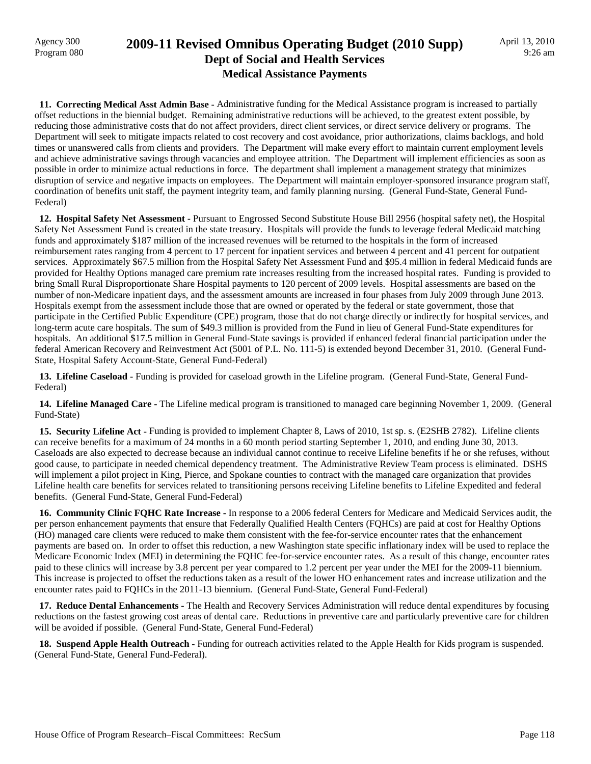#### Agency 300<br>Program 080 **2009-11 Revised Omnibus Operating Budget (2010 Supp) Dept of Social and Health Services Medical Assistance Payments**

 **11. Correcting Medical Asst Admin Base -** Administrative funding for the Medical Assistance program is increased to partially offset reductions in the biennial budget. Remaining administrative reductions will be achieved, to the greatest extent possible, by reducing those administrative costs that do not affect providers, direct client services, or direct service delivery or programs. The Department will seek to mitigate impacts related to cost recovery and cost avoidance, prior authorizations, claims backlogs, and hold times or unanswered calls from clients and providers. The Department will make every effort to maintain current employment levels and achieve administrative savings through vacancies and employee attrition. The Department will implement efficiencies as soon as possible in order to minimize actual reductions in force. The department shall implement a management strategy that minimizes disruption of service and negative impacts on employees. The Department will maintain employer-sponsored insurance program staff, coordination of benefits unit staff, the payment integrity team, and family planning nursing. (General Fund-State, General Fund-Federal)

 **12. Hospital Safety Net Assessment -** Pursuant to Engrossed Second Substitute House Bill 2956 (hospital safety net), the Hospital Safety Net Assessment Fund is created in the state treasury. Hospitals will provide the funds to leverage federal Medicaid matching funds and approximately \$187 million of the increased revenues will be returned to the hospitals in the form of increased reimbursement rates ranging from 4 percent to 17 percent for inpatient services and between 4 percent and 41 percent for outpatient services. Approximately \$67.5 million from the Hospital Safety Net Assessment Fund and \$95.4 million in federal Medicaid funds are provided for Healthy Options managed care premium rate increases resulting from the increased hospital rates. Funding is provided to bring Small Rural Disproportionate Share Hospital payments to 120 percent of 2009 levels. Hospital assessments are based on the number of non-Medicare inpatient days, and the assessment amounts are increased in four phases from July 2009 through June 2013. Hospitals exempt from the assessment include those that are owned or operated by the federal or state government, those that participate in the Certified Public Expenditure (CPE) program, those that do not charge directly or indirectly for hospital services, and long-term acute care hospitals. The sum of \$49.3 million is provided from the Fund in lieu of General Fund-State expenditures for hospitals. An additional \$17.5 million in General Fund-State savings is provided if enhanced federal financial participation under the federal American Recovery and Reinvestment Act (5001 of P.L. No. 111-5) is extended beyond December 31, 2010. (General Fund-State, Hospital Safety Account-State, General Fund-Federal)

 **13. Lifeline Caseload -** Funding is provided for caseload growth in the Lifeline program. (General Fund-State, General Fund-Federal)

 **14. Lifeline Managed Care -** The Lifeline medical program is transitioned to managed care beginning November 1, 2009. (General Fund-State)

 **15. Security Lifeline Act -** Funding is provided to implement Chapter 8, Laws of 2010, 1st sp. s. (E2SHB 2782). Lifeline clients can receive benefits for a maximum of 24 months in a 60 month period starting September 1, 2010, and ending June 30, 2013. Caseloads are also expected to decrease because an individual cannot continue to receive Lifeline benefits if he or she refuses, without good cause, to participate in needed chemical dependency treatment. The Administrative Review Team process is eliminated. DSHS will implement a pilot project in King, Pierce, and Spokane counties to contract with the managed care organization that provides Lifeline health care benefits for services related to transitioning persons receiving Lifeline benefits to Lifeline Expedited and federal benefits. (General Fund-State, General Fund-Federal)

 **16. Community Clinic FQHC Rate Increase -** In response to a 2006 federal Centers for Medicare and Medicaid Services audit, the per person enhancement payments that ensure that Federally Qualified Health Centers (FQHCs) are paid at cost for Healthy Options (HO) managed care clients were reduced to make them consistent with the fee-for-service encounter rates that the enhancement payments are based on. In order to offset this reduction, a new Washington state specific inflationary index will be used to replace the Medicare Economic Index (MEI) in determining the FQHC fee-for-service encounter rates. As a result of this change, encounter rates paid to these clinics will increase by 3.8 percent per year compared to 1.2 percent per year under the MEI for the 2009-11 biennium. This increase is projected to offset the reductions taken as a result of the lower HO enhancement rates and increase utilization and the encounter rates paid to FQHCs in the 2011-13 biennium. (General Fund-State, General Fund-Federal)

 **17. Reduce Dental Enhancements -** The Health and Recovery Services Administration will reduce dental expenditures by focusing reductions on the fastest growing cost areas of dental care. Reductions in preventive care and particularly preventive care for children will be avoided if possible. (General Fund-State, General Fund-Federal)

 **18. Suspend Apple Health Outreach -** Funding for outreach activities related to the Apple Health for Kids program is suspended. (General Fund-State, General Fund-Federal).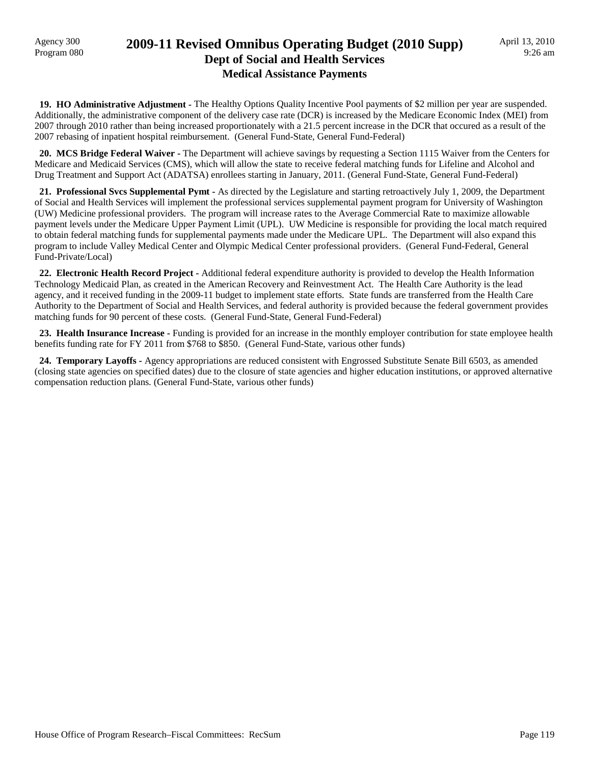### Agency 300<br>Program 080 **2009-11 Revised Omnibus Operating Budget (2010 Supp) Dept of Social and Health Services Medical Assistance Payments**

 **19. HO Administrative Adjustment -** The Healthy Options Quality Incentive Pool payments of \$2 million per year are suspended. Additionally, the administrative component of the delivery case rate (DCR) is increased by the Medicare Economic Index (MEI) from 2007 through 2010 rather than being increased proportionately with a 21.5 percent increase in the DCR that occured as a result of the 2007 rebasing of inpatient hospital reimbursement. (General Fund-State, General Fund-Federal)

 **20. MCS Bridge Federal Waiver -** The Department will achieve savings by requesting a Section 1115 Waiver from the Centers for Medicare and Medicaid Services (CMS), which will allow the state to receive federal matching funds for Lifeline and Alcohol and Drug Treatment and Support Act (ADATSA) enrollees starting in January, 2011. (General Fund-State, General Fund-Federal)

 **21. Professional Svcs Supplemental Pymt -** As directed by the Legislature and starting retroactively July 1, 2009, the Department of Social and Health Services will implement the professional services supplemental payment program for University of Washington (UW) Medicine professional providers. The program will increase rates to the Average Commercial Rate to maximize allowable payment levels under the Medicare Upper Payment Limit (UPL). UW Medicine is responsible for providing the local match required to obtain federal matching funds for supplemental payments made under the Medicare UPL. The Department will also expand this program to include Valley Medical Center and Olympic Medical Center professional providers. (General Fund-Federal, General Fund-Private/Local)

 **22. Electronic Health Record Project -** Additional federal expenditure authority is provided to develop the Health Information Technology Medicaid Plan, as created in the American Recovery and Reinvestment Act. The Health Care Authority is the lead agency, and it received funding in the 2009-11 budget to implement state efforts. State funds are transferred from the Health Care Authority to the Department of Social and Health Services, and federal authority is provided because the federal government provides matching funds for 90 percent of these costs. (General Fund-State, General Fund-Federal)

 **23. Health Insurance Increase -** Funding is provided for an increase in the monthly employer contribution for state employee health benefits funding rate for FY 2011 from \$768 to \$850. (General Fund-State, various other funds)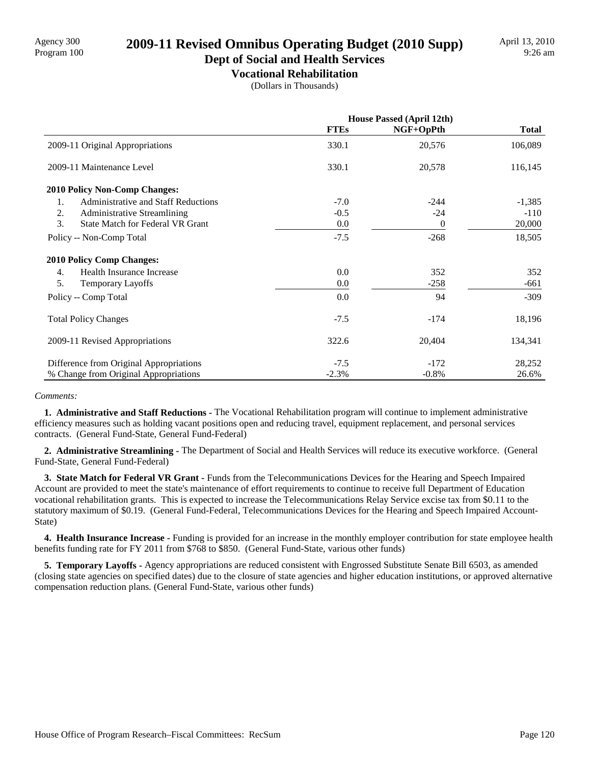# Agency 300 **2009-11 Revised Omnibus Operating Budget (2010 Supp)**<br>Program 100

#### **Dept of Social and Health Services Vocational Rehabilitation**

(Dollars in Thousands)

|                                               | <b>House Passed (April 12th)</b> |           |              |
|-----------------------------------------------|----------------------------------|-----------|--------------|
|                                               | <b>FTEs</b>                      | NGF+OpPth | <b>Total</b> |
| 2009-11 Original Appropriations               | 330.1                            | 20,576    | 106,089      |
| 2009-11 Maintenance Level                     | 330.1                            | 20,578    | 116,145      |
| <b>2010 Policy Non-Comp Changes:</b>          |                                  |           |              |
| 1.<br>Administrative and Staff Reductions     | $-7.0$                           | $-244$    | $-1,385$     |
| 2.<br><b>Administrative Streamlining</b>      | $-0.5$                           | $-24$     | $-110$       |
| 3.<br><b>State Match for Federal VR Grant</b> | 0.0                              | $\Omega$  | 20,000       |
| Policy -- Non-Comp Total                      | $-7.5$                           | $-268$    | 18,505       |
| <b>2010 Policy Comp Changes:</b>              |                                  |           |              |
| Health Insurance Increase<br>4.               | 0.0                              | 352       | 352          |
| 5.<br><b>Temporary Layoffs</b>                | $0.0\,$                          | $-258$    | -661         |
| Policy -- Comp Total                          | 0.0                              | 94        | $-309$       |
| <b>Total Policy Changes</b>                   | $-7.5$                           | $-174$    | 18,196       |
| 2009-11 Revised Appropriations                | 322.6                            | 20,404    | 134,341      |
| Difference from Original Appropriations       | $-7.5$                           | $-172$    | 28,252       |
| % Change from Original Appropriations         | $-2.3%$                          | $-0.8\%$  | 26.6%        |

#### *Comments:*

 **1. Administrative and Staff Reductions -** The Vocational Rehabilitation program will continue to implement administrative efficiency measures such as holding vacant positions open and reducing travel, equipment replacement, and personal services contracts. (General Fund-State, General Fund-Federal)

 **2. Administrative Streamlining -** The Department of Social and Health Services will reduce its executive workforce. (General Fund-State, General Fund-Federal)

**3. State Match for Federal VR Grant - Funds from the Telecommunications Devices for the Hearing and Speech Impaired** Account are provided to meet the state's maintenance of effort requirements to continue to receive full Department of Education vocational rehabilitation grants. This is expected to increase the Telecommunications Relay Service excise tax from \$0.11 to the statutory maximum of \$0.19. (General Fund-Federal, Telecommunications Devices for the Hearing and Speech Impaired Account-State)

 **4. Health Insurance Increase -** Funding is provided for an increase in the monthly employer contribution for state employee health benefits funding rate for FY 2011 from \$768 to \$850. (General Fund-State, various other funds)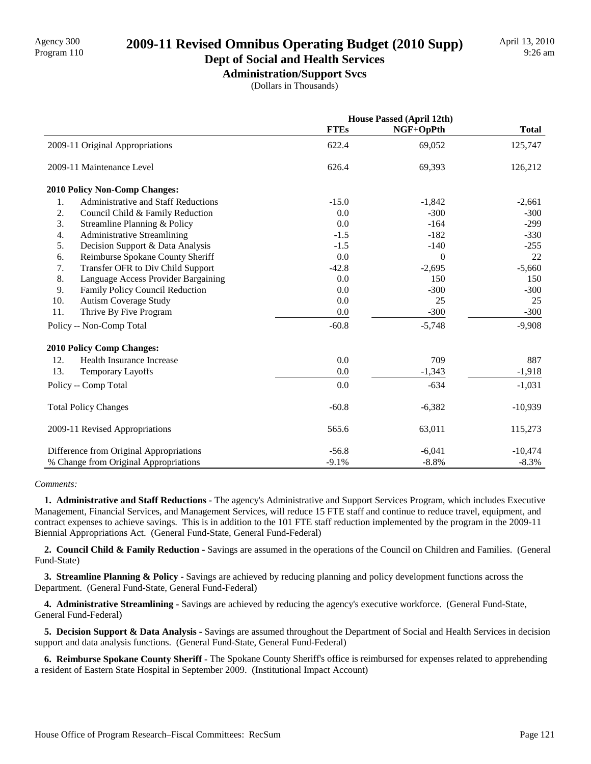# Agency 300<br>Program 110 **2009-11 Revised Omnibus Operating Budget (2010 Supp)**

## **Dept of Social and Health Services**

**Administration/Support Svcs** (Dollars in Thousands)

|                                                  | <b>House Passed (April 12th)</b> |           |              |
|--------------------------------------------------|----------------------------------|-----------|--------------|
|                                                  | <b>FTEs</b>                      | NGF+OpPth | <b>Total</b> |
| 2009-11 Original Appropriations                  | 622.4                            | 69,052    | 125,747      |
| 2009-11 Maintenance Level                        | 626.4                            | 69,393    | 126,212      |
| <b>2010 Policy Non-Comp Changes:</b>             |                                  |           |              |
| <b>Administrative and Staff Reductions</b><br>1. | $-15.0$                          | $-1,842$  | $-2,661$     |
| 2.<br>Council Child & Family Reduction           | 0.0                              | $-300$    | $-300$       |
| 3.<br>Streamline Planning & Policy               | 0.0                              | $-164$    | $-299$       |
| 4.<br><b>Administrative Streamlining</b>         | $-1.5$                           | $-182$    | $-330$       |
| 5.<br>Decision Support & Data Analysis           | $-1.5$                           | $-140$    | $-255$       |
| 6.<br>Reimburse Spokane County Sheriff           | 0.0                              | $\theta$  | 22           |
| 7.<br>Transfer OFR to Div Child Support          | $-42.8$                          | $-2,695$  | $-5,660$     |
| 8.<br>Language Access Provider Bargaining        | 0.0                              | 150       | 150          |
| 9.<br>Family Policy Council Reduction            | 0.0                              | $-300$    | $-300$       |
| 10.<br><b>Autism Coverage Study</b>              | 0.0                              | 25        | 25           |
| 11.<br>Thrive By Five Program                    | 0.0                              | $-300$    | $-300$       |
| Policy -- Non-Comp Total                         | $-60.8$                          | $-5,748$  | $-9,908$     |
| <b>2010 Policy Comp Changes:</b>                 |                                  |           |              |
| 12.<br>Health Insurance Increase                 | 0.0                              | 709       | 887          |
| 13.<br><b>Temporary Layoffs</b>                  | 0.0                              | $-1,343$  | $-1,918$     |
| Policy -- Comp Total                             | 0.0                              | $-634$    | $-1,031$     |
| <b>Total Policy Changes</b>                      | $-60.8$                          | $-6,382$  | $-10,939$    |
| 2009-11 Revised Appropriations                   | 565.6                            | 63,011    | 115,273      |
| Difference from Original Appropriations          | $-56.8$                          | $-6,041$  | $-10,474$    |
| % Change from Original Appropriations            | $-9.1%$                          | $-8.8%$   | $-8.3%$      |

#### *Comments:*

 **1. Administrative and Staff Reductions -** The agency's Administrative and Support Services Program, which includes Executive Management, Financial Services, and Management Services, will reduce 15 FTE staff and continue to reduce travel, equipment, and contract expenses to achieve savings. This is in addition to the 101 FTE staff reduction implemented by the program in the 2009-11 Biennial Appropriations Act. (General Fund-State, General Fund-Federal)

 **2. Council Child & Family Reduction -** Savings are assumed in the operations of the Council on Children and Families. (General Fund-State)

**3. Streamline Planning & Policy - Savings are achieved by reducing planning and policy development functions across the** Department. (General Fund-State, General Fund-Federal)

 **4. Administrative Streamlining -** Savings are achieved by reducing the agency's executive workforce. (General Fund-State, General Fund-Federal)

**5. Decision Support & Data Analysis -** Savings are assumed throughout the Department of Social and Health Services in decision support and data analysis functions. (General Fund-State, General Fund-Federal)

 **6. Reimburse Spokane County Sheriff -** The Spokane County Sheriff's office is reimbursed for expenses related to apprehending a resident of Eastern State Hospital in September 2009. (Institutional Impact Account)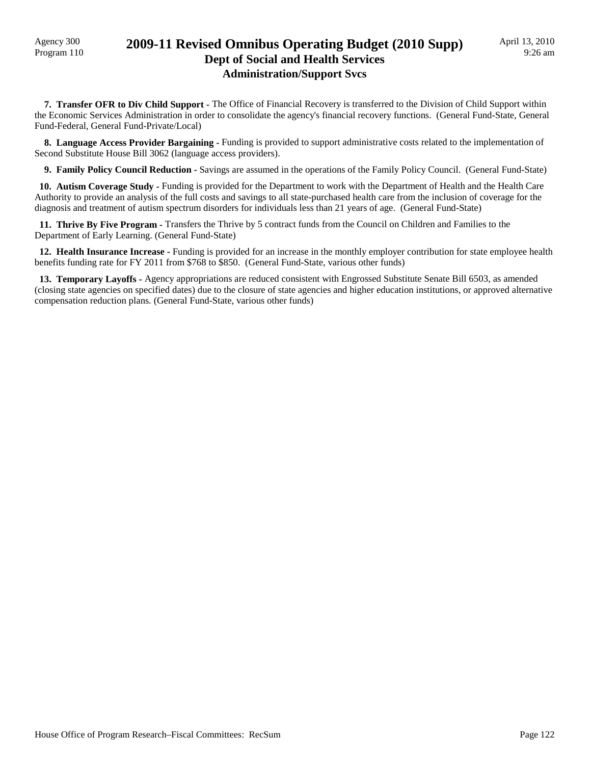### Agency 300<br>Program 110 **2009-11 Revised Omnibus Operating Budget (2010 Supp) Dept of Social and Health Services Administration/Support Svcs**

 **7. Transfer OFR to Div Child Support -** The Office of Financial Recovery is transferred to the Division of Child Support within the Economic Services Administration in order to consolidate the agency's financial recovery functions. (General Fund-State, General Fund-Federal, General Fund-Private/Local)

 **8. Language Access Provider Bargaining -** Funding is provided to support administrative costs related to the implementation of Second Substitute House Bill 3062 (language access providers).

 **9. Family Policy Council Reduction -** Savings are assumed in the operations of the Family Policy Council. (General Fund-State)

 **10. Autism Coverage Study -** Funding is provided for the Department to work with the Department of Health and the Health Care Authority to provide an analysis of the full costs and savings to all state-purchased health care from the inclusion of coverage for the diagnosis and treatment of autism spectrum disorders for individuals less than 21 years of age. (General Fund-State)

 **11. Thrive By Five Program -** Transfers the Thrive by 5 contract funds from the Council on Children and Families to the Department of Early Learning. (General Fund-State)

 **12. Health Insurance Increase -** Funding is provided for an increase in the monthly employer contribution for state employee health benefits funding rate for FY 2011 from \$768 to \$850. (General Fund-State, various other funds)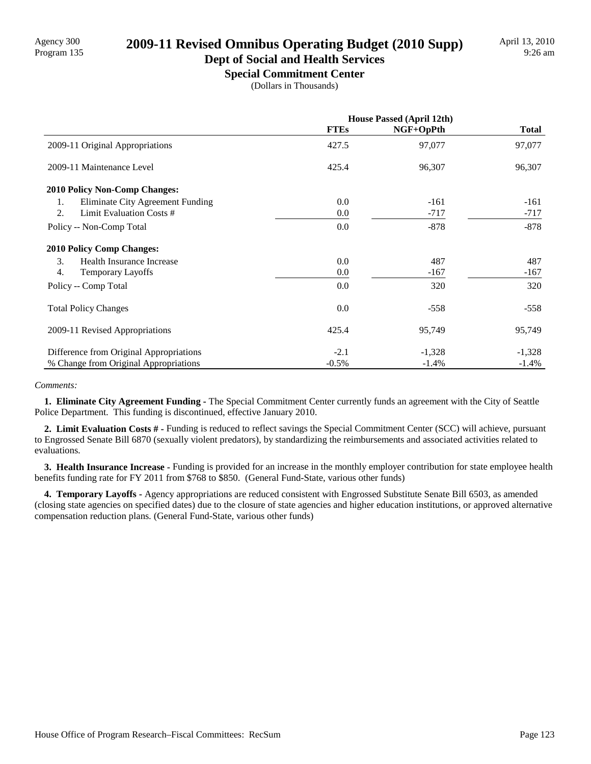# Program 135 **2009-11 Revised Omnibus Operating Budget (2010 Supp)**

## **Dept of Social and Health Services**

**Special Commitment Center** (Dollars in Thousands)

|                                         | <b>House Passed (April 12th)</b> |           |              |
|-----------------------------------------|----------------------------------|-----------|--------------|
|                                         | <b>FTEs</b>                      | NGF+OpPth | <b>Total</b> |
| 2009-11 Original Appropriations         | 427.5                            | 97,077    | 97,077       |
| 2009-11 Maintenance Level               | 425.4                            | 96,307    | 96,307       |
| 2010 Policy Non-Comp Changes:           |                                  |           |              |
| Eliminate City Agreement Funding<br>1.  | 0.0                              | $-161$    | $-161$       |
| 2.<br>Limit Evaluation Costs #          | 0.0                              | $-717$    | $-717$       |
| Policy -- Non-Comp Total                | 0.0                              | $-878$    | $-878$       |
| <b>2010 Policy Comp Changes:</b>        |                                  |           |              |
| 3.<br>Health Insurance Increase         | 0.0                              | 487       | 487          |
| 4.<br>Temporary Layoffs                 | 0.0                              | $-167$    | $-167$       |
| Policy -- Comp Total                    | 0.0                              | 320       | 320          |
| <b>Total Policy Changes</b>             | 0.0                              | $-558$    | $-558$       |
| 2009-11 Revised Appropriations          | 425.4                            | 95,749    | 95,749       |
| Difference from Original Appropriations | $-2.1$                           | $-1,328$  | $-1,328$     |
| % Change from Original Appropriations   | $-0.5\%$                         | $-1.4%$   | $-1.4\%$     |

#### *Comments:*

 **1. Eliminate City Agreement Funding -** The Special Commitment Center currently funds an agreement with the City of Seattle Police Department. This funding is discontinued, effective January 2010.

 **2. Limit Evaluation Costs # -** Funding is reduced to reflect savings the Special Commitment Center (SCC) will achieve, pursuant to Engrossed Senate Bill 6870 (sexually violent predators), by standardizing the reimbursements and associated activities related to evaluations.

 **3. Health Insurance Increase -** Funding is provided for an increase in the monthly employer contribution for state employee health benefits funding rate for FY 2011 from \$768 to \$850. (General Fund-State, various other funds)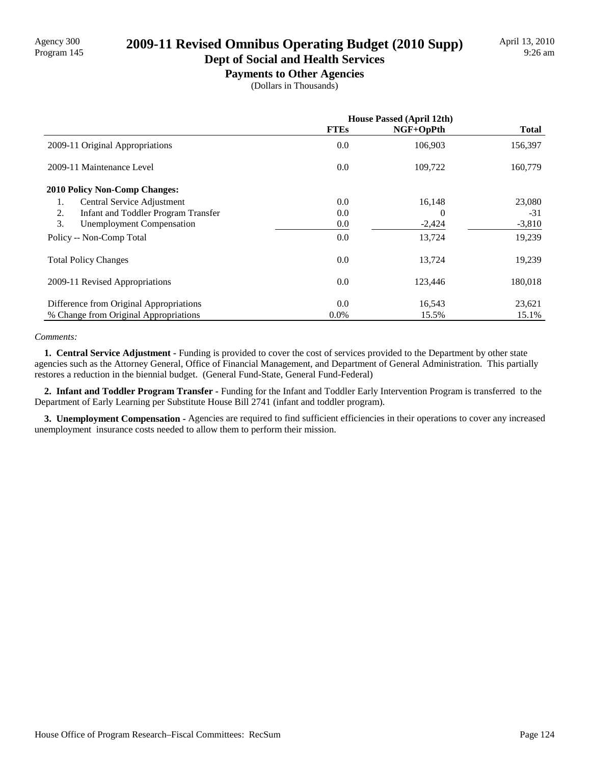# Program 145 **2009-11 Revised Omnibus Operating Budget (2010 Supp)**

#### **Dept of Social and Health Services Payments to Other Agencies**

(Dollars in Thousands)

|                                                  | <b>House Passed (April 12th)</b> |           |              |
|--------------------------------------------------|----------------------------------|-----------|--------------|
|                                                  | <b>FTEs</b>                      | NGF+OpPth | <b>Total</b> |
| 2009-11 Original Appropriations                  | 0.0                              | 106,903   | 156,397      |
| 2009-11 Maintenance Level                        | $0.0\,$                          | 109,722   | 160,779      |
| <b>2010 Policy Non-Comp Changes:</b>             |                                  |           |              |
| Central Service Adjustment<br>1.                 | 0.0                              | 16,148    | 23,080       |
| 2.<br><b>Infant and Toddler Program Transfer</b> | 0.0                              | $\theta$  | $-31$        |
| 3.<br><b>Unemployment Compensation</b>           | 0.0                              | $-2,424$  | $-3,810$     |
| Policy -- Non-Comp Total                         | 0.0                              | 13,724    | 19,239       |
| <b>Total Policy Changes</b>                      | 0.0                              | 13,724    | 19,239       |
| 2009-11 Revised Appropriations                   | 0.0                              | 123,446   | 180,018      |
| Difference from Original Appropriations          | 0.0                              | 16,543    | 23,621       |
| % Change from Original Appropriations            | $0.0\%$                          | 15.5%     | 15.1%        |

#### *Comments:*

 **1. Central Service Adjustment -** Funding is provided to cover the cost of services provided to the Department by other state agencies such as the Attorney General, Office of Financial Management, and Department of General Administration. This partially restores a reduction in the biennial budget. (General Fund-State, General Fund-Federal)

 **2. Infant and Toddler Program Transfer -** Funding for the Infant and Toddler Early Intervention Program is transferred to the Department of Early Learning per Substitute House Bill 2741 (infant and toddler program).

 **3. Unemployment Compensation -** Agencies are required to find sufficient efficiencies in their operations to cover any increased unemployment insurance costs needed to allow them to perform their mission.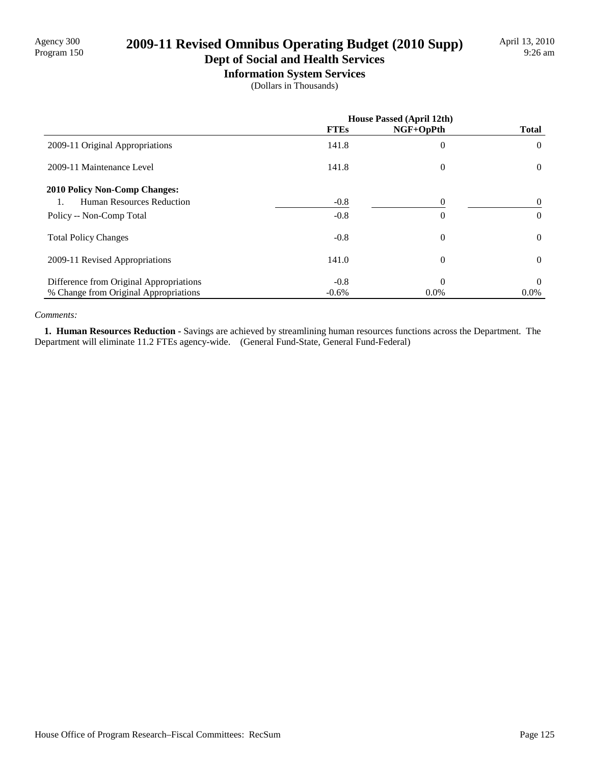# Agency 300 **2009-11 Revised Omnibus Operating Budget (2010 Supp)**<br>Program 150

# **Dept of Social and Health Services**

**Information System Services** (Dollars in Thousands)

|                                         |             | House Passed (April 12th) |                |
|-----------------------------------------|-------------|---------------------------|----------------|
|                                         | <b>FTEs</b> | NGF+OpPth                 | <b>Total</b>   |
| 2009-11 Original Appropriations         | 141.8       | 0                         | $\theta$       |
| 2009-11 Maintenance Level               | 141.8       | $\theta$                  | $\overline{0}$ |
| <b>2010 Policy Non-Comp Changes:</b>    |             |                           |                |
| Human Resources Reduction               | $-0.8$      | 0                         | $\theta$       |
| Policy -- Non-Comp Total                | $-0.8$      | $\theta$                  | $\theta$       |
| <b>Total Policy Changes</b>             | $-0.8$      | $\theta$                  | $\theta$       |
| 2009-11 Revised Appropriations          | 141.0       | $\theta$                  | $\theta$       |
| Difference from Original Appropriations | $-0.8$      | $\Omega$                  | $\theta$       |
| % Change from Original Appropriations   | $-0.6%$     | $0.0\%$                   | $0.0\%$        |

#### *Comments:*

 **1. Human Resources Reduction -** Savings are achieved by streamlining human resources functions across the Department. The Department will eliminate 11.2 FTEs agency-wide. (General Fund-State, General Fund-Federal)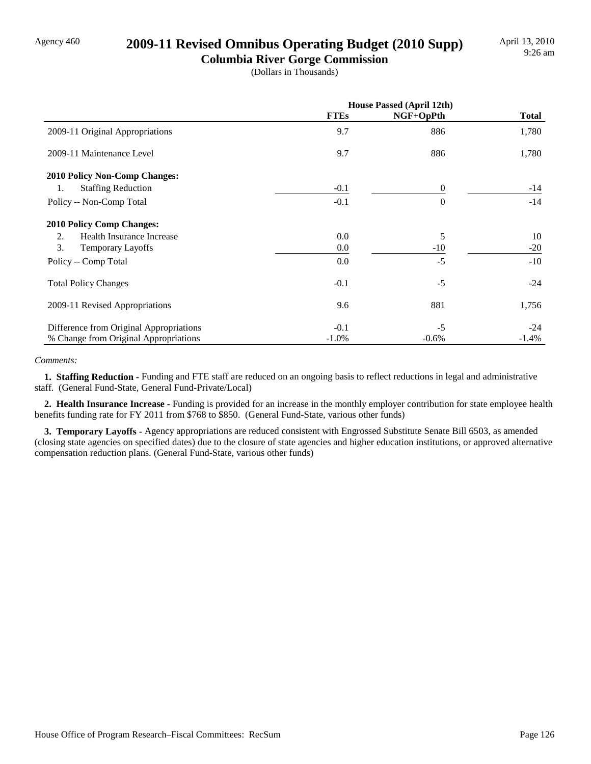### Agency 460 **2009-11 Revised Omnibus Operating Budget (2010 Supp)**

**Columbia River Gorge Commission** (Dollars in Thousands)

|                                         | <b>House Passed (April 12th)</b> |           |              |
|-----------------------------------------|----------------------------------|-----------|--------------|
|                                         | <b>FTEs</b>                      | NGF+OpPth | <b>Total</b> |
| 2009-11 Original Appropriations         | 9.7                              | 886       | 1,780        |
| 2009-11 Maintenance Level               | 9.7                              | 886       | 1,780        |
| 2010 Policy Non-Comp Changes:           |                                  |           |              |
| <b>Staffing Reduction</b><br>1.         | $-0.1$                           | $\theta$  | $-14$        |
| Policy -- Non-Comp Total                | $-0.1$                           | $\Omega$  | $-14$        |
| <b>2010 Policy Comp Changes:</b>        |                                  |           |              |
| 2.<br>Health Insurance Increase         | 0.0                              | 5         | 10           |
| 3.<br>Temporary Layoffs                 | 0.0                              | $-10$     | $-20$        |
| Policy -- Comp Total                    | 0.0                              | $-5$      | $-10$        |
| <b>Total Policy Changes</b>             | $-0.1$                           | $-5$      | $-24$        |
| 2009-11 Revised Appropriations          | 9.6                              | 881       | 1,756        |
| Difference from Original Appropriations | $-0.1$                           | $-5$      | $-24$        |
| % Change from Original Appropriations   | $-1.0\%$                         | $-0.6%$   | $-1.4%$      |

#### *Comments:*

 **1. Staffing Reduction -** Funding and FTE staff are reduced on an ongoing basis to reflect reductions in legal and administrative staff. (General Fund-State, General Fund-Private/Local)

 **2. Health Insurance Increase -** Funding is provided for an increase in the monthly employer contribution for state employee health benefits funding rate for FY 2011 from \$768 to \$850. (General Fund-State, various other funds)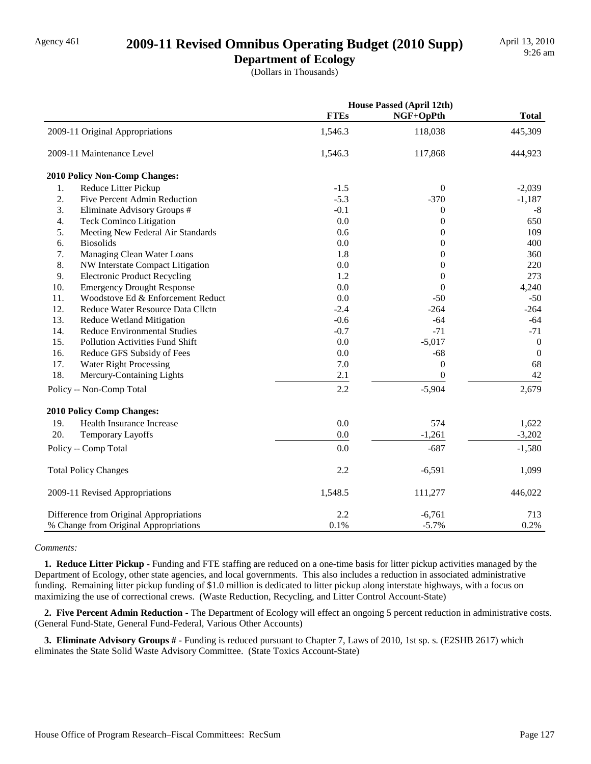### Agency 461 **2009-11 Revised Omnibus Operating Budget (2010 Supp)**

**Department of Ecology**

(Dollars in Thousands)

|     |                                         |             | <b>House Passed (April 12th)</b> |                  |
|-----|-----------------------------------------|-------------|----------------------------------|------------------|
|     |                                         | <b>FTEs</b> | NGF+OpPth                        | <b>Total</b>     |
|     | 2009-11 Original Appropriations         | 1,546.3     | 118,038                          | 445,309          |
|     | 2009-11 Maintenance Level               | 1,546.3     | 117,868                          | 444,923          |
|     | 2010 Policy Non-Comp Changes:           |             |                                  |                  |
| 1.  | Reduce Litter Pickup                    | $-1.5$      | $\mathbf{0}$                     | $-2,039$         |
| 2.  | Five Percent Admin Reduction            | $-5.3$      | $-370$                           | $-1,187$         |
| 3.  | Eliminate Advisory Groups #             | $-0.1$      | $\boldsymbol{0}$                 | $-8$             |
| 4.  | Teck Cominco Litigation                 | 0.0         | $\overline{0}$                   | 650              |
| 5.  | Meeting New Federal Air Standards       | 0.6         | $\overline{0}$                   | 109              |
| 6.  | <b>Biosolids</b>                        | 0.0         | $\overline{0}$                   | 400              |
| 7.  | Managing Clean Water Loans              | 1.8         | $\overline{0}$                   | 360              |
| 8.  | NW Interstate Compact Litigation        | 0.0         | $\overline{0}$                   | 220              |
| 9.  | <b>Electronic Product Recycling</b>     | 1.2         | $\theta$                         | 273              |
| 10. | <b>Emergency Drought Response</b>       | 0.0         | $\theta$                         | 4,240            |
| 11. | Woodstove Ed & Enforcement Reduct       | 0.0         | $-50$                            | $-50$            |
| 12. | Reduce Water Resource Data Cllctn       | $-2.4$      | $-264$                           | $-264$           |
| 13. | <b>Reduce Wetland Mitigation</b>        | $-0.6$      | $-64$                            | $-64$            |
| 14. | <b>Reduce Environmental Studies</b>     | $-0.7$      | $-71$                            | $-71$            |
| 15. | <b>Pollution Activities Fund Shift</b>  | 0.0         | $-5,017$                         | $\boldsymbol{0}$ |
| 16. | Reduce GFS Subsidy of Fees              | 0.0         | $-68$                            | $\mathbf{0}$     |
| 17. | <b>Water Right Processing</b>           | 7.0         | $\boldsymbol{0}$                 | 68               |
| 18. | Mercury-Containing Lights               | 2.1         | $\overline{0}$                   | 42               |
|     | Policy -- Non-Comp Total                | 2.2         | $-5,904$                         | 2,679            |
|     | 2010 Policy Comp Changes:               |             |                                  |                  |
| 19. | Health Insurance Increase               | 0.0         | 574                              | 1,622            |
| 20. | Temporary Layoffs                       | 0.0         | $-1,261$                         | $-3,202$         |
|     | Policy -- Comp Total                    | 0.0         | $-687$                           | $-1,580$         |
|     | <b>Total Policy Changes</b>             | 2.2         | $-6,591$                         | 1,099            |
|     | 2009-11 Revised Appropriations          | 1,548.5     | 111,277                          | 446,022          |
|     | Difference from Original Appropriations | 2.2         | $-6,761$                         | 713              |
|     | % Change from Original Appropriations   | 0.1%        | $-5.7%$                          | 0.2%             |

#### *Comments:*

 **1. Reduce Litter Pickup -** Funding and FTE staffing are reduced on a one-time basis for litter pickup activities managed by the Department of Ecology, other state agencies, and local governments. This also includes a reduction in associated administrative funding. Remaining litter pickup funding of \$1.0 million is dedicated to litter pickup along interstate highways, with a focus on maximizing the use of correctional crews. (Waste Reduction, Recycling, and Litter Control Account-State)

 **2. Five Percent Admin Reduction -** The Department of Ecology will effect an ongoing 5 percent reduction in administrative costs. (General Fund-State, General Fund-Federal, Various Other Accounts)

 **3. Eliminate Advisory Groups # -** Funding is reduced pursuant to Chapter 7, Laws of 2010, 1st sp. s. (E2SHB 2617) which eliminates the State Solid Waste Advisory Committee. (State Toxics Account-State)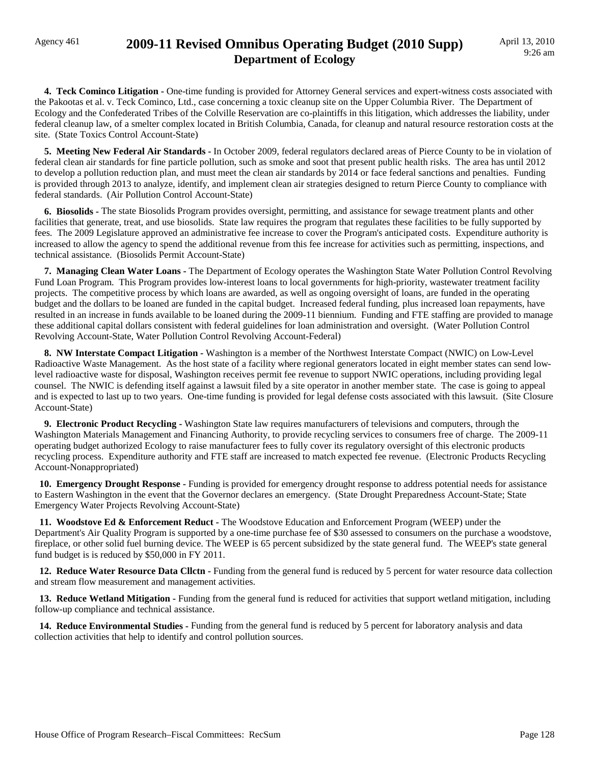### Agency 461 **2009-11 Revised Omnibus Operating Budget (2010 Supp) Department of Ecology**

**4. Teck Cominco Litigation -** One-time funding is provided for Attorney General services and expert-witness costs associated with the Pakootas et al. v. Teck Cominco, Ltd., case concerning a toxic cleanup site on the Upper Columbia River. The Department of Ecology and the Confederated Tribes of the Colville Reservation are co-plaintiffs in this litigation, which addresses the liability, under federal cleanup law, of a smelter complex located in British Columbia, Canada, for cleanup and natural resource restoration costs at the site. (State Toxics Control Account-State)

 **5. Meeting New Federal Air Standards -** In October 2009, federal regulators declared areas of Pierce County to be in violation of federal clean air standards for fine particle pollution, such as smoke and soot that present public health risks. The area has until 2012 to develop a pollution reduction plan, and must meet the clean air standards by 2014 or face federal sanctions and penalties. Funding is provided through 2013 to analyze, identify, and implement clean air strategies designed to return Pierce County to compliance with federal standards. (Air Pollution Control Account-State)

 **6. Biosolids -** The state Biosolids Program provides oversight, permitting, and assistance for sewage treatment plants and other facilities that generate, treat, and use biosolids. State law requires the program that regulates these facilities to be fully supported by fees. The 2009 Legislature approved an administrative fee increase to cover the Program's anticipated costs. Expenditure authority is increased to allow the agency to spend the additional revenue from this fee increase for activities such as permitting, inspections, and technical assistance. (Biosolids Permit Account-State)

 **7. Managing Clean Water Loans -** The Department of Ecology operates the Washington State Water Pollution Control Revolving Fund Loan Program. This Program provides low-interest loans to local governments for high-priority, wastewater treatment facility projects. The competitive process by which loans are awarded, as well as ongoing oversight of loans, are funded in the operating budget and the dollars to be loaned are funded in the capital budget. Increased federal funding, plus increased loan repayments, have resulted in an increase in funds available to be loaned during the 2009-11 biennium. Funding and FTE staffing are provided to manage these additional capital dollars consistent with federal guidelines for loan administration and oversight. (Water Pollution Control Revolving Account-State, Water Pollution Control Revolving Account-Federal)

 **8. NW Interstate Compact Litigation -** Washington is a member of the Northwest Interstate Compact (NWIC) on Low-Level Radioactive Waste Management. As the host state of a facility where regional generators located in eight member states can send lowlevel radioactive waste for disposal, Washington receives permit fee revenue to support NWIC operations, including providing legal counsel. The NWIC is defending itself against a lawsuit filed by a site operator in another member state. The case is going to appeal and is expected to last up to two years. One-time funding is provided for legal defense costs associated with this lawsuit. (Site Closure Account-State)

 **9. Electronic Product Recycling -** Washington State law requires manufacturers of televisions and computers, through the Washington Materials Management and Financing Authority, to provide recycling services to consumers free of charge. The 2009-11 operating budget authorized Ecology to raise manufacturer fees to fully cover its regulatory oversight of this electronic products recycling process. Expenditure authority and FTE staff are increased to match expected fee revenue. (Electronic Products Recycling Account-Nonappropriated)

 **10. Emergency Drought Response -** Funding is provided for emergency drought response to address potential needs for assistance to Eastern Washington in the event that the Governor declares an emergency. (State Drought Preparedness Account-State; State Emergency Water Projects Revolving Account-State)

 **11. Woodstove Ed & Enforcement Reduct -** The Woodstove Education and Enforcement Program (WEEP) under the Department's Air Quality Program is supported by a one-time purchase fee of \$30 assessed to consumers on the purchase a woodstove, fireplace, or other solid fuel burning device. The WEEP is 65 percent subsidized by the state general fund. The WEEP's state general fund budget is is reduced by \$50,000 in FY 2011.

**12. Reduce Water Resource Data Cllctn - Funding from the general fund is reduced by 5 percent for water resource data collection** and stream flow measurement and management activities.

 **13. Reduce Wetland Mitigation -** Funding from the general fund is reduced for activities that support wetland mitigation, including follow-up compliance and technical assistance.

14. Reduce Environmental Studies - Funding from the general fund is reduced by 5 percent for laboratory analysis and data collection activities that help to identify and control pollution sources.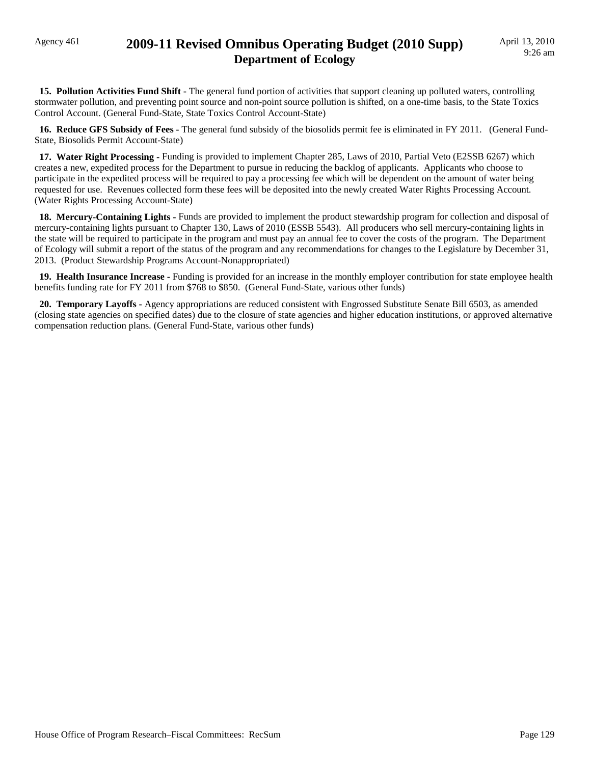### Agency 461 **2009-11 Revised Omnibus Operating Budget (2010 Supp) Department of Ecology**

**15. Pollution Activities Fund Shift -** The general fund portion of activities that support cleaning up polluted waters, controlling stormwater pollution, and preventing point source and non-point source pollution is shifted, on a one-time basis, to the State Toxics Control Account. (General Fund-State, State Toxics Control Account-State)

 **16. Reduce GFS Subsidy of Fees -** The general fund subsidy of the biosolids permit fee is eliminated in FY 2011. (General Fund-State, Biosolids Permit Account-State)

 **17. Water Right Processing -** Funding is provided to implement Chapter 285, Laws of 2010, Partial Veto (E2SSB 6267) which creates a new, expedited process for the Department to pursue in reducing the backlog of applicants. Applicants who choose to participate in the expedited process will be required to pay a processing fee which will be dependent on the amount of water being requested for use. Revenues collected form these fees will be deposited into the newly created Water Rights Processing Account. (Water Rights Processing Account-State)

 **18. Mercury-Containing Lights -** Funds are provided to implement the product stewardship program for collection and disposal of mercury-containing lights pursuant to Chapter 130, Laws of 2010 (ESSB 5543). All producers who sell mercury-containing lights in the state will be required to participate in the program and must pay an annual fee to cover the costs of the program. The Department of Ecology will submit a report of the status of the program and any recommendations for changes to the Legislature by December 31, 2013. (Product Stewardship Programs Account-Nonappropriated)

 **19. Health Insurance Increase -** Funding is provided for an increase in the monthly employer contribution for state employee health benefits funding rate for FY 2011 from \$768 to \$850. (General Fund-State, various other funds)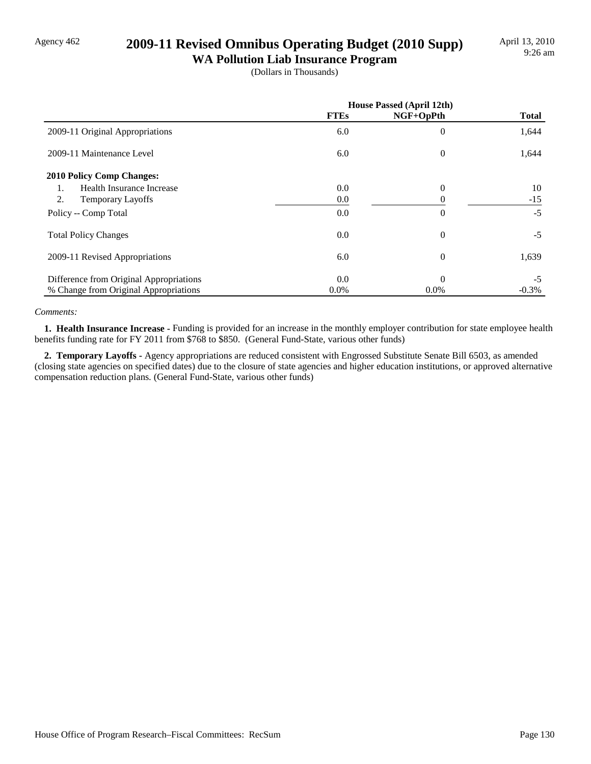## Agency 462 **2009-11 Revised Omnibus Operating Budget (2010 Supp)**

**WA Pollution Liab Insurance Program** (Dollars in Thousands)

|                                         |             | <b>House Passed (April 12th)</b> |              |
|-----------------------------------------|-------------|----------------------------------|--------------|
|                                         | <b>FTEs</b> | NGF+OpPth                        | <b>Total</b> |
| 2009-11 Original Appropriations         | 6.0         | $\theta$                         | 1,644        |
| 2009-11 Maintenance Level               | 6.0         | $\theta$                         | 1,644        |
| 2010 Policy Comp Changes:               |             |                                  |              |
| <b>Health Insurance Increase</b><br>1.  | 0.0         | $\theta$                         | 10           |
| 2.<br><b>Temporary Layoffs</b>          | 0.0         | 0                                | $-15$        |
| Policy -- Comp Total                    | 0.0         | $\overline{0}$                   | $-5$         |
| <b>Total Policy Changes</b>             | 0.0         | $\overline{0}$                   | $-5$         |
| 2009-11 Revised Appropriations          | 6.0         | $\overline{0}$                   | 1,639        |
| Difference from Original Appropriations | 0.0         | $\Omega$                         | $-5$         |
| % Change from Original Appropriations   | $0.0\%$     | $0.0\%$                          | $-0.3\%$     |

#### *Comments:*

 **1. Health Insurance Increase -** Funding is provided for an increase in the monthly employer contribution for state employee health benefits funding rate for FY 2011 from \$768 to \$850. (General Fund-State, various other funds)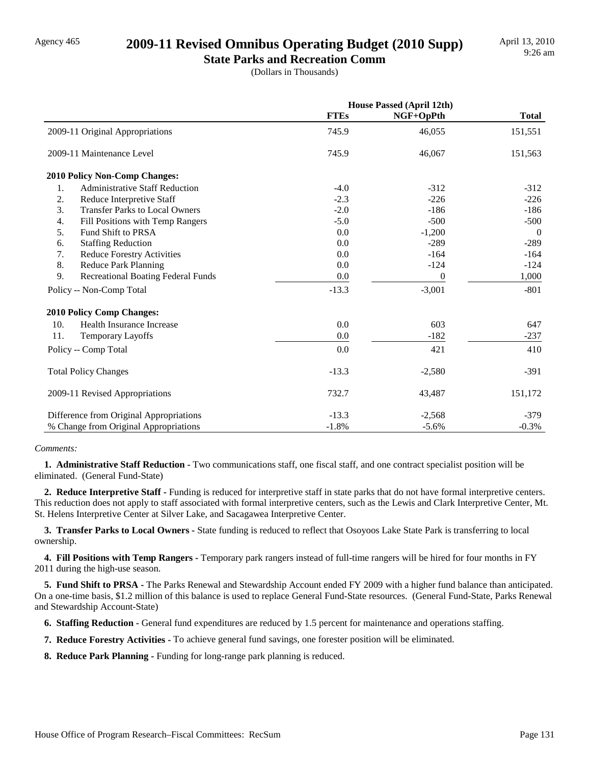### Agency 465 **2009-11 Revised Omnibus Operating Budget (2010 Supp)**

**State Parks and Recreation Comm** (Dollars in Thousands)

|                                                 |             | <b>House Passed (April 12th)</b> |                |
|-------------------------------------------------|-------------|----------------------------------|----------------|
|                                                 | <b>FTEs</b> | NGF+OpPth                        | <b>Total</b>   |
| 2009-11 Original Appropriations                 | 745.9       | 46,055                           | 151,551        |
| 2009-11 Maintenance Level                       | 745.9       | 46,067                           | 151,563        |
| <b>2010 Policy Non-Comp Changes:</b>            |             |                                  |                |
| <b>Administrative Staff Reduction</b><br>1.     | $-4.0$      | $-312$                           | $-312$         |
| 2.<br>Reduce Interpretive Staff                 | $-2.3$      | $-226$                           | $-226$         |
| 3.<br><b>Transfer Parks to Local Owners</b>     | $-2.0$      | $-186$                           | $-186$         |
| 4.<br>Fill Positions with Temp Rangers          | $-5.0$      | $-500$                           | $-500$         |
| 5.<br>Fund Shift to PRSA                        | 0.0         | $-1,200$                         | $\overline{0}$ |
| 6.<br><b>Staffing Reduction</b>                 | 0.0         | $-289$                           | $-289$         |
| 7.<br><b>Reduce Forestry Activities</b>         | 0.0         | $-164$                           | $-164$         |
| 8.<br><b>Reduce Park Planning</b>               | 0.0         | $-124$                           | $-124$         |
| 9.<br><b>Recreational Boating Federal Funds</b> | 0.0         | $\boldsymbol{0}$                 | 1,000          |
| Policy -- Non-Comp Total                        | $-13.3$     | $-3,001$                         | $-801$         |
| <b>2010 Policy Comp Changes:</b>                |             |                                  |                |
| 10.<br>Health Insurance Increase                | 0.0         | 603                              | 647            |
| 11.<br>Temporary Layoffs                        | 0.0         | $-182$                           | $-237$         |
| Policy -- Comp Total                            | 0.0         | 421                              | 410            |
| <b>Total Policy Changes</b>                     | $-13.3$     | $-2,580$                         | $-391$         |
| 2009-11 Revised Appropriations                  | 732.7       | 43,487                           | 151,172        |
| Difference from Original Appropriations         | $-13.3$     | $-2,568$                         | $-379$         |
| % Change from Original Appropriations           | $-1.8%$     | $-5.6%$                          | $-0.3%$        |

#### *Comments:*

 **1. Administrative Staff Reduction -** Two communications staff, one fiscal staff, and one contract specialist position will be eliminated. (General Fund-State)

 **2. Reduce Interpretive Staff -** Funding is reduced for interpretive staff in state parks that do not have formal interpretive centers. This reduction does not apply to staff associated with formal interpretive centers, such as the Lewis and Clark Interpretive Center, Mt. St. Helens Interpretive Center at Silver Lake, and Sacagawea Interpretive Center.

 **3. Transfer Parks to Local Owners -** State funding is reduced to reflect that Osoyoos Lake State Park is transferring to local ownership.

 **4. Fill Positions with Temp Rangers -** Temporary park rangers instead of full-time rangers will be hired for four months in FY 2011 during the high-use season.

 **5. Fund Shift to PRSA -** The Parks Renewal and Stewardship Account ended FY 2009 with a higher fund balance than anticipated. On a one-time basis, \$1.2 million of this balance is used to replace General Fund-State resources. (General Fund-State, Parks Renewal and Stewardship Account-State)

 **6. Staffing Reduction -** General fund expenditures are reduced by 1.5 percent for maintenance and operations staffing.

 **7. Reduce Forestry Activities -** To achieve general fund savings, one forester position will be eliminated.

 **8. Reduce Park Planning -** Funding for long-range park planning is reduced.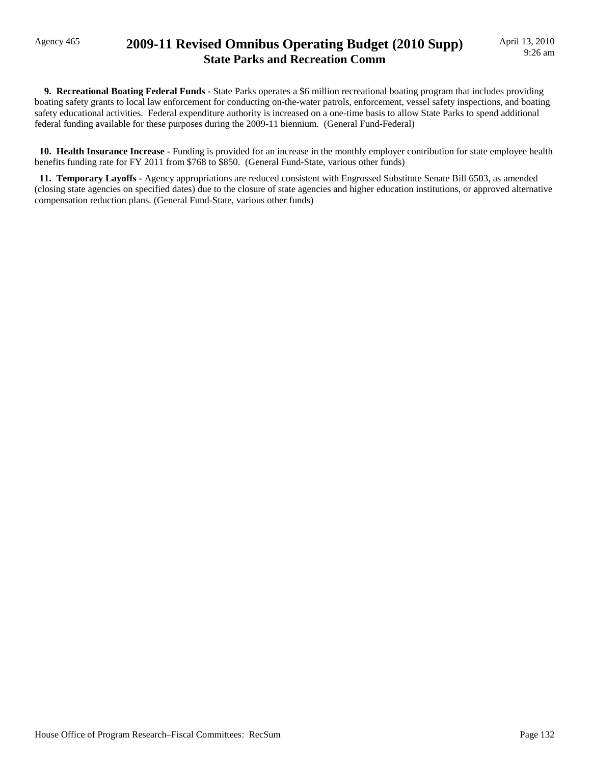### Agency 465 **2009-11 Revised Omnibus Operating Budget (2010 Supp) State Parks and Recreation Comm**

 **9. Recreational Boating Federal Funds -** State Parks operates a \$6 million recreational boating program that includes providing boating safety grants to local law enforcement for conducting on-the-water patrols, enforcement, vessel safety inspections, and boating safety educational activities. Federal expenditure authority is increased on a one-time basis to allow State Parks to spend additional federal funding available for these purposes during the 2009-11 biennium. (General Fund-Federal)

 **10. Health Insurance Increase -** Funding is provided for an increase in the monthly employer contribution for state employee health benefits funding rate for FY 2011 from \$768 to \$850. (General Fund-State, various other funds)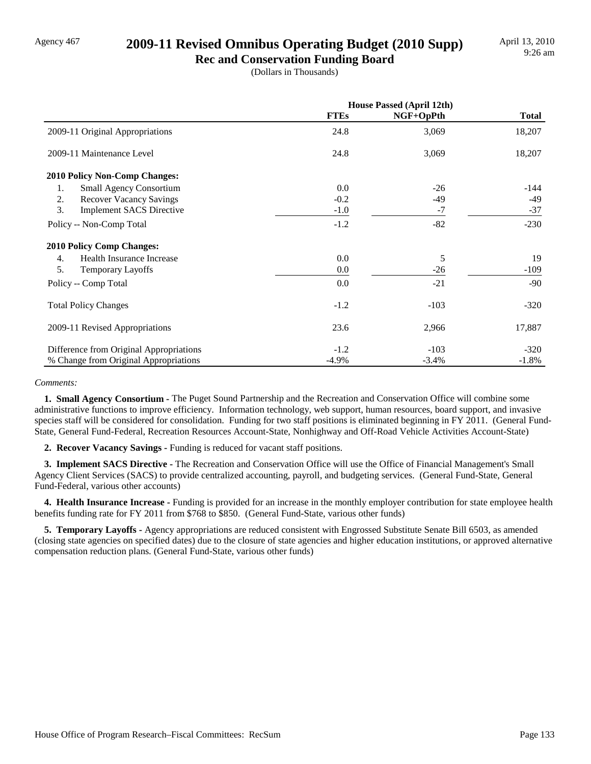### Agency 467 **2009-11 Revised Omnibus Operating Budget (2010 Supp)**

**Rec and Conservation Funding Board** (Dollars in Thousands)

|                                         | <b>House Passed (April 12th)</b> |           |              |
|-----------------------------------------|----------------------------------|-----------|--------------|
|                                         | <b>FTEs</b>                      | NGF+OpPth | <b>Total</b> |
| 2009-11 Original Appropriations         | 24.8                             | 3,069     | 18,207       |
| 2009-11 Maintenance Level               | 24.8                             | 3,069     | 18,207       |
| 2010 Policy Non-Comp Changes:           |                                  |           |              |
| <b>Small Agency Consortium</b><br>1.    | 0.0                              | $-26$     | -144         |
| 2.<br><b>Recover Vacancy Savings</b>    | $-0.2$                           | -49       | $-49$        |
| 3.<br><b>Implement SACS Directive</b>   | $-1.0$                           | $-7$      | $-37$        |
| Policy -- Non-Comp Total                | $-1.2$                           | $-82$     | $-230$       |
| <b>2010 Policy Comp Changes:</b>        |                                  |           |              |
| Health Insurance Increase<br>4.         | 0.0                              | 5         | 19           |
| 5.<br><b>Temporary Layoffs</b>          | 0.0                              | $-26$     | $-109$       |
| Policy -- Comp Total                    | 0.0                              | $-21$     | $-90$        |
| <b>Total Policy Changes</b>             | $-1.2$                           | $-103$    | $-320$       |
| 2009-11 Revised Appropriations          | 23.6                             | 2,966     | 17,887       |
| Difference from Original Appropriations | $-1.2$                           | $-103$    | $-320$       |
| % Change from Original Appropriations   | $-4.9\%$                         | $-3.4%$   | $-1.8%$      |

#### *Comments:*

 **1. Small Agency Consortium -** The Puget Sound Partnership and the Recreation and Conservation Office will combine some administrative functions to improve efficiency. Information technology, web support, human resources, board support, and invasive species staff will be considered for consolidation. Funding for two staff positions is eliminated beginning in FY 2011. (General Fund-State, General Fund-Federal, Recreation Resources Account-State, Nonhighway and Off-Road Vehicle Activities Account-State)

 **2. Recover Vacancy Savings -** Funding is reduced for vacant staff positions.

 **3. Implement SACS Directive -** The Recreation and Conservation Office will use the Office of Financial Management's Small Agency Client Services (SACS) to provide centralized accounting, payroll, and budgeting services. (General Fund-State, General Fund-Federal, various other accounts)

 **4. Health Insurance Increase -** Funding is provided for an increase in the monthly employer contribution for state employee health benefits funding rate for FY 2011 from \$768 to \$850. (General Fund-State, various other funds)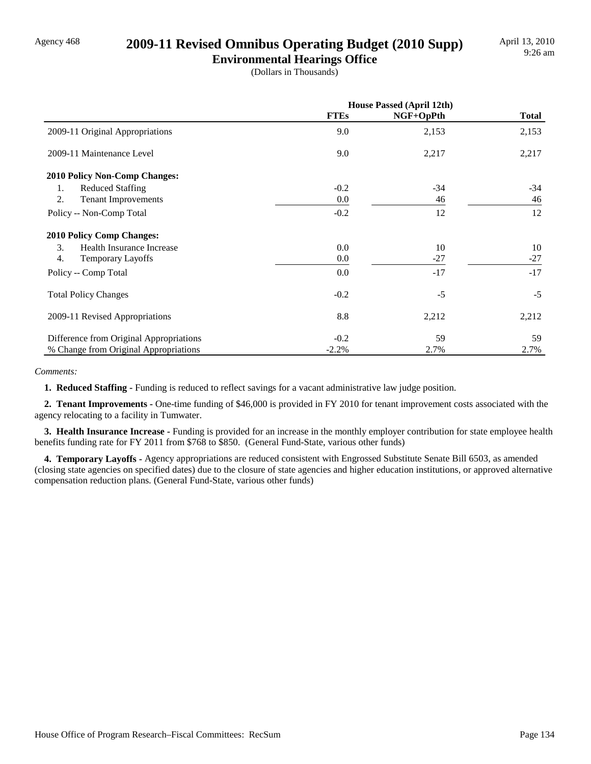### Agency 468 **2009-11 Revised Omnibus Operating Budget (2010 Supp)**

**Environmental Hearings Office** (Dollars in Thousands)

|                                         | <b>House Passed (April 12th)</b> |           |              |
|-----------------------------------------|----------------------------------|-----------|--------------|
|                                         | <b>FTEs</b>                      | NGF+OpPth | <b>Total</b> |
| 2009-11 Original Appropriations         | 9.0                              | 2,153     | 2,153        |
| 2009-11 Maintenance Level               | 9.0                              | 2,217     | 2,217        |
| 2010 Policy Non-Comp Changes:           |                                  |           |              |
| <b>Reduced Staffing</b><br>1.           | $-0.2$                           | $-34$     | -34          |
| 2.<br><b>Tenant Improvements</b>        | 0.0                              | 46        | 46           |
| Policy -- Non-Comp Total                | $-0.2$                           | 12        | 12           |
| <b>2010 Policy Comp Changes:</b>        |                                  |           |              |
| 3.<br>Health Insurance Increase         | 0.0                              | 10        | 10           |
| $\overline{4}$ .<br>Temporary Layoffs   | 0.0                              | $-27$     | $-27$        |
| Policy -- Comp Total                    | 0.0                              | $-17$     | $-17$        |
| <b>Total Policy Changes</b>             | $-0.2$                           | $-5$      | $-5$         |
| 2009-11 Revised Appropriations          | 8.8                              | 2,212     | 2,212        |
| Difference from Original Appropriations | $-0.2$                           | 59        | 59           |
| % Change from Original Appropriations   | $-2.2%$                          | 2.7%      | 2.7%         |

*Comments:*

**1. Reduced Staffing - Funding is reduced to reflect savings for a vacant administrative law judge position.** 

 **2. Tenant Improvements -** One-time funding of \$46,000 is provided in FY 2010 for tenant improvement costs associated with the agency relocating to a facility in Tumwater.

 **3. Health Insurance Increase -** Funding is provided for an increase in the monthly employer contribution for state employee health benefits funding rate for FY 2011 from \$768 to \$850. (General Fund-State, various other funds)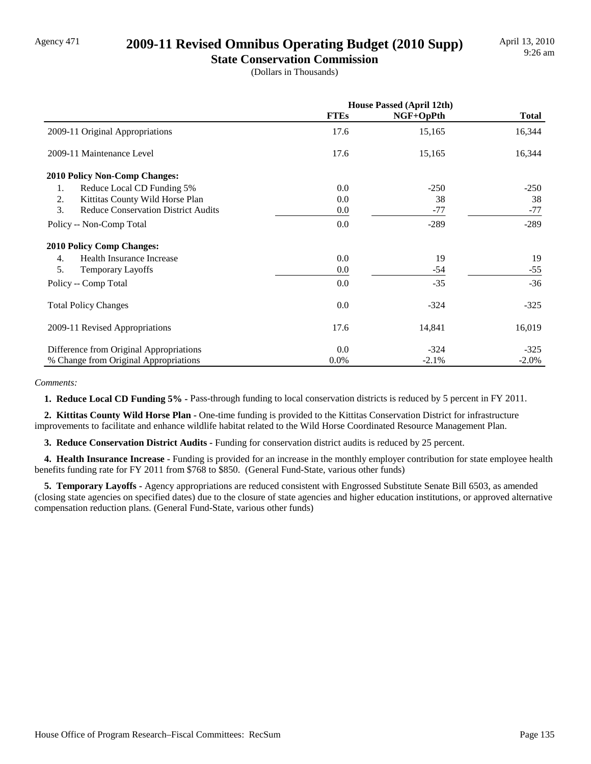#### Agency 471 **2009-11 Revised Omnibus Operating Budget (2010 Supp)**

**State Conservation Commission** (Dollars in Thousands)

|                                                  | <b>House Passed (April 12th)</b> |           |              |
|--------------------------------------------------|----------------------------------|-----------|--------------|
|                                                  | <b>FTEs</b>                      | NGF+OpPth | <b>Total</b> |
| 2009-11 Original Appropriations                  | 17.6                             | 15,165    | 16,344       |
| 2009-11 Maintenance Level                        | 17.6                             | 15,165    | 16,344       |
| 2010 Policy Non-Comp Changes:                    |                                  |           |              |
| Reduce Local CD Funding 5%<br>1.                 | 0.0                              | $-250$    | $-250$       |
| 2.<br>Kittitas County Wild Horse Plan            | 0.0                              | 38        | 38           |
| 3.<br><b>Reduce Conservation District Audits</b> | 0.0                              | $-77$     | $-77$        |
| Policy -- Non-Comp Total                         | 0.0                              | $-289$    | $-289$       |
| <b>2010 Policy Comp Changes:</b>                 |                                  |           |              |
| Health Insurance Increase<br>4.                  | 0.0                              | 19        | 19           |
| 5.<br>Temporary Layoffs                          | 0.0                              | -54       | $-55$        |
| Policy -- Comp Total                             | 0.0                              | $-35$     | $-36$        |
| <b>Total Policy Changes</b>                      | 0.0                              | $-324$    | $-325$       |
| 2009-11 Revised Appropriations                   | 17.6                             | 14,841    | 16,019       |
| Difference from Original Appropriations          | 0.0                              | $-324$    | $-325$       |
| % Change from Original Appropriations            | 0.0%                             | $-2.1%$   | $-2.0\%$     |

*Comments:*

 **1. Reduce Local CD Funding 5% -** Pass-through funding to local conservation districts is reduced by 5 percent in FY 2011.

 **2. Kittitas County Wild Horse Plan -** One-time funding is provided to the Kittitas Conservation District for infrastructure improvements to facilitate and enhance wildlife habitat related to the Wild Horse Coordinated Resource Management Plan.

 **3. Reduce Conservation District Audits -** Funding for conservation district audits is reduced by 25 percent.

 **4. Health Insurance Increase -** Funding is provided for an increase in the monthly employer contribution for state employee health benefits funding rate for FY 2011 from \$768 to \$850. (General Fund-State, various other funds)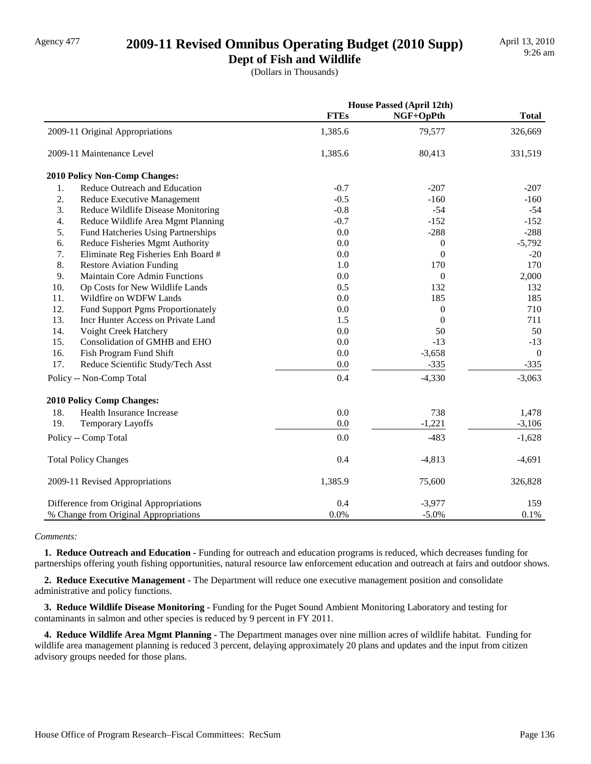## Agency 477 **2009-11 Revised Omnibus Operating Budget (2010 Supp)**

**Dept of Fish and Wildlife**

(Dollars in Thousands)

|                                            |             | <b>House Passed (April 12th)</b> |                |  |
|--------------------------------------------|-------------|----------------------------------|----------------|--|
|                                            | <b>FTEs</b> | NGF+OpPth                        | <b>Total</b>   |  |
| 2009-11 Original Appropriations            | 1,385.6     | 79,577                           | 326,669        |  |
| 2009-11 Maintenance Level                  | 1,385.6     | 80,413                           | 331,519        |  |
| 2010 Policy Non-Comp Changes:              |             |                                  |                |  |
| Reduce Outreach and Education<br>1.        | $-0.7$      | $-207$                           | $-207$         |  |
| 2.<br>Reduce Executive Management          | $-0.5$      | $-160$                           | $-160$         |  |
| 3.<br>Reduce Wildlife Disease Monitoring   | $-0.8$      | $-54$                            | $-54$          |  |
| 4.<br>Reduce Wildlife Area Mgmt Planning   | $-0.7$      | $-152$                           | $-152$         |  |
| 5.<br>Fund Hatcheries Using Partnerships   | 0.0         | $-288$                           | $-288$         |  |
| 6.<br>Reduce Fisheries Mgmt Authority      | 0.0         | $\mathbf{0}$                     | $-5,792$       |  |
| 7.<br>Eliminate Reg Fisheries Enh Board #  | 0.0         | $\mathbf{0}$                     | $-20$          |  |
| 8.<br><b>Restore Aviation Funding</b>      | 1.0         | 170                              | 170            |  |
| 9.<br><b>Maintain Core Admin Functions</b> | 0.0         | $\boldsymbol{0}$                 | 2,000          |  |
| 10.<br>Op Costs for New Wildlife Lands     | 0.5         | 132                              | 132            |  |
| 11.<br>Wildfire on WDFW Lands              | 0.0         | 185                              | 185            |  |
| 12.<br>Fund Support Pgms Proportionately   | 0.0         | $\theta$                         | 710            |  |
| 13.<br>Incr Hunter Access on Private Land  | 1.5         | $\Omega$                         | 711            |  |
| 14.<br>Voight Creek Hatchery               | 0.0         | 50                               | 50             |  |
| 15.<br>Consolidation of GMHB and EHO       | 0.0         | $-13$                            | $-13$          |  |
| 16.<br>Fish Program Fund Shift             | 0.0         | $-3,658$                         | $\overline{0}$ |  |
| 17.<br>Reduce Scientific Study/Tech Asst   | 0.0         | $-335$                           | $-335$         |  |
| Policy -- Non-Comp Total                   | 0.4         | $-4,330$                         | $-3,063$       |  |
| 2010 Policy Comp Changes:                  |             |                                  |                |  |
| 18.<br>Health Insurance Increase           | 0.0         | 738                              | 1,478          |  |
| 19.<br>Temporary Layoffs                   | $0.0\,$     | $-1,221$                         | $-3,106$       |  |
| Policy -- Comp Total                       | 0.0         | $-483$                           | $-1,628$       |  |
| <b>Total Policy Changes</b>                | 0.4         | $-4,813$                         | $-4,691$       |  |
| 2009-11 Revised Appropriations             | 1,385.9     | 75,600                           | 326,828        |  |
| Difference from Original Appropriations    | 0.4         | $-3,977$                         | 159            |  |
| % Change from Original Appropriations      | 0.0%        | $-5.0%$                          | $0.1\%$        |  |

*Comments:*

 **1. Reduce Outreach and Education -** Funding for outreach and education programs is reduced, which decreases funding for partnerships offering youth fishing opportunities, natural resource law enforcement education and outreach at fairs and outdoor shows.

 **2. Reduce Executive Management -** The Department will reduce one executive management position and consolidate administrative and policy functions.

 **3. Reduce Wildlife Disease Monitoring -** Funding for the Puget Sound Ambient Monitoring Laboratory and testing for contaminants in salmon and other species is reduced by 9 percent in FY 2011.

 **4. Reduce Wildlife Area Mgmt Planning -** The Department manages over nine million acres of wildlife habitat. Funding for wildlife area management planning is reduced 3 percent, delaying approximately 20 plans and updates and the input from citizen advisory groups needed for those plans.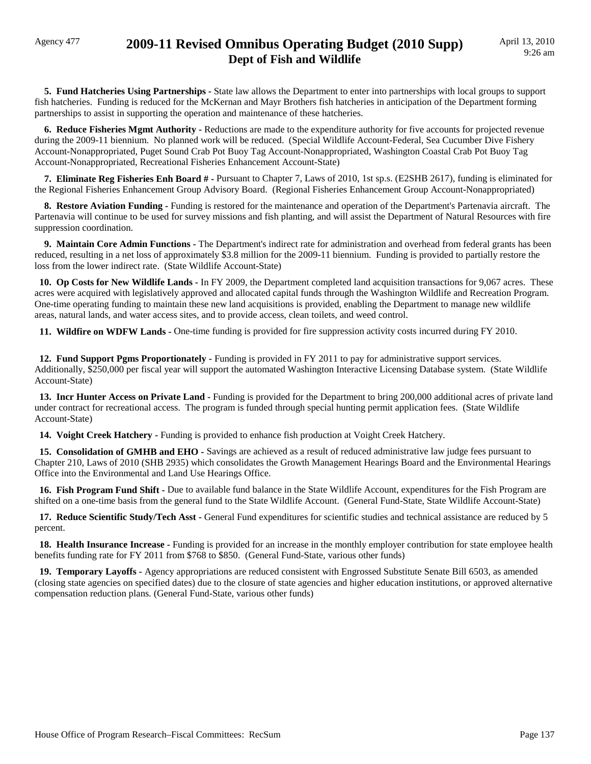### Agency 477 **2009-11 Revised Omnibus Operating Budget (2010 Supp) Dept of Fish and Wildlife**

 **5. Fund Hatcheries Using Partnerships -** State law allows the Department to enter into partnerships with local groups to support fish hatcheries. Funding is reduced for the McKernan and Mayr Brothers fish hatcheries in anticipation of the Department forming partnerships to assist in supporting the operation and maintenance of these hatcheries.

 **6. Reduce Fisheries Mgmt Authority -** Reductions are made to the expenditure authority for five accounts for projected revenue during the 2009-11 biennium. No planned work will be reduced. (Special Wildlife Account-Federal, Sea Cucumber Dive Fishery Account-Nonappropriated, Puget Sound Crab Pot Buoy Tag Account-Nonappropriated, Washington Coastal Crab Pot Buoy Tag Account-Nonappropriated, Recreational Fisheries Enhancement Account-State)

 **7. Eliminate Reg Fisheries Enh Board # -** Pursuant to Chapter 7, Laws of 2010, 1st sp.s. (E2SHB 2617), funding is eliminated for the Regional Fisheries Enhancement Group Advisory Board. (Regional Fisheries Enhancement Group Account-Nonappropriated)

 **8. Restore Aviation Funding -** Funding is restored for the maintenance and operation of the Department's Partenavia aircraft. The Partenavia will continue to be used for survey missions and fish planting, and will assist the Department of Natural Resources with fire suppression coordination.

 **9. Maintain Core Admin Functions -** The Department's indirect rate for administration and overhead from federal grants has been reduced, resulting in a net loss of approximately \$3.8 million for the 2009-11 biennium. Funding is provided to partially restore the loss from the lower indirect rate. (State Wildlife Account-State)

 **10. Op Costs for New Wildlife Lands -** In FY 2009, the Department completed land acquisition transactions for 9,067 acres. These acres were acquired with legislatively approved and allocated capital funds through the Washington Wildlife and Recreation Program. One-time operating funding to maintain these new land acquisitions is provided, enabling the Department to manage new wildlife areas, natural lands, and water access sites, and to provide access, clean toilets, and weed control.

 **11. Wildfire on WDFW Lands -** One-time funding is provided for fire suppression activity costs incurred during FY 2010.

 **12. Fund Support Pgms Proportionately -** Funding is provided in FY 2011 to pay for administrative support services. Additionally, \$250,000 per fiscal year will support the automated Washington Interactive Licensing Database system. (State Wildlife Account-State)

 **13. Incr Hunter Access on Private Land -** Funding is provided for the Department to bring 200,000 additional acres of private land under contract for recreational access. The program is funded through special hunting permit application fees. (State Wildlife Account-State)

14. Voight Creek Hatchery - Funding is provided to enhance fish production at Voight Creek Hatchery.

 **15. Consolidation of GMHB and EHO -** Savings are achieved as a result of reduced administrative law judge fees pursuant to Chapter 210, Laws of 2010 (SHB 2935) which consolidates the Growth Management Hearings Board and the Environmental Hearings Office into the Environmental and Land Use Hearings Office.

 **16. Fish Program Fund Shift -** Due to available fund balance in the State Wildlife Account, expenditures for the Fish Program are shifted on a one-time basis from the general fund to the State Wildlife Account. (General Fund-State, State Wildlife Account-State)

 **17. Reduce Scientific Study/Tech Asst -** General Fund expenditures for scientific studies and technical assistance are reduced by 5 percent.

 **18. Health Insurance Increase -** Funding is provided for an increase in the monthly employer contribution for state employee health benefits funding rate for FY 2011 from \$768 to \$850. (General Fund-State, various other funds)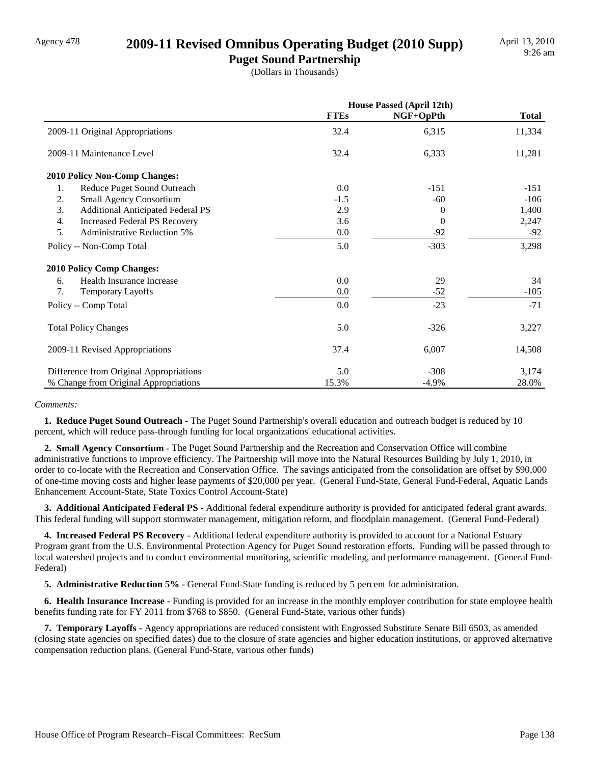### Agency 478 **2009-11 Revised Omnibus Operating Budget (2010 Supp)**

**Puget Sound Partnership** (Dollars in Thousands)

|                                                | <b>House Passed (April 12th)</b> |           |              |
|------------------------------------------------|----------------------------------|-----------|--------------|
|                                                | <b>FTEs</b>                      | NGF+OpPth | <b>Total</b> |
| 2009-11 Original Appropriations                | 32.4                             | 6,315     | 11,334       |
| 2009-11 Maintenance Level                      | 32.4                             | 6,333     | 11,281       |
| 2010 Policy Non-Comp Changes:                  |                                  |           |              |
| 1.<br>Reduce Puget Sound Outreach              | 0.0                              | $-151$    | $-151$       |
| 2.<br><b>Small Agency Consortium</b>           | $-1.5$                           | $-60$     | $-106$       |
| 3.<br><b>Additional Anticipated Federal PS</b> | 2.9                              | $\theta$  | 1,400        |
| 4.<br><b>Increased Federal PS Recovery</b>     | 3.6                              | $\theta$  | 2,247        |
| 5.<br><b>Administrative Reduction 5%</b>       | 0.0                              | $-92$     | $-92$        |
| Policy -- Non-Comp Total                       | 5.0                              | $-303$    | 3,298        |
| <b>2010 Policy Comp Changes:</b>               |                                  |           |              |
| Health Insurance Increase<br>6.                | 0.0                              | 29        | 34           |
| 7.<br>Temporary Layoffs                        | 0.0                              | $-52$     | $-105$       |
| Policy -- Comp Total                           | 0.0                              | $-23$     | $-71$        |
| <b>Total Policy Changes</b>                    | 5.0                              | $-326$    | 3,227        |
| 2009-11 Revised Appropriations                 | 37.4                             | 6,007     | 14,508       |
| Difference from Original Appropriations        | 5.0                              | $-308$    | 3,174        |
| % Change from Original Appropriations          | 15.3%                            | $-4.9%$   | 28.0%        |

#### *Comments:*

 **1. Reduce Puget Sound Outreach -** The Puget Sound Partnership's overall education and outreach budget is reduced by 10 percent, which will reduce pass-through funding for local organizations' educational activities.

 **2. Small Agency Consortium -** The Puget Sound Partnership and the Recreation and Conservation Office will combine administrative functions to improve efficiency. The Partnership will move into the Natural Resources Building by July 1, 2010, in order to co-locate with the Recreation and Conservation Office. The savings anticipated from the consolidation are offset by \$90,000 of one-time moving costs and higher lease payments of \$20,000 per year. (General Fund-State, General Fund-Federal, Aquatic Lands Enhancement Account-State, State Toxics Control Account-State)

 **3. Additional Anticipated Federal PS -** Additional federal expenditure authority is provided for anticipated federal grant awards. This federal funding will support stormwater management, mitigation reform, and floodplain management. (General Fund-Federal)

 **4. Increased Federal PS Recovery -** Additional federal expenditure authority is provided to account for a National Estuary Program grant from the U.S. Environmental Protection Agency for Puget Sound restoration efforts. Funding will be passed through to local watershed projects and to conduct environmental monitoring, scientific modeling, and performance management. (General Fund-Federal)

 **5. Administrative Reduction 5% -** General Fund-State funding is reduced by 5 percent for administration.

 **6. Health Insurance Increase -** Funding is provided for an increase in the monthly employer contribution for state employee health benefits funding rate for FY 2011 from \$768 to \$850. (General Fund-State, various other funds)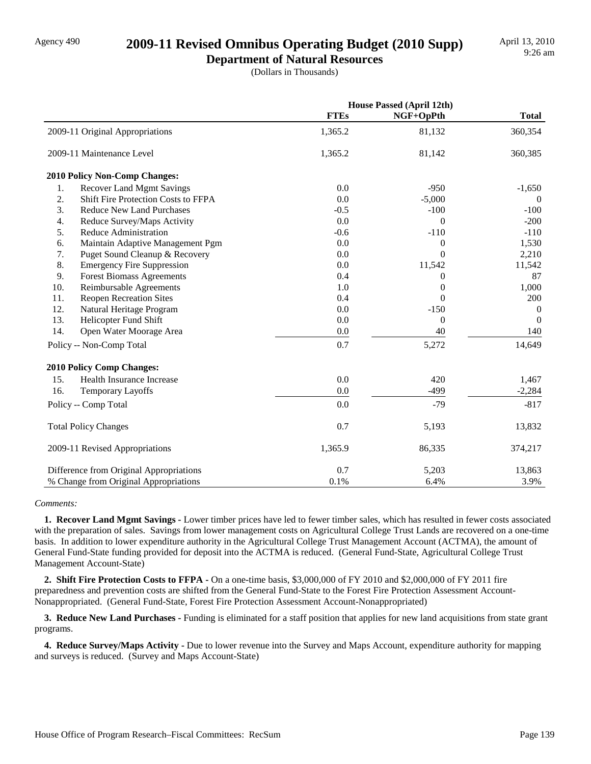### Agency 490 **2009-11 Revised Omnibus Operating Budget (2010 Supp)**

**Department of Natural Resources** (Dollars in Thousands)

|     |                                            | <b>House Passed (April 12th)</b> |                  |                |
|-----|--------------------------------------------|----------------------------------|------------------|----------------|
|     |                                            | <b>FTEs</b>                      | NGF+OpPth        | <b>Total</b>   |
|     | 2009-11 Original Appropriations            | 1,365.2                          | 81,132           | 360,354        |
|     | 2009-11 Maintenance Level                  | 1,365.2                          | 81,142           | 360,385        |
|     | 2010 Policy Non-Comp Changes:              |                                  |                  |                |
| 1.  | <b>Recover Land Mgmt Savings</b>           | 0.0                              | $-950$           | $-1,650$       |
| 2.  | <b>Shift Fire Protection Costs to FFPA</b> | 0.0                              | $-5,000$         | $\theta$       |
| 3.  | <b>Reduce New Land Purchases</b>           | $-0.5$                           | $-100$           | $-100$         |
| 4.  | Reduce Survey/Maps Activity                | 0.0                              | $\Omega$         | $-200$         |
| 5.  | <b>Reduce Administration</b>               | $-0.6$                           | $-110$           | $-110$         |
| 6.  | Maintain Adaptive Management Pgm           | 0.0                              | $\boldsymbol{0}$ | 1,530          |
| 7.  | Puget Sound Cleanup & Recovery             | 0.0                              | $\Omega$         | 2,210          |
| 8.  | <b>Emergency Fire Suppression</b>          | 0.0                              | 11,542           | 11,542         |
| 9.  | <b>Forest Biomass Agreements</b>           | 0.4                              | $\theta$         | 87             |
| 10. | Reimbursable Agreements                    | 1.0                              | $\Omega$         | 1,000          |
| 11. | <b>Reopen Recreation Sites</b>             | 0.4                              | $\Omega$         | 200            |
| 12. | Natural Heritage Program                   | 0.0                              | $-150$           | $\overline{0}$ |
| 13. | Helicopter Fund Shift                      | 0.0                              | $\theta$         | $\Omega$       |
| 14. | Open Water Moorage Area                    | 0.0                              | 40               | 140            |
|     | Policy -- Non-Comp Total                   | 0.7                              | 5,272            | 14,649         |
|     | <b>2010 Policy Comp Changes:</b>           |                                  |                  |                |
| 15. | Health Insurance Increase                  | 0.0                              | 420              | 1,467          |
| 16. | Temporary Layoffs                          | 0.0                              | $-499$           | $-2,284$       |
|     | Policy -- Comp Total                       | 0.0                              | $-79$            | $-817$         |
|     | <b>Total Policy Changes</b>                | 0.7                              | 5,193            | 13,832         |
|     | 2009-11 Revised Appropriations             | 1,365.9                          | 86,335           | 374,217        |
|     | Difference from Original Appropriations    | 0.7                              | 5,203            | 13,863         |
|     | % Change from Original Appropriations      | 0.1%                             | 6.4%             | 3.9%           |

#### *Comments:*

 **1. Recover Land Mgmt Savings -** Lower timber prices have led to fewer timber sales, which has resulted in fewer costs associated with the preparation of sales. Savings from lower management costs on Agricultural College Trust Lands are recovered on a one-time basis. In addition to lower expenditure authority in the Agricultural College Trust Management Account (ACTMA), the amount of General Fund-State funding provided for deposit into the ACTMA is reduced. (General Fund-State, Agricultural College Trust Management Account-State)

 **2. Shift Fire Protection Costs to FFPA -** On a one-time basis, \$3,000,000 of FY 2010 and \$2,000,000 of FY 2011 fire preparedness and prevention costs are shifted from the General Fund-State to the Forest Fire Protection Assessment Account-Nonappropriated. (General Fund-State, Forest Fire Protection Assessment Account-Nonappropriated)

 **3. Reduce New Land Purchases -** Funding is eliminated for a staff position that applies for new land acquisitions from state grant programs.

 **4. Reduce Survey/Maps Activity -** Due to lower revenue into the Survey and Maps Account, expenditure authority for mapping and surveys is reduced. (Survey and Maps Account-State)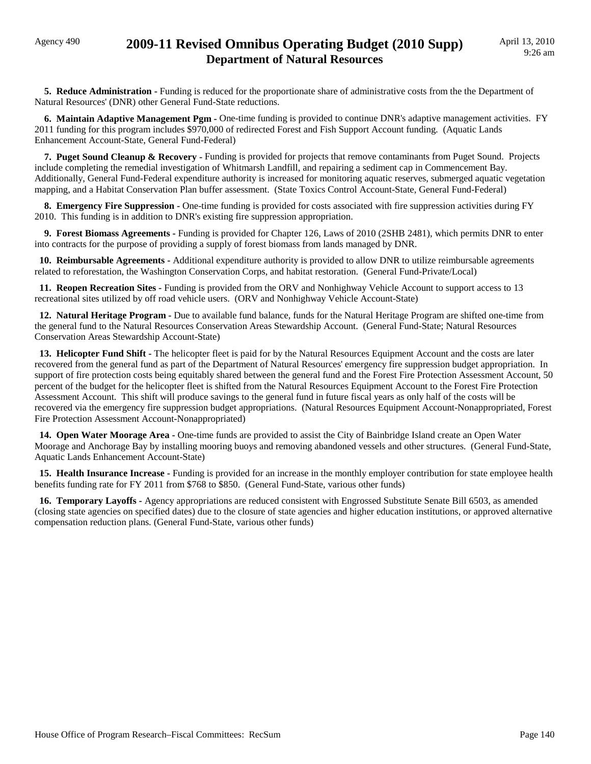#### Agency 490 **2009-11 Revised Omnibus Operating Budget (2010 Supp) Department of Natural Resources**

**5. Reduce Administration - Funding is reduced for the proportionate share of administrative costs from the the Department of** Natural Resources' (DNR) other General Fund-State reductions.

 **6. Maintain Adaptive Management Pgm -** One-time funding is provided to continue DNR's adaptive management activities. FY 2011 funding for this program includes \$970,000 of redirected Forest and Fish Support Account funding. (Aquatic Lands Enhancement Account-State, General Fund-Federal)

**7. Puget Sound Cleanup & Recovery -** Funding is provided for projects that remove contaminants from Puget Sound. Projects include completing the remedial investigation of Whitmarsh Landfill, and repairing a sediment cap in Commencement Bay. Additionally, General Fund-Federal expenditure authority is increased for monitoring aquatic reserves, submerged aquatic vegetation mapping, and a Habitat Conservation Plan buffer assessment. (State Toxics Control Account-State, General Fund-Federal)

 **8. Emergency Fire Suppression -** One-time funding is provided for costs associated with fire suppression activities during FY 2010. This funding is in addition to DNR's existing fire suppression appropriation.

 **9. Forest Biomass Agreements -** Funding is provided for Chapter 126, Laws of 2010 (2SHB 2481), which permits DNR to enter into contracts for the purpose of providing a supply of forest biomass from lands managed by DNR.

 **10. Reimbursable Agreements -** Additional expenditure authority is provided to allow DNR to utilize reimbursable agreements related to reforestation, the Washington Conservation Corps, and habitat restoration. (General Fund-Private/Local)

 **11. Reopen Recreation Sites -** Funding is provided from the ORV and Nonhighway Vehicle Account to support access to 13 recreational sites utilized by off road vehicle users. (ORV and Nonhighway Vehicle Account-State)

 **12. Natural Heritage Program -** Due to available fund balance, funds for the Natural Heritage Program are shifted one-time from the general fund to the Natural Resources Conservation Areas Stewardship Account. (General Fund-State; Natural Resources Conservation Areas Stewardship Account-State)

 **13. Helicopter Fund Shift -** The helicopter fleet is paid for by the Natural Resources Equipment Account and the costs are later recovered from the general fund as part of the Department of Natural Resources' emergency fire suppression budget appropriation. In support of fire protection costs being equitably shared between the general fund and the Forest Fire Protection Assessment Account, 50 percent of the budget for the helicopter fleet is shifted from the Natural Resources Equipment Account to the Forest Fire Protection Assessment Account. This shift will produce savings to the general fund in future fiscal years as only half of the costs will be recovered via the emergency fire suppression budget appropriations. (Natural Resources Equipment Account-Nonappropriated, Forest Fire Protection Assessment Account-Nonappropriated)

 **14. Open Water Moorage Area -** One-time funds are provided to assist the City of Bainbridge Island create an Open Water Moorage and Anchorage Bay by installing mooring buoys and removing abandoned vessels and other structures. (General Fund-State, Aquatic Lands Enhancement Account-State)

 **15. Health Insurance Increase -** Funding is provided for an increase in the monthly employer contribution for state employee health benefits funding rate for FY 2011 from \$768 to \$850. (General Fund-State, various other funds)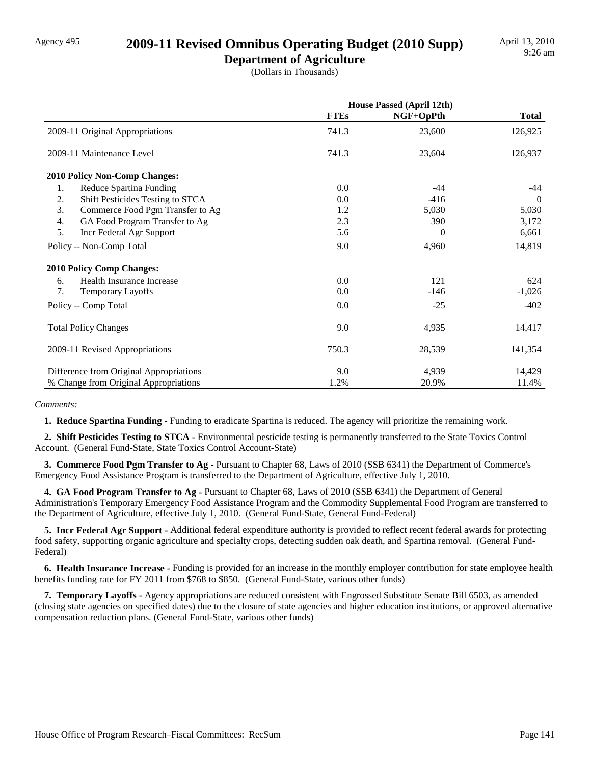### Agency 495 **2009-11 Revised Omnibus Operating Budget (2010 Supp)**

**Department of Agriculture** (Dollars in Thousands)

|                                         | <b>House Passed (April 12th)</b> |           |              |  |
|-----------------------------------------|----------------------------------|-----------|--------------|--|
|                                         | <b>FTEs</b>                      | NGF+OpPth | <b>Total</b> |  |
| 2009-11 Original Appropriations         | 741.3                            | 23,600    | 126,925      |  |
| 2009-11 Maintenance Level               | 741.3                            | 23,604    | 126,937      |  |
| 2010 Policy Non-Comp Changes:           |                                  |           |              |  |
| 1.<br>Reduce Spartina Funding           | 0.0                              | $-44$     | -44          |  |
| Shift Pesticides Testing to STCA<br>2.  | 0.0                              | $-416$    | $\theta$     |  |
| 3.<br>Commerce Food Pgm Transfer to Ag  | 1.2                              | 5,030     | 5,030        |  |
| 4.<br>GA Food Program Transfer to Ag    | 2.3                              | 390       | 3,172        |  |
| 5.<br>Incr Federal Agr Support          | 5.6                              | 0         | 6,661        |  |
| Policy -- Non-Comp Total                | 9.0                              | 4,960     | 14,819       |  |
| <b>2010 Policy Comp Changes:</b>        |                                  |           |              |  |
| Health Insurance Increase<br>6.         | 0.0                              | 121       | 624          |  |
| 7.<br>Temporary Layoffs                 | 0.0                              | $-146$    | $-1,026$     |  |
| Policy -- Comp Total                    | 0.0                              | $-25$     | $-402$       |  |
| <b>Total Policy Changes</b>             | 9.0                              | 4,935     | 14,417       |  |
| 2009-11 Revised Appropriations          | 750.3                            | 28,539    | 141,354      |  |
| Difference from Original Appropriations | 9.0                              | 4,939     | 14,429       |  |
| % Change from Original Appropriations   | 1.2%                             | 20.9%     | 11.4%        |  |

*Comments:*

 **1. Reduce Spartina Funding -** Funding to eradicate Spartina is reduced. The agency will prioritize the remaining work.

 **2. Shift Pesticides Testing to STCA -** Environmental pesticide testing is permanently transferred to the State Toxics Control Account. (General Fund-State, State Toxics Control Account-State)

 **3. Commerce Food Pgm Transfer to Ag -** Pursuant to Chapter 68, Laws of 2010 (SSB 6341) the Department of Commerce's Emergency Food Assistance Program is transferred to the Department of Agriculture, effective July 1, 2010.

 **4. GA Food Program Transfer to Ag -** Pursuant to Chapter 68, Laws of 2010 (SSB 6341) the Department of General Administration's Temporary Emergency Food Assistance Program and the Commodity Supplemental Food Program are transferred to the Department of Agriculture, effective July 1, 2010. (General Fund-State, General Fund-Federal)

 **5. Incr Federal Agr Support -** Additional federal expenditure authority is provided to reflect recent federal awards for protecting food safety, supporting organic agriculture and specialty crops, detecting sudden oak death, and Spartina removal. (General Fund-Federal)

 **6. Health Insurance Increase -** Funding is provided for an increase in the monthly employer contribution for state employee health benefits funding rate for FY 2011 from \$768 to \$850. (General Fund-State, various other funds)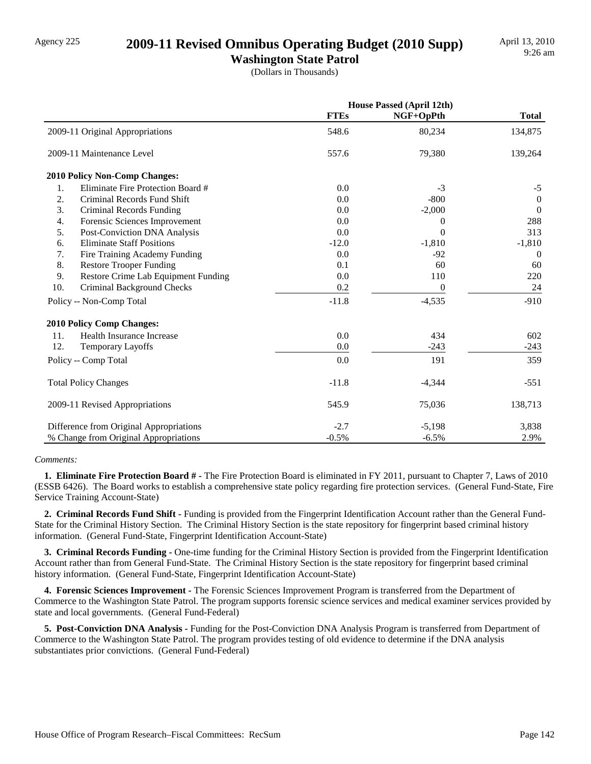### Agency 225 **2009-11 Revised Omnibus Operating Budget (2010 Supp)**

**Washington State Patrol**

(Dollars in Thousands)

|     |                                         | House Passed (April 12th) |           |                |
|-----|-----------------------------------------|---------------------------|-----------|----------------|
|     |                                         | <b>FTEs</b>               | NGF+OpPth | <b>Total</b>   |
|     | 2009-11 Original Appropriations         | 548.6                     | 80,234    | 134,875        |
|     | 2009-11 Maintenance Level               | 557.6                     | 79,380    | 139,264        |
|     | <b>2010 Policy Non-Comp Changes:</b>    |                           |           |                |
| 1.  | Eliminate Fire Protection Board #       | 0.0                       | $-3$      | $-5$           |
| 2.  | Criminal Records Fund Shift             | 0.0                       | $-800$    | $\theta$       |
| 3.  | Criminal Records Funding                | 0.0                       | $-2,000$  | $\overline{0}$ |
| 4.  | Forensic Sciences Improvement           | 0.0                       | 0         | 288            |
| 5.  | Post-Conviction DNA Analysis            | 0.0                       | $\Omega$  | 313            |
| 6.  | <b>Eliminate Staff Positions</b>        | $-12.0$                   | $-1,810$  | $-1,810$       |
| 7.  | Fire Training Academy Funding           | 0.0                       | $-92$     | $\Omega$       |
| 8.  | <b>Restore Trooper Funding</b>          | 0.1                       | 60        | 60             |
| 9.  | Restore Crime Lab Equipment Funding     | 0.0                       | 110       | 220            |
| 10. | Criminal Background Checks              | 0.2                       | $\theta$  | 24             |
|     | Policy -- Non-Comp Total                | $-11.8$                   | $-4,535$  | $-910$         |
|     | 2010 Policy Comp Changes:               |                           |           |                |
| 11. | Health Insurance Increase               | 0.0                       | 434       | 602            |
| 12. | Temporary Layoffs                       | 0.0                       | $-243$    | $-243$         |
|     | Policy -- Comp Total                    | 0.0                       | 191       | 359            |
|     | <b>Total Policy Changes</b>             | $-11.8$                   | $-4,344$  | $-551$         |
|     | 2009-11 Revised Appropriations          | 545.9                     | 75,036    | 138,713        |
|     | Difference from Original Appropriations | $-2.7$                    | $-5,198$  | 3,838          |
|     | % Change from Original Appropriations   | $-0.5%$                   | $-6.5%$   | 2.9%           |

#### *Comments:*

 **1. Eliminate Fire Protection Board # -** The Fire Protection Board is eliminated in FY 2011, pursuant to Chapter 7, Laws of 2010 (ESSB 6426). The Board works to establish a comprehensive state policy regarding fire protection services. (General Fund-State, Fire Service Training Account-State)

 **2. Criminal Records Fund Shift -** Funding is provided from the Fingerprint Identification Account rather than the General Fund-State for the Criminal History Section. The Criminal History Section is the state repository for fingerprint based criminal history information. (General Fund-State, Fingerprint Identification Account-State)

 **3. Criminal Records Funding -** One-time funding for the Criminal History Section is provided from the Fingerprint Identification Account rather than from General Fund-State. The Criminal History Section is the state repository for fingerprint based criminal history information. (General Fund-State, Fingerprint Identification Account-State)

 **4. Forensic Sciences Improvement -** The Forensic Sciences Improvement Program is transferred from the Department of Commerce to the Washington State Patrol. The program supports forensic science services and medical examiner services provided by state and local governments. (General Fund-Federal)

 **5. Post-Conviction DNA Analysis -** Funding for the Post-Conviction DNA Analysis Program is transferred from Department of Commerce to the Washington State Patrol. The program provides testing of old evidence to determine if the DNA analysis substantiates prior convictions. (General Fund-Federal)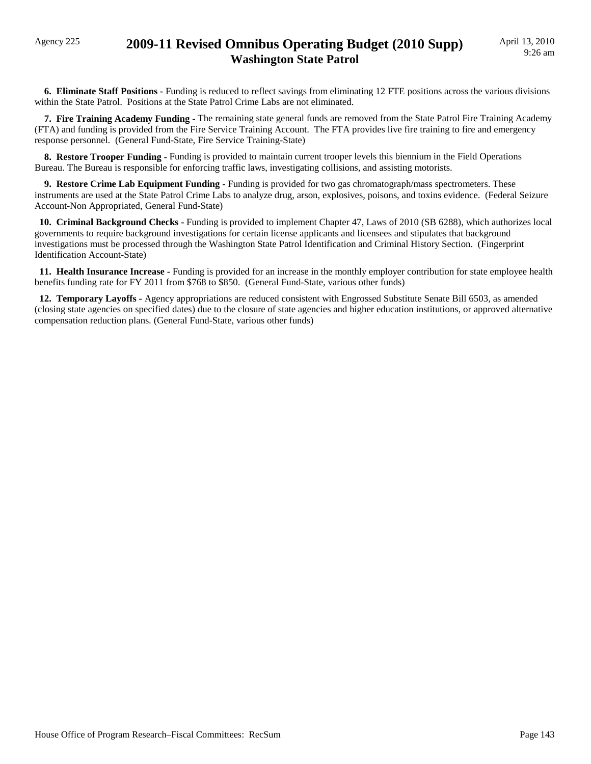### Agency 225 **2009-11 Revised Omnibus Operating Budget (2010 Supp) Washington State Patrol**

 **6. Eliminate Staff Positions -** Funding is reduced to reflect savings from eliminating 12 FTE positions across the various divisions within the State Patrol. Positions at the State Patrol Crime Labs are not eliminated.

 **7. Fire Training Academy Funding -** The remaining state general funds are removed from the State Patrol Fire Training Academy (FTA) and funding is provided from the Fire Service Training Account. The FTA provides live fire training to fire and emergency response personnel. (General Fund-State, Fire Service Training-State)

 **8. Restore Trooper Funding -** Funding is provided to maintain current trooper levels this biennium in the Field Operations Bureau. The Bureau is responsible for enforcing traffic laws, investigating collisions, and assisting motorists.

**9. Restore Crime Lab Equipment Funding -** Funding is provided for two gas chromatograph/mass spectrometers. These instruments are used at the State Patrol Crime Labs to analyze drug, arson, explosives, poisons, and toxins evidence. (Federal Seizure Account-Non Appropriated, General Fund-State)

 **10. Criminal Background Checks -** Funding is provided to implement Chapter 47, Laws of 2010 (SB 6288), which authorizes local governments to require background investigations for certain license applicants and licensees and stipulates that background investigations must be processed through the Washington State Patrol Identification and Criminal History Section. (Fingerprint Identification Account-State)

 **11. Health Insurance Increase -** Funding is provided for an increase in the monthly employer contribution for state employee health benefits funding rate for FY 2011 from \$768 to \$850. (General Fund-State, various other funds)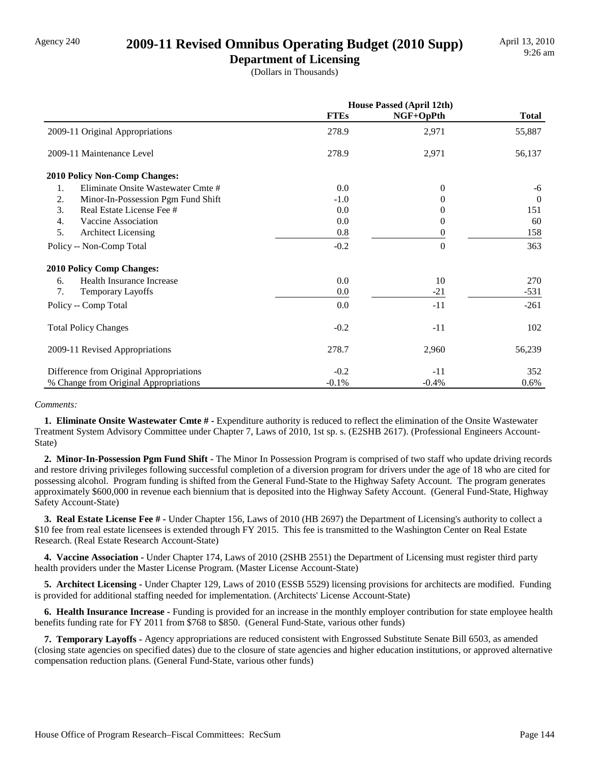### Agency 240 **2009-11 Revised Omnibus Operating Budget (2010 Supp)**

**Department of Licensing** (Dollars in Thousands)

|                                          | <b>House Passed (April 12th)</b> |           |              |
|------------------------------------------|----------------------------------|-----------|--------------|
|                                          | <b>FTEs</b>                      | NGF+OpPth | <b>Total</b> |
| 2009-11 Original Appropriations          | 278.9                            | 2,971     | 55,887       |
| 2009-11 Maintenance Level                | 278.9                            | 2,971     | 56,137       |
| <b>2010 Policy Non-Comp Changes:</b>     |                                  |           |              |
| Eliminate Onsite Wastewater Cmte #<br>1. | 0.0                              | $\theta$  | -6           |
| 2.<br>Minor-In-Possession Pgm Fund Shift | $-1.0$                           | $\theta$  | $\theta$     |
| 3.<br>Real Estate License Fee #          | 0.0                              | $_{0}$    | 151          |
| 4.<br>Vaccine Association                | 0.0                              | $\Omega$  | 60           |
| 5.<br><b>Architect Licensing</b>         | 0.8                              | 0         | 158          |
| Policy -- Non-Comp Total                 | $-0.2$                           | $\theta$  | 363          |
| <b>2010 Policy Comp Changes:</b>         |                                  |           |              |
| Health Insurance Increase<br>6.          | 0.0                              | 10        | 270          |
| 7.<br><b>Temporary Layoffs</b>           | 0.0                              | $-21$     | $-531$       |
| Policy -- Comp Total                     | 0.0                              | $-11$     | $-261$       |
| <b>Total Policy Changes</b>              | $-0.2$                           | $-11$     | 102          |
| 2009-11 Revised Appropriations           | 278.7                            | 2,960     | 56,239       |
| Difference from Original Appropriations  | $-0.2$                           | $-11$     | 352          |
| % Change from Original Appropriations    | $-0.1%$                          | $-0.4%$   | $0.6\%$      |

#### *Comments:*

**1. Eliminate Onsite Wastewater Cmte # -** Expenditure authority is reduced to reflect the elimination of the Onsite Wastewater Treatment System Advisory Committee under Chapter 7, Laws of 2010, 1st sp. s. (E2SHB 2617). (Professional Engineers Account-State)

 **2. Minor-In-Possession Pgm Fund Shift -** The Minor In Possession Program is comprised of two staff who update driving records and restore driving privileges following successful completion of a diversion program for drivers under the age of 18 who are cited for possessing alcohol. Program funding is shifted from the General Fund-State to the Highway Safety Account. The program generates approximately \$600,000 in revenue each biennium that is deposited into the Highway Safety Account. (General Fund-State, Highway Safety Account-State)

 **3. Real Estate License Fee # -** Under Chapter 156, Laws of 2010 (HB 2697) the Department of Licensing's authority to collect a \$10 fee from real estate licensees is extended through FY 2015. This fee is transmitted to the Washington Center on Real Estate Research. (Real Estate Research Account-State)

 **4. Vaccine Association -** Under Chapter 174, Laws of 2010 (2SHB 2551) the Department of Licensing must register third party health providers under the Master License Program. (Master License Account-State)

 **5. Architect Licensing -** Under Chapter 129, Laws of 2010 (ESSB 5529) licensing provisions for architects are modified. Funding is provided for additional staffing needed for implementation. (Architects' License Account-State)

 **6. Health Insurance Increase -** Funding is provided for an increase in the monthly employer contribution for state employee health benefits funding rate for FY 2011 from \$768 to \$850. (General Fund-State, various other funds)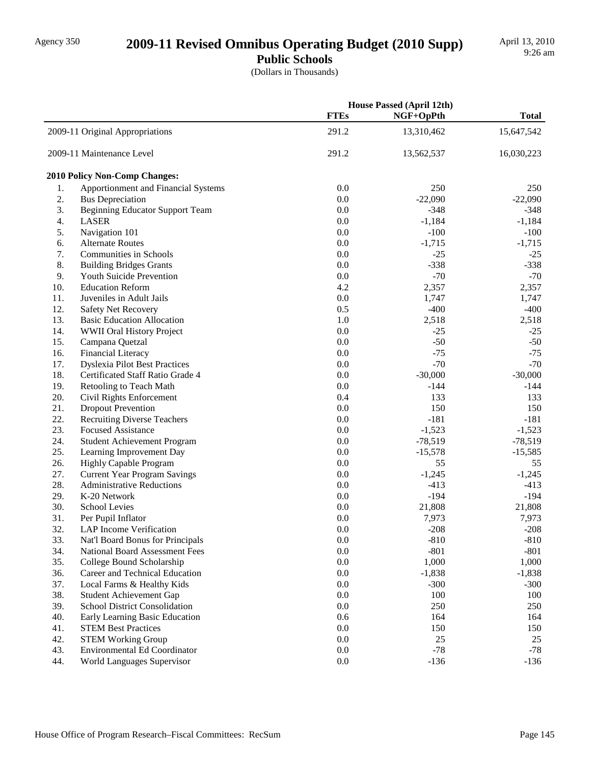## Agency 350 **2009-11 Revised Omnibus Operating Budget (2010 Supp)**

**Public Schools** (Dollars in Thousands)

|     |                                        |             | <b>House Passed (April 12th)</b> |              |
|-----|----------------------------------------|-------------|----------------------------------|--------------|
|     |                                        | <b>FTEs</b> | NGF+OpPth                        | <b>Total</b> |
|     | 2009-11 Original Appropriations        | 291.2       | 13,310,462                       | 15,647,542   |
|     | 2009-11 Maintenance Level              | 291.2       | 13,562,537                       | 16,030,223   |
|     | <b>2010 Policy Non-Comp Changes:</b>   |             |                                  |              |
| 1.  | Apportionment and Financial Systems    | 0.0         | 250                              | 250          |
| 2.  | <b>Bus Depreciation</b>                | 0.0         | $-22,090$                        | $-22,090$    |
| 3.  | <b>Beginning Educator Support Team</b> | 0.0         | $-348$                           | $-348$       |
| 4.  | <b>LASER</b>                           | 0.0         | $-1,184$                         | $-1,184$     |
| 5.  | Navigation 101                         | 0.0         | $-100$                           | $-100$       |
| 6.  | <b>Alternate Routes</b>                | 0.0         | $-1,715$                         | $-1,715$     |
| 7.  | <b>Communities in Schools</b>          | 0.0         | $-25$                            | $-25$        |
| 8.  | <b>Building Bridges Grants</b>         | 0.0         | $-338$                           | $-338$       |
| 9.  | Youth Suicide Prevention               | 0.0         | $-70$                            | $-70$        |
| 10. | <b>Education Reform</b>                | 4.2         | 2,357                            | 2,357        |
| 11. | Juveniles in Adult Jails               | 0.0         | 1,747                            | 1,747        |
| 12. | <b>Safety Net Recovery</b>             | 0.5         | $-400$                           | $-400$       |
| 13. | <b>Basic Education Allocation</b>      | 1.0         | 2,518                            | 2,518        |
| 14. | WWII Oral History Project              | 0.0         | $-25$                            | $-25$        |
| 15. | Campana Quetzal                        | 0.0         | $-50$                            | $-50$        |
| 16. | <b>Financial Literacy</b>              | 0.0         | $-75$                            | $-75$        |
| 17. | <b>Dyslexia Pilot Best Practices</b>   | 0.0         | $-70$                            | $-70$        |
| 18. | Certificated Staff Ratio Grade 4       | 0.0         | $-30,000$                        | $-30,000$    |
| 19. | Retooling to Teach Math                | 0.0         | -144                             | $-144$       |
| 20. | Civil Rights Enforcement               | 0.4         | 133                              | 133          |
| 21. | <b>Dropout Prevention</b>              | 0.0         | 150                              | 150          |
| 22. | <b>Recruiting Diverse Teachers</b>     | 0.0         | $-181$                           | $-181$       |
| 23. | <b>Focused Assistance</b>              | 0.0         | $-1,523$                         | $-1,523$     |
| 24. | <b>Student Achievement Program</b>     | 0.0         | $-78,519$                        | $-78,519$    |
| 25. | Learning Improvement Day               | 0.0         | $-15,578$                        | $-15,585$    |
| 26. | <b>Highly Capable Program</b>          | 0.0         | 55                               | 55           |
| 27. | <b>Current Year Program Savings</b>    | 0.0         | $-1,245$                         | $-1,245$     |
| 28. | <b>Administrative Reductions</b>       | 0.0         | $-413$                           | $-413$       |
| 29. | K-20 Network                           | 0.0         | $-194$                           | $-194$       |
| 30. | School Levies                          | 0.0         | 21,808                           | 21,808       |
| 31. | Per Pupil Inflator                     | 0.0         | 7,973                            | 7,973        |
| 32. | <b>LAP</b> Income Verification         | 0.0         | $-208$                           | $-208$       |
| 33. | Nat'l Board Bonus for Principals       | 0.0         | $-810$                           | $-810$       |
| 34. | National Board Assessment Fees         | 0.0         | $-801$                           | $-801$       |
| 35. | College Bound Scholarship              | 0.0         | 1,000                            | 1,000        |
| 36. | Career and Technical Education         | 0.0         | $-1,838$                         | $-1,838$     |
| 37. | Local Farms & Healthy Kids             | 0.0         | $-300$                           | $-300$       |
| 38. | <b>Student Achievement Gap</b>         | 0.0         | 100                              | 100          |
| 39. | <b>School District Consolidation</b>   | 0.0         | 250                              | 250          |
| 40. | Early Learning Basic Education         | 0.6         | 164                              | 164          |
| 41. | <b>STEM Best Practices</b>             | 0.0         | 150                              | 150          |
| 42. | <b>STEM Working Group</b>              | 0.0         | 25                               | 25           |
| 43. | Environmental Ed Coordinator           | 0.0         | $-78$                            | $-78$        |
| 44. | World Languages Supervisor             | $0.0\,$     | $-136$                           | $-136$       |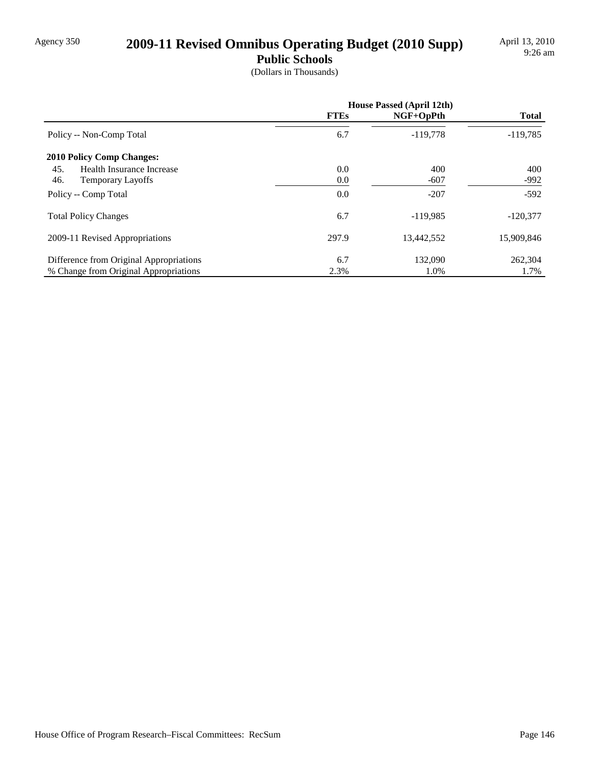## Agency 350 **2009-11 Revised Omnibus Operating Budget (2010 Supp)**

**Public Schools**

(Dollars in Thousands)

|                                         | <b>House Passed (April 12th)</b> |             |              |
|-----------------------------------------|----------------------------------|-------------|--------------|
|                                         | <b>FTEs</b>                      | $NGF+OpPth$ | <b>Total</b> |
| Policy -- Non-Comp Total                | 6.7                              | $-119.778$  | $-119,785$   |
| <b>2010 Policy Comp Changes:</b>        |                                  |             |              |
| 45.<br>Health Insurance Increase        | 0.0                              | 400         | 400          |
| 46.<br><b>Temporary Layoffs</b>         | 0.0                              | $-607$      | $-992$       |
| Policy -- Comp Total                    | 0.0                              | $-207$      | $-592$       |
| <b>Total Policy Changes</b>             | 6.7                              | $-119,985$  | $-120,377$   |
| 2009-11 Revised Appropriations          | 297.9                            | 13,442,552  | 15,909,846   |
| Difference from Original Appropriations | 6.7                              | 132,090     | 262,304      |
| % Change from Original Appropriations   | 2.3%                             | 1.0%        | 1.7%         |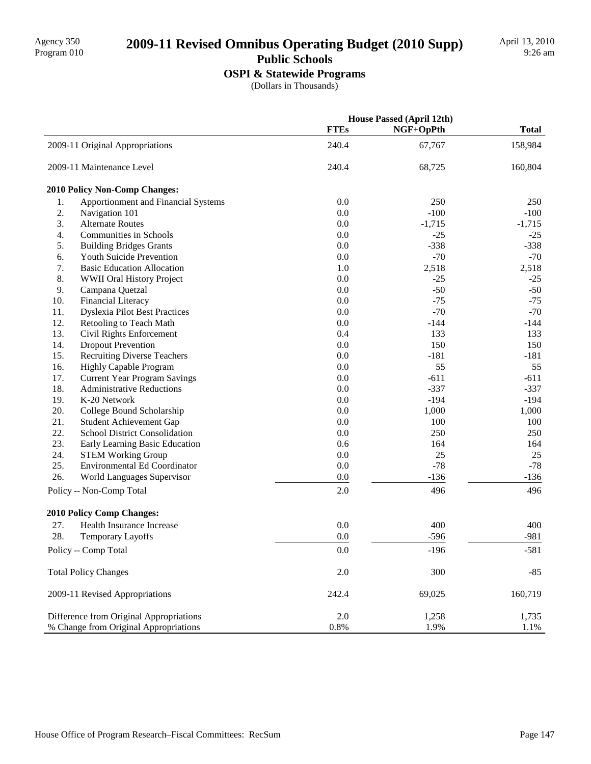## 2009-11 Revised Omnibus Operating Budget (2010 Supp)

### **Public Schools**

**OSPI & Statewide Programs**

(Dollars in Thousands)

|     |                                         | <b>House Passed (April 12th)</b> |           |              |
|-----|-----------------------------------------|----------------------------------|-----------|--------------|
|     |                                         | <b>FTEs</b>                      | NGF+OpPth | <b>Total</b> |
|     | 2009-11 Original Appropriations         | 240.4                            | 67,767    | 158,984      |
|     | 2009-11 Maintenance Level               | 240.4                            | 68,725    | 160,804      |
|     | 2010 Policy Non-Comp Changes:           |                                  |           |              |
| 1.  | Apportionment and Financial Systems     | 0.0                              | 250       | 250          |
| 2.  | Navigation 101                          | 0.0                              | $-100$    | $-100$       |
| 3.  | <b>Alternate Routes</b>                 | 0.0                              | $-1,715$  | $-1,715$     |
| 4.  | Communities in Schools                  | 0.0                              | $-25$     | $-25$        |
| 5.  | <b>Building Bridges Grants</b>          | 0.0                              | $-338$    | $-338$       |
| 6.  | Youth Suicide Prevention                | 0.0                              | $-70$     | $-70$        |
| 7.  | <b>Basic Education Allocation</b>       | 1.0                              | 2,518     | 2,518        |
| 8.  | WWII Oral History Project               | 0.0                              | $-25$     | $-25$        |
| 9.  | Campana Quetzal                         | 0.0                              | $-50$     | $-50$        |
| 10. | Financial Literacy                      | 0.0                              | $-75$     | $-75$        |
| 11. | <b>Dyslexia Pilot Best Practices</b>    | 0.0                              | $-70$     | $-70$        |
| 12. | Retooling to Teach Math                 | 0.0                              | $-144$    | $-144$       |
| 13. | Civil Rights Enforcement                | 0.4                              | 133       | 133          |
| 14. | <b>Dropout Prevention</b>               | 0.0                              | 150       | 150          |
| 15. | <b>Recruiting Diverse Teachers</b>      | 0.0                              | $-181$    | $-181$       |
| 16. | <b>Highly Capable Program</b>           | 0.0                              | 55        | 55           |
| 17. | <b>Current Year Program Savings</b>     | 0.0                              | $-611$    | $-611$       |
| 18. | <b>Administrative Reductions</b>        | 0.0                              | $-337$    | $-337$       |
| 19. | K-20 Network                            | 0.0                              | $-194$    | $-194$       |
| 20. | College Bound Scholarship               | 0.0                              | 1,000     | 1,000        |
| 21. | Student Achievement Gap                 | 0.0                              | 100       | 100          |
| 22. | <b>School District Consolidation</b>    | 0.0                              | 250       | 250          |
| 23. | Early Learning Basic Education          | 0.6                              | 164       | 164          |
| 24. | <b>STEM Working Group</b>               | 0.0                              | 25        | 25           |
| 25. | <b>Environmental Ed Coordinator</b>     | 0.0                              | $-78$     | $-78$        |
| 26. | World Languages Supervisor              | 0.0                              | $-136$    | $-136$       |
|     | Policy -- Non-Comp Total                | 2.0                              | 496       | 496          |
|     | 2010 Policy Comp Changes:               |                                  |           |              |
| 27. | <b>Health Insurance Increase</b>        | 0.0                              | 400       | 400          |
| 28. | Temporary Layoffs                       | 0.0                              | $-596$    | $-981$       |
|     | Policy -- Comp Total                    |                                  |           |              |
|     |                                         | 0.0                              | $-196$    | $-581$       |
|     | <b>Total Policy Changes</b>             | 2.0                              | 300       | $-85$        |
|     | 2009-11 Revised Appropriations          | 242.4                            | 69,025    | 160,719      |
|     | Difference from Original Appropriations | 2.0                              | 1,258     | 1,735        |
|     | % Change from Original Appropriations   | $0.8\%$                          | 1.9%      | 1.1%         |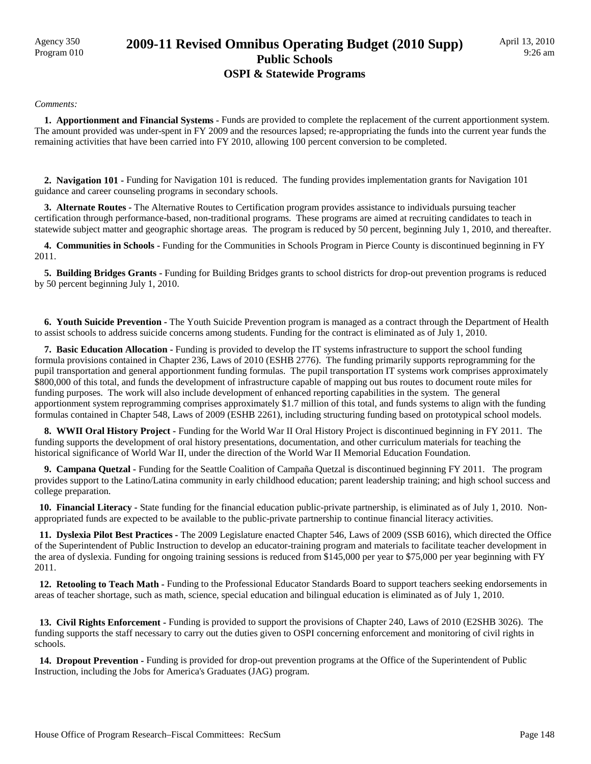## Agency 350 **2009-11 Revised Omnibus Operating Budget (2010 Supp)** Program 010 **Public Schools OSPI & Statewide Programs**

#### *Comments:*

 **1. Apportionment and Financial Systems -** Funds are provided to complete the replacement of the current apportionment system. The amount provided was under-spent in FY 2009 and the resources lapsed; re-appropriating the funds into the current year funds the remaining activities that have been carried into FY 2010, allowing 100 percent conversion to be completed.

 **2. Navigation 101 -** Funding for Navigation 101 is reduced. The funding provides implementation grants for Navigation 101 guidance and career counseling programs in secondary schools.

 **3. Alternate Routes -** The Alternative Routes to Certification program provides assistance to individuals pursuing teacher certification through performance-based, non-traditional programs. These programs are aimed at recruiting candidates to teach in statewide subject matter and geographic shortage areas. The program is reduced by 50 percent, beginning July 1, 2010, and thereafter.

 **4. Communities in Schools -** Funding for the Communities in Schools Program in Pierce County is discontinued beginning in FY 2011.

 **5. Building Bridges Grants -** Funding for Building Bridges grants to school districts for drop-out prevention programs is reduced by 50 percent beginning July 1, 2010.

 **6. Youth Suicide Prevention -** The Youth Suicide Prevention program is managed as a contract through the Department of Health to assist schools to address suicide concerns among students. Funding for the contract is eliminated as of July 1, 2010.

 **7. Basic Education Allocation -** Funding is provided to develop the IT systems infrastructure to support the school funding formula provisions contained in Chapter 236, Laws of 2010 (ESHB 2776). The funding primarily supports reprogramming for the pupil transportation and general apportionment funding formulas. The pupil transportation IT systems work comprises approximately \$800,000 of this total, and funds the development of infrastructure capable of mapping out bus routes to document route miles for funding purposes. The work will also include development of enhanced reporting capabilities in the system. The general apportionment system reprogramming comprises approximately \$1.7 million of this total, and funds systems to align with the funding formulas contained in Chapter 548, Laws of 2009 (ESHB 2261), including structuring funding based on prototypical school models.

**8. WWII Oral History Project - Funding for the World War II Oral History Project is discontinued beginning in FY 2011. The** funding supports the development of oral history presentations, documentation, and other curriculum materials for teaching the historical significance of World War II, under the direction of the World War II Memorial Education Foundation.

 **9. Campana Quetzal -** Funding for the Seattle Coalition of Campaña Quetzal is discontinued beginning FY 2011. The program provides support to the Latino/Latina community in early childhood education; parent leadership training; and high school success and college preparation.

 **10. Financial Literacy -** State funding for the financial education public-private partnership, is eliminated as of July 1, 2010. Nonappropriated funds are expected to be available to the public-private partnership to continue financial literacy activities.

 **11. Dyslexia Pilot Best Practices -** The 2009 Legislature enacted Chapter 546, Laws of 2009 (SSB 6016), which directed the Office of the Superintendent of Public Instruction to develop an educator-training program and materials to facilitate teacher development in the area of dyslexia. Funding for ongoing training sessions is reduced from \$145,000 per year to \$75,000 per year beginning with FY 2011.

 **12. Retooling to Teach Math -** Funding to the Professional Educator Standards Board to support teachers seeking endorsements in areas of teacher shortage, such as math, science, special education and bilingual education is eliminated as of July 1, 2010.

 **13. Civil Rights Enforcement -** Funding is provided to support the provisions of Chapter 240, Laws of 2010 (E2SHB 3026). The funding supports the staff necessary to carry out the duties given to OSPI concerning enforcement and monitoring of civil rights in schools.

 **14. Dropout Prevention -** Funding is provided for drop-out prevention programs at the Office of the Superintendent of Public Instruction, including the Jobs for America's Graduates (JAG) program.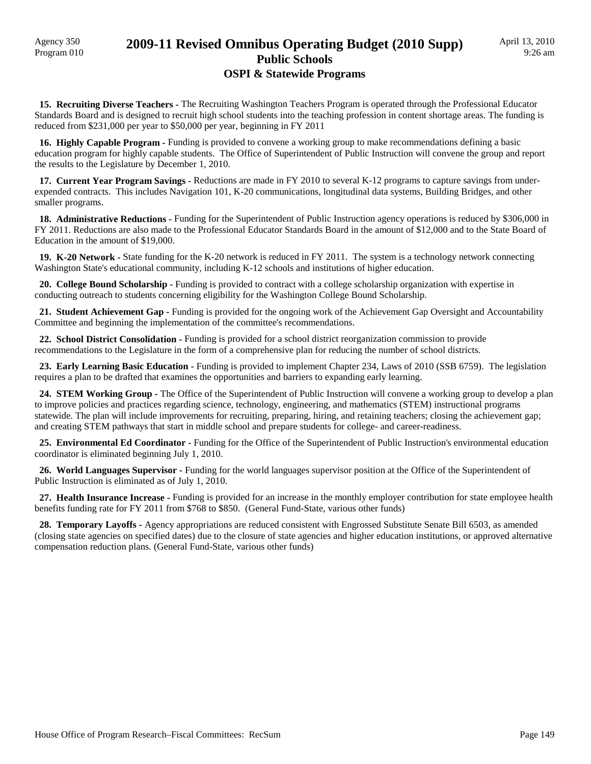### Agency 350 **2009-11 Revised Omnibus Operating Budget (2010 Supp)** Program 010 **Public Schools OSPI & Statewide Programs**

 **15. Recruiting Diverse Teachers -** The Recruiting Washington Teachers Program is operated through the Professional Educator Standards Board and is designed to recruit high school students into the teaching profession in content shortage areas. The funding is reduced from \$231,000 per year to \$50,000 per year, beginning in FY 2011

 **16. Highly Capable Program -** Funding is provided to convene a working group to make recommendations defining a basic education program for highly capable students. The Office of Superintendent of Public Instruction will convene the group and report the results to the Legislature by December 1, 2010.

 **17. Current Year Program Savings -** Reductions are made in FY 2010 to several K-12 programs to capture savings from underexpended contracts. This includes Navigation 101, K-20 communications, longitudinal data systems, Building Bridges, and other smaller programs.

**18. Administrative Reductions -** Funding for the Superintendent of Public Instruction agency operations is reduced by \$306,000 in FY 2011. Reductions are also made to the Professional Educator Standards Board in the amount of \$12,000 and to the State Board of Education in the amount of \$19,000.

**19. K-20 Network -** State funding for the K-20 network is reduced in FY 2011. The system is a technology network connecting Washington State's educational community, including K-12 schools and institutions of higher education.

 **20. College Bound Scholarship -** Funding is provided to contract with a college scholarship organization with expertise in conducting outreach to students concerning eligibility for the Washington College Bound Scholarship.

 **21. Student Achievement Gap -** Funding is provided for the ongoing work of the Achievement Gap Oversight and Accountability Committee and beginning the implementation of the committee's recommendations.

 **22. School District Consolidation -** Funding is provided for a school district reorganization commission to provide recommendations to the Legislature in the form of a comprehensive plan for reducing the number of school districts.

 **23. Early Learning Basic Education -** Funding is provided to implement Chapter 234, Laws of 2010 (SSB 6759). The legislation requires a plan to be drafted that examines the opportunities and barriers to expanding early learning.

 **24. STEM Working Group -** The Office of the Superintendent of Public Instruction will convene a working group to develop a plan to improve policies and practices regarding science, technology, engineering, and mathematics (STEM) instructional programs statewide. The plan will include improvements for recruiting, preparing, hiring, and retaining teachers; closing the achievement gap; and creating STEM pathways that start in middle school and prepare students for college- and career-readiness.

25. Environmental Ed Coordinator - Funding for the Office of the Superintendent of Public Instruction's environmental education coordinator is eliminated beginning July 1, 2010.

 **26. World Languages Supervisor -** Funding for the world languages supervisor position at the Office of the Superintendent of Public Instruction is eliminated as of July 1, 2010.

 **27. Health Insurance Increase -** Funding is provided for an increase in the monthly employer contribution for state employee health benefits funding rate for FY 2011 from \$768 to \$850. (General Fund-State, various other funds)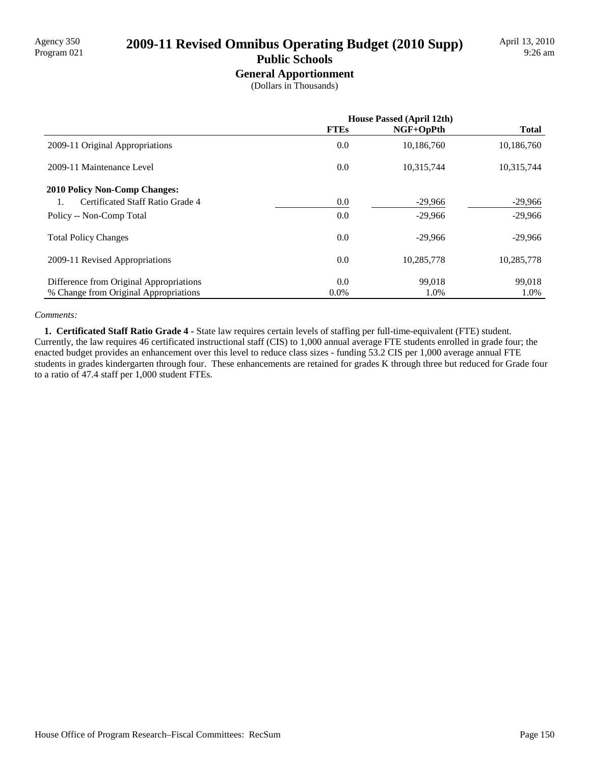# Agency 350<br>Program 021 **2009-11 Revised Omnibus Operating Budget (2010 Supp)**

## **Public Schools**

**General Apportionment** (Dollars in Thousands)

|                                         |             | <b>House Passed (April 12th)</b> |              |
|-----------------------------------------|-------------|----------------------------------|--------------|
|                                         | <b>FTEs</b> | $NGF+OpPth$                      | <b>Total</b> |
| 2009-11 Original Appropriations         | 0.0         | 10,186,760                       | 10,186,760   |
| 2009-11 Maintenance Level               | 0.0         | 10,315,744                       | 10,315,744   |
| <b>2010 Policy Non-Comp Changes:</b>    |             |                                  |              |
| Certificated Staff Ratio Grade 4        | 0.0         | $-29,966$                        | $-29,966$    |
| Policy -- Non-Comp Total                | 0.0         | $-29,966$                        | $-29,966$    |
| <b>Total Policy Changes</b>             | 0.0         | $-29,966$                        | $-29,966$    |
| 2009-11 Revised Appropriations          | 0.0         | 10,285,778                       | 10,285,778   |
| Difference from Original Appropriations | 0.0         | 99.018                           | 99,018       |
| % Change from Original Appropriations   | $0.0\%$     | 1.0%                             | 1.0%         |

#### *Comments:*

 **1. Certificated Staff Ratio Grade 4 -** State law requires certain levels of staffing per full-time-equivalent (FTE) student. Currently, the law requires 46 certificated instructional staff (CIS) to 1,000 annual average FTE students enrolled in grade four; the enacted budget provides an enhancement over this level to reduce class sizes - funding 53.2 CIS per 1,000 average annual FTE students in grades kindergarten through four. These enhancements are retained for grades K through three but reduced for Grade four to a ratio of 47.4 staff per 1,000 student FTEs.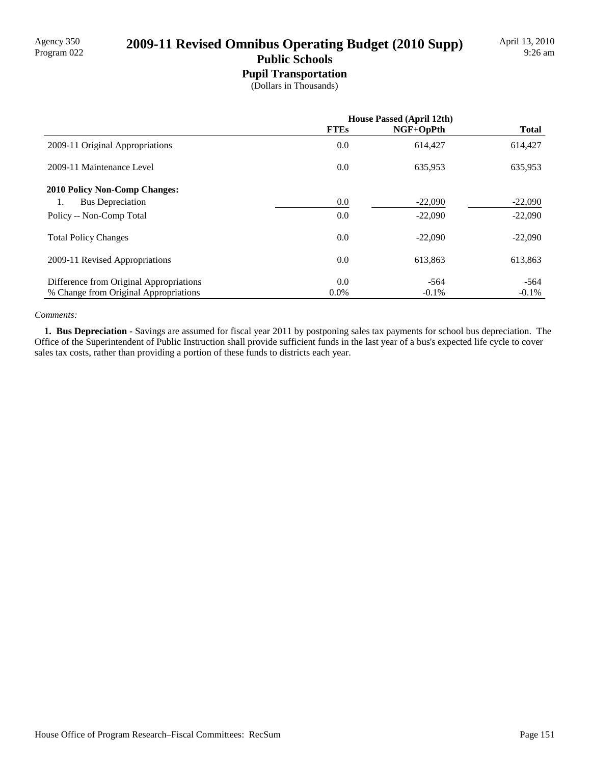# Agency 350<br>Program 022 **2009-11 Revised Omnibus Operating Budget (2010 Supp)**

### **Public Schools Pupil Transportation**

(Dollars in Thousands)

|                                         | <b>House Passed (April 12th)</b> |           |              |
|-----------------------------------------|----------------------------------|-----------|--------------|
|                                         | <b>FTEs</b>                      | NGF+OpPth | <b>Total</b> |
| 2009-11 Original Appropriations         | 0.0                              | 614,427   | 614,427      |
| 2009-11 Maintenance Level               | 0.0                              | 635,953   | 635,953      |
| <b>2010 Policy Non-Comp Changes:</b>    |                                  |           |              |
| <b>Bus Depreciation</b><br>1.           | 0.0                              | $-22,090$ | $-22,090$    |
| Policy -- Non-Comp Total                | 0.0                              | $-22,090$ | $-22,090$    |
| <b>Total Policy Changes</b>             | 0.0                              | $-22.090$ | $-22,090$    |
| 2009-11 Revised Appropriations          | 0.0                              | 613.863   | 613,863      |
| Difference from Original Appropriations | 0.0                              | $-564$    | $-564$       |
| % Change from Original Appropriations   | $0.0\%$                          | $-0.1\%$  | $-0.1\%$     |

#### *Comments:*

 **1. Bus Depreciation -** Savings are assumed for fiscal year 2011 by postponing sales tax payments for school bus depreciation. The Office of the Superintendent of Public Instruction shall provide sufficient funds in the last year of a bus's expected life cycle to cover sales tax costs, rather than providing a portion of these funds to districts each year.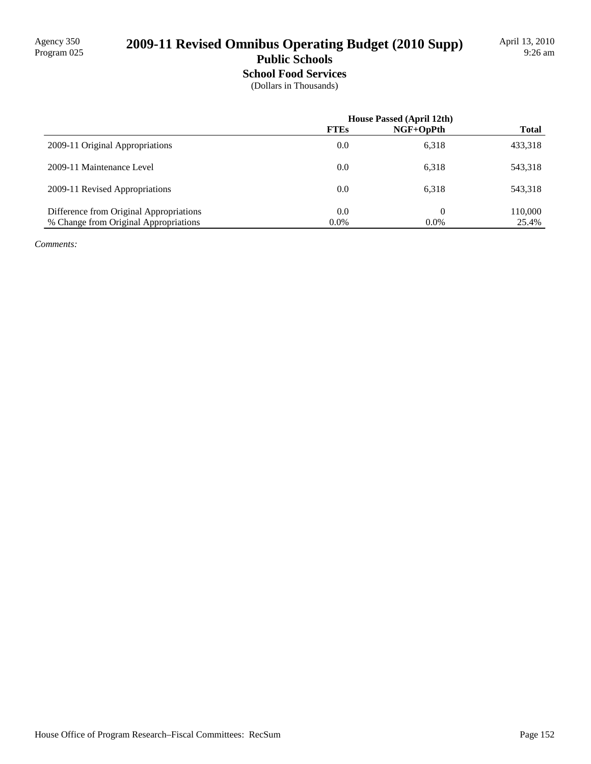# 2009-11 Revised Omnibus Operating Budget (2010 Supp)

### **Public Schools School Food Services**

(Dollars in Thousands)

|                                         | <b>House Passed (April 12th)</b> |           |              |
|-----------------------------------------|----------------------------------|-----------|--------------|
|                                         | <b>FTEs</b>                      | NGF+OpPth | <b>Total</b> |
| 2009-11 Original Appropriations         | 0.0                              | 6,318     | 433,318      |
| 2009-11 Maintenance Level               | 0.0                              | 6,318     | 543,318      |
| 2009-11 Revised Appropriations          | 0.0                              | 6,318     | 543,318      |
| Difference from Original Appropriations | 0.0                              | $\Omega$  | 110,000      |
| % Change from Original Appropriations   | $0.0\%$                          | $0.0\%$   | 25.4%        |

*Comments:*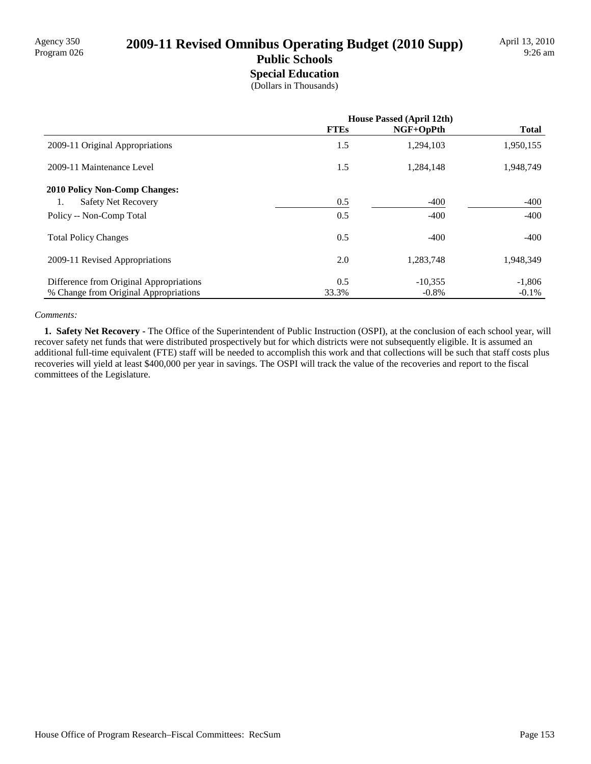# Agency 350<br>Program 026 **2009-11 Revised Omnibus Operating Budget (2010 Supp)**

#### **Public Schools Special Education**

(Dollars in Thousands)

|                                         | <b>House Passed (April 12th)</b> |             |              |
|-----------------------------------------|----------------------------------|-------------|--------------|
|                                         | <b>FTEs</b>                      | $NGF+OpPth$ | <b>Total</b> |
| 2009-11 Original Appropriations         | 1.5                              | 1,294,103   | 1,950,155    |
| 2009-11 Maintenance Level               | 1.5                              | 1,284,148   | 1,948,749    |
| <b>2010 Policy Non-Comp Changes:</b>    |                                  |             |              |
| <b>Safety Net Recovery</b><br>1.        | 0.5                              | $-400$      | $-400$       |
| Policy -- Non-Comp Total                | 0.5                              | $-400$      | $-400$       |
| <b>Total Policy Changes</b>             | 0.5                              | $-400$      | $-400$       |
| 2009-11 Revised Appropriations          | 2.0                              | 1,283,748   | 1,948,349    |
| Difference from Original Appropriations | 0.5                              | $-10.355$   | $-1,806$     |
| % Change from Original Appropriations   | 33.3%                            | $-0.8\%$    | $-0.1\%$     |

#### *Comments:*

 **1. Safety Net Recovery -** The Office of the Superintendent of Public Instruction (OSPI), at the conclusion of each school year, will recover safety net funds that were distributed prospectively but for which districts were not subsequently eligible. It is assumed an additional full-time equivalent (FTE) staff will be needed to accomplish this work and that collections will be such that staff costs plus recoveries will yield at least \$400,000 per year in savings. The OSPI will track the value of the recoveries and report to the fiscal committees of the Legislature.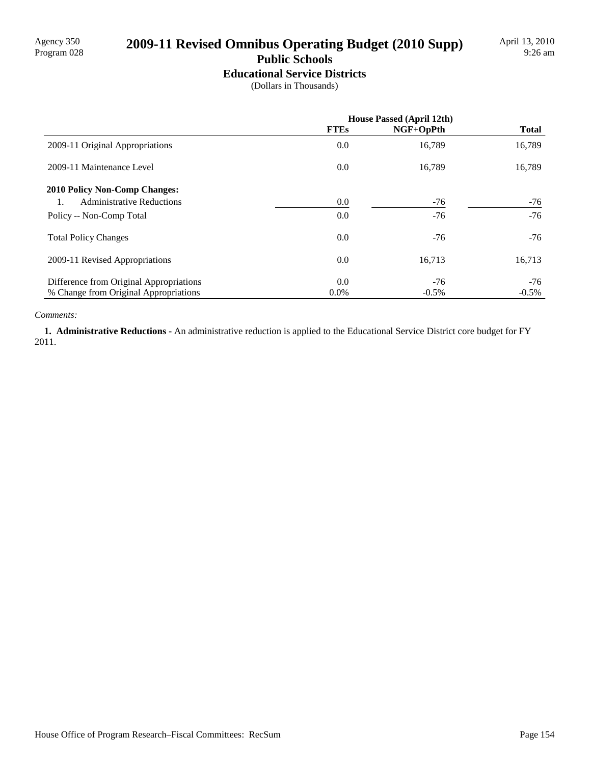## 2009-11 Revised Omnibus Operating Budget (2010 Supp)

## **Public Schools**

**Educational Service Districts** (Dollars in Thousands)

|                                         | <b>House Passed (April 12th)</b> |           |              |
|-----------------------------------------|----------------------------------|-----------|--------------|
|                                         | <b>FTEs</b>                      | NGF+OpPth | <b>Total</b> |
| 2009-11 Original Appropriations         | 0.0                              | 16,789    | 16,789       |
| 2009-11 Maintenance Level               | 0.0                              | 16,789    | 16,789       |
| <b>2010 Policy Non-Comp Changes:</b>    |                                  |           |              |
| <b>Administrative Reductions</b><br>1.  | 0.0                              | $-76$     | -76          |
| Policy -- Non-Comp Total                | 0.0                              | $-76$     | $-76$        |
| <b>Total Policy Changes</b>             | 0.0                              | $-76$     | $-76$        |
| 2009-11 Revised Appropriations          | 0.0                              | 16,713    | 16,713       |
| Difference from Original Appropriations | 0.0                              | $-76$     | $-76$        |
| % Change from Original Appropriations   | $0.0\%$                          | $-0.5%$   | $-0.5\%$     |

#### *Comments:*

 **1. Administrative Reductions -** An administrative reduction is applied to the Educational Service District core budget for FY 2011.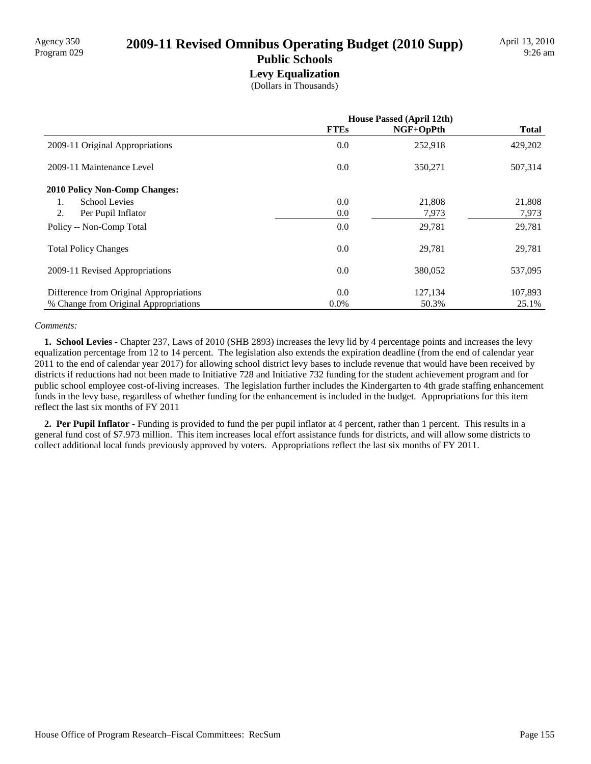# Agency 350<br>Program 029 **2009-11 Revised Omnibus Operating Budget (2010 Supp)**

#### **Public Schools Levy Equalization**

(Dollars in Thousands)

|                                         | <b>House Passed (April 12th)</b> |           |              |
|-----------------------------------------|----------------------------------|-----------|--------------|
|                                         | <b>FTEs</b>                      | NGF+OpPth | <b>Total</b> |
| 2009-11 Original Appropriations         | 0.0                              | 252,918   | 429,202      |
| 2009-11 Maintenance Level               | 0.0                              | 350,271   | 507,314      |
| <b>2010 Policy Non-Comp Changes:</b>    |                                  |           |              |
| School Levies<br>1.                     | 0.0                              | 21,808    | 21,808       |
| 2.<br>Per Pupil Inflator                | 0.0                              | 7,973     | 7,973        |
| Policy -- Non-Comp Total                | 0.0                              | 29,781    | 29,781       |
| <b>Total Policy Changes</b>             | 0.0                              | 29,781    | 29,781       |
| 2009-11 Revised Appropriations          | 0.0                              | 380,052   | 537,095      |
| Difference from Original Appropriations | 0.0                              | 127,134   | 107,893      |
| % Change from Original Appropriations   | $0.0\%$                          | 50.3%     | 25.1%        |

#### *Comments:*

 **1. School Levies -** Chapter 237, Laws of 2010 (SHB 2893) increases the levy lid by 4 percentage points and increases the levy equalization percentage from 12 to 14 percent. The legislation also extends the expiration deadline (from the end of calendar year 2011 to the end of calendar year 2017) for allowing school district levy bases to include revenue that would have been received by districts if reductions had not been made to Initiative 728 and Initiative 732 funding for the student achievement program and for public school employee cost-of-living increases. The legislation further includes the Kindergarten to 4th grade staffing enhancement funds in the levy base, regardless of whether funding for the enhancement is included in the budget. Appropriations for this item reflect the last six months of FY 2011

**2. Per Pupil Inflator -** Funding is provided to fund the per pupil inflator at 4 percent, rather than 1 percent. This results in a general fund cost of \$7.973 million. This item increases local effort assistance funds for districts, and will allow some districts to collect additional local funds previously approved by voters. Appropriations reflect the last six months of FY 2011.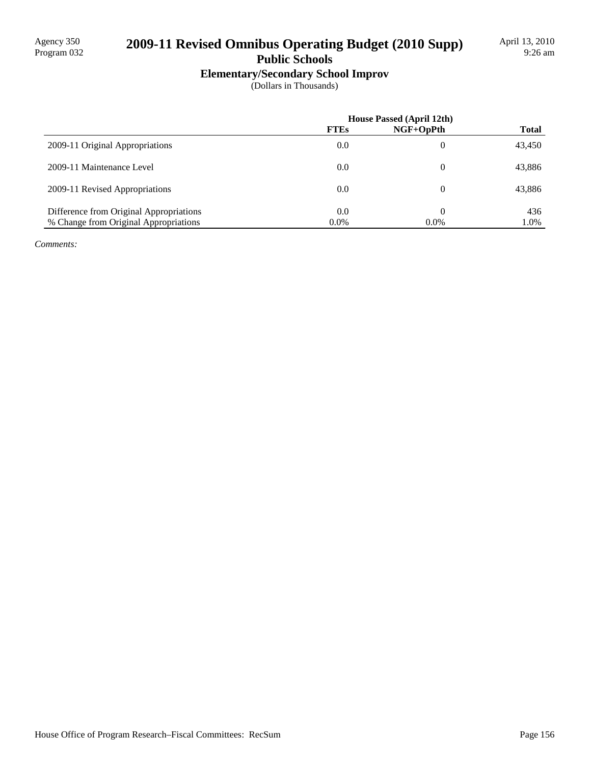## 2009-11 Revised Omnibus Operating Budget (2010 Supp)

### **Public Schools**

## **Elementary/Secondary School Improv**

(Dollars in Thousands)

|                                         | <b>House Passed (April 12th)</b> |             |              |
|-----------------------------------------|----------------------------------|-------------|--------------|
|                                         | <b>FTEs</b>                      | $NGF+OpPth$ | <b>Total</b> |
| 2009-11 Original Appropriations         | 0.0                              | 0           | 43,450       |
| 2009-11 Maintenance Level               | 0.0                              | $\theta$    | 43,886       |
| 2009-11 Revised Appropriations          | 0.0                              | $\Omega$    | 43,886       |
| Difference from Original Appropriations | 0.0                              | $\theta$    | 436          |
| % Change from Original Appropriations   | $0.0\%$                          | $0.0\%$     | 1.0%         |

*Comments:*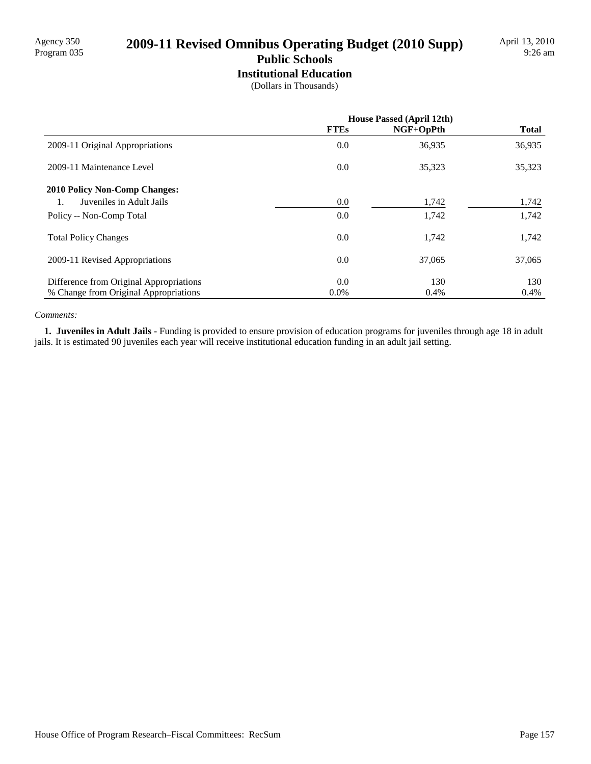# Agency 350<br>Program 035 **2009-11 Revised Omnibus Operating Budget (2010 Supp)**

#### **Public Schools Institutional Education**

(Dollars in Thousands)

|                                         | House Passed (April 12th) |           |              |
|-----------------------------------------|---------------------------|-----------|--------------|
|                                         | <b>FTEs</b>               | NGF+OpPth | <b>Total</b> |
| 2009-11 Original Appropriations         | 0.0                       | 36,935    | 36,935       |
| 2009-11 Maintenance Level               | 0.0                       | 35,323    | 35,323       |
| <b>2010 Policy Non-Comp Changes:</b>    |                           |           |              |
| Juveniles in Adult Jails                | 0.0                       | 1,742     | 1,742        |
| Policy -- Non-Comp Total                | 0.0                       | 1,742     | 1,742        |
| <b>Total Policy Changes</b>             | 0.0                       | 1,742     | 1,742        |
| 2009-11 Revised Appropriations          | 0.0                       | 37,065    | 37,065       |
| Difference from Original Appropriations | 0.0                       | 130       | 130          |
| % Change from Original Appropriations   | $0.0\%$                   | 0.4%      | 0.4%         |

#### *Comments:*

 **1. Juveniles in Adult Jails -** Funding is provided to ensure provision of education programs for juveniles through age 18 in adult jails. It is estimated 90 juveniles each year will receive institutional education funding in an adult jail setting.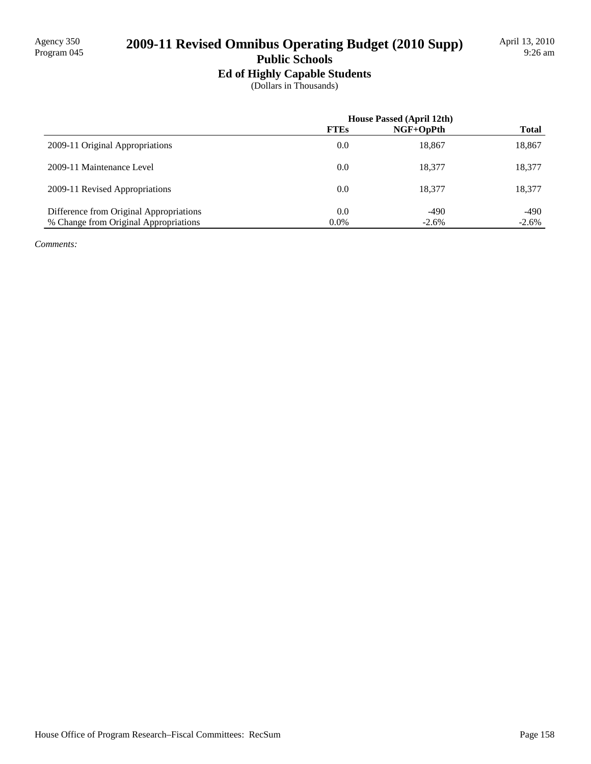## 2009-11 Revised Omnibus Operating Budget (2010 Supp)

## **Public Schools**

**Ed of Highly Capable Students**

(Dollars in Thousands)

|                                         | House Passed (April 12th) |           |              |
|-----------------------------------------|---------------------------|-----------|--------------|
|                                         | ${\bf FTEs}$              | NGF+OpPth | <b>Total</b> |
| 2009-11 Original Appropriations         | 0.0                       | 18,867    | 18,867       |
| 2009-11 Maintenance Level               | 0.0                       | 18.377    | 18,377       |
| 2009-11 Revised Appropriations          | 0.0                       | 18.377    | 18,377       |
| Difference from Original Appropriations | $0.0^{\circ}$             | $-490$    | -490         |
| % Change from Original Appropriations   | $0.0\%$                   | $-2.6%$   | $-2.6%$      |

*Comments:*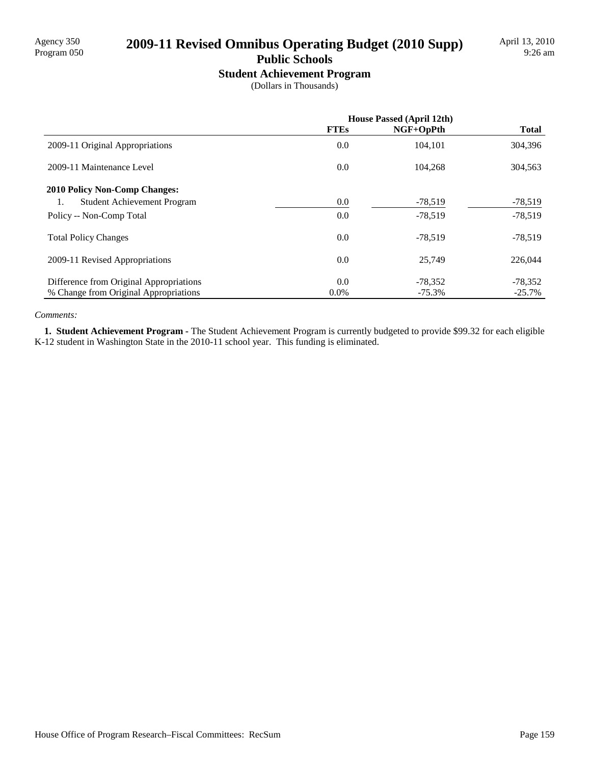# Agency 350<br>Program 050 **2009-11 Revised Omnibus Operating Budget (2010 Supp)**

## **Public Schools**

**Student Achievement Program**

(Dollars in Thousands)

|                                         | <b>House Passed (April 12th)</b> |             |              |
|-----------------------------------------|----------------------------------|-------------|--------------|
|                                         | <b>FTEs</b>                      | $NGF+OpPth$ | <b>Total</b> |
| 2009-11 Original Appropriations         | 0.0                              | 104.101     | 304,396      |
| 2009-11 Maintenance Level               | 0.0                              | 104.268     | 304,563      |
| <b>2010 Policy Non-Comp Changes:</b>    |                                  |             |              |
| Student Achievement Program<br>1.       | 0.0                              | $-78,519$   | $-78,519$    |
| Policy -- Non-Comp Total                | 0.0                              | $-78,519$   | $-78,519$    |
| <b>Total Policy Changes</b>             | 0.0                              | $-78,519$   | $-78,519$    |
| 2009-11 Revised Appropriations          | 0.0                              | 25,749      | 226,044      |
| Difference from Original Appropriations | 0.0                              | $-78,352$   | $-78,352$    |
| % Change from Original Appropriations   | $0.0\%$                          | $-75.3%$    | $-25.7%$     |

#### *Comments:*

 **1. Student Achievement Program -** The Student Achievement Program is currently budgeted to provide \$99.32 for each eligible K-12 student in Washington State in the 2010-11 school year. This funding is eliminated.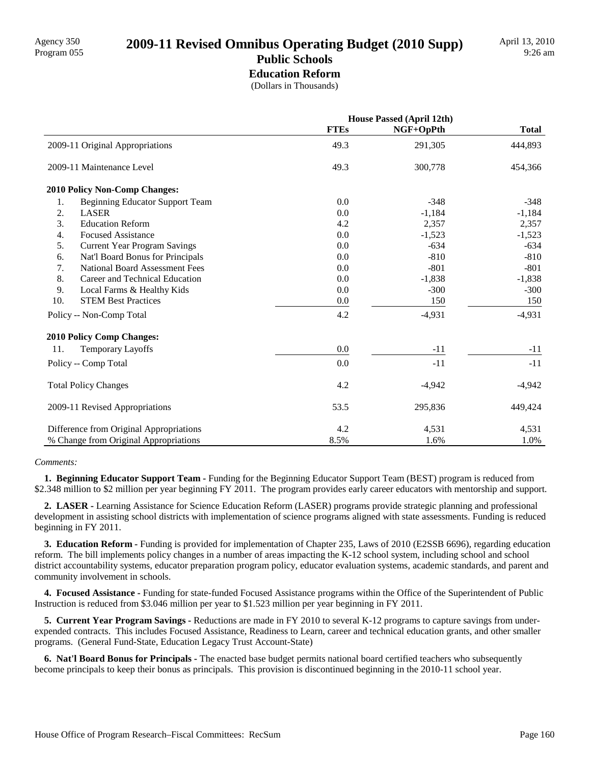#### **Public Schools Education Reform**

(Dollars in Thousands)

|                                              | <b>House Passed (April 12th)</b> |           |              |
|----------------------------------------------|----------------------------------|-----------|--------------|
|                                              | <b>FTEs</b>                      | NGF+OpPth | <b>Total</b> |
| 2009-11 Original Appropriations              | 49.3                             | 291,305   | 444,893      |
| 2009-11 Maintenance Level                    | 49.3                             | 300,778   | 454,366      |
| 2010 Policy Non-Comp Changes:                |                                  |           |              |
| <b>Beginning Educator Support Team</b><br>1. | 0.0                              | $-348$    | $-348$       |
| 2.<br><b>LASER</b>                           | 0.0                              | $-1,184$  | $-1,184$     |
| 3.<br><b>Education Reform</b>                | 4.2                              | 2,357     | 2,357        |
| <b>Focused Assistance</b><br>4.              | 0.0                              | $-1,523$  | $-1,523$     |
| 5.<br><b>Current Year Program Savings</b>    | 0.0                              | $-634$    | $-634$       |
| 6.<br>Nat'l Board Bonus for Principals       | 0.0                              | $-810$    | $-810$       |
| 7.<br><b>National Board Assessment Fees</b>  | 0.0                              | $-801$    | $-801$       |
| 8.<br>Career and Technical Education         | 0.0                              | $-1,838$  | $-1,838$     |
| 9.<br>Local Farms & Healthy Kids             | 0.0                              | $-300$    | $-300$       |
| 10.<br><b>STEM Best Practices</b>            | 0.0                              | 150       | 150          |
| Policy -- Non-Comp Total                     | 4.2                              | $-4,931$  | $-4,931$     |
| 2010 Policy Comp Changes:                    |                                  |           |              |
| <b>Temporary Layoffs</b><br>11.              | 0.0                              | $-11$     | $-11$        |
| Policy -- Comp Total                         | 0.0                              | $-11$     | $-11$        |
| <b>Total Policy Changes</b>                  | 4.2                              | $-4,942$  | $-4,942$     |
| 2009-11 Revised Appropriations               | 53.5                             | 295,836   | 449,424      |
| Difference from Original Appropriations      | 4.2                              | 4,531     | 4,531        |
| % Change from Original Appropriations        | 8.5%                             | 1.6%      | 1.0%         |

#### *Comments:*

 **1. Beginning Educator Support Team -** Funding for the Beginning Educator Support Team (BEST) program is reduced from \$2.348 million to \$2 million per year beginning FY 2011. The program provides early career educators with mentorship and support.

 **2. LASER -** Learning Assistance for Science Education Reform (LASER) programs provide strategic planning and professional development in assisting school districts with implementation of science programs aligned with state assessments. Funding is reduced beginning in FY 2011.

 **3. Education Reform -** Funding is provided for implementation of Chapter 235, Laws of 2010 (E2SSB 6696), regarding education reform. The bill implements policy changes in a number of areas impacting the K-12 school system, including school and school district accountability systems, educator preparation program policy, educator evaluation systems, academic standards, and parent and community involvement in schools.

 **4. Focused Assistance -** Funding for state-funded Focused Assistance programs within the Office of the Superintendent of Public Instruction is reduced from \$3.046 million per year to \$1.523 million per year beginning in FY 2011.

 **5. Current Year Program Savings -** Reductions are made in FY 2010 to several K-12 programs to capture savings from underexpended contracts. This includes Focused Assistance, Readiness to Learn, career and technical education grants, and other smaller programs. (General Fund-State, Education Legacy Trust Account-State)

 **6. Nat'l Board Bonus for Principals -** The enacted base budget permits national board certified teachers who subsequently become principals to keep their bonus as principals. This provision is discontinued beginning in the 2010-11 school year.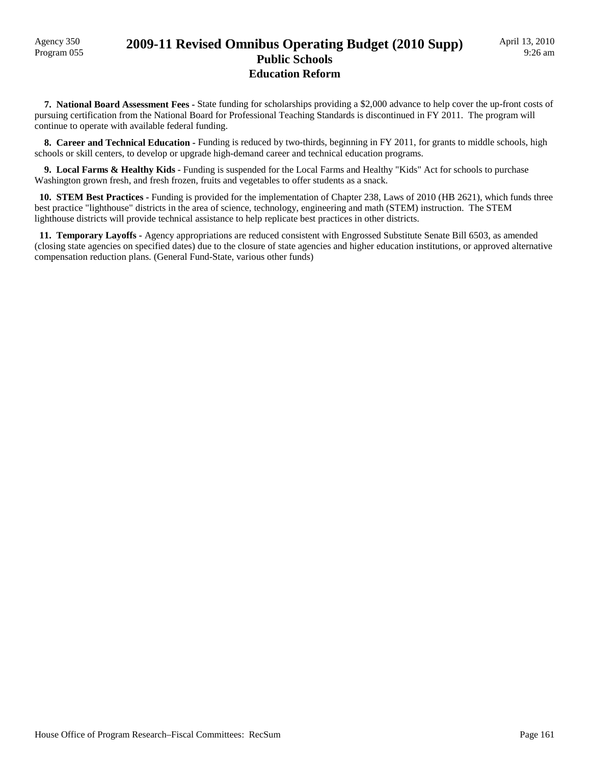### Program 055 **2009-11 Revised Omnibus Operating Budget (2010 Supp) Public Schools Education Reform**

 **7. National Board Assessment Fees -** State funding for scholarships providing a \$2,000 advance to help cover the up-front costs of pursuing certification from the National Board for Professional Teaching Standards is discontinued in FY 2011. The program will continue to operate with available federal funding.

**8. Career and Technical Education - Funding is reduced by two-thirds, beginning in FY 2011, for grants to middle schools, high** schools or skill centers, to develop or upgrade high-demand career and technical education programs.

 **9. Local Farms & Healthy Kids -** Funding is suspended for the Local Farms and Healthy "Kids" Act for schools to purchase Washington grown fresh, and fresh frozen, fruits and vegetables to offer students as a snack.

 **10. STEM Best Practices -** Funding is provided for the implementation of Chapter 238, Laws of 2010 (HB 2621), which funds three best practice "lighthouse" districts in the area of science, technology, engineering and math (STEM) instruction. The STEM lighthouse districts will provide technical assistance to help replicate best practices in other districts.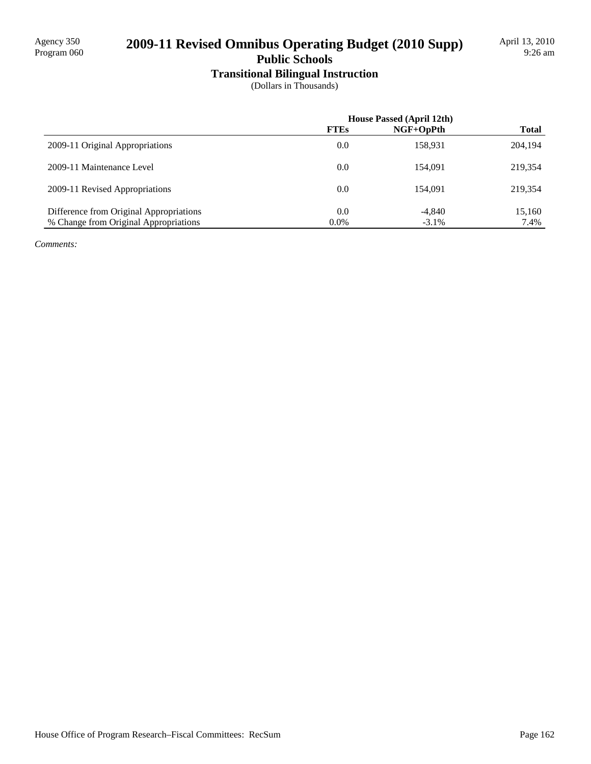## 2009-11 Revised Omnibus Operating Budget (2010 Supp)

### **Public Schools**

**Transitional Bilingual Instruction**

(Dollars in Thousands)

|                                         | <b>House Passed (April 12th)</b> |             |              |
|-----------------------------------------|----------------------------------|-------------|--------------|
|                                         | <b>FTEs</b>                      | $NGF+OpPth$ | <b>Total</b> |
| 2009-11 Original Appropriations         | 0.0                              | 158.931     | 204,194      |
| 2009-11 Maintenance Level               | 0.0                              | 154,091     | 219.354      |
| 2009-11 Revised Appropriations          | 0.0                              | 154,091     | 219.354      |
| Difference from Original Appropriations | 0.0                              | $-4,840$    | 15,160       |
| % Change from Original Appropriations   | $0.0\%$                          | $-3.1\%$    | 7.4%         |

*Comments:*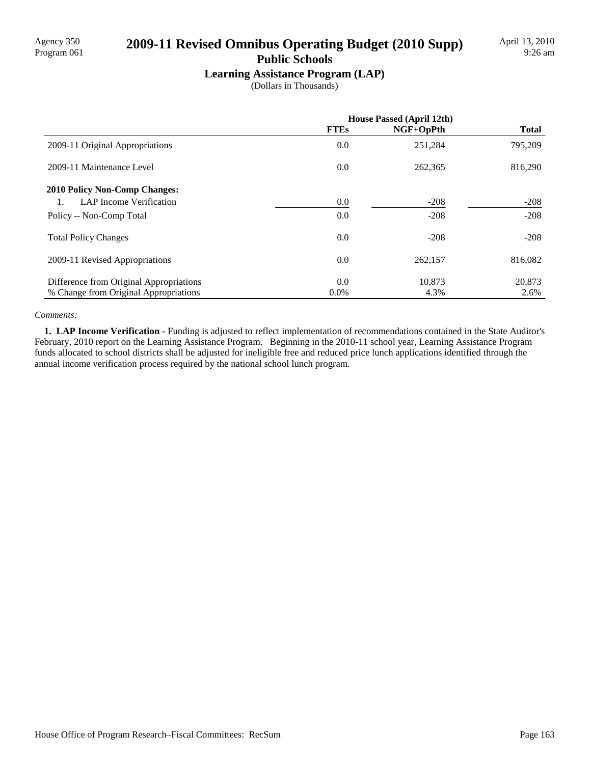# Agency 350<br>Program 061 **2009-11 Revised Omnibus Operating Budget (2010 Supp)**

#### **Public Schools**

**Learning Assistance Program (LAP)**

(Dollars in Thousands)

|                                         | House Passed (April 12th) |           |              |
|-----------------------------------------|---------------------------|-----------|--------------|
|                                         | <b>FTEs</b>               | NGF+OpPth | <b>Total</b> |
| 2009-11 Original Appropriations         | 0.0                       | 251,284   | 795,209      |
| 2009-11 Maintenance Level               | 0.0                       | 262,365   | 816,290      |
| <b>2010 Policy Non-Comp Changes:</b>    |                           |           |              |
| <b>LAP</b> Income Verification          | 0.0                       | $-208$    | $-208$       |
| Policy -- Non-Comp Total                | 0.0                       | $-208$    | $-208$       |
| <b>Total Policy Changes</b>             | 0.0                       | $-208$    | $-208$       |
| 2009-11 Revised Appropriations          | 0.0                       | 262,157   | 816,082      |
| Difference from Original Appropriations | 0.0                       | 10.873    | 20,873       |
| % Change from Original Appropriations   | $0.0\%$                   | 4.3%      | 2.6%         |

#### *Comments:*

**1. LAP Income Verification - Funding is adjusted to reflect implementation of recommendations contained in the State Auditor's** February, 2010 report on the Learning Assistance Program. Beginning in the 2010-11 school year, Learning Assistance Program funds allocated to school districts shall be adjusted for ineligible free and reduced price lunch applications identified through the annual income verification process required by the national school lunch program.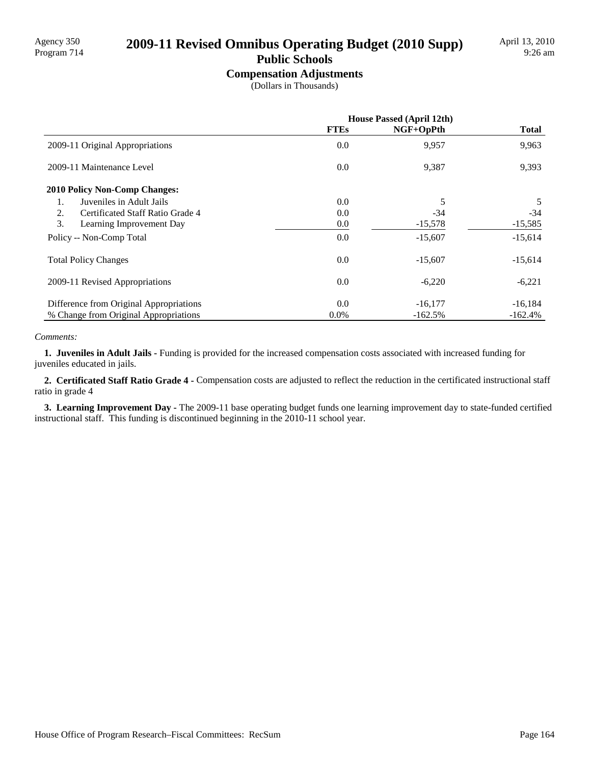# Agency 350<br>Program 714 **2009-11 Revised Omnibus Operating Budget (2010 Supp)**

## **Public Schools**

**Compensation Adjustments**

(Dollars in Thousands)

|                                         | <b>House Passed (April 12th)</b> |           |              |
|-----------------------------------------|----------------------------------|-----------|--------------|
|                                         | <b>FTEs</b>                      | NGF+OpPth | <b>Total</b> |
| 2009-11 Original Appropriations         | 0.0                              | 9,957     | 9,963        |
| 2009-11 Maintenance Level               | 0.0                              | 9,387     | 9,393        |
| <b>2010 Policy Non-Comp Changes:</b>    |                                  |           |              |
| Juveniles in Adult Jails<br>1.          | 0.0                              | 5         | 5            |
| Certificated Staff Ratio Grade 4<br>2.  | 0.0                              | $-34$     | $-34$        |
| 3.<br>Learning Improvement Day          | 0.0                              | $-15,578$ | $-15,585$    |
| Policy -- Non-Comp Total                | 0.0                              | $-15,607$ | $-15,614$    |
| <b>Total Policy Changes</b>             | 0.0                              | $-15,607$ | $-15,614$    |
| 2009-11 Revised Appropriations          | 0.0                              | $-6,220$  | $-6,221$     |
| Difference from Original Appropriations | 0.0                              | $-16,177$ | $-16,184$    |
| % Change from Original Appropriations   | $0.0\%$                          | $-162.5%$ | $-162.4\%$   |

#### *Comments:*

 **1. Juveniles in Adult Jails -** Funding is provided for the increased compensation costs associated with increased funding for juveniles educated in jails.

 **2. Certificated Staff Ratio Grade 4 -** Compensation costs are adjusted to reflect the reduction in the certificated instructional staff ratio in grade 4

 **3. Learning Improvement Day -** The 2009-11 base operating budget funds one learning improvement day to state-funded certified instructional staff. This funding is discontinued beginning in the 2010-11 school year.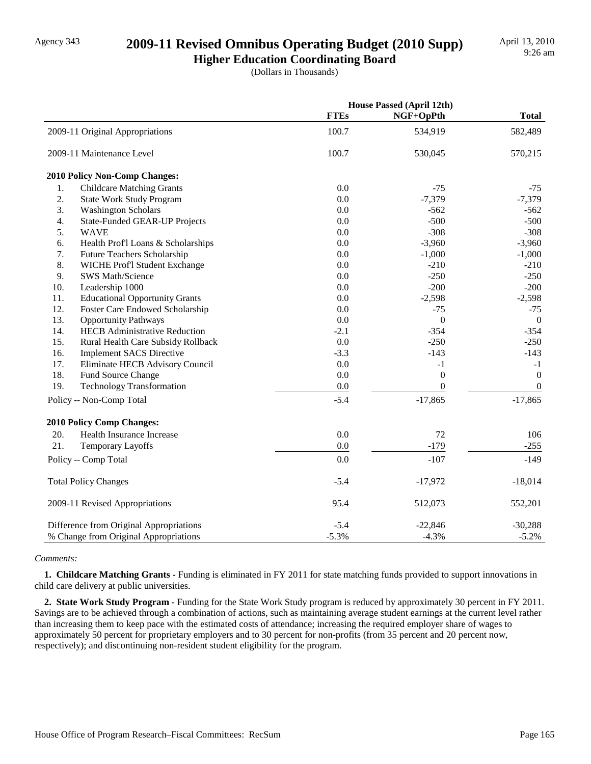## Agency 343 **2009-11 Revised Omnibus Operating Budget (2010 Supp)**

**Higher Education Coordinating Board** (Dollars in Thousands)

|     |                                         |             | <b>House Passed (April 12th)</b> |                  |
|-----|-----------------------------------------|-------------|----------------------------------|------------------|
|     |                                         | <b>FTEs</b> | NGF+OpPth                        | <b>Total</b>     |
|     | 2009-11 Original Appropriations         | 100.7       | 534,919                          | 582,489          |
|     | 2009-11 Maintenance Level               | 100.7       | 530,045                          | 570,215          |
|     | 2010 Policy Non-Comp Changes:           |             |                                  |                  |
| 1.  | <b>Childcare Matching Grants</b>        | 0.0         | $-75$                            | $-75$            |
| 2.  | <b>State Work Study Program</b>         | 0.0         | $-7,379$                         | $-7,379$         |
| 3.  | <b>Washington Scholars</b>              | 0.0         | $-562$                           | $-562$           |
| 4.  | State-Funded GEAR-UP Projects           | 0.0         | $-500$                           | $-500$           |
| 5.  | <b>WAVE</b>                             | 0.0         | $-308$                           | $-308$           |
| 6.  | Health Prof'l Loans & Scholarships      | 0.0         | $-3,960$                         | $-3,960$         |
| 7.  | Future Teachers Scholarship             | 0.0         | $-1,000$                         | $-1,000$         |
| 8.  | WICHE Prof'l Student Exchange           | 0.0         | $-210$                           | $-210$           |
| 9.  | SWS Math/Science                        | 0.0         | $-250$                           | $-250$           |
| 10. | Leadership 1000                         | 0.0         | $-200$                           | $-200$           |
| 11. | <b>Educational Opportunity Grants</b>   | 0.0         | $-2,598$                         | $-2,598$         |
| 12. | Foster Care Endowed Scholarship         | 0.0         | $-75$                            | $-75$            |
| 13. | <b>Opportunity Pathways</b>             | 0.0         | $\mathbf{0}$                     | $\overline{0}$   |
| 14. | <b>HECB</b> Administrative Reduction    | $-2.1$      | $-354$                           | $-354$           |
| 15. | Rural Health Care Subsidy Rollback      | 0.0         | $-250$                           | $-250$           |
| 16. | <b>Implement SACS Directive</b>         | $-3.3$      | $-143$                           | $-143$           |
| 17. | Eliminate HECB Advisory Council         | 0.0         | $-1$                             | $-1$             |
| 18. | Fund Source Change                      | 0.0         | $\boldsymbol{0}$                 | $\boldsymbol{0}$ |
| 19. | <b>Technology Transformation</b>        | 0.0         | $\mathbf{0}$                     | $\mathbf{0}$     |
|     | Policy -- Non-Comp Total                | $-5.4$      | $-17,865$                        | $-17,865$        |
|     | 2010 Policy Comp Changes:               |             |                                  |                  |
| 20. | Health Insurance Increase               | 0.0         | 72                               | 106              |
| 21. | <b>Temporary Layoffs</b>                | $0.0\,$     | $-179$                           | $-255$           |
|     | Policy -- Comp Total                    | 0.0         | $-107$                           | $-149$           |
|     | <b>Total Policy Changes</b>             | $-5.4$      | $-17,972$                        | $-18,014$        |
|     | 2009-11 Revised Appropriations          | 95.4        | 512,073                          | 552,201          |
|     | Difference from Original Appropriations | $-5.4$      | $-22,846$                        | $-30,288$        |
|     | % Change from Original Appropriations   | $-5.3%$     | $-4.3%$                          | $-5.2%$          |

#### *Comments:*

 **1. Childcare Matching Grants -** Funding is eliminated in FY 2011 for state matching funds provided to support innovations in child care delivery at public universities.

 **2. State Work Study Program -** Funding for the State Work Study program is reduced by approximately 30 percent in FY 2011. Savings are to be achieved through a combination of actions, such as maintaining average student earnings at the current level rather than increasing them to keep pace with the estimated costs of attendance; increasing the required employer share of wages to approximately 50 percent for proprietary employers and to 30 percent for non-profits (from 35 percent and 20 percent now, respectively); and discontinuing non-resident student eligibility for the program.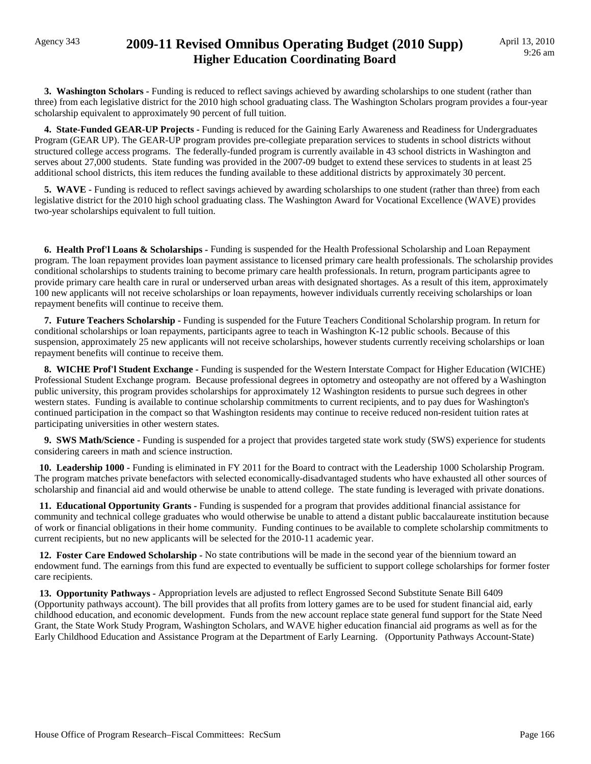## Agency 343 **2009-11 Revised Omnibus Operating Budget (2010 Supp) Higher Education Coordinating Board**

 **3. Washington Scholars -** Funding is reduced to reflect savings achieved by awarding scholarships to one student (rather than three) from each legislative district for the 2010 high school graduating class. The Washington Scholars program provides a four-year scholarship equivalent to approximately 90 percent of full tuition.

 **4. State-Funded GEAR-UP Projects -** Funding is reduced for the Gaining Early Awareness and Readiness for Undergraduates Program (GEAR UP). The GEAR-UP program provides pre-collegiate preparation services to students in school districts without structured college access programs. The federally-funded program is currently available in 43 school districts in Washington and serves about 27,000 students. State funding was provided in the 2007-09 budget to extend these services to students in at least 25 additional school districts, this item reduces the funding available to these additional districts by approximately 30 percent.

**5. WAVE** - Funding is reduced to reflect savings achieved by awarding scholarships to one student (rather than three) from each legislative district for the 2010 high school graduating class. The Washington Award for Vocational Excellence (WAVE) provides two-year scholarships equivalent to full tuition.

 **6. Health Prof'l Loans & Scholarships -** Funding is suspended for the Health Professional Scholarship and Loan Repayment program. The loan repayment provides loan payment assistance to licensed primary care health professionals. The scholarship provides conditional scholarships to students training to become primary care health professionals. In return, program participants agree to provide primary care health care in rural or underserved urban areas with designated shortages. As a result of this item, approximately 100 new applicants will not receive scholarships or loan repayments, however individuals currently receiving scholarships or loan repayment benefits will continue to receive them.

 **7. Future Teachers Scholarship -** Funding is suspended for the Future Teachers Conditional Scholarship program. In return for conditional scholarships or loan repayments, participants agree to teach in Washington K-12 public schools. Because of this suspension, approximately 25 new applicants will not receive scholarships, however students currently receiving scholarships or loan repayment benefits will continue to receive them.

 **8. WICHE Prof'l Student Exchange -** Funding is suspended for the Western Interstate Compact for Higher Education (WICHE) Professional Student Exchange program. Because professional degrees in optometry and osteopathy are not offered by a Washington public university, this program provides scholarships for approximately 12 Washington residents to pursue such degrees in other western states. Funding is available to continue scholarship commitments to current recipients, and to pay dues for Washington's continued participation in the compact so that Washington residents may continue to receive reduced non-resident tuition rates at participating universities in other western states.

 **9. SWS Math/Science -** Funding is suspended for a project that provides targeted state work study (SWS) experience for students considering careers in math and science instruction.

 **10. Leadership 1000 -** Funding is eliminated in FY 2011 for the Board to contract with the Leadership 1000 Scholarship Program. The program matches private benefactors with selected economically-disadvantaged students who have exhausted all other sources of scholarship and financial aid and would otherwise be unable to attend college. The state funding is leveraged with private donations.

 **11. Educational Opportunity Grants -** Funding is suspended for a program that provides additional financial assistance for community and technical college graduates who would otherwise be unable to attend a distant public baccalaureate institution because of work or financial obligations in their home community. Funding continues to be available to complete scholarship commitments to current recipients, but no new applicants will be selected for the 2010-11 academic year.

 **12. Foster Care Endowed Scholarship -** No state contributions will be made in the second year of the biennium toward an endowment fund. The earnings from this fund are expected to eventually be sufficient to support college scholarships for former foster care recipients.

 **13. Opportunity Pathways -** Appropriation levels are adjusted to reflect Engrossed Second Substitute Senate Bill 6409 (Opportunity pathways account). The bill provides that all profits from lottery games are to be used for student financial aid, early childhood education, and economic development. Funds from the new account replace state general fund support for the State Need Grant, the State Work Study Program, Washington Scholars, and WAVE higher education financial aid programs as well as for the Early Childhood Education and Assistance Program at the Department of Early Learning. (Opportunity Pathways Account-State)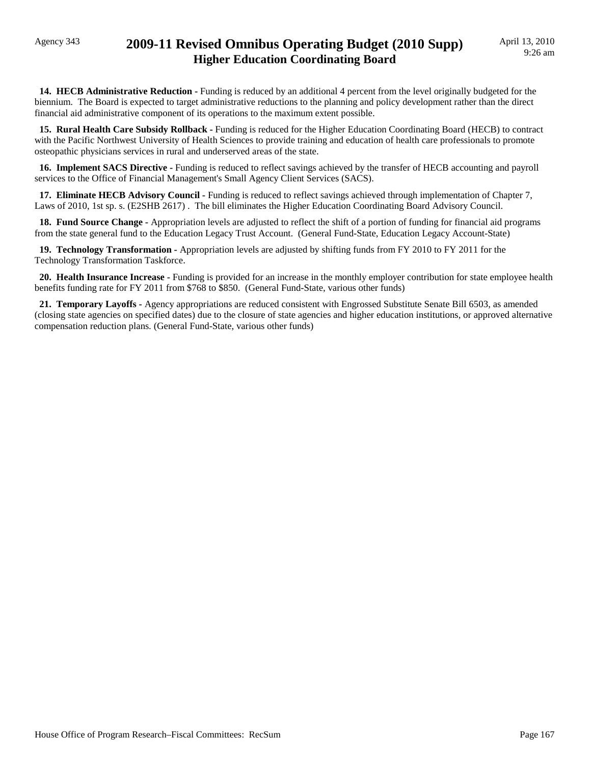## Agency 343 **2009-11 Revised Omnibus Operating Budget (2010 Supp) Higher Education Coordinating Board**

**14. HECB Administrative Reduction -** Funding is reduced by an additional 4 percent from the level originally budgeted for the biennium. The Board is expected to target administrative reductions to the planning and policy development rather than the direct financial aid administrative component of its operations to the maximum extent possible.

 **15. Rural Health Care Subsidy Rollback -** Funding is reduced for the Higher Education Coordinating Board (HECB) to contract with the Pacific Northwest University of Health Sciences to provide training and education of health care professionals to promote osteopathic physicians services in rural and underserved areas of the state.

 **16. Implement SACS Directive -** Funding is reduced to reflect savings achieved by the transfer of HECB accounting and payroll services to the Office of Financial Management's Small Agency Client Services (SACS).

 **17. Eliminate HECB Advisory Council -** Funding is reduced to reflect savings achieved through implementation of Chapter 7, Laws of 2010, 1st sp. s. (E2SHB 2617) . The bill eliminates the Higher Education Coordinating Board Advisory Council.

 **18. Fund Source Change -** Appropriation levels are adjusted to reflect the shift of a portion of funding for financial aid programs from the state general fund to the Education Legacy Trust Account. (General Fund-State, Education Legacy Account-State)

 **19. Technology Transformation -** Appropriation levels are adjusted by shifting funds from FY 2010 to FY 2011 for the Technology Transformation Taskforce.

 **20. Health Insurance Increase -** Funding is provided for an increase in the monthly employer contribution for state employee health benefits funding rate for FY 2011 from \$768 to \$850. (General Fund-State, various other funds)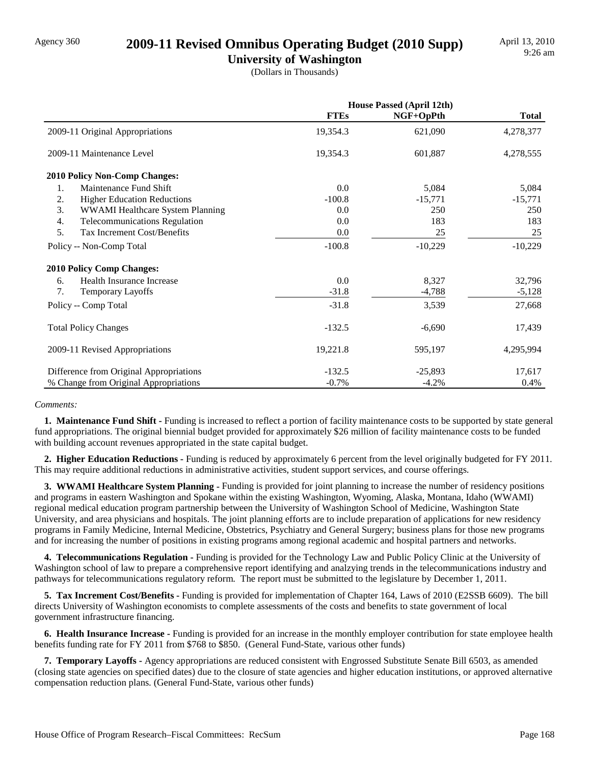### Agency 360 **2009-11 Revised Omnibus Operating Budget (2010 Supp)**

**University of Washington** (Dollars in Thousands)

|                                            | <b>House Passed (April 12th)</b> |           |              |
|--------------------------------------------|----------------------------------|-----------|--------------|
|                                            | <b>FTEs</b>                      | NGF+OpPth | <b>Total</b> |
| 2009-11 Original Appropriations            | 19,354.3                         | 621,090   | 4,278,377    |
| 2009-11 Maintenance Level                  | 19,354.3                         | 601,887   | 4,278,555    |
| <b>2010 Policy Non-Comp Changes:</b>       |                                  |           |              |
| Maintenance Fund Shift<br>1.               | 0.0                              | 5,084     | 5,084        |
| 2.<br><b>Higher Education Reductions</b>   | $-100.8$                         | $-15,771$ | $-15,771$    |
| 3.<br>WWAMI Healthcare System Planning     | 0.0                              | 250       | 250          |
| 4.<br><b>Telecommunications Regulation</b> | 0.0                              | 183       | 183          |
| 5.<br>Tax Increment Cost/Benefits          | 0.0                              | 25        | 25           |
| Policy -- Non-Comp Total                   | $-100.8$                         | $-10,229$ | $-10,229$    |
| <b>2010 Policy Comp Changes:</b>           |                                  |           |              |
| Health Insurance Increase<br>6.            | 0.0                              | 8,327     | 32,796       |
| 7.<br><b>Temporary Layoffs</b>             | $-31.8$                          | $-4,788$  | $-5,128$     |
| Policy -- Comp Total                       | $-31.8$                          | 3,539     | 27,668       |
| <b>Total Policy Changes</b>                | $-132.5$                         | $-6,690$  | 17,439       |
| 2009-11 Revised Appropriations             | 19,221.8                         | 595,197   | 4,295,994    |
| Difference from Original Appropriations    | $-132.5$                         | $-25,893$ | 17,617       |
| % Change from Original Appropriations      | $-0.7%$                          | $-4.2%$   | 0.4%         |

#### *Comments:*

**1. Maintenance Fund Shift -** Funding is increased to reflect a portion of facility maintenance costs to be supported by state general fund appropriations. The original biennial budget provided for approximately \$26 million of facility maintenance costs to be funded with building account revenues appropriated in the state capital budget.

 **2. Higher Education Reductions -** Funding is reduced by approximately 6 percent from the level originally budgeted for FY 2011. This may require additional reductions in administrative activities, student support services, and course offerings.

 **3. WWAMI Healthcare System Planning -** Funding is provided for joint planning to increase the number of residency positions and programs in eastern Washington and Spokane within the existing Washington, Wyoming, Alaska, Montana, Idaho (WWAMI) regional medical education program partnership between the University of Washington School of Medicine, Washington State University, and area physicians and hospitals. The joint planning efforts are to include preparation of applications for new residency programs in Family Medicine, Internal Medicine, Obstetrics, Psychiatry and General Surgery; business plans for those new programs and for increasing the number of positions in existing programs among regional academic and hospital partners and networks.

 **4. Telecommunications Regulation -** Funding is provided for the Technology Law and Public Policy Clinic at the University of Washington school of law to prepare a comprehensive report identifying and analzying trends in the telecommunications industry and pathways for telecommunications regulatory reform. The report must be submitted to the legislature by December 1, 2011.

 **5. Tax Increment Cost/Benefits -** Funding is provided for implementation of Chapter 164, Laws of 2010 (E2SSB 6609). The bill directs University of Washington economists to complete assessments of the costs and benefits to state government of local government infrastructure financing.

 **6. Health Insurance Increase -** Funding is provided for an increase in the monthly employer contribution for state employee health benefits funding rate for FY 2011 from \$768 to \$850. (General Fund-State, various other funds)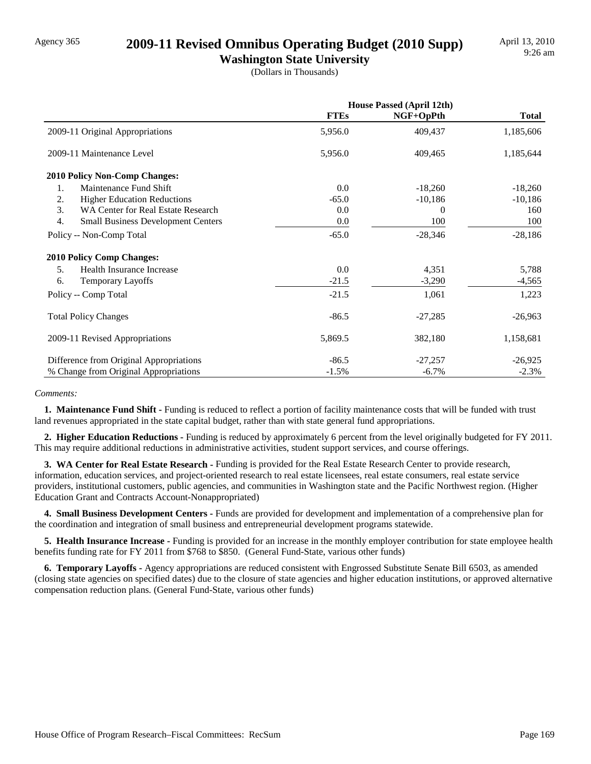## Agency 365 **2009-11 Revised Omnibus Operating Budget (2010 Supp)**

**Washington State University**

(Dollars in Thousands)

|                                                 | <b>House Passed (April 12th)</b> |           |              |
|-------------------------------------------------|----------------------------------|-----------|--------------|
|                                                 | <b>FTEs</b>                      | NGF+OpPth | <b>Total</b> |
| 2009-11 Original Appropriations                 | 5,956.0                          | 409,437   | 1,185,606    |
| 2009-11 Maintenance Level                       | 5,956.0                          | 409,465   | 1,185,644    |
| <b>2010 Policy Non-Comp Changes:</b>            |                                  |           |              |
| Maintenance Fund Shift<br>1.                    | 0.0                              | $-18,260$ | $-18,260$    |
| 2.<br><b>Higher Education Reductions</b>        | $-65.0$                          | $-10,186$ | $-10,186$    |
| 3.<br>WA Center for Real Estate Research        | 0.0                              | $\bf{0}$  | 160          |
| 4.<br><b>Small Business Development Centers</b> | 0.0                              | 100       | 100          |
| Policy -- Non-Comp Total                        | $-65.0$                          | $-28,346$ | $-28,186$    |
| <b>2010 Policy Comp Changes:</b>                |                                  |           |              |
| 5.<br>Health Insurance Increase                 | 0.0                              | 4,351     | 5,788        |
| 6.<br><b>Temporary Layoffs</b>                  | $-21.5$                          | $-3,290$  | $-4,565$     |
| Policy -- Comp Total                            | $-21.5$                          | 1,061     | 1,223        |
| <b>Total Policy Changes</b>                     | $-86.5$                          | $-27,285$ | $-26,963$    |
| 2009-11 Revised Appropriations                  | 5,869.5                          | 382,180   | 1,158,681    |
| Difference from Original Appropriations         | $-86.5$                          | $-27,257$ | $-26,925$    |
| % Change from Original Appropriations           | $-1.5%$                          | $-6.7\%$  | $-2.3%$      |

#### *Comments:*

**1. Maintenance Fund Shift - Funding is reduced to reflect a portion of facility maintenance costs that will be funded with trust** land revenues appropriated in the state capital budget, rather than with state general fund appropriations.

 **2. Higher Education Reductions -** Funding is reduced by approximately 6 percent from the level originally budgeted for FY 2011. This may require additional reductions in administrative activities, student support services, and course offerings.

 **3. WA Center for Real Estate Research -** Funding is provided for the Real Estate Research Center to provide research, information, education services, and project-oriented research to real estate licensees, real estate consumers, real estate service providers, institutional customers, public agencies, and communities in Washington state and the Pacific Northwest region. (Higher Education Grant and Contracts Account-Nonappropriated)

 **4. Small Business Development Centers -** Funds are provided for development and implementation of a comprehensive plan for the coordination and integration of small business and entrepreneurial development programs statewide.

 **5. Health Insurance Increase -** Funding is provided for an increase in the monthly employer contribution for state employee health benefits funding rate for FY 2011 from \$768 to \$850. (General Fund-State, various other funds)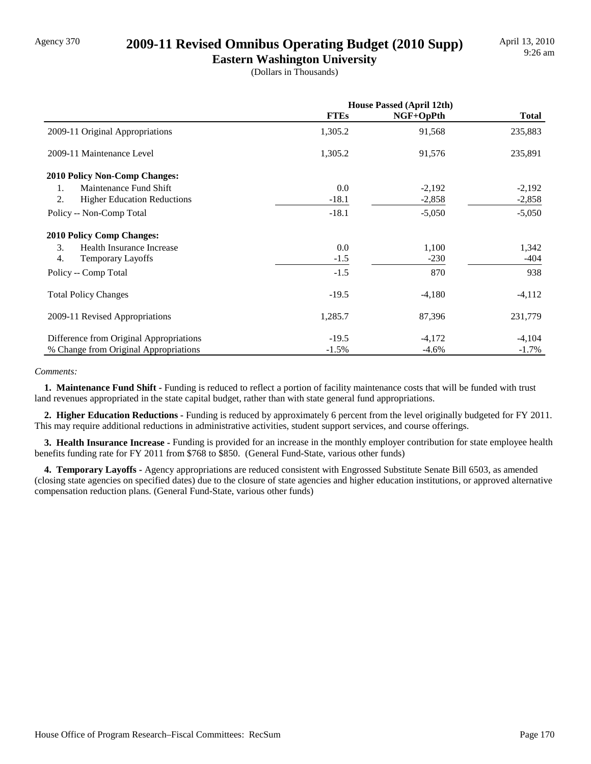## Agency 370 **2009-11 Revised Omnibus Operating Budget (2010 Supp)**

**Eastern Washington University** (Dollars in Thousands)

|                                          | <b>House Passed (April 12th)</b> |           |              |
|------------------------------------------|----------------------------------|-----------|--------------|
|                                          | <b>FTEs</b>                      | NGF+OpPth | <b>Total</b> |
| 2009-11 Original Appropriations          | 1,305.2                          | 91,568    | 235,883      |
| 2009-11 Maintenance Level                | 1,305.2                          | 91,576    | 235,891      |
| <b>2010 Policy Non-Comp Changes:</b>     |                                  |           |              |
| Maintenance Fund Shift<br>1.             | 0.0                              | $-2,192$  | $-2,192$     |
| 2.<br><b>Higher Education Reductions</b> | $-18.1$                          | $-2,858$  | $-2,858$     |
| Policy -- Non-Comp Total                 | $-18.1$                          | $-5,050$  | $-5,050$     |
| <b>2010 Policy Comp Changes:</b>         |                                  |           |              |
| 3.<br>Health Insurance Increase          | 0.0                              | 1,100     | 1,342        |
| 4.<br><b>Temporary Layoffs</b>           | $-1.5$                           | $-230$    | -404         |
| Policy -- Comp Total                     | $-1.5$                           | 870       | 938          |
| <b>Total Policy Changes</b>              | $-19.5$                          | $-4,180$  | $-4,112$     |
| 2009-11 Revised Appropriations           | 1,285.7                          | 87,396    | 231,779      |
| Difference from Original Appropriations  | $-19.5$                          | $-4,172$  | $-4,104$     |
| % Change from Original Appropriations    | $-1.5%$                          | $-4.6\%$  | $-1.7\%$     |

#### *Comments:*

**1. Maintenance Fund Shift - Funding is reduced to reflect a portion of facility maintenance costs that will be funded with trust** land revenues appropriated in the state capital budget, rather than with state general fund appropriations.

 **2. Higher Education Reductions -** Funding is reduced by approximately 6 percent from the level originally budgeted for FY 2011. This may require additional reductions in administrative activities, student support services, and course offerings.

 **3. Health Insurance Increase -** Funding is provided for an increase in the monthly employer contribution for state employee health benefits funding rate for FY 2011 from \$768 to \$850. (General Fund-State, various other funds)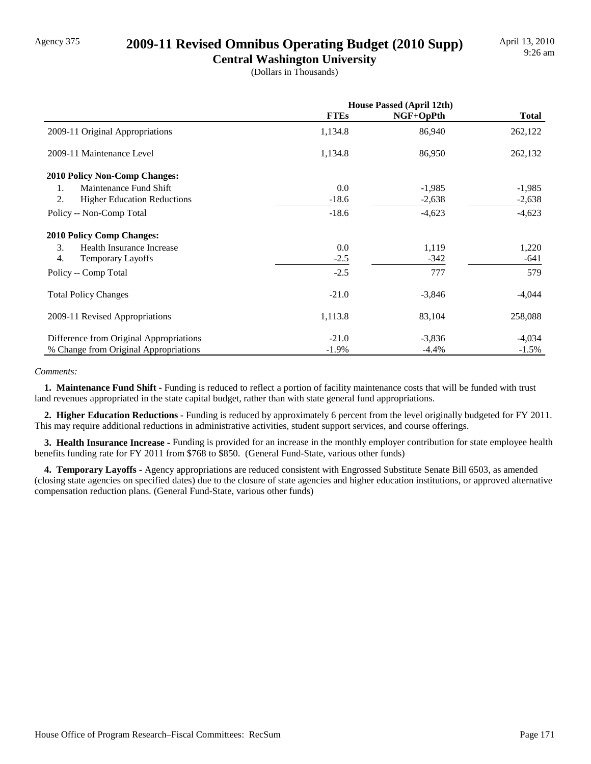## Agency 375 **2009-11 Revised Omnibus Operating Budget (2010 Supp)**

**Central Washington University** (Dollars in Thousands)

|                                              | <b>House Passed (April 12th)</b> |           |              |
|----------------------------------------------|----------------------------------|-----------|--------------|
|                                              | <b>FTEs</b>                      | NGF+OpPth | <b>Total</b> |
| 2009-11 Original Appropriations              | 1,134.8                          | 86,940    | 262,122      |
| 2009-11 Maintenance Level                    | 1,134.8                          | 86,950    | 262,132      |
| 2010 Policy Non-Comp Changes:                |                                  |           |              |
| Maintenance Fund Shift<br>1.                 | 0.0                              | $-1,985$  | $-1,985$     |
| 2.<br><b>Higher Education Reductions</b>     | $-18.6$                          | $-2,638$  | $-2,638$     |
| Policy -- Non-Comp Total                     | $-18.6$                          | $-4,623$  | $-4,623$     |
| <b>2010 Policy Comp Changes:</b>             |                                  |           |              |
| 3.<br>Health Insurance Increase              | 0.0                              | 1,119     | 1,220        |
| $\overline{4}$ .<br><b>Temporary Layoffs</b> | $-2.5$                           | $-342$    | -641         |
| Policy -- Comp Total                         | $-2.5$                           | 777       | 579          |
| <b>Total Policy Changes</b>                  | $-21.0$                          | $-3,846$  | $-4,044$     |
| 2009-11 Revised Appropriations               | 1,113.8                          | 83,104    | 258,088      |
| Difference from Original Appropriations      | $-21.0$                          | $-3,836$  | $-4,034$     |
| % Change from Original Appropriations        | $-1.9\%$                         | $-4.4\%$  | $-1.5\%$     |

#### *Comments:*

**1. Maintenance Fund Shift - Funding is reduced to reflect a portion of facility maintenance costs that will be funded with trust** land revenues appropriated in the state capital budget, rather than with state general fund appropriations.

 **2. Higher Education Reductions -** Funding is reduced by approximately 6 percent from the level originally budgeted for FY 2011. This may require additional reductions in administrative activities, student support services, and course offerings.

 **3. Health Insurance Increase -** Funding is provided for an increase in the monthly employer contribution for state employee health benefits funding rate for FY 2011 from \$768 to \$850. (General Fund-State, various other funds)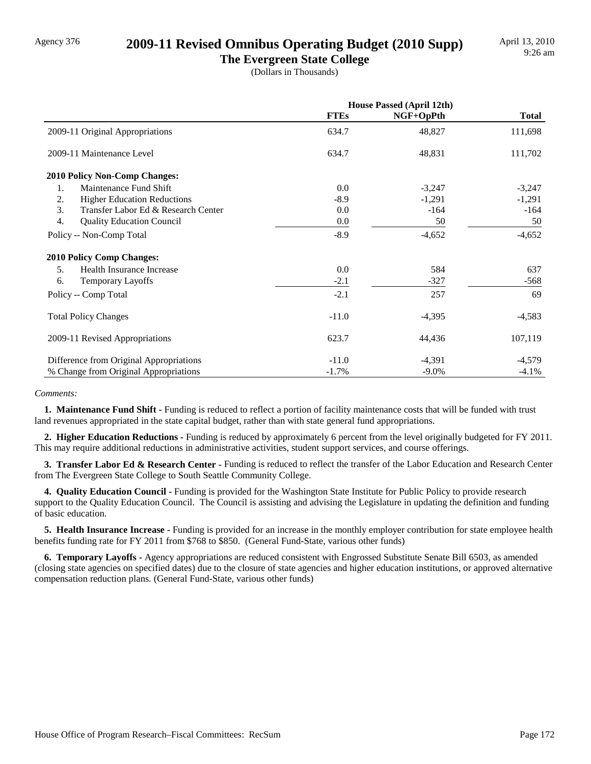### Agency 376 **2009-11 Revised Omnibus Operating Budget (2010 Supp)**

**The Evergreen State College** (Dollars in Thousands)

|                                           | <b>House Passed (April 12th)</b> |           |              |
|-------------------------------------------|----------------------------------|-----------|--------------|
|                                           | <b>FTEs</b>                      | NGF+OpPth | <b>Total</b> |
| 2009-11 Original Appropriations           | 634.7                            | 48,827    | 111,698      |
| 2009-11 Maintenance Level                 | 634.7                            | 48,831    | 111,702      |
| <b>2010 Policy Non-Comp Changes:</b>      |                                  |           |              |
| Maintenance Fund Shift<br>1.              | 0.0                              | $-3,247$  | $-3,247$     |
| 2.<br><b>Higher Education Reductions</b>  | $-8.9$                           | $-1,291$  | $-1,291$     |
| 3.<br>Transfer Labor Ed & Research Center | 0.0                              | $-164$    | $-164$       |
| 4.<br><b>Quality Education Council</b>    | 0.0                              | 50        | 50           |
| Policy -- Non-Comp Total                  | $-8.9$                           | $-4,652$  | $-4,652$     |
| <b>2010 Policy Comp Changes:</b>          |                                  |           |              |
| Health Insurance Increase<br>5.           | 0.0                              | 584       | 637          |
| 6.<br><b>Temporary Layoffs</b>            | $-2.1$                           | $-327$    | $-568$       |
| Policy -- Comp Total                      | $-2.1$                           | 257       | 69           |
| <b>Total Policy Changes</b>               | $-11.0$                          | $-4,395$  | $-4,583$     |
| 2009-11 Revised Appropriations            | 623.7                            | 44,436    | 107,119      |
| Difference from Original Appropriations   | $-11.0$                          | $-4,391$  | $-4,579$     |
| % Change from Original Appropriations     | $-1.7%$                          | $-9.0\%$  | $-4.1%$      |

#### *Comments:*

**1. Maintenance Fund Shift - Funding is reduced to reflect a portion of facility maintenance costs that will be funded with trust** land revenues appropriated in the state capital budget, rather than with state general fund appropriations.

 **2. Higher Education Reductions -** Funding is reduced by approximately 6 percent from the level originally budgeted for FY 2011. This may require additional reductions in administrative activities, student support services, and course offerings.

 **3. Transfer Labor Ed & Research Center -** Funding is reduced to reflect the transfer of the Labor Education and Research Center from The Evergreen State College to South Seattle Community College.

 **4. Quality Education Council -** Funding is provided for the Washington State Institute for Public Policy to provide research support to the Quality Education Council. The Council is assisting and advising the Legislature in updating the definition and funding of basic education.

 **5. Health Insurance Increase -** Funding is provided for an increase in the monthly employer contribution for state employee health benefits funding rate for FY 2011 from \$768 to \$850. (General Fund-State, various other funds)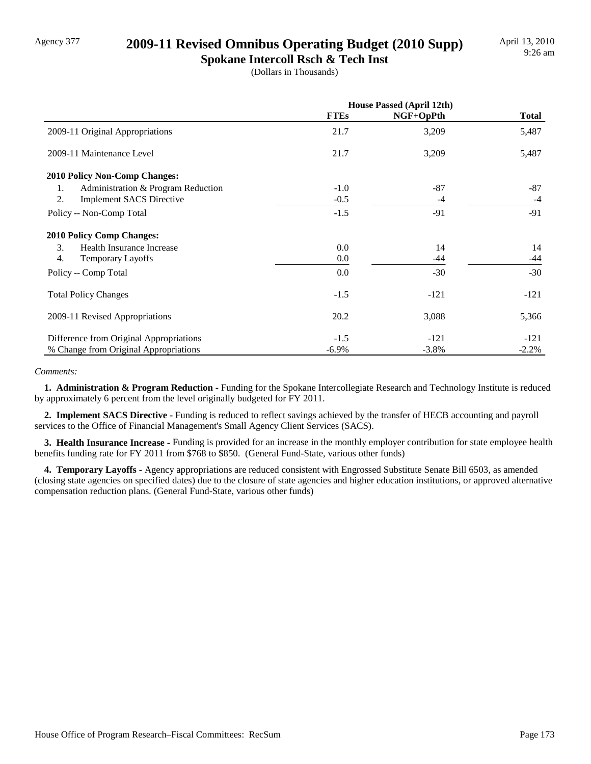## Agency 377 **2009-11 Revised Omnibus Operating Budget (2010 Supp)**

**Spokane Intercoll Rsch & Tech Inst** (Dollars in Thousands)

|                                          | <b>House Passed (April 12th)</b> |           |              |
|------------------------------------------|----------------------------------|-----------|--------------|
|                                          | <b>FTEs</b>                      | NGF+OpPth | <b>Total</b> |
| 2009-11 Original Appropriations          | 21.7                             | 3,209     | 5,487        |
| 2009-11 Maintenance Level                | 21.7                             | 3,209     | 5,487        |
| 2010 Policy Non-Comp Changes:            |                                  |           |              |
| Administration & Program Reduction<br>1. | $-1.0$                           | $-87$     | -87          |
| 2.<br><b>Implement SACS Directive</b>    | $-0.5$                           | -4        | $-4$         |
| Policy -- Non-Comp Total                 | $-1.5$                           | $-91$     | $-91$        |
| <b>2010 Policy Comp Changes:</b>         |                                  |           |              |
| 3.<br>Health Insurance Increase          | 0.0                              | 14        | 14           |
| 4.<br><b>Temporary Layoffs</b>           | 0.0                              | -44       | $-44$        |
| Policy -- Comp Total                     | 0.0                              | $-30$     | $-30$        |
| <b>Total Policy Changes</b>              | $-1.5$                           | $-121$    | $-121$       |
| 2009-11 Revised Appropriations           | 20.2                             | 3,088     | 5,366        |
| Difference from Original Appropriations  | $-1.5$                           | $-121$    | $-121$       |
| % Change from Original Appropriations    | $-6.9\%$                         | $-3.8%$   | $-2.2%$      |

#### *Comments:*

 **1. Administration & Program Reduction -** Funding for the Spokane Intercollegiate Research and Technology Institute is reduced by approximately 6 percent from the level originally budgeted for FY 2011.

 **2. Implement SACS Directive -** Funding is reduced to reflect savings achieved by the transfer of HECB accounting and payroll services to the Office of Financial Management's Small Agency Client Services (SACS).

 **3. Health Insurance Increase -** Funding is provided for an increase in the monthly employer contribution for state employee health benefits funding rate for FY 2011 from \$768 to \$850. (General Fund-State, various other funds)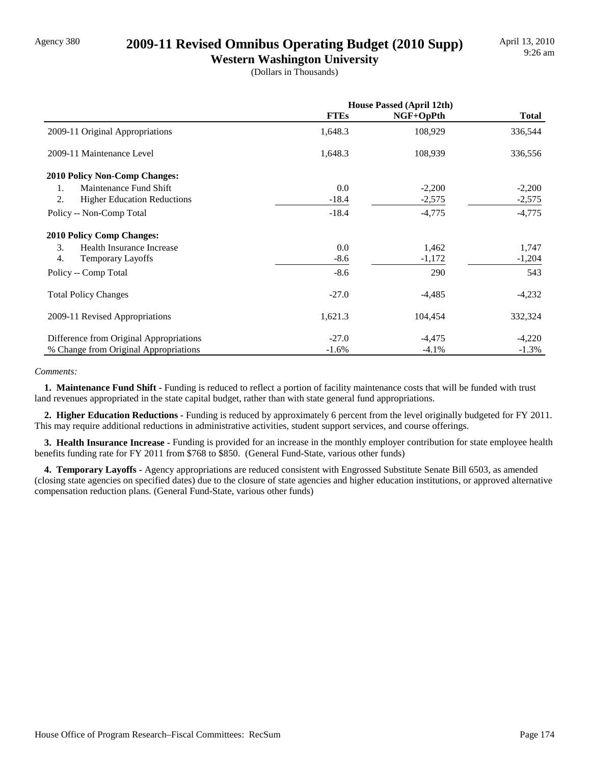## Agency 380 **2009-11 Revised Omnibus Operating Budget (2010 Supp)**

**Western Washington University** (Dollars in Thousands)

|                                          | <b>House Passed (April 12th)</b> |           |              |
|------------------------------------------|----------------------------------|-----------|--------------|
|                                          | <b>FTEs</b>                      | NGF+OpPth | <b>Total</b> |
| 2009-11 Original Appropriations          | 1,648.3                          | 108,929   | 336,544      |
| 2009-11 Maintenance Level                | 1,648.3                          | 108,939   | 336,556      |
| <b>2010 Policy Non-Comp Changes:</b>     |                                  |           |              |
| Maintenance Fund Shift<br>1.             | 0.0                              | $-2,200$  | $-2,200$     |
| 2.<br><b>Higher Education Reductions</b> | $-18.4$                          | $-2,575$  | $-2,575$     |
| Policy -- Non-Comp Total                 | $-18.4$                          | $-4,775$  | $-4,775$     |
| <b>2010 Policy Comp Changes:</b>         |                                  |           |              |
| 3.<br>Health Insurance Increase          | 0.0                              | 1,462     | 1,747        |
| 4.<br><b>Temporary Layoffs</b>           | $-8.6$                           | $-1,172$  | $-1,204$     |
| Policy -- Comp Total                     | $-8.6$                           | 290       | 543          |
| <b>Total Policy Changes</b>              | $-27.0$                          | $-4,485$  | $-4,232$     |
| 2009-11 Revised Appropriations           | 1,621.3                          | 104,454   | 332,324      |
| Difference from Original Appropriations  | $-27.0$                          | $-4,475$  | $-4,220$     |
| % Change from Original Appropriations    | $-1.6%$                          | $-4.1\%$  | $-1.3\%$     |

#### *Comments:*

**1. Maintenance Fund Shift - Funding is reduced to reflect a portion of facility maintenance costs that will be funded with trust** land revenues appropriated in the state capital budget, rather than with state general fund appropriations.

 **2. Higher Education Reductions -** Funding is reduced by approximately 6 percent from the level originally budgeted for FY 2011. This may require additional reductions in administrative activities, student support services, and course offerings.

 **3. Health Insurance Increase -** Funding is provided for an increase in the monthly employer contribution for state employee health benefits funding rate for FY 2011 from \$768 to \$850. (General Fund-State, various other funds)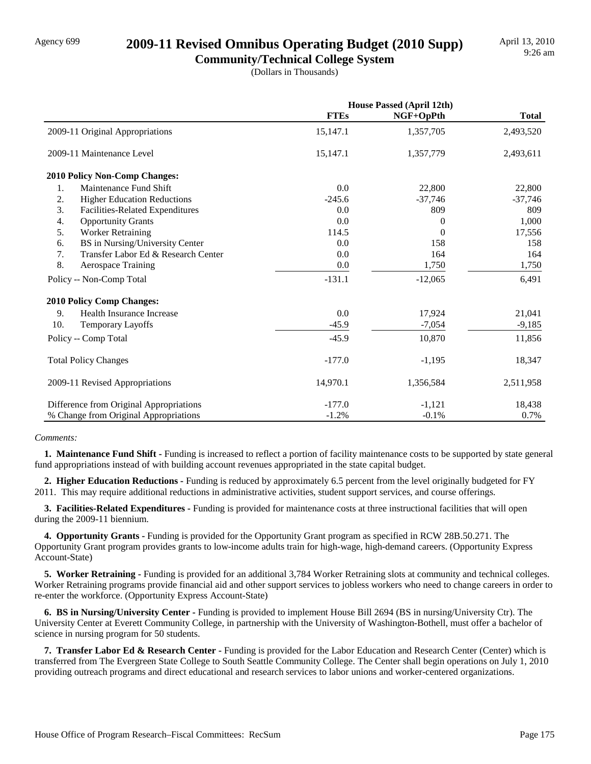## Agency 699 **2009-11 Revised Omnibus Operating Budget (2010 Supp)**

**Community/Technical College System** (Dollars in Thousands)

|                                           | <b>House Passed (April 12th)</b> |           |              |
|-------------------------------------------|----------------------------------|-----------|--------------|
|                                           | <b>FTEs</b>                      | NGF+OpPth | <b>Total</b> |
| 2009-11 Original Appropriations           | 15,147.1                         | 1,357,705 | 2,493,520    |
| 2009-11 Maintenance Level                 | 15,147.1                         | 1,357,779 | 2,493,611    |
| 2010 Policy Non-Comp Changes:             |                                  |           |              |
| Maintenance Fund Shift<br>1.              | 0.0                              | 22,800    | 22,800       |
| 2.<br><b>Higher Education Reductions</b>  | $-245.6$                         | $-37,746$ | $-37,746$    |
| 3.<br>Facilities-Related Expenditures     | 0.0                              | 809       | 809          |
| 4.<br><b>Opportunity Grants</b>           | 0.0                              | $\Omega$  | 1,000        |
| 5.<br><b>Worker Retraining</b>            | 114.5                            | $\Omega$  | 17,556       |
| BS in Nursing/University Center<br>6.     | 0.0                              | 158       | 158          |
| 7.<br>Transfer Labor Ed & Research Center | 0.0                              | 164       | 164          |
| 8.<br><b>Aerospace Training</b>           | 0.0                              | 1,750     | 1,750        |
| Policy -- Non-Comp Total                  | $-131.1$                         | $-12,065$ | 6,491        |
| <b>2010 Policy Comp Changes:</b>          |                                  |           |              |
| 9.<br>Health Insurance Increase           | 0.0                              | 17,924    | 21,041       |
| 10.<br>Temporary Layoffs                  | $-45.9$                          | $-7,054$  | $-9,185$     |
| Policy -- Comp Total                      | $-45.9$                          | 10,870    | 11,856       |
| <b>Total Policy Changes</b>               | $-177.0$                         | $-1,195$  | 18,347       |
| 2009-11 Revised Appropriations            | 14,970.1                         | 1,356,584 | 2,511,958    |
| Difference from Original Appropriations   | $-177.0$                         | $-1,121$  | 18,438       |
| % Change from Original Appropriations     | $-1.2%$                          | $-0.1%$   | 0.7%         |

#### *Comments:*

 **1. Maintenance Fund Shift -** Funding is increased to reflect a portion of facility maintenance costs to be supported by state general fund appropriations instead of with building account revenues appropriated in the state capital budget.

 **2. Higher Education Reductions -** Funding is reduced by approximately 6.5 percent from the level originally budgeted for FY 2011. This may require additional reductions in administrative activities, student support services, and course offerings.

 **3. Facilities-Related Expenditures -** Funding is provided for maintenance costs at three instructional facilities that will open during the 2009-11 biennium.

 **4. Opportunity Grants -** Funding is provided for the Opportunity Grant program as specified in RCW 28B.50.271. The Opportunity Grant program provides grants to low-income adults train for high-wage, high-demand careers. (Opportunity Express Account-State)

**5. Worker Retraining - Funding is provided for an additional 3,784 Worker Retraining slots at community and technical colleges.** Worker Retraining programs provide financial aid and other support services to jobless workers who need to change careers in order to re-enter the workforce. (Opportunity Express Account-State)

 **6. BS in Nursing/University Center -** Funding is provided to implement House Bill 2694 (BS in nursing/University Ctr). The University Center at Everett Community College, in partnership with the University of Washington-Bothell, must offer a bachelor of science in nursing program for 50 students.

 **7. Transfer Labor Ed & Research Center -** Funding is provided for the Labor Education and Research Center (Center) which is transferred from The Evergreen State College to South Seattle Community College. The Center shall begin operations on July 1, 2010 providing outreach programs and direct educational and research services to labor unions and worker-centered organizations.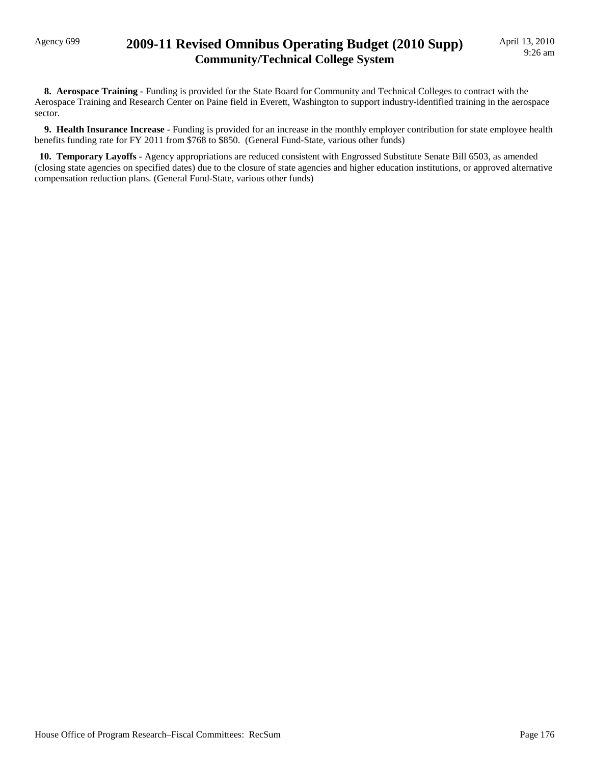## Agency 699 **2009-11 Revised Omnibus Operating Budget (2010 Supp) Community/Technical College System**

**8. Aerospace Training - Funding is provided for the State Board for Community and Technical Colleges to contract with the** Aerospace Training and Research Center on Paine field in Everett, Washington to support industry-identified training in the aerospace sector.

 **9. Health Insurance Increase -** Funding is provided for an increase in the monthly employer contribution for state employee health benefits funding rate for FY 2011 from \$768 to \$850. (General Fund-State, various other funds)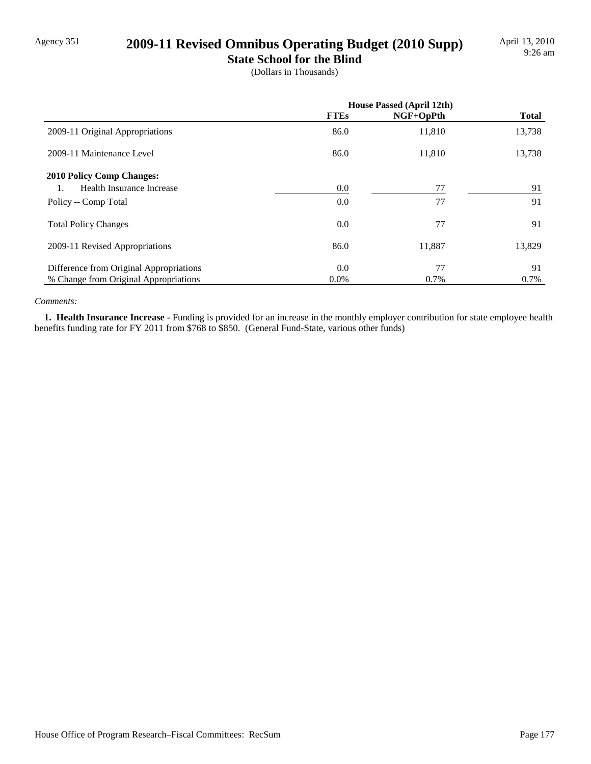## Agency 351 **2009-11 Revised Omnibus Operating Budget (2010 Supp)**

**State School for the Blind**

(Dollars in Thousands)

|                                         | <b>House Passed (April 12th)</b> |           |              |
|-----------------------------------------|----------------------------------|-----------|--------------|
|                                         | <b>FTEs</b>                      | NGF+OpPth | <b>Total</b> |
| 2009-11 Original Appropriations         | 86.0                             | 11,810    | 13,738       |
| 2009-11 Maintenance Level               | 86.0                             | 11,810    | 13,738       |
| <b>2010 Policy Comp Changes:</b>        |                                  |           |              |
| Health Insurance Increase               | 0.0                              | 77        | 91           |
| Policy -- Comp Total                    | 0.0                              | 77        | 91           |
| <b>Total Policy Changes</b>             | 0.0                              | 77        | 91           |
| 2009-11 Revised Appropriations          | 86.0                             | 11,887    | 13,829       |
| Difference from Original Appropriations | 0.0                              | 77        | 91           |
| % Change from Original Appropriations   | $0.0\%$                          | 0.7%      | 0.7%         |

#### *Comments:*

 **1. Health Insurance Increase -** Funding is provided for an increase in the monthly employer contribution for state employee health benefits funding rate for FY 2011 from \$768 to \$850. (General Fund-State, various other funds)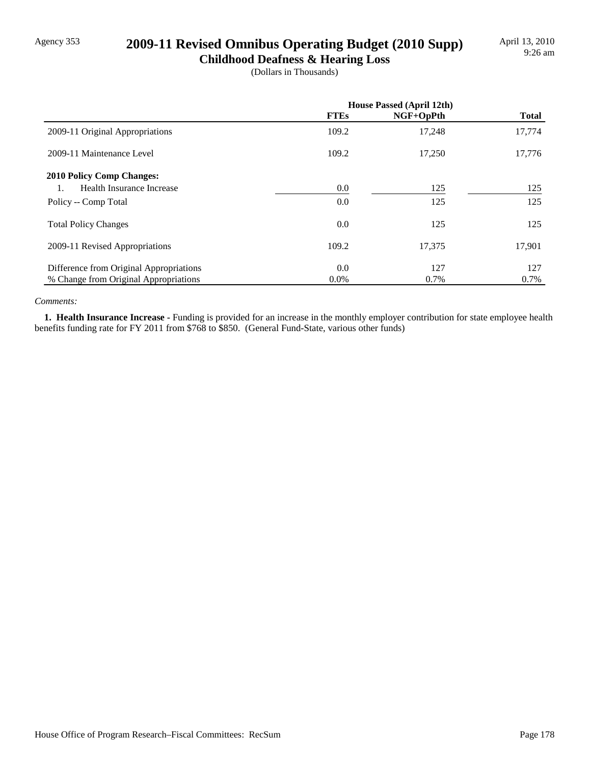## Agency 353 **2009-11 Revised Omnibus Operating Budget (2010 Supp)**

**Childhood Deafness & Hearing Loss** (Dollars in Thousands)

|                                         | <b>House Passed (April 12th)</b> |           |              |
|-----------------------------------------|----------------------------------|-----------|--------------|
|                                         | <b>FTEs</b>                      | NGF+OpPth | <b>Total</b> |
| 2009-11 Original Appropriations         | 109.2                            | 17,248    | 17,774       |
| 2009-11 Maintenance Level               | 109.2                            | 17,250    | 17,776       |
| <b>2010 Policy Comp Changes:</b>        |                                  |           |              |
| Health Insurance Increase               | 0.0                              | 125       | 125          |
| Policy -- Comp Total                    | 0.0                              | 125       | 125          |
| <b>Total Policy Changes</b>             | 0.0                              | 125       | 125          |
| 2009-11 Revised Appropriations          | 109.2                            | 17,375    | 17,901       |
| Difference from Original Appropriations | 0.0                              | 127       | 127          |
| % Change from Original Appropriations   | $0.0\%$                          | 0.7%      | 0.7%         |

#### *Comments:*

 **1. Health Insurance Increase -** Funding is provided for an increase in the monthly employer contribution for state employee health benefits funding rate for FY 2011 from \$768 to \$850. (General Fund-State, various other funds)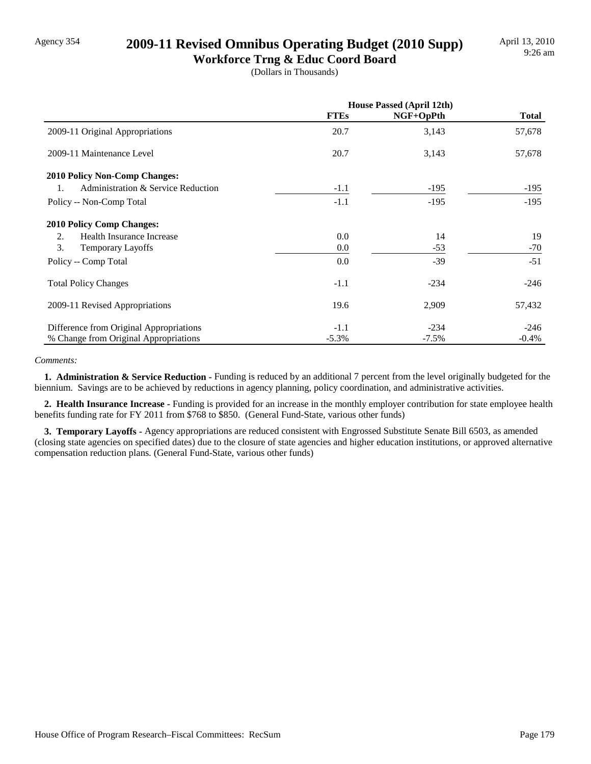## Agency 354 **2009-11 Revised Omnibus Operating Budget (2010 Supp)**

**Workforce Trng & Educ Coord Board** (Dollars in Thousands)

|                                          | <b>House Passed (April 12th)</b> |           |              |
|------------------------------------------|----------------------------------|-----------|--------------|
|                                          | <b>FTEs</b>                      | NGF+OpPth | <b>Total</b> |
| 2009-11 Original Appropriations          | 20.7                             | 3,143     | 57,678       |
| 2009-11 Maintenance Level                | 20.7                             | 3,143     | 57,678       |
| 2010 Policy Non-Comp Changes:            |                                  |           |              |
| Administration & Service Reduction<br>1. | $-1.1$                           | $-195$    | $-195$       |
| Policy -- Non-Comp Total                 | $-1.1$                           | $-195$    | $-195$       |
| <b>2010 Policy Comp Changes:</b>         |                                  |           |              |
| 2.<br>Health Insurance Increase          | 0.0                              | 14        | 19           |
| 3.<br><b>Temporary Layoffs</b>           | 0.0                              | $-53$     | $-70$        |
| Policy -- Comp Total                     | 0.0                              | $-39$     | $-51$        |
| <b>Total Policy Changes</b>              | $-1.1$                           | $-234$    | $-246$       |
| 2009-11 Revised Appropriations           | 19.6                             | 2,909     | 57,432       |
| Difference from Original Appropriations  | $-1.1$                           | $-234$    | $-246$       |
| % Change from Original Appropriations    | $-5.3\%$                         | $-7.5\%$  | $-0.4%$      |

#### *Comments:*

**1. Administration & Service Reduction -** Funding is reduced by an additional 7 percent from the level originally budgeted for the biennium. Savings are to be achieved by reductions in agency planning, policy coordination, and administrative activities.

 **2. Health Insurance Increase -** Funding is provided for an increase in the monthly employer contribution for state employee health benefits funding rate for FY 2011 from \$768 to \$850. (General Fund-State, various other funds)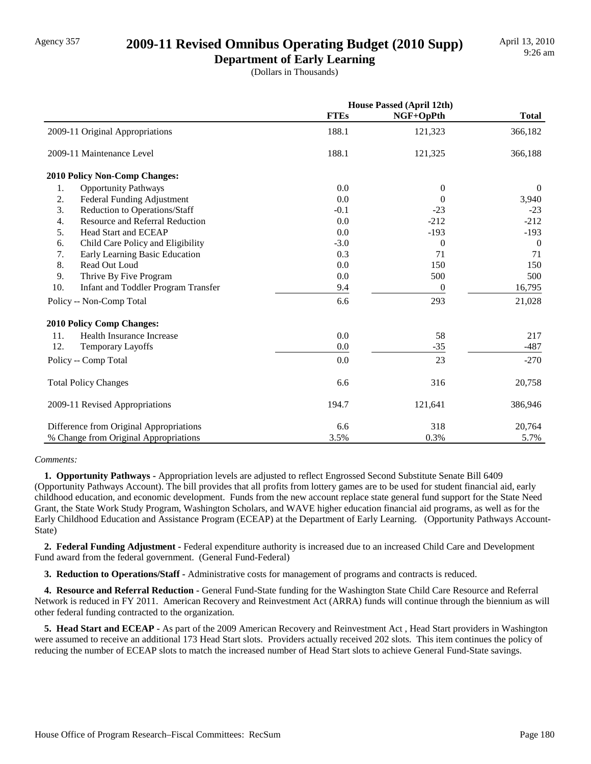## Agency 357 **2009-11 Revised Omnibus Operating Budget (2010 Supp)**

**Department of Early Learning** (Dollars in Thousands)

|                                                   |             | <b>House Passed (April 12th)</b> |              |  |
|---------------------------------------------------|-------------|----------------------------------|--------------|--|
|                                                   | <b>FTEs</b> | NGF+OpPth                        | <b>Total</b> |  |
| 2009-11 Original Appropriations                   | 188.1       | 121,323                          | 366,182      |  |
| 2009-11 Maintenance Level                         | 188.1       | 121,325                          | 366,188      |  |
| <b>2010 Policy Non-Comp Changes:</b>              |             |                                  |              |  |
| 1.<br><b>Opportunity Pathways</b>                 | 0.0         | $\theta$                         | $\theta$     |  |
| 2.<br>Federal Funding Adjustment                  | 0.0         | $\Omega$                         | 3,940        |  |
| 3.<br>Reduction to Operations/Staff               | $-0.1$      | $-23$                            | $-23$        |  |
| Resource and Referral Reduction<br>4.             | 0.0         | $-212$                           | $-212$       |  |
| 5.<br><b>Head Start and ECEAP</b>                 | 0.0         | $-193$                           | $-193$       |  |
| Child Care Policy and Eligibility<br>6.           | $-3.0$      | $\Omega$                         | $\Omega$     |  |
| 7.<br>Early Learning Basic Education              | 0.3         | 71                               | 71           |  |
| 8.<br>Read Out Loud                               | 0.0         | 150                              | 150          |  |
| 9.<br>Thrive By Five Program                      | 0.0         | 500                              | 500          |  |
| 10.<br><b>Infant and Toddler Program Transfer</b> | 9.4         | $\theta$                         | 16,795       |  |
| Policy -- Non-Comp Total                          | 6.6         | 293                              | 21,028       |  |
| 2010 Policy Comp Changes:                         |             |                                  |              |  |
| Health Insurance Increase<br>11.                  | 0.0         | 58                               | 217          |  |
| 12.<br><b>Temporary Layoffs</b>                   | 0.0         | $-35$                            | $-487$       |  |
| Policy -- Comp Total                              | 0.0         | 23                               | $-270$       |  |
| <b>Total Policy Changes</b>                       | 6.6         | 316                              | 20,758       |  |
| 2009-11 Revised Appropriations                    | 194.7       | 121,641                          | 386,946      |  |
| Difference from Original Appropriations           | 6.6         | 318                              | 20,764       |  |
| % Change from Original Appropriations             | 3.5%        | 0.3%                             | 5.7%         |  |

#### *Comments:*

 **1. Opportunity Pathways -** Appropriation levels are adjusted to reflect Engrossed Second Substitute Senate Bill 6409 (Opportunity Pathways Account). The bill provides that all profits from lottery games are to be used for student financial aid, early childhood education, and economic development. Funds from the new account replace state general fund support for the State Need Grant, the State Work Study Program, Washington Scholars, and WAVE higher education financial aid programs, as well as for the Early Childhood Education and Assistance Program (ECEAP) at the Department of Early Learning. (Opportunity Pathways Account-State)

 **2. Federal Funding Adjustment -** Federal expenditure authority is increased due to an increased Child Care and Development Fund award from the federal government. (General Fund-Federal)

 **3. Reduction to Operations/Staff -** Administrative costs for management of programs and contracts is reduced.

4. Resource and Referral Reduction - General Fund-State funding for the Washington State Child Care Resource and Referral Network is reduced in FY 2011. American Recovery and Reinvestment Act (ARRA) funds will continue through the biennium as will other federal funding contracted to the organization.

 **5. Head Start and ECEAP -** As part of the 2009 American Recovery and Reinvestment Act , Head Start providers in Washington were assumed to receive an additional 173 Head Start slots. Providers actually received 202 slots. This item continues the policy of reducing the number of ECEAP slots to match the increased number of Head Start slots to achieve General Fund-State savings.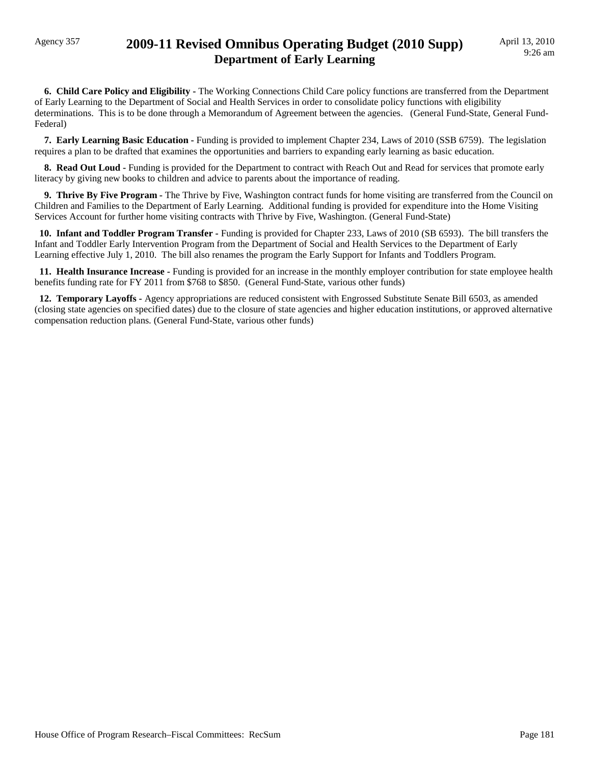### Agency 357 **2009-11 Revised Omnibus Operating Budget (2010 Supp) Department of Early Learning**

 **6. Child Care Policy and Eligibility -** The Working Connections Child Care policy functions are transferred from the Department of Early Learning to the Department of Social and Health Services in order to consolidate policy functions with eligibility determinations. This is to be done through a Memorandum of Agreement between the agencies. (General Fund-State, General Fund-Federal)

 **7. Early Learning Basic Education -** Funding is provided to implement Chapter 234, Laws of 2010 (SSB 6759). The legislation requires a plan to be drafted that examines the opportunities and barriers to expanding early learning as basic education.

**8. Read Out Loud -** Funding is provided for the Department to contract with Reach Out and Read for services that promote early literacy by giving new books to children and advice to parents about the importance of reading.

**9. Thrive By Five Program -** The Thrive by Five, Washington contract funds for home visiting are transferred from the Council on Children and Families to the Department of Early Learning. Additional funding is provided for expenditure into the Home Visiting Services Account for further home visiting contracts with Thrive by Five, Washington. (General Fund-State)

 **10. Infant and Toddler Program Transfer -** Funding is provided for Chapter 233, Laws of 2010 (SB 6593). The bill transfers the Infant and Toddler Early Intervention Program from the Department of Social and Health Services to the Department of Early Learning effective July 1, 2010. The bill also renames the program the Early Support for Infants and Toddlers Program.

 **11. Health Insurance Increase -** Funding is provided for an increase in the monthly employer contribution for state employee health benefits funding rate for FY 2011 from \$768 to \$850. (General Fund-State, various other funds)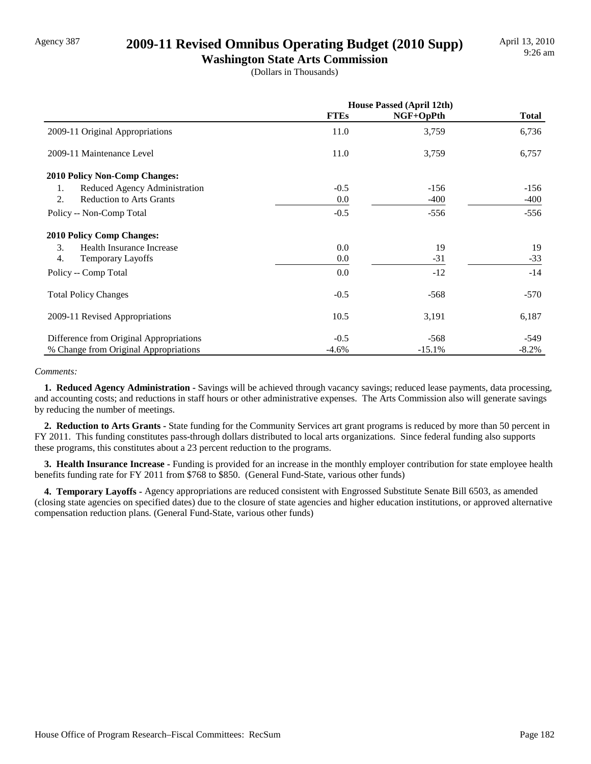### Agency 387 **2009-11 Revised Omnibus Operating Budget (2010 Supp)**

**Washington State Arts Commission** (Dollars in Thousands)

|                                         | <b>House Passed (April 12th)</b> |           |              |
|-----------------------------------------|----------------------------------|-----------|--------------|
|                                         | <b>FTEs</b>                      | NGF+OpPth | <b>Total</b> |
| 2009-11 Original Appropriations         | 11.0                             | 3,759     | 6,736        |
| 2009-11 Maintenance Level               | 11.0                             | 3,759     | 6,757        |
| 2010 Policy Non-Comp Changes:           |                                  |           |              |
| Reduced Agency Administration<br>1.     | $-0.5$                           | $-156$    | $-156$       |
| 2.<br><b>Reduction to Arts Grants</b>   | 0.0                              | $-400$    | $-400$       |
| Policy -- Non-Comp Total                | $-0.5$                           | $-556$    | $-556$       |
| <b>2010 Policy Comp Changes:</b>        |                                  |           |              |
| 3.<br>Health Insurance Increase         | 0.0                              | 19        | 19           |
| 4.<br><b>Temporary Layoffs</b>          | 0.0                              | $-31$     | $-33$        |
| Policy -- Comp Total                    | 0.0                              | $-12$     | $-14$        |
| <b>Total Policy Changes</b>             | $-0.5$                           | $-568$    | $-570$       |
| 2009-11 Revised Appropriations          | 10.5                             | 3,191     | 6,187        |
| Difference from Original Appropriations | $-0.5$                           | $-568$    | -549         |
| % Change from Original Appropriations   | $-4.6%$                          | $-15.1%$  | $-8.2\%$     |

#### *Comments:*

 **1. Reduced Agency Administration -** Savings will be achieved through vacancy savings; reduced lease payments, data processing, and accounting costs; and reductions in staff hours or other administrative expenses. The Arts Commission also will generate savings by reducing the number of meetings.

 **2. Reduction to Arts Grants -** State funding for the Community Services art grant programs is reduced by more than 50 percent in FY 2011. This funding constitutes pass-through dollars distributed to local arts organizations. Since federal funding also supports these programs, this constitutes about a 23 percent reduction to the programs.

 **3. Health Insurance Increase -** Funding is provided for an increase in the monthly employer contribution for state employee health benefits funding rate for FY 2011 from \$768 to \$850. (General Fund-State, various other funds)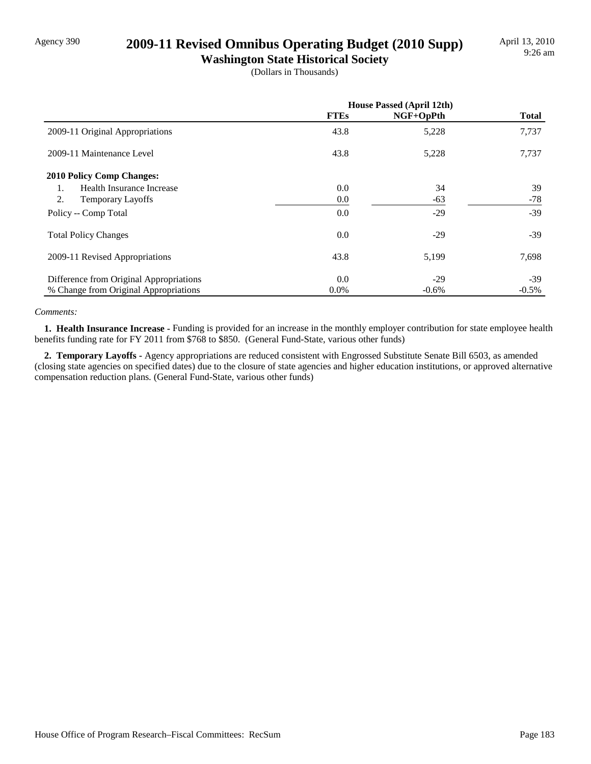# Agency 390 **2009-11 Revised Omnibus Operating Budget (2010 Supp)**

**Washington State Historical Society** (Dollars in Thousands)

|                                         | <b>House Passed (April 12th)</b> |           |              |
|-----------------------------------------|----------------------------------|-----------|--------------|
|                                         | <b>FTEs</b>                      | NGF+OpPth | <b>Total</b> |
| 2009-11 Original Appropriations         | 43.8                             | 5,228     | 7,737        |
| 2009-11 Maintenance Level               | 43.8                             | 5,228     | 7,737        |
| <b>2010 Policy Comp Changes:</b>        |                                  |           |              |
| Health Insurance Increase<br>1.         | 0.0                              | 34        | 39           |
| 2.<br>Temporary Layoffs                 | 0.0                              | $-63$     | $-78$        |
| Policy -- Comp Total                    | 0.0                              | $-29$     | $-39$        |
| <b>Total Policy Changes</b>             | 0.0                              | $-29$     | $-39$        |
| 2009-11 Revised Appropriations          | 43.8                             | 5,199     | 7,698        |
| Difference from Original Appropriations | 0.0                              | $-29$     | $-39$        |
| % Change from Original Appropriations   | $0.0\%$                          | $-0.6%$   | $-0.5\%$     |

#### *Comments:*

 **1. Health Insurance Increase -** Funding is provided for an increase in the monthly employer contribution for state employee health benefits funding rate for FY 2011 from \$768 to \$850. (General Fund-State, various other funds)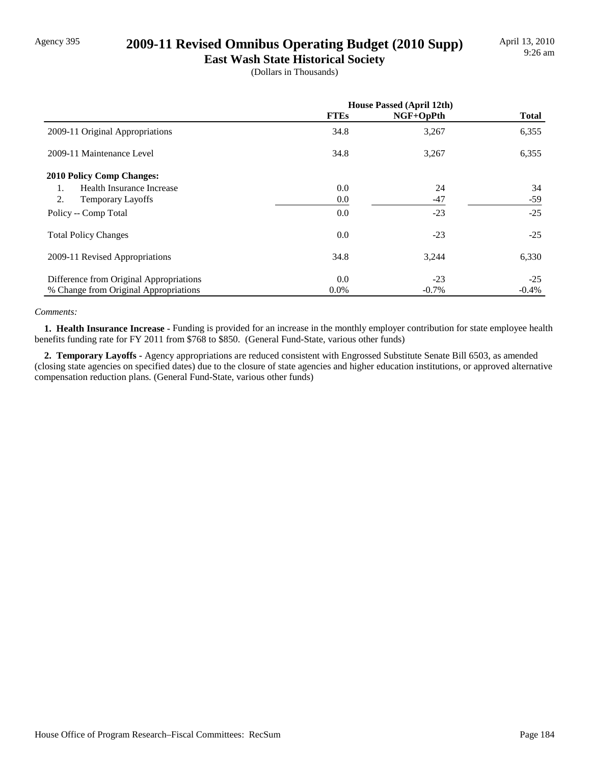# Agency 395 **2009-11 Revised Omnibus Operating Budget (2010 Supp)**

**East Wash State Historical Society** (Dollars in Thousands)

|                                         | <b>House Passed (April 12th)</b> |           |              |
|-----------------------------------------|----------------------------------|-----------|--------------|
|                                         | <b>FTEs</b>                      | NGF+OpPth | <b>Total</b> |
| 2009-11 Original Appropriations         | 34.8                             | 3,267     | 6,355        |
| 2009-11 Maintenance Level               | 34.8                             | 3,267     | 6,355        |
| <b>2010 Policy Comp Changes:</b>        |                                  |           |              |
| Health Insurance Increase<br>1.         | 0.0                              | 24        | 34           |
| 2.<br><b>Temporary Layoffs</b>          | 0.0                              | $-47$     | $-59$        |
| Policy -- Comp Total                    | 0.0                              | $-23$     | $-25$        |
| <b>Total Policy Changes</b>             | 0.0                              | $-23$     | $-25$        |
| 2009-11 Revised Appropriations          | 34.8                             | 3,244     | 6,330        |
| Difference from Original Appropriations | 0.0                              | $-23$     | $-25$        |
| % Change from Original Appropriations   | $0.0\%$                          | $-0.7\%$  | $-0.4%$      |

#### *Comments:*

 **1. Health Insurance Increase -** Funding is provided for an increase in the monthly employer contribution for state employee health benefits funding rate for FY 2011 from \$768 to \$850. (General Fund-State, various other funds)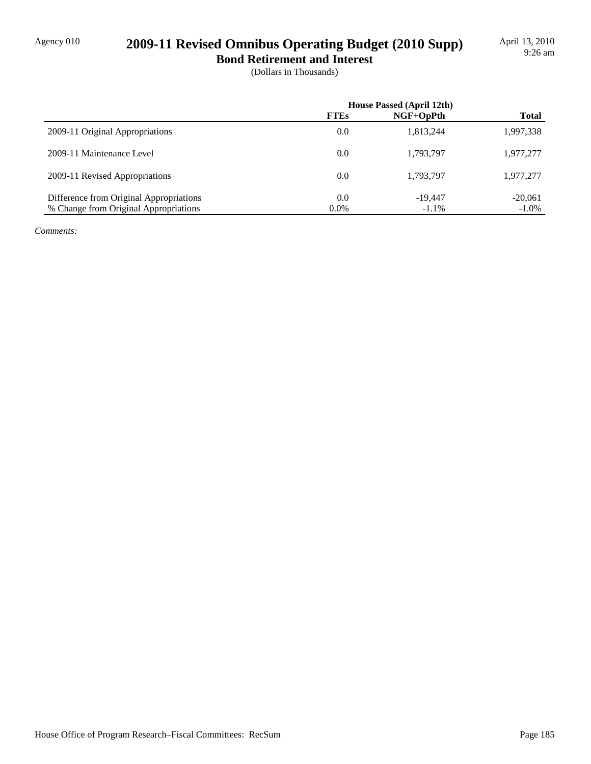# Agency 010 **2009-11 Revised Omnibus Operating Budget (2010 Supp)**

**Bond Retirement and Interest** (Dollars in Thousands)

|                                         | <b>House Passed (April 12th)</b> |             |              |
|-----------------------------------------|----------------------------------|-------------|--------------|
|                                         | <b>FTEs</b>                      | $NGF+OpPth$ | <b>Total</b> |
| 2009-11 Original Appropriations         | 0.0                              | 1.813.244   | 1,997,338    |
| 2009-11 Maintenance Level               | 0.0                              | 1,793,797   | 1,977,277    |
| 2009-11 Revised Appropriations          | 0.0                              | 1,793,797   | 1,977,277    |
| Difference from Original Appropriations | 0.0                              | $-19.447$   | $-20,061$    |
| % Change from Original Appropriations   | 0.0%                             | $-1.1\%$    | $-1.0\%$     |

*Comments:*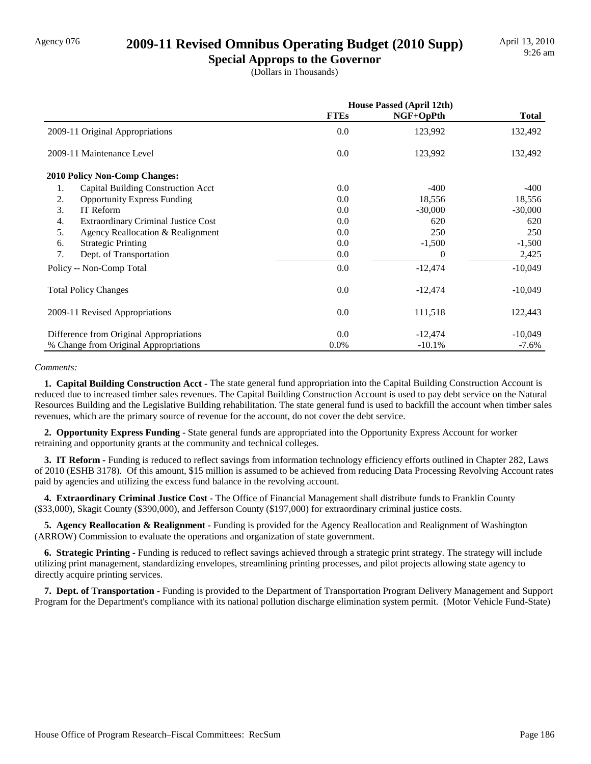### Agency 076 **2009-11 Revised Omnibus Operating Budget (2010 Supp)**

**Special Approps to the Governor** (Dollars in Thousands)

|                                                  | <b>House Passed (April 12th)</b> |           |              |
|--------------------------------------------------|----------------------------------|-----------|--------------|
|                                                  | <b>FTEs</b>                      | NGF+OpPth | <b>Total</b> |
| 2009-11 Original Appropriations                  | 0.0                              | 123,992   | 132,492      |
| 2009-11 Maintenance Level                        | 0.0                              | 123,992   | 132,492      |
| <b>2010 Policy Non-Comp Changes:</b>             |                                  |           |              |
| Capital Building Construction Acct<br>1.         | 0.0                              | $-400$    | -400         |
| 2.<br><b>Opportunity Express Funding</b>         | 0.0                              | 18,556    | 18,556       |
| 3.<br>IT Reform                                  | 0.0                              | $-30,000$ | $-30,000$    |
| <b>Extraordinary Criminal Justice Cost</b><br>4. | 0.0                              | 620       | 620          |
| 5.<br>Agency Reallocation & Realignment          | 0.0                              | 250       | 250          |
| <b>Strategic Printing</b><br>6.                  | 0.0                              | $-1,500$  | $-1,500$     |
| 7.<br>Dept. of Transportation                    | 0.0                              | $\theta$  | 2,425        |
| Policy -- Non-Comp Total                         | 0.0                              | $-12,474$ | $-10,049$    |
| <b>Total Policy Changes</b>                      | 0.0                              | $-12,474$ | $-10,049$    |
| 2009-11 Revised Appropriations                   | 0.0                              | 111,518   | 122,443      |
| Difference from Original Appropriations          | 0.0                              | $-12,474$ | $-10,049$    |
| % Change from Original Appropriations            | $0.0\%$                          | $-10.1%$  | $-7.6\%$     |

#### *Comments:*

 **1. Capital Building Construction Acct -** The state general fund appropriation into the Capital Building Construction Account is reduced due to increased timber sales revenues. The Capital Building Construction Account is used to pay debt service on the Natural Resources Building and the Legislative Building rehabilitation. The state general fund is used to backfill the account when timber sales revenues, which are the primary source of revenue for the account, do not cover the debt service.

 **2. Opportunity Express Funding -** State general funds are appropriated into the Opportunity Express Account for worker retraining and opportunity grants at the community and technical colleges.

**3. IT Reform - Funding is reduced to reflect savings from information technology efficiency efforts outlined in Chapter 282, Laws** of 2010 (ESHB 3178). Of this amount, \$15 million is assumed to be achieved from reducing Data Processing Revolving Account rates paid by agencies and utilizing the excess fund balance in the revolving account.

**4. Extraordinary Criminal Justice Cost - The Office of Financial Management shall distribute funds to Franklin County** (\$33,000), Skagit County (\$390,000), and Jefferson County (\$197,000) for extraordinary criminal justice costs.

 **5. Agency Reallocation & Realignment -** Funding is provided for the Agency Reallocation and Realignment of Washington (ARROW) Commission to evaluate the operations and organization of state government.

 **6. Strategic Printing -** Funding is reduced to reflect savings achieved through a strategic print strategy. The strategy will include utilizing print management, standardizing envelopes, streamlining printing processes, and pilot projects allowing state agency to directly acquire printing services.

 **7. Dept. of Transportation -** Funding is provided to the Department of Transportation Program Delivery Management and Support Program for the Department's compliance with its national pollution discharge elimination system permit. (Motor Vehicle Fund-State)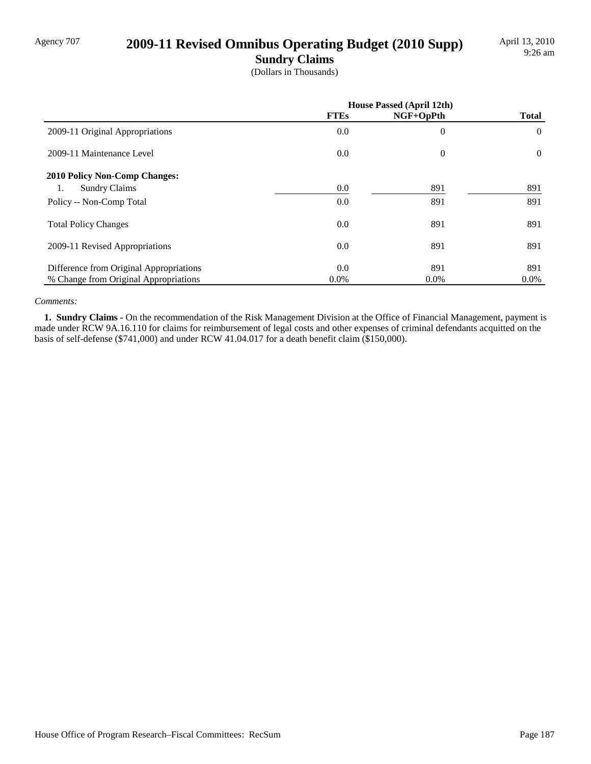# Agency 707 **2009-11 Revised Omnibus Operating Budget (2010 Supp)**

**Sundry Claims**

(Dollars in Thousands)

|                                         | House Passed (April 12th) |                  |                |
|-----------------------------------------|---------------------------|------------------|----------------|
|                                         | <b>FTEs</b>               | NGF+OpPth        | <b>Total</b>   |
| 2009-11 Original Appropriations         | 0.0                       | $\boldsymbol{0}$ | $\theta$       |
| 2009-11 Maintenance Level               | 0.0                       | $\theta$         | $\overline{0}$ |
| 2010 Policy Non-Comp Changes:           |                           |                  |                |
| <b>Sundry Claims</b><br>1.              | 0.0                       | 891              | 891            |
| Policy -- Non-Comp Total                | 0.0                       | 891              | 891            |
| <b>Total Policy Changes</b>             | 0.0                       | 891              | 891            |
| 2009-11 Revised Appropriations          | 0.0                       | 891              | 891            |
| Difference from Original Appropriations | 0.0                       | 891              | 891            |
| % Change from Original Appropriations   | $0.0\%$                   | $0.0\%$          | $0.0\%$        |

#### *Comments:*

 **1. Sundry Claims -** On the recommendation of the Risk Management Division at the Office of Financial Management, payment is made under RCW 9A.16.110 for claims for reimbursement of legal costs and other expenses of criminal defendants acquitted on the basis of self-defense (\$741,000) and under RCW 41.04.017 for a death benefit claim (\$150,000).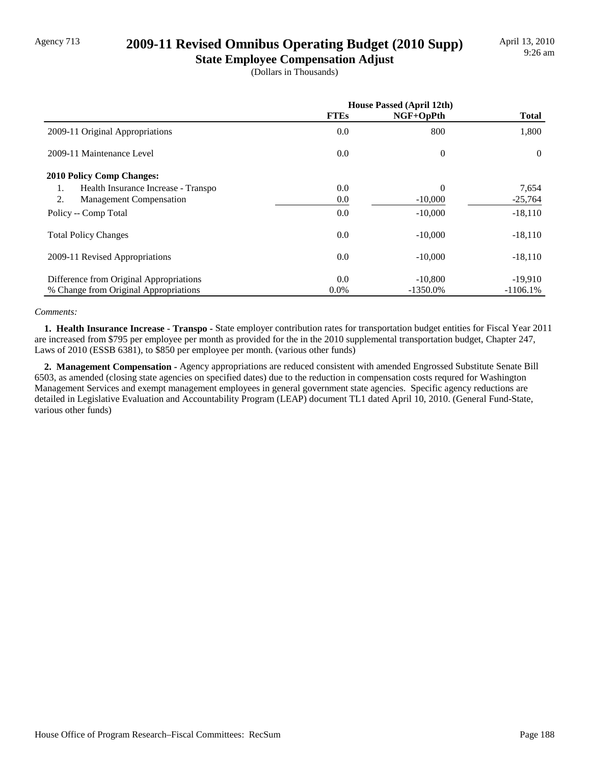# Agency 713 **2009-11 Revised Omnibus Operating Budget (2010 Supp)**

**State Employee Compensation Adjust** (Dollars in Thousands)

|                                           | <b>House Passed (April 12th)</b> |             |              |
|-------------------------------------------|----------------------------------|-------------|--------------|
|                                           | <b>FTEs</b>                      | $NGF+OpPth$ | <b>Total</b> |
| 2009-11 Original Appropriations           | 0.0                              | 800         | 1,800        |
| 2009-11 Maintenance Level                 | 0.0                              | $\theta$    | $\Omega$     |
| <b>2010 Policy Comp Changes:</b>          |                                  |             |              |
| Health Insurance Increase - Transpo<br>1. | 0.0                              | $\Omega$    | 7,654        |
| 2.<br><b>Management Compensation</b>      | 0.0                              | $-10,000$   | $-25,764$    |
| Policy -- Comp Total                      | 0.0                              | $-10,000$   | $-18,110$    |
| <b>Total Policy Changes</b>               | 0.0                              | $-10,000$   | $-18,110$    |
| 2009-11 Revised Appropriations            | 0.0                              | $-10,000$   | $-18,110$    |
| Difference from Original Appropriations   | 0.0                              | $-10,800$   | $-19,910$    |
| % Change from Original Appropriations     | $0.0\%$                          | $-1350.0\%$ | $-1106.1%$   |

#### *Comments:*

 **1. Health Insurance Increase - Transpo -** State employer contribution rates for transportation budget entities for Fiscal Year 2011 are increased from \$795 per employee per month as provided for the in the 2010 supplemental transportation budget, Chapter 247, Laws of 2010 (ESSB 6381), to \$850 per employee per month. (various other funds)

 **2. Management Compensation -** Agency appropriations are reduced consistent with amended Engrossed Substitute Senate Bill 6503, as amended (closing state agencies on specified dates) due to the reduction in compensation costs requred for Washington Management Services and exempt management employees in general government state agencies. Specific agency reductions are detailed in Legislative Evaluation and Accountability Program (LEAP) document TL1 dated April 10, 2010. (General Fund-State, various other funds)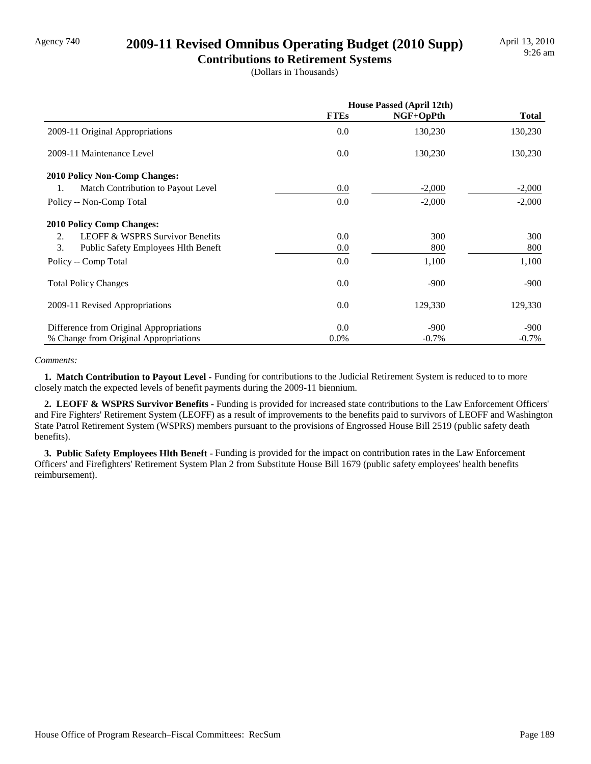# Agency 740 **2009-11 Revised Omnibus Operating Budget (2010 Supp)**

**Contributions to Retirement Systems** (Dollars in Thousands)

|                                                  | <b>House Passed (April 12th)</b> |           |              |
|--------------------------------------------------|----------------------------------|-----------|--------------|
|                                                  | <b>FTEs</b>                      | NGF+OpPth | <b>Total</b> |
| 2009-11 Original Appropriations                  | 0.0                              | 130,230   | 130,230      |
| 2009-11 Maintenance Level                        | 0.0                              | 130,230   | 130,230      |
| <b>2010 Policy Non-Comp Changes:</b>             |                                  |           |              |
| Match Contribution to Payout Level<br>1.         | 0.0                              | $-2,000$  | $-2,000$     |
| Policy -- Non-Comp Total                         | 0.0                              | $-2,000$  | $-2,000$     |
| <b>2010 Policy Comp Changes:</b>                 |                                  |           |              |
| <b>LEOFF &amp; WSPRS Survivor Benefits</b><br>2. | 0.0                              | 300       | 300          |
| 3.<br><b>Public Safety Employees Hith Beneft</b> | 0.0                              | 800       | 800          |
| Policy -- Comp Total                             | 0.0                              | 1,100     | 1,100        |
| <b>Total Policy Changes</b>                      | 0.0                              | $-900$    | $-900$       |
| 2009-11 Revised Appropriations                   | 0.0                              | 129,330   | 129,330      |
| Difference from Original Appropriations          | 0.0                              | $-900$    | $-900$       |
| % Change from Original Appropriations            | $0.0\%$                          | $-0.7\%$  | $-0.7\%$     |

#### *Comments:*

 **1. Match Contribution to Payout Level -** Funding for contributions to the Judicial Retirement System is reduced to to more closely match the expected levels of benefit payments during the 2009-11 biennium.

 **2. LEOFF & WSPRS Survivor Benefits -** Funding is provided for increased state contributions to the Law Enforcement Officers' and Fire Fighters' Retirement System (LEOFF) as a result of improvements to the benefits paid to survivors of LEOFF and Washington State Patrol Retirement System (WSPRS) members pursuant to the provisions of Engrossed House Bill 2519 (public safety death benefits).

 **3. Public Safety Employees Hlth Beneft -** Funding is provided for the impact on contribution rates in the Law Enforcement Officers' and Firefighters' Retirement System Plan 2 from Substitute House Bill 1679 (public safety employees' health benefits reimbursement).